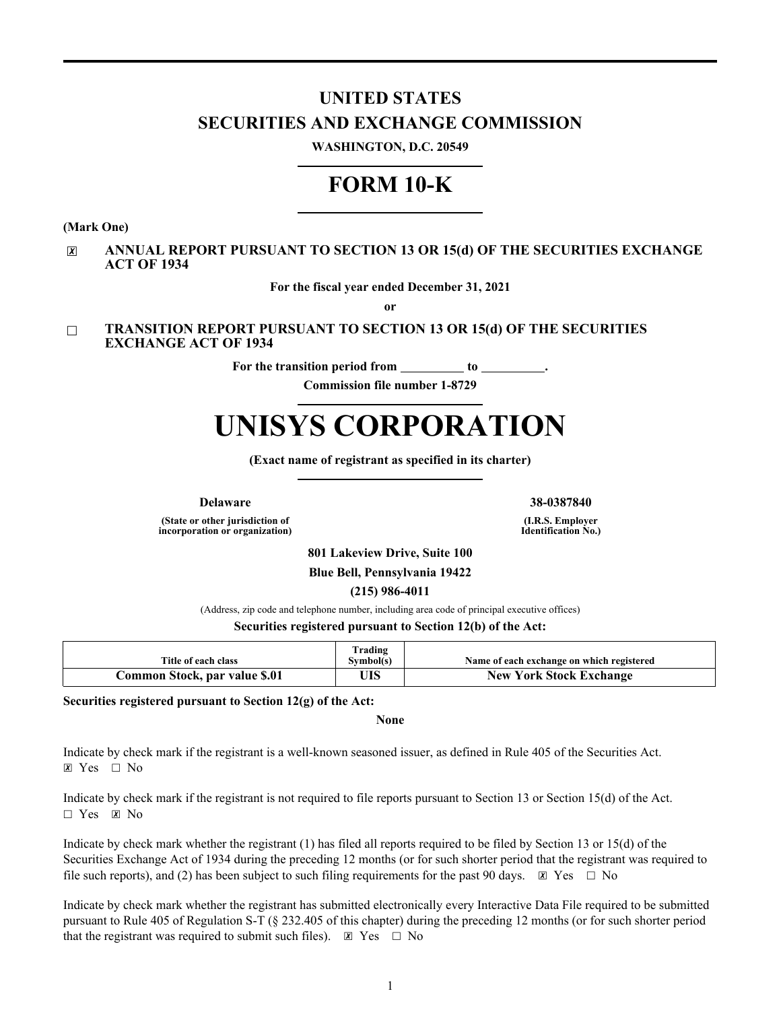# **UNITED STATES SECURITIES AND EXCHANGE COMMISSION**

**WASHINGTON, D.C. 20549**

# **FORM 10-K**

**(Mark One)**

### ☒ **ANNUAL REPORT PURSUANT TO SECTION 13 OR 15(d) OF THE SECURITIES EXCHANGE ACT OF 1934**

**For the fiscal year ended December 31, 2021**

**or**

### ☐ **TRANSITION REPORT PURSUANT TO SECTION 13 OR 15(d) OF THE SECURITIES EXCHANGE ACT OF 1934**

For the transition period from **to** 

**Commission file number 1-8729**

# **UNISYS CORPORATION**

**(Exact name of registrant as specified in its charter)**

**(State or other jurisdiction of incorporation or organization)**

**Delaware 38-0387840**

**(I.R.S. Employer Identification No.)**

**801 Lakeview Drive, Suite 100**

**Blue Bell, Pennsylvania 19422**

**(215) 986-4011**

(Address, zip code and telephone number, including area code of principal executive offices)

**Securities registered pursuant to Section 12(b) of the Act:**

| Title of each class           | [rading<br>Symbol(s) | Name of each exchange on which registered |
|-------------------------------|----------------------|-------------------------------------------|
| Common Stock, par value \$.01 | ЛS                   | <b>New York Stock Exchange</b>            |

**Securities registered pursuant to Section 12(g) of the Act:**

**None**

Indicate by check mark if the registrant is a well-known seasoned issuer, as defined in Rule 405 of the Securities Act.  $X \, Y \, \text{es} \quad \Box \, N_0$ 

Indicate by check mark if the registrant is not required to file reports pursuant to Section 13 or Section 15(d) of the Act.  $\Box$  Yes  $\boxtimes$  No

Indicate by check mark whether the registrant (1) has filed all reports required to be filed by Section 13 or 15(d) of the Securities Exchange Act of 1934 during the preceding 12 months (or for such shorter period that the registrant was required to file such reports), and (2) has been subject to such filing requirements for the past 90 days.  $\boxtimes$  Yes  $\Box$  No

Indicate by check mark whether the registrant has submitted electronically every Interactive Data File required to be submitted pursuant to Rule 405 of Regulation S-T (§ 232.405 of this chapter) during the preceding 12 months (or for such shorter period that the registrant was required to submit such files).  $\boxtimes$  Yes  $\Box$  No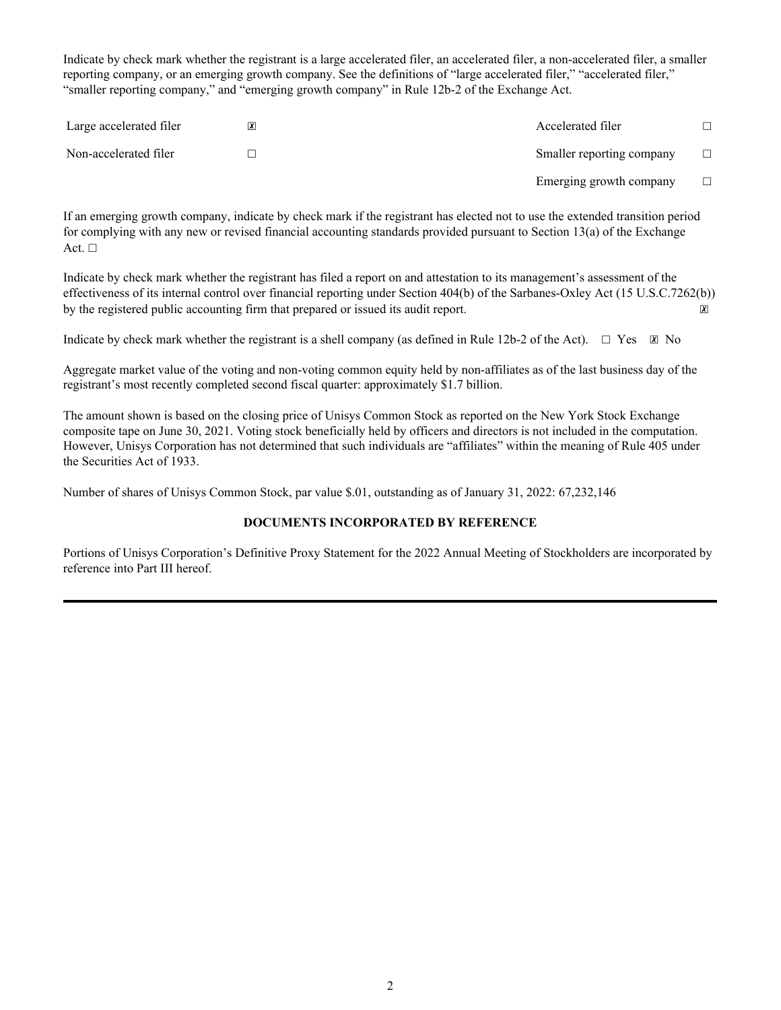Indicate by check mark whether the registrant is a large accelerated filer, an accelerated filer, a non-accelerated filer, a smaller reporting company, or an emerging growth company. See the definitions of "large accelerated filer," "accelerated filer," "smaller reporting company," and "emerging growth company" in Rule 12b-2 of the Exchange Act.

| Large accelerated filer | Accelerated filer         |  |
|-------------------------|---------------------------|--|
| Non-accelerated filer   | Smaller reporting company |  |
|                         | Emerging growth company   |  |

If an emerging growth company, indicate by check mark if the registrant has elected not to use the extended transition period for complying with any new or revised financial accounting standards provided pursuant to Section 13(a) of the Exchange Act.  $\square$ 

Indicate by check mark whether the registrant has filed a report on and attestation to its management's assessment of the effectiveness of its internal control over financial reporting under Section 404(b) of the Sarbanes-Oxley Act (15 U.S.C.7262(b)) by the registered public accounting firm that prepared or issued its audit report.  $\boxtimes$ 

Indicate by check mark whether the registrant is a shell company (as defined in Rule 12b-2 of the Act).  $\Box$  Yes  $\boxtimes$  No

Aggregate market value of the voting and non-voting common equity held by non-affiliates as of the last business day of the registrant's most recently completed second fiscal quarter: approximately \$1.7 billion.

The amount shown is based on the closing price of Unisys Common Stock as reported on the New York Stock Exchange composite tape on June 30, 2021. Voting stock beneficially held by officers and directors is not included in the computation. However, Unisys Corporation has not determined that such individuals are "affiliates" within the meaning of Rule 405 under the Securities Act of 1933.

Number of shares of Unisys Common Stock, par value \$.01, outstanding as of January 31, 2022: 67,232,146

### **DOCUMENTS INCORPORATED BY REFERENCE**

Portions of Unisys Corporation's Definitive Proxy Statement for the 2022 Annual Meeting of Stockholders are incorporated by reference into Part III hereof.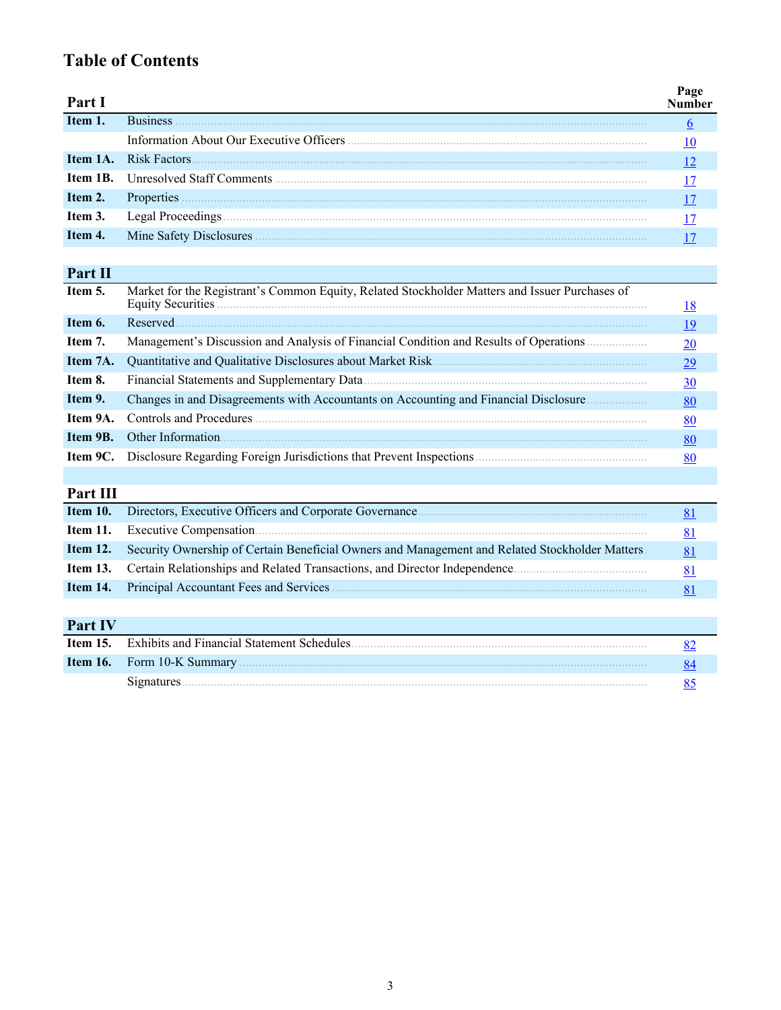# **Table of Contents**

| Part I  |                               |  |
|---------|-------------------------------|--|
| Item 1. | <b>Business</b>               |  |
|         |                               |  |
|         | <b>Item 1A.</b> Risk Factors. |  |
|         |                               |  |
| Item 2. | Properties                    |  |
| Item 3. | Legal Proceedings             |  |
| Item 4. | Mine Safety Disclosures       |  |

# **Part II**

| Item 5.  | Market for the Registrant's Common Equity, Related Stockholder Matters and Issuer Purchases of | <u>18</u>       |
|----------|------------------------------------------------------------------------------------------------|-----------------|
|          |                                                                                                |                 |
| Item 6.  | Reserved.                                                                                      | <u>19</u>       |
| Item 7.  | Management's Discussion and Analysis of Financial Condition and Results of Operations          | 20              |
| Item 7A. | Quantitative and Qualitative Disclosures about Market Risk.                                    | $\overline{29}$ |
| Item 8.  |                                                                                                | <u>30</u>       |
| Item 9.  | Changes in and Disagreements with Accountants on Accounting and Financial Disclosure           | <u>80</u>       |
| Item 9A. | Controls and Procedures                                                                        | <u>80</u>       |
| Item 9B. | Other Information                                                                              | <u>80</u>       |
| Item 9C. | Disclosure Regarding Foreign Jurisdictions that Prevent Inspections                            | 80              |

# **Part III**

|                                                                                                                                                                | 81 |
|----------------------------------------------------------------------------------------------------------------------------------------------------------------|----|
| <b>Item 12.</b> Security Ownership of Certain Beneficial Owners and Management and Related Stockholder Matters                                                 | 81 |
| <b>Item 13.</b> Certain Relationships and Related Transactions, and Director Independence.                                                                     |    |
| <b>Item 14.</b> Principal Accountant Fees and Services <b>Constant Figure 2.1</b> Figure 2.1 Principal Accountant Fees and Services <b>Constant Figure 2.1</b> |    |
|                                                                                                                                                                |    |

# **Part IV**

| <b>Item 15.</b> | <b>Exhibits and Financial Statement Schedules</b> |  |
|-----------------|---------------------------------------------------|--|
|                 |                                                   |  |
|                 | Signatures.                                       |  |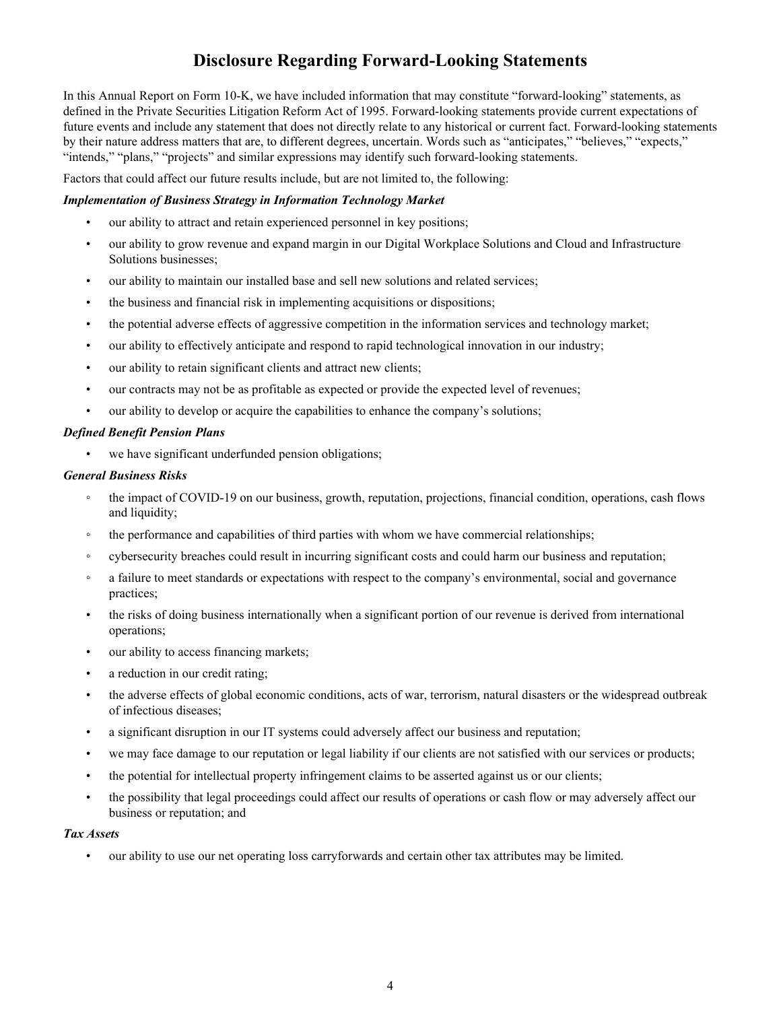# **Disclosure Regarding Forward-Looking Statements**

In this Annual Report on Form 10-K, we have included information that may constitute "forward-looking" statements, as defined in the Private Securities Litigation Reform Act of 1995. Forward-looking statements provide current expectations of future events and include any statement that does not directly relate to any historical or current fact. Forward-looking statements by their nature address matters that are, to different degrees, uncertain. Words such as "anticipates," "believes," "expects," "intends," "plans," "projects" and similar expressions may identify such forward-looking statements.

Factors that could affect our future results include, but are not limited to, the following:

### *Implementation of Business Strategy in Information Technology Market*

- our ability to attract and retain experienced personnel in key positions;
- our ability to grow revenue and expand margin in our Digital Workplace Solutions and Cloud and Infrastructure Solutions businesses;
- our ability to maintain our installed base and sell new solutions and related services;
- the business and financial risk in implementing acquisitions or dispositions;
- the potential adverse effects of aggressive competition in the information services and technology market;
- our ability to effectively anticipate and respond to rapid technological innovation in our industry;
- our ability to retain significant clients and attract new clients;
- our contracts may not be as profitable as expected or provide the expected level of revenues;
- our ability to develop or acquire the capabilities to enhance the company's solutions;

#### *Defined Benefit Pension Plans*

• we have significant underfunded pension obligations;

#### *General Business Risks*

- the impact of COVID-19 on our business, growth, reputation, projections, financial condition, operations, cash flows and liquidity;
- the performance and capabilities of third parties with whom we have commercial relationships;
- cybersecurity breaches could result in incurring significant costs and could harm our business and reputation;
- a failure to meet standards or expectations with respect to the company's environmental, social and governance practices;
- the risks of doing business internationally when a significant portion of our revenue is derived from international operations;
- our ability to access financing markets;
- a reduction in our credit rating;
- the adverse effects of global economic conditions, acts of war, terrorism, natural disasters or the widespread outbreak of infectious diseases;
- a significant disruption in our IT systems could adversely affect our business and reputation;
- we may face damage to our reputation or legal liability if our clients are not satisfied with our services or products;
- the potential for intellectual property infringement claims to be asserted against us or our clients;
- the possibility that legal proceedings could affect our results of operations or cash flow or may adversely affect our business or reputation; and

#### *Tax Assets*

• our ability to use our net operating loss carryforwards and certain other tax attributes may be limited.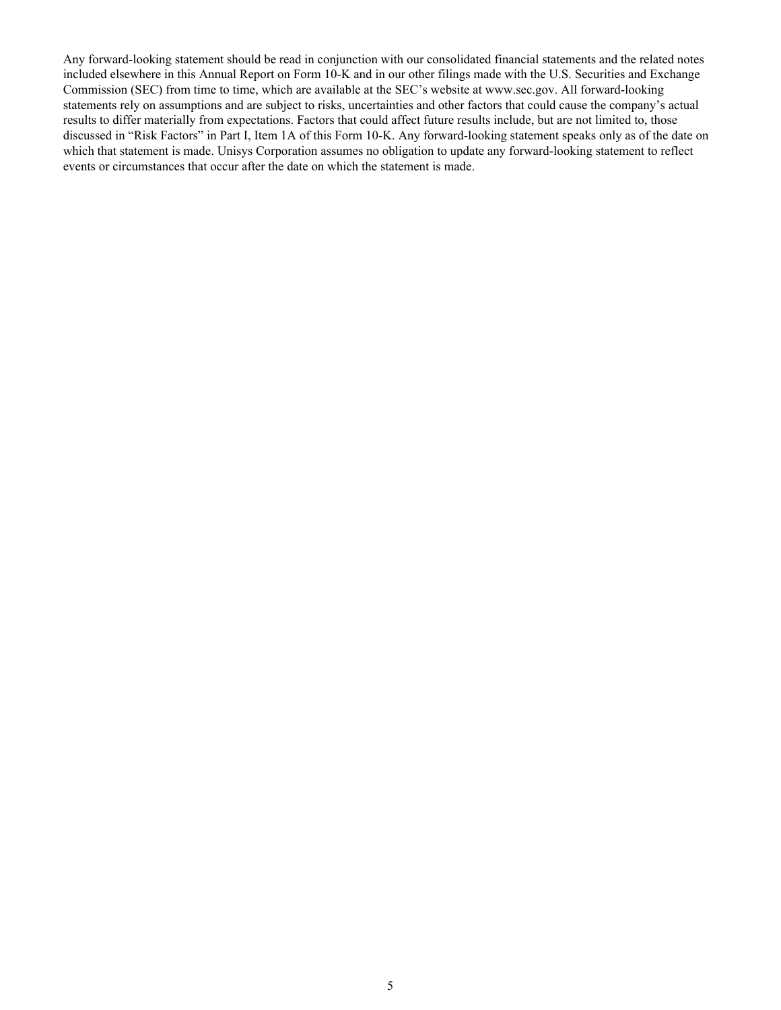Any forward-looking statement should be read in conjunction with our consolidated financial statements and the related notes included elsewhere in this Annual Report on Form 10-K and in our other filings made with the U.S. Securities and Exchange Commission (SEC) from time to time, which are available at the SEC's website at www.sec.gov. All forward-looking statements rely on assumptions and are subject to risks, uncertainties and other factors that could cause the company's actual results to differ materially from expectations. Factors that could affect future results include, but are not limited to, those discussed in "Risk Factors" in Part I, Item 1A of this Form 10-K. Any forward-looking statement speaks only as of the date on which that statement is made. Unisys Corporation assumes no obligation to update any forward-looking statement to reflect events or circumstances that occur after the date on which the statement is made.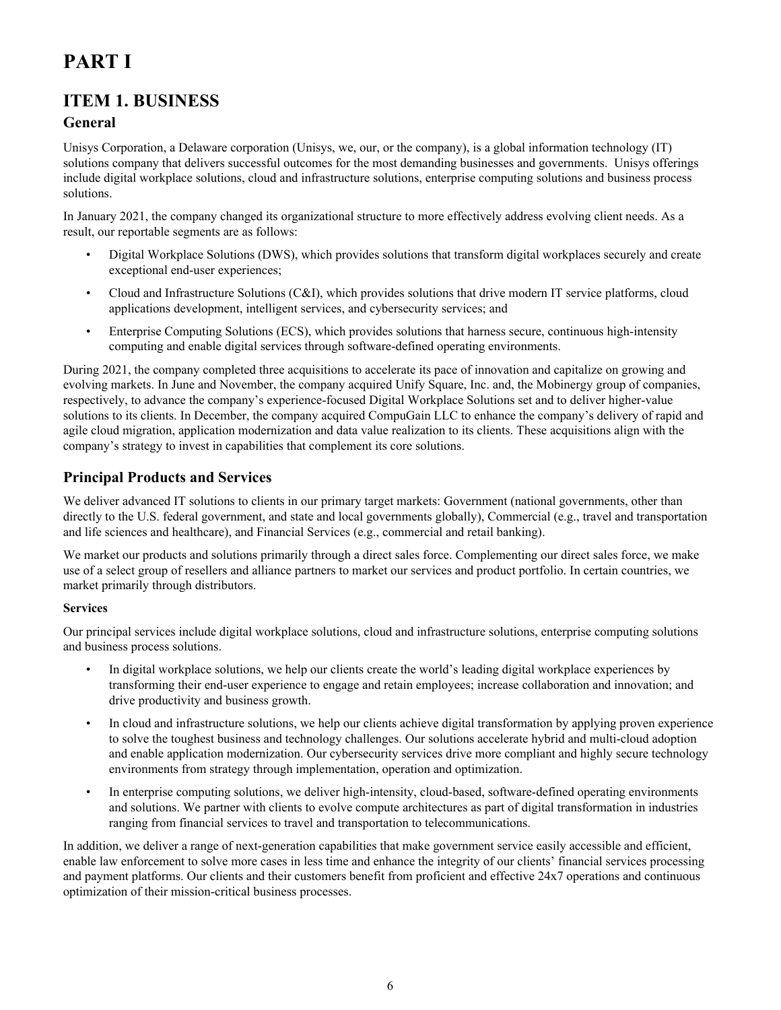# <span id="page-5-0"></span>**PART I**

# **ITEM 1. BUSINESS**

# **General**

Unisys Corporation, a Delaware corporation (Unisys, we, our, or the company), is a global information technology (IT) solutions company that delivers successful outcomes for the most demanding businesses and governments. Unisys offerings include digital workplace solutions, cloud and infrastructure solutions, enterprise computing solutions and business process solutions.

In January 2021, the company changed its organizational structure to more effectively address evolving client needs. As a result, our reportable segments are as follows:

- Digital Workplace Solutions (DWS), which provides solutions that transform digital workplaces securely and create exceptional end-user experiences;
- Cloud and Infrastructure Solutions (C&I), which provides solutions that drive modern IT service platforms, cloud applications development, intelligent services, and cybersecurity services; and
- Enterprise Computing Solutions (ECS), which provides solutions that harness secure, continuous high-intensity computing and enable digital services through software-defined operating environments.

During 2021, the company completed three acquisitions to accelerate its pace of innovation and capitalize on growing and evolving markets. In June and November, the company acquired Unify Square, Inc. and, the Mobinergy group of companies, respectively, to advance the company's experience-focused Digital Workplace Solutions set and to deliver higher-value solutions to its clients. In December, the company acquired CompuGain LLC to enhance the company's delivery of rapid and agile cloud migration, application modernization and data value realization to its clients. These acquisitions align with the company's strategy to invest in capabilities that complement its core solutions.

# **Principal Products and Services**

We deliver advanced IT solutions to clients in our primary target markets: Government (national governments, other than directly to the U.S. federal government, and state and local governments globally), Commercial (e.g., travel and transportation and life sciences and healthcare), and Financial Services (e.g., commercial and retail banking).

We market our products and solutions primarily through a direct sales force. Complementing our direct sales force, we make use of a select group of resellers and alliance partners to market our services and product portfolio. In certain countries, we market primarily through distributors.

### **Services**

Our principal services include digital workplace solutions, cloud and infrastructure solutions, enterprise computing solutions and business process solutions.

- In digital workplace solutions, we help our clients create the world's leading digital workplace experiences by transforming their end-user experience to engage and retain employees; increase collaboration and innovation; and drive productivity and business growth.
- In cloud and infrastructure solutions, we help our clients achieve digital transformation by applying proven experience to solve the toughest business and technology challenges. Our solutions accelerate hybrid and multi-cloud adoption and enable application modernization. Our cybersecurity services drive more compliant and highly secure technology environments from strategy through implementation, operation and optimization.
- In enterprise computing solutions, we deliver high-intensity, cloud-based, software-defined operating environments and solutions. We partner with clients to evolve compute architectures as part of digital transformation in industries ranging from financial services to travel and transportation to telecommunications.

In addition, we deliver a range of next-generation capabilities that make government service easily accessible and efficient, enable law enforcement to solve more cases in less time and enhance the integrity of our clients' financial services processing and payment platforms. Our clients and their customers benefit from proficient and effective 24x7 operations and continuous optimization of their mission-critical business processes.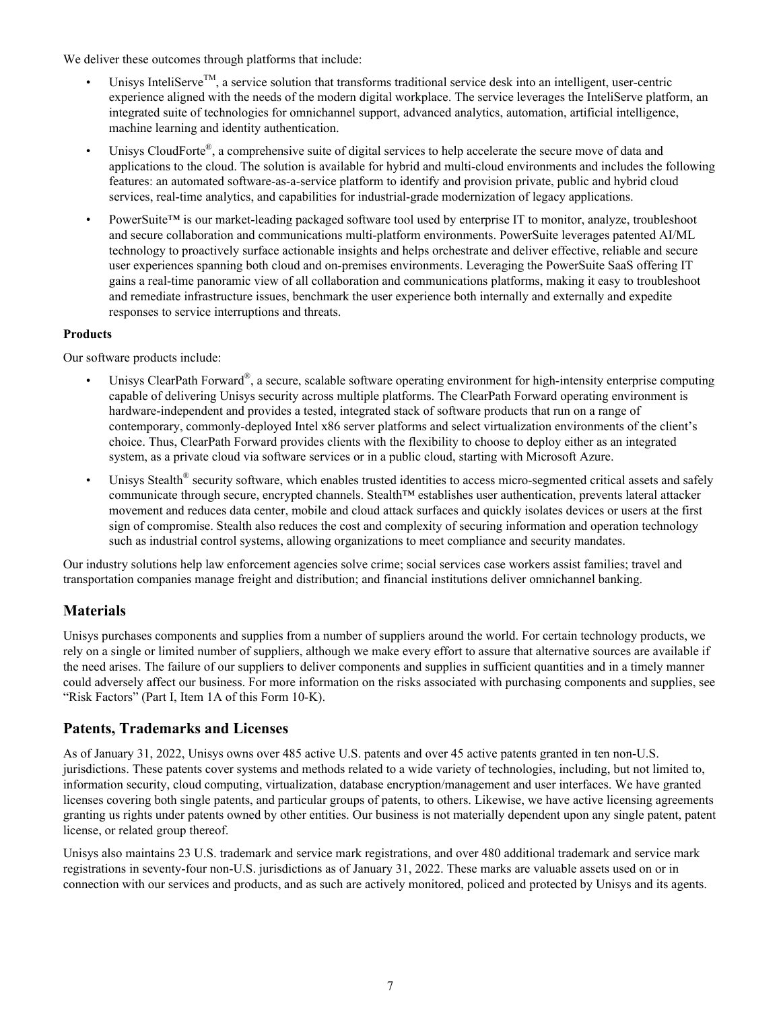We deliver these outcomes through platforms that include:

- Unisys InteliServe<sup>TM</sup>, a service solution that transforms traditional service desk into an intelligent, user-centric experience aligned with the needs of the modern digital workplace. The service leverages the InteliServe platform, an integrated suite of technologies for omnichannel support, advanced analytics, automation, artificial intelligence, machine learning and identity authentication.
- Unisys CloudForte®, a comprehensive suite of digital services to help accelerate the secure move of data and applications to the cloud. The solution is available for hybrid and multi-cloud environments and includes the following features: an automated software-as-a-service platform to identify and provision private, public and hybrid cloud services, real-time analytics, and capabilities for industrial-grade modernization of legacy applications.
- PowerSuite™ is our market-leading packaged software tool used by enterprise IT to monitor, analyze, troubleshoot and secure collaboration and communications multi-platform environments. PowerSuite leverages patented AI/ML technology to proactively surface actionable insights and helps orchestrate and deliver effective, reliable and secure user experiences spanning both cloud and on-premises environments. Leveraging the PowerSuite SaaS offering IT gains a real-time panoramic view of all collaboration and communications platforms, making it easy to troubleshoot and remediate infrastructure issues, benchmark the user experience both internally and externally and expedite responses to service interruptions and threats.

### **Products**

Our software products include:

- Unisys ClearPath Forward®, a secure, scalable software operating environment for high-intensity enterprise computing capable of delivering Unisys security across multiple platforms. The ClearPath Forward operating environment is hardware-independent and provides a tested, integrated stack of software products that run on a range of contemporary, commonly-deployed Intel x86 server platforms and select virtualization environments of the client's choice. Thus, ClearPath Forward provides clients with the flexibility to choose to deploy either as an integrated system, as a private cloud via software services or in a public cloud, starting with Microsoft Azure.
- Unisys Stealth® security software, which enables trusted identities to access micro-segmented critical assets and safely communicate through secure, encrypted channels. Stealth™ establishes user authentication, prevents lateral attacker movement and reduces data center, mobile and cloud attack surfaces and quickly isolates devices or users at the first sign of compromise. Stealth also reduces the cost and complexity of securing information and operation technology such as industrial control systems, allowing organizations to meet compliance and security mandates.

Our industry solutions help law enforcement agencies solve crime; social services case workers assist families; travel and transportation companies manage freight and distribution; and financial institutions deliver omnichannel banking.

### **Materials**

Unisys purchases components and supplies from a number of suppliers around the world. For certain technology products, we rely on a single or limited number of suppliers, although we make every effort to assure that alternative sources are available if the need arises. The failure of our suppliers to deliver components and supplies in sufficient quantities and in a timely manner could adversely affect our business. For more information on the risks associated with purchasing components and supplies, see "Risk Factors" (Part I, Item 1A of this Form 10-K).

### **Patents, Trademarks and Licenses**

As of January 31, 2022, Unisys owns over 485 active U.S. patents and over 45 active patents granted in ten non-U.S. jurisdictions. These patents cover systems and methods related to a wide variety of technologies, including, but not limited to, information security, cloud computing, virtualization, database encryption/management and user interfaces. We have granted licenses covering both single patents, and particular groups of patents, to others. Likewise, we have active licensing agreements granting us rights under patents owned by other entities. Our business is not materially dependent upon any single patent, patent license, or related group thereof.

Unisys also maintains 23 U.S. trademark and service mark registrations, and over 480 additional trademark and service mark registrations in seventy-four non-U.S. jurisdictions as of January 31, 2022. These marks are valuable assets used on or in connection with our services and products, and as such are actively monitored, policed and protected by Unisys and its agents.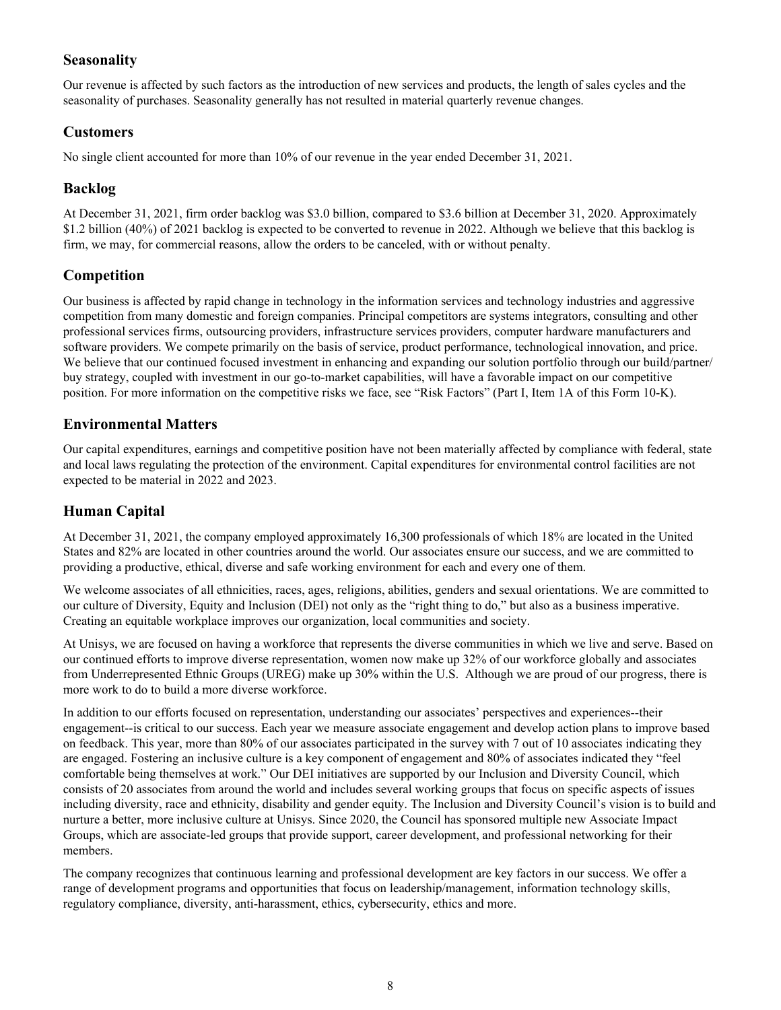## **Seasonality**

Our revenue is affected by such factors as the introduction of new services and products, the length of sales cycles and the seasonality of purchases. Seasonality generally has not resulted in material quarterly revenue changes.

### **Customers**

No single client accounted for more than 10% of our revenue in the year ended December 31, 2021.

## **Backlog**

At December 31, 2021, firm order backlog was \$3.0 billion, compared to \$3.6 billion at December 31, 2020. Approximately \$1.2 billion (40%) of 2021 backlog is expected to be converted to revenue in 2022. Although we believe that this backlog is firm, we may, for commercial reasons, allow the orders to be canceled, with or without penalty.

## **Competition**

Our business is affected by rapid change in technology in the information services and technology industries and aggressive competition from many domestic and foreign companies. Principal competitors are systems integrators, consulting and other professional services firms, outsourcing providers, infrastructure services providers, computer hardware manufacturers and software providers. We compete primarily on the basis of service, product performance, technological innovation, and price. We believe that our continued focused investment in enhancing and expanding our solution portfolio through our build/partner/ buy strategy, coupled with investment in our go-to-market capabilities, will have a favorable impact on our competitive position. For more information on the competitive risks we face, see "Risk Factors" (Part I, Item 1A of this Form 10-K).

### **Environmental Matters**

Our capital expenditures, earnings and competitive position have not been materially affected by compliance with federal, state and local laws regulating the protection of the environment. Capital expenditures for environmental control facilities are not expected to be material in 2022 and 2023.

# **Human Capital**

At December 31, 2021, the company employed approximately 16,300 professionals of which 18% are located in the United States and 82% are located in other countries around the world. Our associates ensure our success, and we are committed to providing a productive, ethical, diverse and safe working environment for each and every one of them.

We welcome associates of all ethnicities, races, ages, religions, abilities, genders and sexual orientations. We are committed to our culture of Diversity, Equity and Inclusion (DEI) not only as the "right thing to do," but also as a business imperative. Creating an equitable workplace improves our organization, local communities and society.

At Unisys, we are focused on having a workforce that represents the diverse communities in which we live and serve. Based on our continued efforts to improve diverse representation, women now make up 32% of our workforce globally and associates from Underrepresented Ethnic Groups (UREG) make up 30% within the U.S. Although we are proud of our progress, there is more work to do to build a more diverse workforce.

In addition to our efforts focused on representation, understanding our associates' perspectives and experiences--their engagement--is critical to our success. Each year we measure associate engagement and develop action plans to improve based on feedback. This year, more than 80% of our associates participated in the survey with 7 out of 10 associates indicating they are engaged. Fostering an inclusive culture is a key component of engagement and 80% of associates indicated they "feel comfortable being themselves at work." Our DEI initiatives are supported by our Inclusion and Diversity Council, which consists of 20 associates from around the world and includes several working groups that focus on specific aspects of issues including diversity, race and ethnicity, disability and gender equity. The Inclusion and Diversity Council's vision is to build and nurture a better, more inclusive culture at Unisys. Since 2020, the Council has sponsored multiple new Associate Impact Groups, which are associate-led groups that provide support, career development, and professional networking for their members.

The company recognizes that continuous learning and professional development are key factors in our success. We offer a range of development programs and opportunities that focus on leadership/management, information technology skills, regulatory compliance, diversity, anti-harassment, ethics, cybersecurity, ethics and more.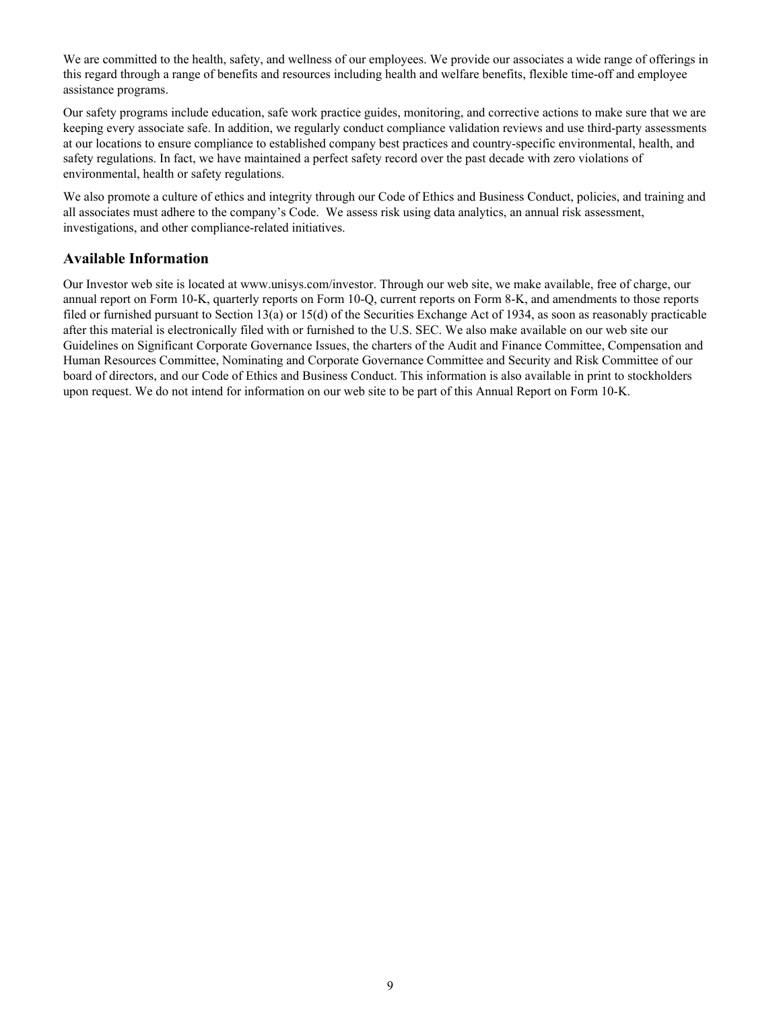We are committed to the health, safety, and wellness of our employees. We provide our associates a wide range of offerings in this regard through a range of benefits and resources including health and welfare benefits, flexible time-off and employee assistance programs.

Our safety programs include education, safe work practice guides, monitoring, and corrective actions to make sure that we are keeping every associate safe. In addition, we regularly conduct compliance validation reviews and use third-party assessments at our locations to ensure compliance to established company best practices and country-specific environmental, health, and safety regulations. In fact, we have maintained a perfect safety record over the past decade with zero violations of environmental, health or safety regulations.

We also promote a culture of ethics and integrity through our Code of Ethics and Business Conduct, policies, and training and all associates must adhere to the company's Code. We assess risk using data analytics, an annual risk assessment, investigations, and other compliance-related initiatives.

### **Available Information**

Our Investor web site is located at www.unisys.com/investor. Through our web site, we make available, free of charge, our annual report on Form 10-K, quarterly reports on Form 10-Q, current reports on Form 8-K, and amendments to those reports filed or furnished pursuant to Section 13(a) or 15(d) of the Securities Exchange Act of 1934, as soon as reasonably practicable after this material is electronically filed with or furnished to the U.S. SEC. We also make available on our web site our Guidelines on Significant Corporate Governance Issues, the charters of the Audit and Finance Committee, Compensation and Human Resources Committee, Nominating and Corporate Governance Committee and Security and Risk Committee of our board of directors, and our Code of Ethics and Business Conduct. This information is also available in print to stockholders upon request. We do not intend for information on our web site to be part of this Annual Report on Form 10-K.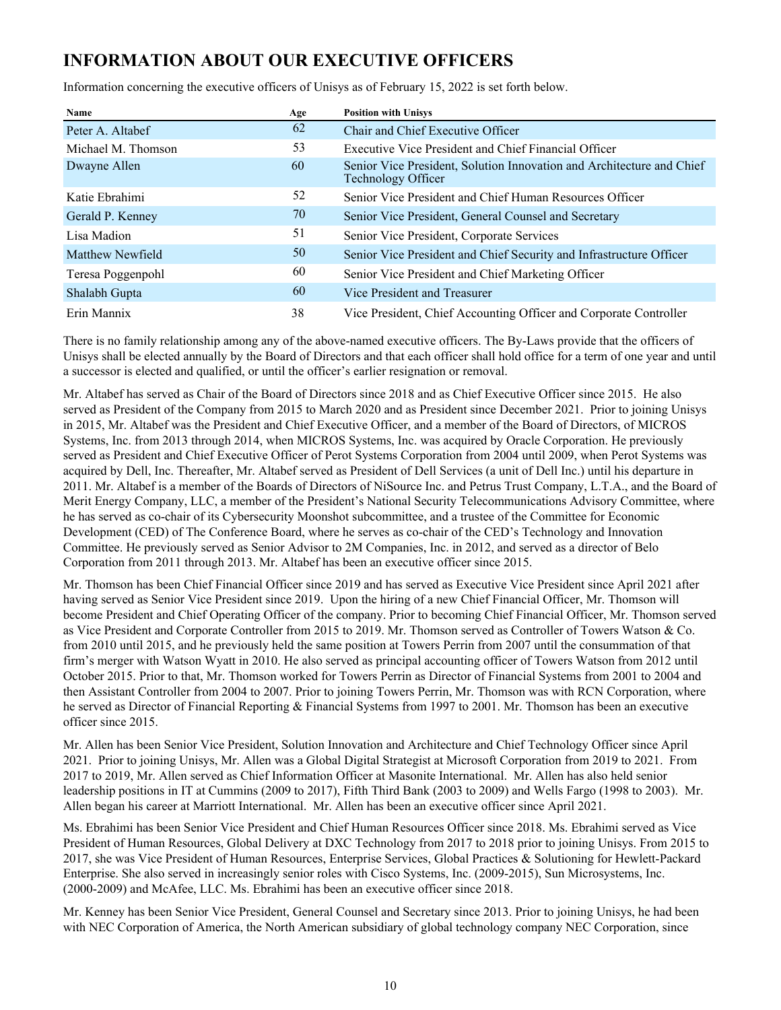# <span id="page-9-0"></span>**INFORMATION ABOUT OUR EXECUTIVE OFFICERS**

Information concerning the executive officers of Unisys as of February 15, 2022 is set forth below.

| Name               | Age | <b>Position with Unisys</b>                                                                 |
|--------------------|-----|---------------------------------------------------------------------------------------------|
| Peter A. Altabef   | 62  | Chair and Chief Executive Officer                                                           |
| Michael M. Thomson | 53  | Executive Vice President and Chief Financial Officer                                        |
| Dwayne Allen       | 60  | Senior Vice President, Solution Innovation and Architecture and Chief<br>Technology Officer |
| Katie Ebrahimi     | 52  | Senior Vice President and Chief Human Resources Officer                                     |
| Gerald P. Kenney   | 70  | Senior Vice President, General Counsel and Secretary                                        |
| Lisa Madion        | 51  | Senior Vice President, Corporate Services                                                   |
| Matthew Newfield   | 50  | Senior Vice President and Chief Security and Infrastructure Officer                         |
| Teresa Poggenpohl  | 60  | Senior Vice President and Chief Marketing Officer                                           |
| Shalabh Gupta      | 60  | Vice President and Treasurer                                                                |
| Erin Mannix        | 38  | Vice President, Chief Accounting Officer and Corporate Controller                           |

There is no family relationship among any of the above-named executive officers. The By-Laws provide that the officers of Unisys shall be elected annually by the Board of Directors and that each officer shall hold office for a term of one year and until a successor is elected and qualified, or until the officer's earlier resignation or removal.

Mr. Altabef has served as Chair of the Board of Directors since 2018 and as Chief Executive Officer since 2015. He also served as President of the Company from 2015 to March 2020 and as President since December 2021. Prior to joining Unisys in 2015, Mr. Altabef was the President and Chief Executive Officer, and a member of the Board of Directors, of MICROS Systems, Inc. from 2013 through 2014, when MICROS Systems, Inc. was acquired by Oracle Corporation. He previously served as President and Chief Executive Officer of Perot Systems Corporation from 2004 until 2009, when Perot Systems was acquired by Dell, Inc. Thereafter, Mr. Altabef served as President of Dell Services (a unit of Dell Inc.) until his departure in 2011. Mr. Altabef is a member of the Boards of Directors of NiSource Inc. and Petrus Trust Company, L.T.A., and the Board of Merit Energy Company, LLC, a member of the President's National Security Telecommunications Advisory Committee, where he has served as co-chair of its Cybersecurity Moonshot subcommittee, and a trustee of the Committee for Economic Development (CED) of The Conference Board, where he serves as co-chair of the CED's Technology and Innovation Committee. He previously served as Senior Advisor to 2M Companies, Inc. in 2012, and served as a director of Belo Corporation from 2011 through 2013. Mr. Altabef has been an executive officer since 2015.

Mr. Thomson has been Chief Financial Officer since 2019 and has served as Executive Vice President since April 2021 after having served as Senior Vice President since 2019. Upon the hiring of a new Chief Financial Officer, Mr. Thomson will become President and Chief Operating Officer of the company. Prior to becoming Chief Financial Officer, Mr. Thomson served as Vice President and Corporate Controller from 2015 to 2019. Mr. Thomson served as Controller of Towers Watson & Co. from 2010 until 2015, and he previously held the same position at Towers Perrin from 2007 until the consummation of that firm's merger with Watson Wyatt in 2010. He also served as principal accounting officer of Towers Watson from 2012 until October 2015. Prior to that, Mr. Thomson worked for Towers Perrin as Director of Financial Systems from 2001 to 2004 and then Assistant Controller from 2004 to 2007. Prior to joining Towers Perrin, Mr. Thomson was with RCN Corporation, where he served as Director of Financial Reporting & Financial Systems from 1997 to 2001. Mr. Thomson has been an executive officer since 2015.

Mr. Allen has been Senior Vice President, Solution Innovation and Architecture and Chief Technology Officer since April 2021. Prior to joining Unisys, Mr. Allen was a Global Digital Strategist at Microsoft Corporation from 2019 to 2021. From 2017 to 2019, Mr. Allen served as Chief Information Officer at Masonite International. Mr. Allen has also held senior leadership positions in IT at Cummins (2009 to 2017), Fifth Third Bank (2003 to 2009) and Wells Fargo (1998 to 2003). Mr. Allen began his career at Marriott International. Mr. Allen has been an executive officer since April 2021.

Ms. Ebrahimi has been Senior Vice President and Chief Human Resources Officer since 2018. Ms. Ebrahimi served as Vice President of Human Resources, Global Delivery at DXC Technology from 2017 to 2018 prior to joining Unisys. From 2015 to 2017, she was Vice President of Human Resources, Enterprise Services, Global Practices & Solutioning for Hewlett-Packard Enterprise. She also served in increasingly senior roles with Cisco Systems, Inc. (2009-2015), Sun Microsystems, Inc. (2000-2009) and McAfee, LLC. Ms. Ebrahimi has been an executive officer since 2018.

Mr. Kenney has been Senior Vice President, General Counsel and Secretary since 2013. Prior to joining Unisys, he had been with NEC Corporation of America, the North American subsidiary of global technology company NEC Corporation, since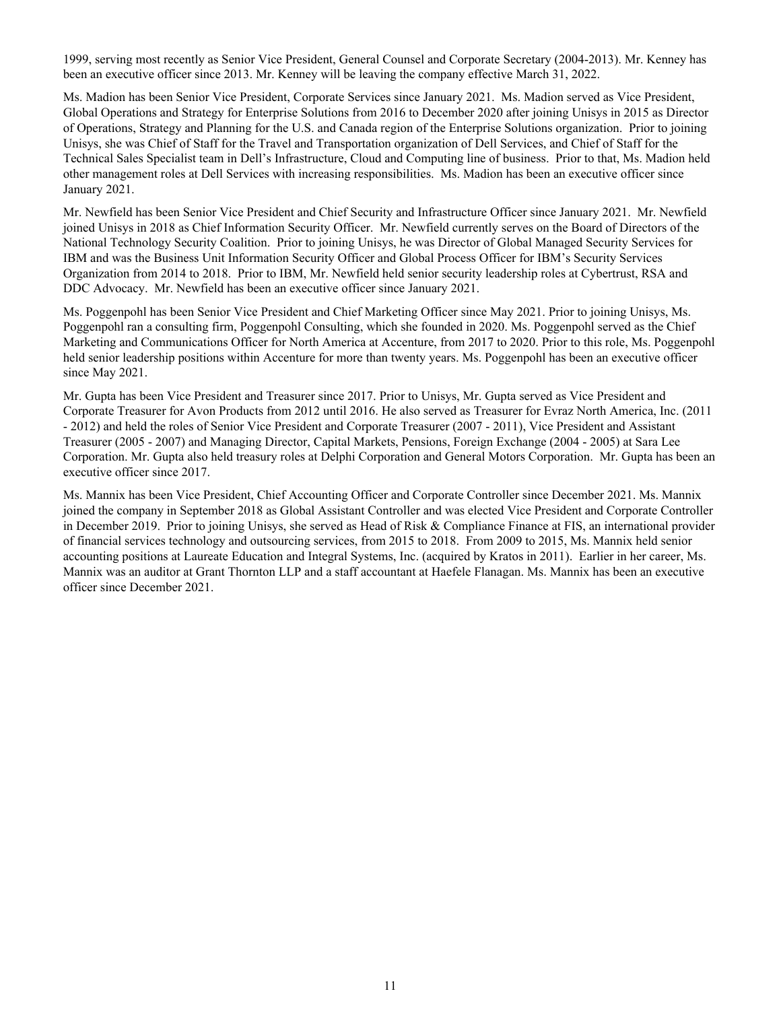1999, serving most recently as Senior Vice President, General Counsel and Corporate Secretary (2004-2013). Mr. Kenney has been an executive officer since 2013. Mr. Kenney will be leaving the company effective March 31, 2022.

Ms. Madion has been Senior Vice President, Corporate Services since January 2021. Ms. Madion served as Vice President, Global Operations and Strategy for Enterprise Solutions from 2016 to December 2020 after joining Unisys in 2015 as Director of Operations, Strategy and Planning for the U.S. and Canada region of the Enterprise Solutions organization. Prior to joining Unisys, she was Chief of Staff for the Travel and Transportation organization of Dell Services, and Chief of Staff for the Technical Sales Specialist team in Dell's Infrastructure, Cloud and Computing line of business. Prior to that, Ms. Madion held other management roles at Dell Services with increasing responsibilities. Ms. Madion has been an executive officer since January 2021.

Mr. Newfield has been Senior Vice President and Chief Security and Infrastructure Officer since January 2021. Mr. Newfield joined Unisys in 2018 as Chief Information Security Officer. Mr. Newfield currently serves on the Board of Directors of the National Technology Security Coalition. Prior to joining Unisys, he was Director of Global Managed Security Services for IBM and was the Business Unit Information Security Officer and Global Process Officer for IBM's Security Services Organization from 2014 to 2018. Prior to IBM, Mr. Newfield held senior security leadership roles at Cybertrust, RSA and DDC Advocacy. Mr. Newfield has been an executive officer since January 2021.

Ms. Poggenpohl has been Senior Vice President and Chief Marketing Officer since May 2021. Prior to joining Unisys, Ms. Poggenpohl ran a consulting firm, Poggenpohl Consulting, which she founded in 2020. Ms. Poggenpohl served as the Chief Marketing and Communications Officer for North America at Accenture, from 2017 to 2020. Prior to this role, Ms. Poggenpohl held senior leadership positions within Accenture for more than twenty years. Ms. Poggenpohl has been an executive officer since May 2021.

Mr. Gupta has been Vice President and Treasurer since 2017. Prior to Unisys, Mr. Gupta served as Vice President and Corporate Treasurer for Avon Products from 2012 until 2016. He also served as Treasurer for Evraz North America, Inc. (2011 - 2012) and held the roles of Senior Vice President and Corporate Treasurer (2007 - 2011), Vice President and Assistant Treasurer (2005 - 2007) and Managing Director, Capital Markets, Pensions, Foreign Exchange (2004 - 2005) at Sara Lee Corporation. Mr. Gupta also held treasury roles at Delphi Corporation and General Motors Corporation. Mr. Gupta has been an executive officer since 2017.

Ms. Mannix has been Vice President, Chief Accounting Officer and Corporate Controller since December 2021. Ms. Mannix joined the company in September 2018 as Global Assistant Controller and was elected Vice President and Corporate Controller in December 2019. Prior to joining Unisys, she served as Head of Risk & Compliance Finance at FIS, an international provider of financial services technology and outsourcing services, from 2015 to 2018. From 2009 to 2015, Ms. Mannix held senior accounting positions at Laureate Education and Integral Systems, Inc. (acquired by Kratos in 2011). Earlier in her career, Ms. Mannix was an auditor at Grant Thornton LLP and a staff accountant at Haefele Flanagan. Ms. Mannix has been an executive officer since December 2021.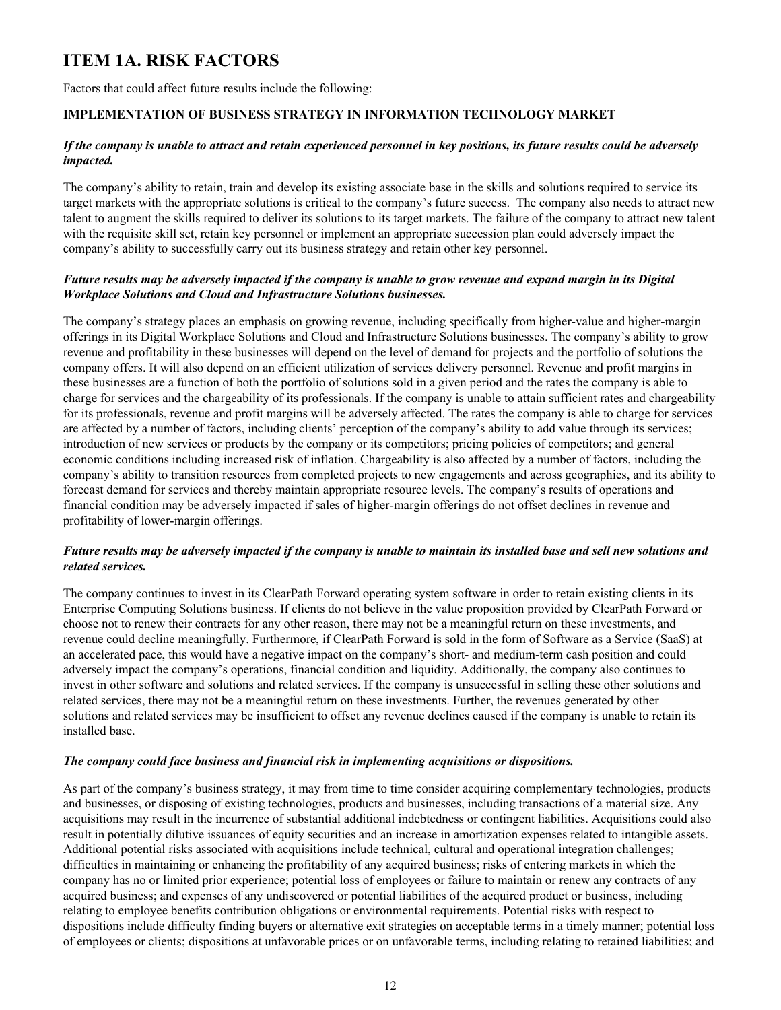# <span id="page-11-0"></span>**ITEM 1A. RISK FACTORS**

Factors that could affect future results include the following:

### **IMPLEMENTATION OF BUSINESS STRATEGY IN INFORMATION TECHNOLOGY MARKET**

### *If the company is unable to attract and retain experienced personnel in key positions, its future results could be adversely impacted.*

The company's ability to retain, train and develop its existing associate base in the skills and solutions required to service its target markets with the appropriate solutions is critical to the company's future success. The company also needs to attract new talent to augment the skills required to deliver its solutions to its target markets. The failure of the company to attract new talent with the requisite skill set, retain key personnel or implement an appropriate succession plan could adversely impact the company's ability to successfully carry out its business strategy and retain other key personnel.

### *Future results may be adversely impacted if the company is unable to grow revenue and expand margin in its Digital Workplace Solutions and Cloud and Infrastructure Solutions businesses.*

The company's strategy places an emphasis on growing revenue, including specifically from higher-value and higher-margin offerings in its Digital Workplace Solutions and Cloud and Infrastructure Solutions businesses. The company's ability to grow revenue and profitability in these businesses will depend on the level of demand for projects and the portfolio of solutions the company offers. It will also depend on an efficient utilization of services delivery personnel. Revenue and profit margins in these businesses are a function of both the portfolio of solutions sold in a given period and the rates the company is able to charge for services and the chargeability of its professionals. If the company is unable to attain sufficient rates and chargeability for its professionals, revenue and profit margins will be adversely affected. The rates the company is able to charge for services are affected by a number of factors, including clients' perception of the company's ability to add value through its services; introduction of new services or products by the company or its competitors; pricing policies of competitors; and general economic conditions including increased risk of inflation. Chargeability is also affected by a number of factors, including the company's ability to transition resources from completed projects to new engagements and across geographies, and its ability to forecast demand for services and thereby maintain appropriate resource levels. The company's results of operations and financial condition may be adversely impacted if sales of higher-margin offerings do not offset declines in revenue and profitability of lower-margin offerings.

### *Future results may be adversely impacted if the company is unable to maintain its installed base and sell new solutions and related services.*

The company continues to invest in its ClearPath Forward operating system software in order to retain existing clients in its Enterprise Computing Solutions business. If clients do not believe in the value proposition provided by ClearPath Forward or choose not to renew their contracts for any other reason, there may not be a meaningful return on these investments, and revenue could decline meaningfully. Furthermore, if ClearPath Forward is sold in the form of Software as a Service (SaaS) at an accelerated pace, this would have a negative impact on the company's short- and medium-term cash position and could adversely impact the company's operations, financial condition and liquidity. Additionally, the company also continues to invest in other software and solutions and related services. If the company is unsuccessful in selling these other solutions and related services, there may not be a meaningful return on these investments. Further, the revenues generated by other solutions and related services may be insufficient to offset any revenue declines caused if the company is unable to retain its installed base.

### *The company could face business and financial risk in implementing acquisitions or dispositions.*

As part of the company's business strategy, it may from time to time consider acquiring complementary technologies, products and businesses, or disposing of existing technologies, products and businesses, including transactions of a material size. Any acquisitions may result in the incurrence of substantial additional indebtedness or contingent liabilities. Acquisitions could also result in potentially dilutive issuances of equity securities and an increase in amortization expenses related to intangible assets. Additional potential risks associated with acquisitions include technical, cultural and operational integration challenges; difficulties in maintaining or enhancing the profitability of any acquired business; risks of entering markets in which the company has no or limited prior experience; potential loss of employees or failure to maintain or renew any contracts of any acquired business; and expenses of any undiscovered or potential liabilities of the acquired product or business, including relating to employee benefits contribution obligations or environmental requirements. Potential risks with respect to dispositions include difficulty finding buyers or alternative exit strategies on acceptable terms in a timely manner; potential loss of employees or clients; dispositions at unfavorable prices or on unfavorable terms, including relating to retained liabilities; and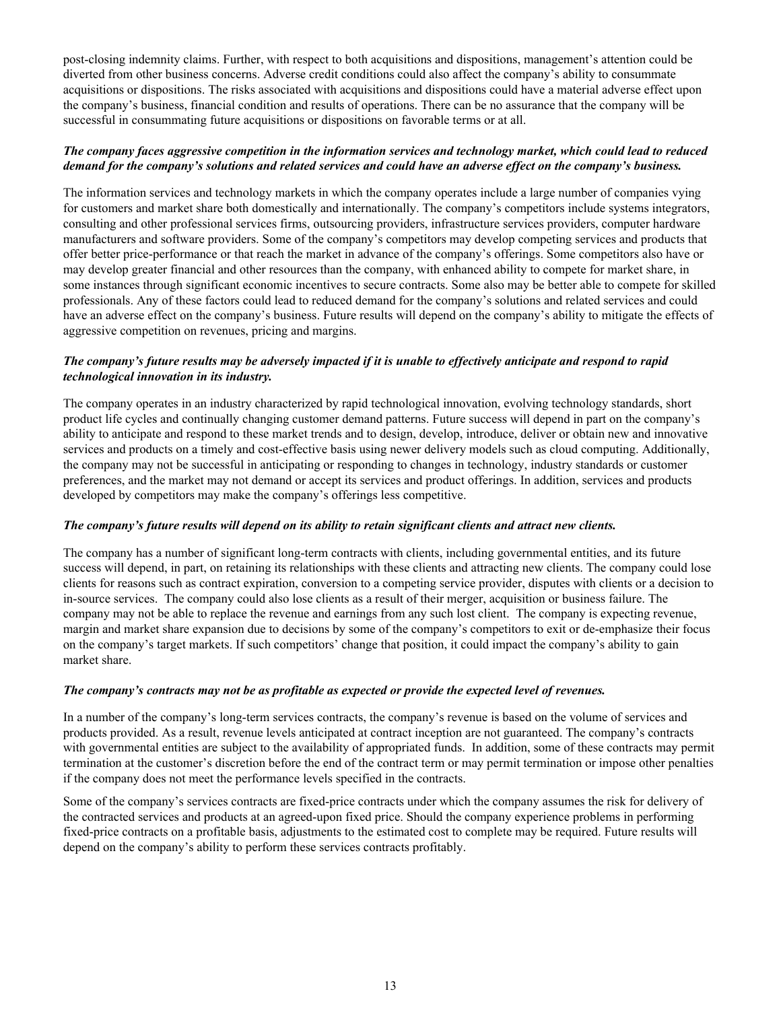post-closing indemnity claims. Further, with respect to both acquisitions and dispositions, management's attention could be diverted from other business concerns. Adverse credit conditions could also affect the company's ability to consummate acquisitions or dispositions. The risks associated with acquisitions and dispositions could have a material adverse effect upon the company's business, financial condition and results of operations. There can be no assurance that the company will be successful in consummating future acquisitions or dispositions on favorable terms or at all.

### *The company faces aggressive competition in the information services and technology market, which could lead to reduced demand for the company's solutions and related services and could have an adverse effect on the company's business.*

The information services and technology markets in which the company operates include a large number of companies vying for customers and market share both domestically and internationally. The company's competitors include systems integrators, consulting and other professional services firms, outsourcing providers, infrastructure services providers, computer hardware manufacturers and software providers. Some of the company's competitors may develop competing services and products that offer better price-performance or that reach the market in advance of the company's offerings. Some competitors also have or may develop greater financial and other resources than the company, with enhanced ability to compete for market share, in some instances through significant economic incentives to secure contracts. Some also may be better able to compete for skilled professionals. Any of these factors could lead to reduced demand for the company's solutions and related services and could have an adverse effect on the company's business. Future results will depend on the company's ability to mitigate the effects of aggressive competition on revenues, pricing and margins.

### *The company's future results may be adversely impacted if it is unable to effectively anticipate and respond to rapid technological innovation in its industry.*

The company operates in an industry characterized by rapid technological innovation, evolving technology standards, short product life cycles and continually changing customer demand patterns. Future success will depend in part on the company's ability to anticipate and respond to these market trends and to design, develop, introduce, deliver or obtain new and innovative services and products on a timely and cost-effective basis using newer delivery models such as cloud computing. Additionally, the company may not be successful in anticipating or responding to changes in technology, industry standards or customer preferences, and the market may not demand or accept its services and product offerings. In addition, services and products developed by competitors may make the company's offerings less competitive.

### *The company's future results will depend on its ability to retain significant clients and attract new clients.*

The company has a number of significant long-term contracts with clients, including governmental entities, and its future success will depend, in part, on retaining its relationships with these clients and attracting new clients. The company could lose clients for reasons such as contract expiration, conversion to a competing service provider, disputes with clients or a decision to in-source services. The company could also lose clients as a result of their merger, acquisition or business failure. The company may not be able to replace the revenue and earnings from any such lost client. The company is expecting revenue, margin and market share expansion due to decisions by some of the company's competitors to exit or de-emphasize their focus on the company's target markets. If such competitors' change that position, it could impact the company's ability to gain market share.

### *The company's contracts may not be as profitable as expected or provide the expected level of revenues.*

In a number of the company's long-term services contracts, the company's revenue is based on the volume of services and products provided. As a result, revenue levels anticipated at contract inception are not guaranteed. The company's contracts with governmental entities are subject to the availability of appropriated funds. In addition, some of these contracts may permit termination at the customer's discretion before the end of the contract term or may permit termination or impose other penalties if the company does not meet the performance levels specified in the contracts.

Some of the company's services contracts are fixed-price contracts under which the company assumes the risk for delivery of the contracted services and products at an agreed-upon fixed price. Should the company experience problems in performing fixed-price contracts on a profitable basis, adjustments to the estimated cost to complete may be required. Future results will depend on the company's ability to perform these services contracts profitably.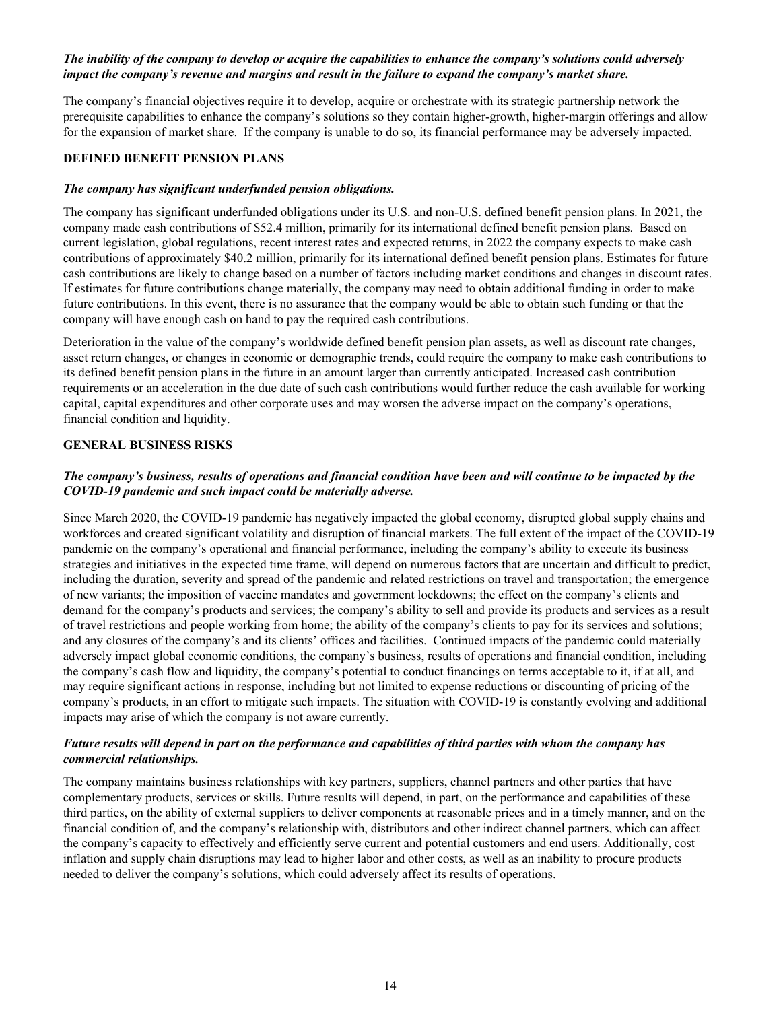### *The inability of the company to develop or acquire the capabilities to enhance the company's solutions could adversely impact the company's revenue and margins and result in the failure to expand the company's market share.*

The company's financial objectives require it to develop, acquire or orchestrate with its strategic partnership network the prerequisite capabilities to enhance the company's solutions so they contain higher-growth, higher-margin offerings and allow for the expansion of market share. If the company is unable to do so, its financial performance may be adversely impacted.

### **DEFINED BENEFIT PENSION PLANS**

#### *The company has significant underfunded pension obligations.*

The company has significant underfunded obligations under its U.S. and non-U.S. defined benefit pension plans. In 2021, the company made cash contributions of \$52.4 million, primarily for its international defined benefit pension plans. Based on current legislation, global regulations, recent interest rates and expected returns, in 2022 the company expects to make cash contributions of approximately \$40.2 million, primarily for its international defined benefit pension plans. Estimates for future cash contributions are likely to change based on a number of factors including market conditions and changes in discount rates. If estimates for future contributions change materially, the company may need to obtain additional funding in order to make future contributions. In this event, there is no assurance that the company would be able to obtain such funding or that the company will have enough cash on hand to pay the required cash contributions.

Deterioration in the value of the company's worldwide defined benefit pension plan assets, as well as discount rate changes, asset return changes, or changes in economic or demographic trends, could require the company to make cash contributions to its defined benefit pension plans in the future in an amount larger than currently anticipated. Increased cash contribution requirements or an acceleration in the due date of such cash contributions would further reduce the cash available for working capital, capital expenditures and other corporate uses and may worsen the adverse impact on the company's operations, financial condition and liquidity.

### **GENERAL BUSINESS RISKS**

### *The company's business, results of operations and financial condition have been and will continue to be impacted by the COVID-19 pandemic and such impact could be materially adverse.*

Since March 2020, the COVID-19 pandemic has negatively impacted the global economy, disrupted global supply chains and workforces and created significant volatility and disruption of financial markets. The full extent of the impact of the COVID-19 pandemic on the company's operational and financial performance, including the company's ability to execute its business strategies and initiatives in the expected time frame, will depend on numerous factors that are uncertain and difficult to predict, including the duration, severity and spread of the pandemic and related restrictions on travel and transportation; the emergence of new variants; the imposition of vaccine mandates and government lockdowns; the effect on the company's clients and demand for the company's products and services; the company's ability to sell and provide its products and services as a result of travel restrictions and people working from home; the ability of the company's clients to pay for its services and solutions; and any closures of the company's and its clients' offices and facilities. Continued impacts of the pandemic could materially adversely impact global economic conditions, the company's business, results of operations and financial condition, including the company's cash flow and liquidity, the company's potential to conduct financings on terms acceptable to it, if at all, and may require significant actions in response, including but not limited to expense reductions or discounting of pricing of the company's products, in an effort to mitigate such impacts. The situation with COVID-19 is constantly evolving and additional impacts may arise of which the company is not aware currently.

### *Future results will depend in part on the performance and capabilities of third parties with whom the company has commercial relationships.*

The company maintains business relationships with key partners, suppliers, channel partners and other parties that have complementary products, services or skills. Future results will depend, in part, on the performance and capabilities of these third parties, on the ability of external suppliers to deliver components at reasonable prices and in a timely manner, and on the financial condition of, and the company's relationship with, distributors and other indirect channel partners, which can affect the company's capacity to effectively and efficiently serve current and potential customers and end users. Additionally, cost inflation and supply chain disruptions may lead to higher labor and other costs, as well as an inability to procure products needed to deliver the company's solutions, which could adversely affect its results of operations.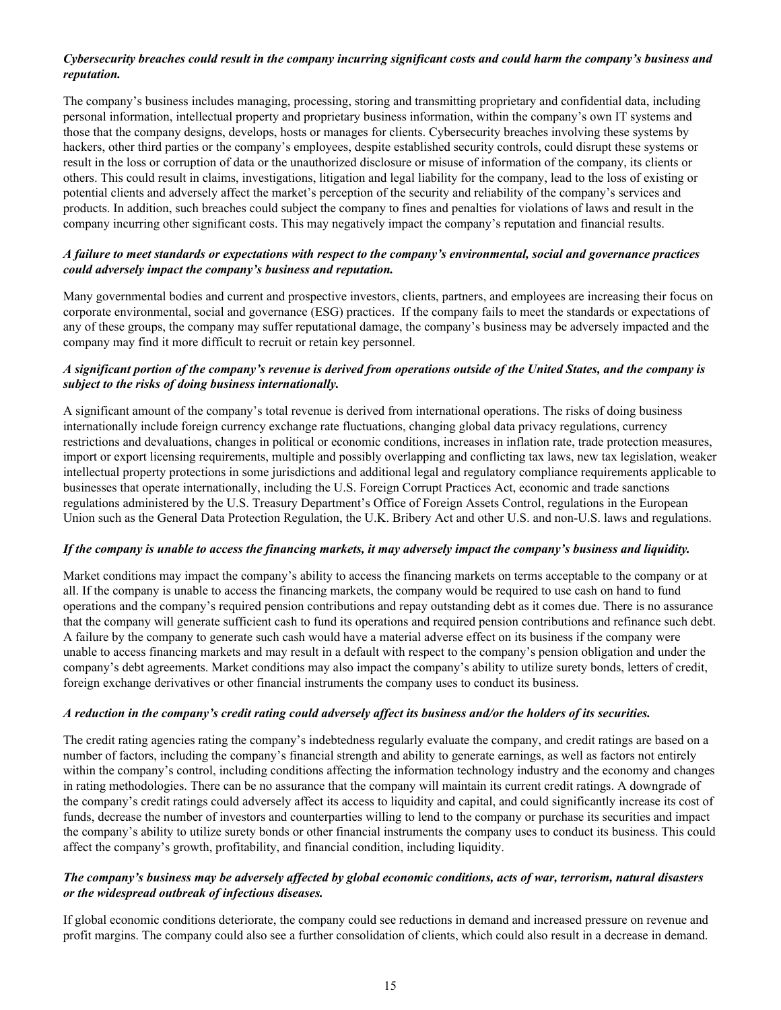### *Cybersecurity breaches could result in the company incurring significant costs and could harm the company's business and reputation.*

The company's business includes managing, processing, storing and transmitting proprietary and confidential data, including personal information, intellectual property and proprietary business information, within the company's own IT systems and those that the company designs, develops, hosts or manages for clients. Cybersecurity breaches involving these systems by hackers, other third parties or the company's employees, despite established security controls, could disrupt these systems or result in the loss or corruption of data or the unauthorized disclosure or misuse of information of the company, its clients or others. This could result in claims, investigations, litigation and legal liability for the company, lead to the loss of existing or potential clients and adversely affect the market's perception of the security and reliability of the company's services and products. In addition, such breaches could subject the company to fines and penalties for violations of laws and result in the company incurring other significant costs. This may negatively impact the company's reputation and financial results.

### *A failure to meet standards or expectations with respect to the company's environmental, social and governance practices could adversely impact the company's business and reputation.*

Many governmental bodies and current and prospective investors, clients, partners, and employees are increasing their focus on corporate environmental, social and governance (ESG) practices. If the company fails to meet the standards or expectations of any of these groups, the company may suffer reputational damage, the company's business may be adversely impacted and the company may find it more difficult to recruit or retain key personnel.

### *A significant portion of the company's revenue is derived from operations outside of the United States, and the company is subject to the risks of doing business internationally.*

A significant amount of the company's total revenue is derived from international operations. The risks of doing business internationally include foreign currency exchange rate fluctuations, changing global data privacy regulations, currency restrictions and devaluations, changes in political or economic conditions, increases in inflation rate, trade protection measures, import or export licensing requirements, multiple and possibly overlapping and conflicting tax laws, new tax legislation, weaker intellectual property protections in some jurisdictions and additional legal and regulatory compliance requirements applicable to businesses that operate internationally, including the U.S. Foreign Corrupt Practices Act, economic and trade sanctions regulations administered by the U.S. Treasury Department's Office of Foreign Assets Control, regulations in the European Union such as the General Data Protection Regulation, the U.K. Bribery Act and other U.S. and non-U.S. laws and regulations.

### *If the company is unable to access the financing markets, it may adversely impact the company's business and liquidity.*

Market conditions may impact the company's ability to access the financing markets on terms acceptable to the company or at all. If the company is unable to access the financing markets, the company would be required to use cash on hand to fund operations and the company's required pension contributions and repay outstanding debt as it comes due. There is no assurance that the company will generate sufficient cash to fund its operations and required pension contributions and refinance such debt. A failure by the company to generate such cash would have a material adverse effect on its business if the company were unable to access financing markets and may result in a default with respect to the company's pension obligation and under the company's debt agreements. Market conditions may also impact the company's ability to utilize surety bonds, letters of credit, foreign exchange derivatives or other financial instruments the company uses to conduct its business.

#### *A reduction in the company's credit rating could adversely affect its business and/or the holders of its securities.*

The credit rating agencies rating the company's indebtedness regularly evaluate the company, and credit ratings are based on a number of factors, including the company's financial strength and ability to generate earnings, as well as factors not entirely within the company's control, including conditions affecting the information technology industry and the economy and changes in rating methodologies. There can be no assurance that the company will maintain its current credit ratings. A downgrade of the company's credit ratings could adversely affect its access to liquidity and capital, and could significantly increase its cost of funds, decrease the number of investors and counterparties willing to lend to the company or purchase its securities and impact the company's ability to utilize surety bonds or other financial instruments the company uses to conduct its business. This could affect the company's growth, profitability, and financial condition, including liquidity.

### *The company's business may be adversely affected by global economic conditions, acts of war, terrorism, natural disasters or the widespread outbreak of infectious diseases.*

If global economic conditions deteriorate, the company could see reductions in demand and increased pressure on revenue and profit margins. The company could also see a further consolidation of clients, which could also result in a decrease in demand.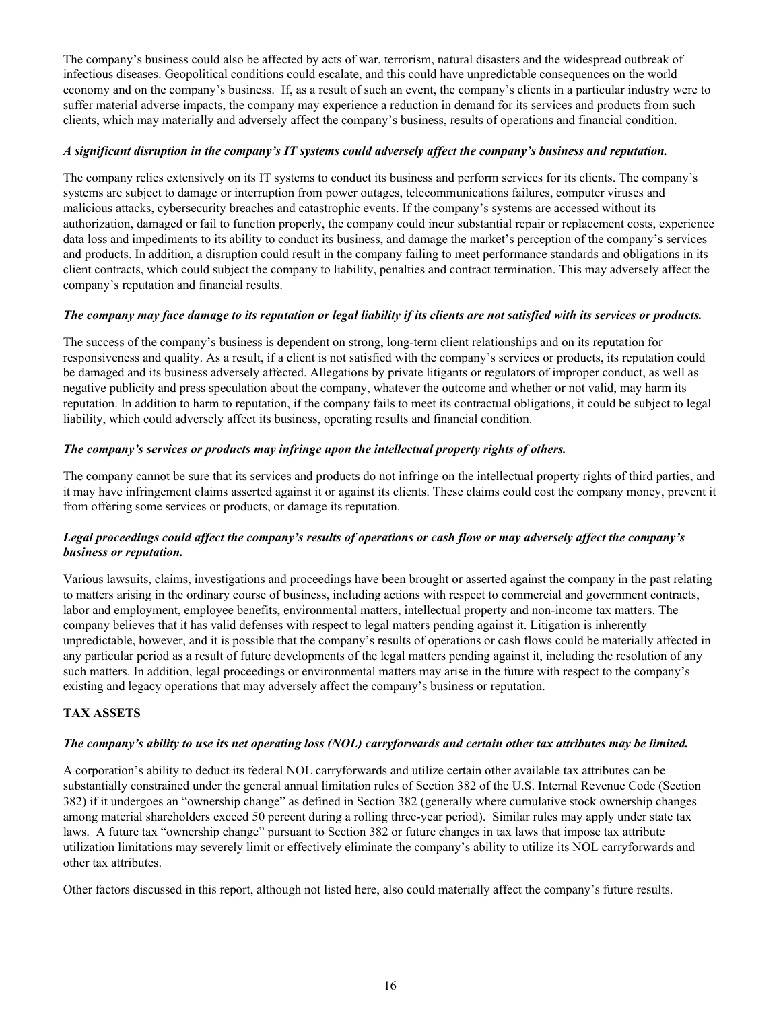The company's business could also be affected by acts of war, terrorism, natural disasters and the widespread outbreak of infectious diseases. Geopolitical conditions could escalate, and this could have unpredictable consequences on the world economy and on the company's business. If, as a result of such an event, the company's clients in a particular industry were to suffer material adverse impacts, the company may experience a reduction in demand for its services and products from such clients, which may materially and adversely affect the company's business, results of operations and financial condition.

### *A significant disruption in the company's IT systems could adversely affect the company's business and reputation.*

The company relies extensively on its IT systems to conduct its business and perform services for its clients. The company's systems are subject to damage or interruption from power outages, telecommunications failures, computer viruses and malicious attacks, cybersecurity breaches and catastrophic events. If the company's systems are accessed without its authorization, damaged or fail to function properly, the company could incur substantial repair or replacement costs, experience data loss and impediments to its ability to conduct its business, and damage the market's perception of the company's services and products. In addition, a disruption could result in the company failing to meet performance standards and obligations in its client contracts, which could subject the company to liability, penalties and contract termination. This may adversely affect the company's reputation and financial results.

### *The company may face damage to its reputation or legal liability if its clients are not satisfied with its services or products.*

The success of the company's business is dependent on strong, long-term client relationships and on its reputation for responsiveness and quality. As a result, if a client is not satisfied with the company's services or products, its reputation could be damaged and its business adversely affected. Allegations by private litigants or regulators of improper conduct, as well as negative publicity and press speculation about the company, whatever the outcome and whether or not valid, may harm its reputation. In addition to harm to reputation, if the company fails to meet its contractual obligations, it could be subject to legal liability, which could adversely affect its business, operating results and financial condition.

### *The company's services or products may infringe upon the intellectual property rights of others.*

The company cannot be sure that its services and products do not infringe on the intellectual property rights of third parties, and it may have infringement claims asserted against it or against its clients. These claims could cost the company money, prevent it from offering some services or products, or damage its reputation.

### *Legal proceedings could affect the company's results of operations or cash flow or may adversely affect the company's business or reputation.*

Various lawsuits, claims, investigations and proceedings have been brought or asserted against the company in the past relating to matters arising in the ordinary course of business, including actions with respect to commercial and government contracts, labor and employment, employee benefits, environmental matters, intellectual property and non-income tax matters. The company believes that it has valid defenses with respect to legal matters pending against it. Litigation is inherently unpredictable, however, and it is possible that the company's results of operations or cash flows could be materially affected in any particular period as a result of future developments of the legal matters pending against it, including the resolution of any such matters. In addition, legal proceedings or environmental matters may arise in the future with respect to the company's existing and legacy operations that may adversely affect the company's business or reputation.

### **TAX ASSETS**

### *The company's ability to use its net operating loss (NOL) carryforwards and certain other tax attributes may be limited.*

A corporation's ability to deduct its federal NOL carryforwards and utilize certain other available tax attributes can be substantially constrained under the general annual limitation rules of Section 382 of the U.S. Internal Revenue Code (Section 382) if it undergoes an "ownership change" as defined in Section 382 (generally where cumulative stock ownership changes among material shareholders exceed 50 percent during a rolling three-year period). Similar rules may apply under state tax laws. A future tax "ownership change" pursuant to Section 382 or future changes in tax laws that impose tax attribute utilization limitations may severely limit or effectively eliminate the company's ability to utilize its NOL carryforwards and other tax attributes.

Other factors discussed in this report, although not listed here, also could materially affect the company's future results.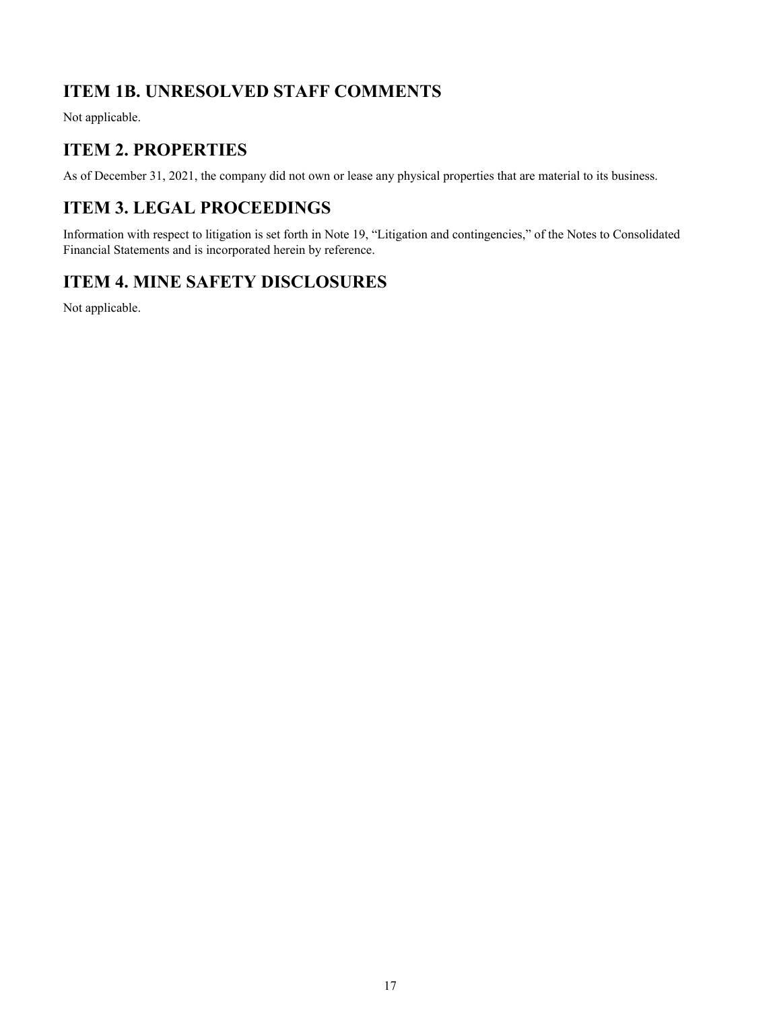# <span id="page-16-0"></span>**ITEM 1B. UNRESOLVED STAFF COMMENTS**

Not applicable.

# **ITEM 2. PROPERTIES**

As of December 31, 2021, the company did not own or lease any physical properties that are material to its business.

# **ITEM 3. LEGAL PROCEEDINGS**

Information with respect to litigation is set forth in Note 19, "Litigation and contingencies," of the Notes to Consolidated Financial Statements and is incorporated herein by reference.

# **ITEM 4. MINE SAFETY DISCLOSURES**

Not applicable.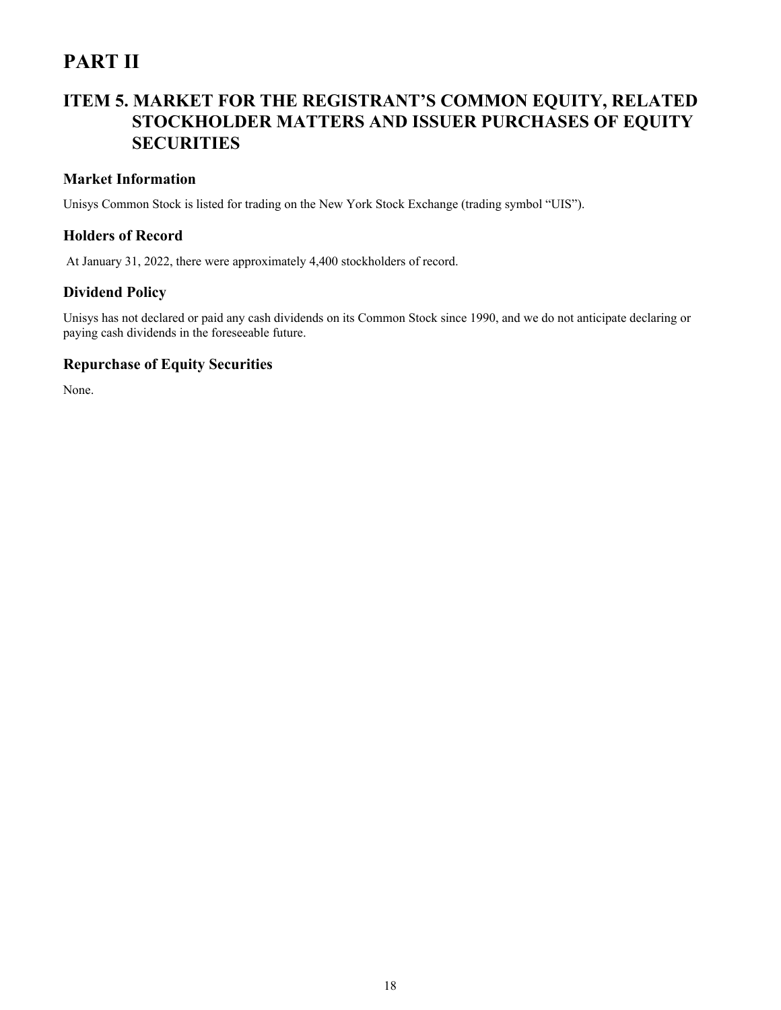# <span id="page-17-0"></span>**PART II**

# **ITEM 5. MARKET FOR THE REGISTRANT'S COMMON EQUITY, RELATED STOCKHOLDER MATTERS AND ISSUER PURCHASES OF EQUITY SECURITIES**

### **Market Information**

Unisys Common Stock is listed for trading on the New York Stock Exchange (trading symbol "UIS").

### **Holders of Record**

At January 31, 2022, there were approximately 4,400 stockholders of record.

### **Dividend Policy**

Unisys has not declared or paid any cash dividends on its Common Stock since 1990, and we do not anticipate declaring or paying cash dividends in the foreseeable future.

### **Repurchase of Equity Securities**

None.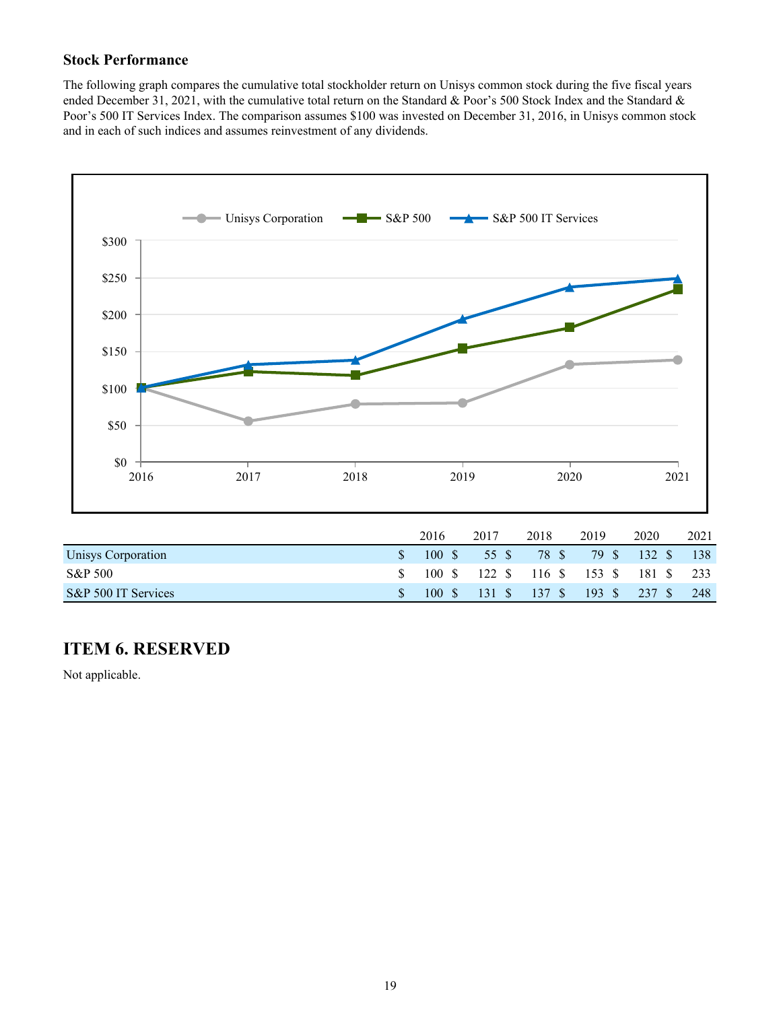## <span id="page-18-0"></span>**Stock Performance**

The following graph compares the cumulative total stockholder return on Unisys common stock during the five fiscal years ended December 31, 2021, with the cumulative total return on the Standard & Poor's 500 Stock Index and the Standard & Poor's 500 IT Services Index. The comparison assumes \$100 was invested on December 31, 2016, in Unisys common stock and in each of such indices and assumes reinvestment of any dividends.



| S&P 500 IT Services |  | \$ 100 \$ 131 \$ 137 \$ 193 \$ 237 \$ 248 |  |                                                    |  |
|---------------------|--|-------------------------------------------|--|----------------------------------------------------|--|
| S&P 500             |  |                                           |  | $100$ \$ $122$ \$ $116$ \$ $153$ \$ $181$ \$ $233$ |  |

# **ITEM 6. RESERVED**

Not applicable.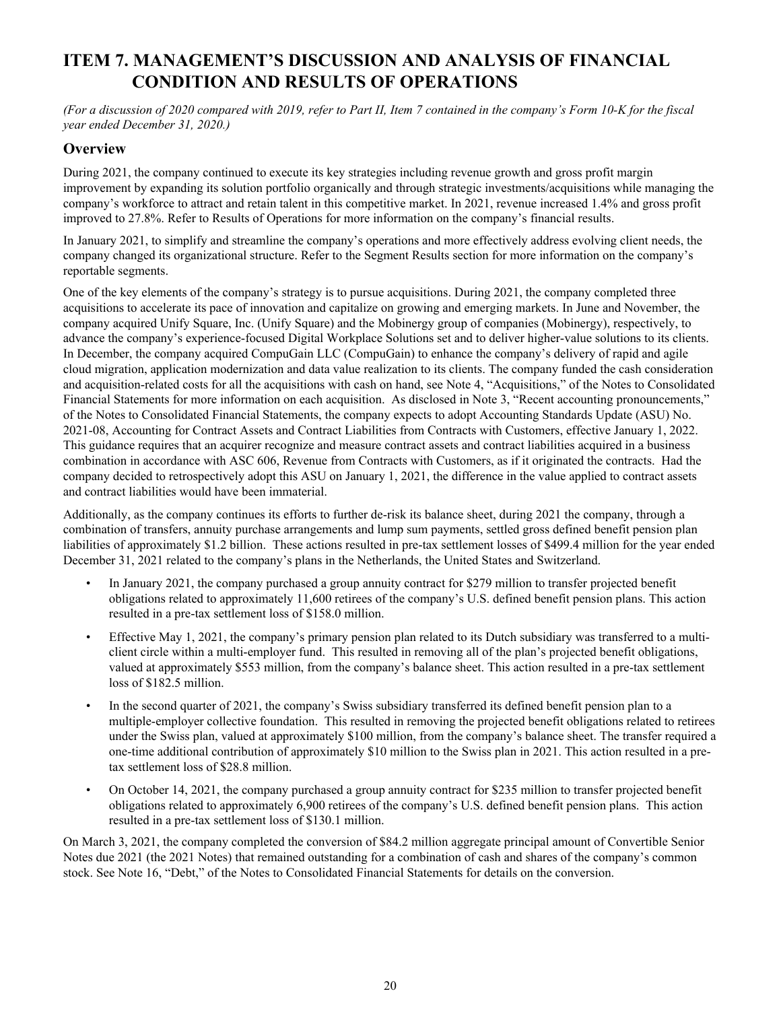# <span id="page-19-0"></span>**ITEM 7. MANAGEMENT'S DISCUSSION AND ANALYSIS OF FINANCIAL CONDITION AND RESULTS OF OPERATIONS**

*(For a discussion of 2020 compared with 2019, refer to Part II, Item 7 contained in the company's Form 10-K for the fiscal year ended December 31, 2020.)*

### **Overview**

During 2021, the company continued to execute its key strategies including revenue growth and gross profit margin improvement by expanding its solution portfolio organically and through strategic investments/acquisitions while managing the company's workforce to attract and retain talent in this competitive market. In 2021, revenue increased 1.4% and gross profit improved to 27.8%. Refer to Results of Operations for more information on the company's financial results.

In January 2021, to simplify and streamline the company's operations and more effectively address evolving client needs, the company changed its organizational structure. Refer to the Segment Results section for more information on the company's reportable segments.

One of the key elements of the company's strategy is to pursue acquisitions. During 2021, the company completed three acquisitions to accelerate its pace of innovation and capitalize on growing and emerging markets. In June and November, the company acquired Unify Square, Inc. (Unify Square) and the Mobinergy group of companies (Mobinergy), respectively, to advance the company's experience-focused Digital Workplace Solutions set and to deliver higher-value solutions to its clients. In December, the company acquired CompuGain LLC (CompuGain) to enhance the company's delivery of rapid and agile cloud migration, application modernization and data value realization to its clients. The company funded the cash consideration and acquisition-related costs for all the acquisitions with cash on hand, see Note 4, "Acquisitions," of the Notes to Consolidated Financial Statements for more information on each acquisition. As disclosed in Note 3, "Recent accounting pronouncements," of the Notes to Consolidated Financial Statements, the company expects to adopt Accounting Standards Update (ASU) No. 2021-08, Accounting for Contract Assets and Contract Liabilities from Contracts with Customers, effective January 1, 2022. This guidance requires that an acquirer recognize and measure contract assets and contract liabilities acquired in a business combination in accordance with ASC 606, Revenue from Contracts with Customers, as if it originated the contracts. Had the company decided to retrospectively adopt this ASU on January 1, 2021, the difference in the value applied to contract assets and contract liabilities would have been immaterial.

Additionally, as the company continues its efforts to further de-risk its balance sheet, during 2021 the company, through a combination of transfers, annuity purchase arrangements and lump sum payments, settled gross defined benefit pension plan liabilities of approximately \$1.2 billion. These actions resulted in pre-tax settlement losses of \$499.4 million for the year ended December 31, 2021 related to the company's plans in the Netherlands, the United States and Switzerland.

- In January 2021, the company purchased a group annuity contract for \$279 million to transfer projected benefit obligations related to approximately 11,600 retirees of the company's U.S. defined benefit pension plans. This action resulted in a pre-tax settlement loss of \$158.0 million.
- Effective May 1, 2021, the company's primary pension plan related to its Dutch subsidiary was transferred to a multiclient circle within a multi-employer fund. This resulted in removing all of the plan's projected benefit obligations, valued at approximately \$553 million, from the company's balance sheet. This action resulted in a pre-tax settlement loss of \$182.5 million.
- In the second quarter of 2021, the company's Swiss subsidiary transferred its defined benefit pension plan to a multiple-employer collective foundation. This resulted in removing the projected benefit obligations related to retirees under the Swiss plan, valued at approximately \$100 million, from the company's balance sheet. The transfer required a one-time additional contribution of approximately \$10 million to the Swiss plan in 2021. This action resulted in a pretax settlement loss of \$28.8 million.
- On October 14, 2021, the company purchased a group annuity contract for \$235 million to transfer projected benefit obligations related to approximately 6,900 retirees of the company's U.S. defined benefit pension plans. This action resulted in a pre-tax settlement loss of \$130.1 million.

On March 3, 2021, the company completed the conversion of \$84.2 million aggregate principal amount of Convertible Senior Notes due 2021 (the 2021 Notes) that remained outstanding for a combination of cash and shares of the company's common stock. See Note 16, "Debt," of the Notes to Consolidated Financial Statements for details on the conversion.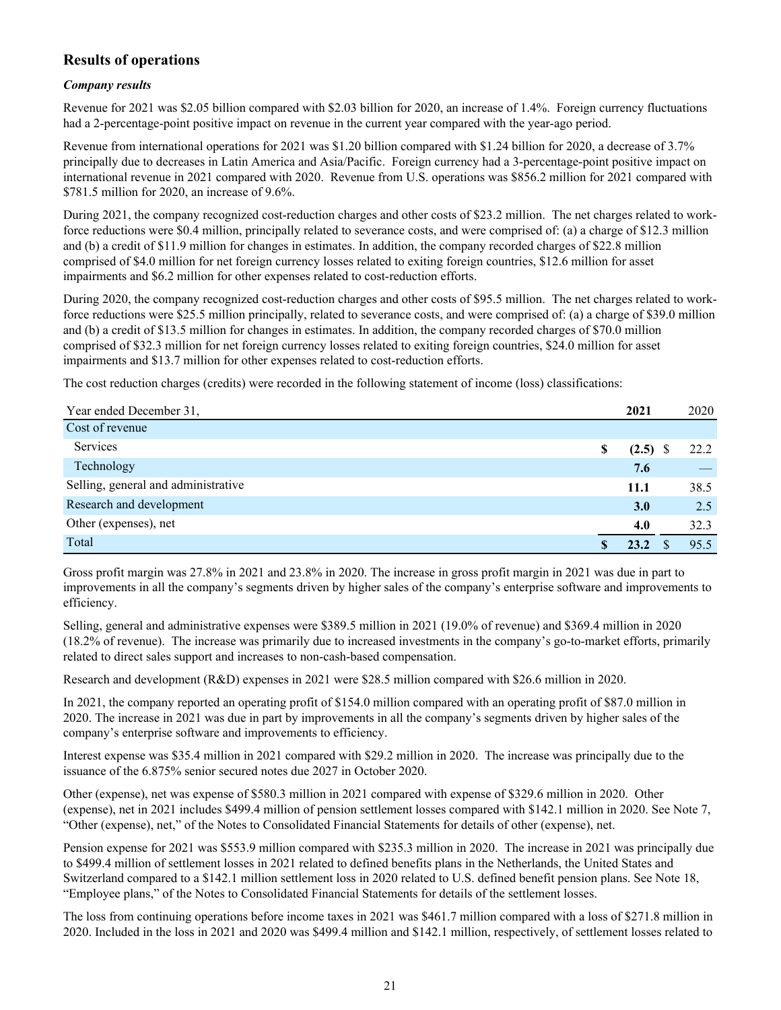## **Results of operations**

### *Company results*

Revenue for 2021 was \$2.05 billion compared with \$2.03 billion for 2020, an increase of 1.4%. Foreign currency fluctuations had a 2-percentage-point positive impact on revenue in the current year compared with the year-ago period.

Revenue from international operations for 2021 was \$1.20 billion compared with \$1.24 billion for 2020, a decrease of 3.7% principally due to decreases in Latin America and Asia/Pacific. Foreign currency had a 3-percentage-point positive impact on international revenue in 2021 compared with 2020. Revenue from U.S. operations was \$856.2 million for 2021 compared with \$781.5 million for 2020, an increase of 9.6%.

During 2021, the company recognized cost-reduction charges and other costs of \$23.2 million. The net charges related to workforce reductions were \$0.4 million, principally related to severance costs, and were comprised of: (a) a charge of \$12.3 million and (b) a credit of \$11.9 million for changes in estimates. In addition, the company recorded charges of \$22.8 million comprised of \$4.0 million for net foreign currency losses related to exiting foreign countries, \$12.6 million for asset impairments and \$6.2 million for other expenses related to cost-reduction efforts.

During 2020, the company recognized cost-reduction charges and other costs of \$95.5 million. The net charges related to workforce reductions were \$25.5 million principally, related to severance costs, and were comprised of: (a) a charge of \$39.0 million and (b) a credit of \$13.5 million for changes in estimates. In addition, the company recorded charges of \$70.0 million comprised of \$32.3 million for net foreign currency losses related to exiting foreign countries, \$24.0 million for asset impairments and \$13.7 million for other expenses related to cost-reduction efforts.

The cost reduction charges (credits) were recorded in the following statement of income (loss) classifications:

| Year ended December 31,             | 2021             | 2020 |
|-------------------------------------|------------------|------|
| Cost of revenue                     |                  |      |
| Services                            | \$<br>$(2.5)$ \$ | 22.2 |
| Technology                          | 7.6              |      |
| Selling, general and administrative | 11.1             | 38.5 |
| Research and development            | 3.0              | 2.5  |
| Other (expenses), net               | 4.0              | 32.3 |
| Total                               | 23.2             | 95.5 |

Gross profit margin was 27.8% in 2021 and 23.8% in 2020. The increase in gross profit margin in 2021 was due in part to improvements in all the company's segments driven by higher sales of the company's enterprise software and improvements to efficiency.

Selling, general and administrative expenses were \$389.5 million in 2021 (19.0% of revenue) and \$369.4 million in 2020 (18.2% of revenue). The increase was primarily due to increased investments in the company's go-to-market efforts, primarily related to direct sales support and increases to non-cash-based compensation.

Research and development (R&D) expenses in 2021 were \$28.5 million compared with \$26.6 million in 2020.

In 2021, the company reported an operating profit of \$154.0 million compared with an operating profit of \$87.0 million in 2020. The increase in 2021 was due in part by improvements in all the company's segments driven by higher sales of the company's enterprise software and improvements to efficiency.

Interest expense was \$35.4 million in 2021 compared with \$29.2 million in 2020. The increase was principally due to the issuance of the 6.875% senior secured notes due 2027 in October 2020.

Other (expense), net was expense of \$580.3 million in 2021 compared with expense of \$329.6 million in 2020. Other (expense), net in 2021 includes \$499.4 million of pension settlement losses compared with \$142.1 million in 2020. See Note 7, "Other (expense), net," of the Notes to Consolidated Financial Statements for details of other (expense), net.

Pension expense for 2021 was \$553.9 million compared with \$235.3 million in 2020. The increase in 2021 was principally due to \$499.4 million of settlement losses in 2021 related to defined benefits plans in the Netherlands, the United States and Switzerland compared to a \$142.1 million settlement loss in 2020 related to U.S. defined benefit pension plans. See Note 18, "Employee plans," of the Notes to Consolidated Financial Statements for details of the settlement losses.

The loss from continuing operations before income taxes in 2021 was \$461.7 million compared with a loss of \$271.8 million in 2020. Included in the loss in 2021 and 2020 was \$499.4 million and \$142.1 million, respectively, of settlement losses related to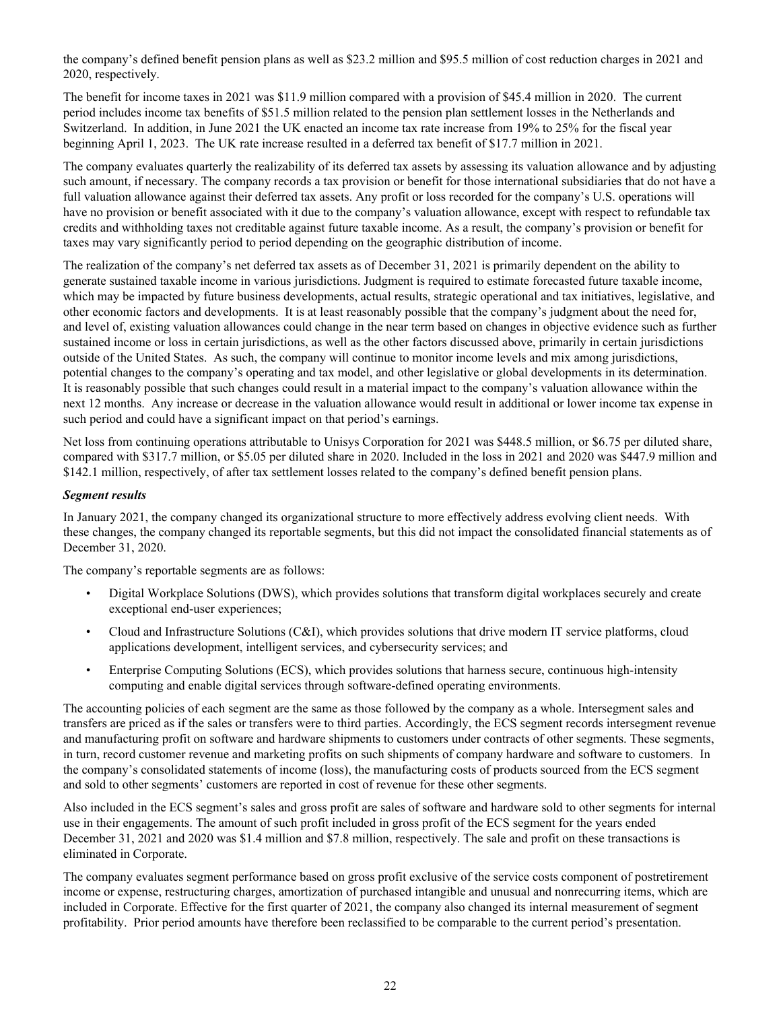the company's defined benefit pension plans as well as \$23.2 million and \$95.5 million of cost reduction charges in 2021 and 2020, respectively.

The benefit for income taxes in 2021 was \$11.9 million compared with a provision of \$45.4 million in 2020. The current period includes income tax benefits of \$51.5 million related to the pension plan settlement losses in the Netherlands and Switzerland. In addition, in June 2021 the UK enacted an income tax rate increase from 19% to 25% for the fiscal year beginning April 1, 2023. The UK rate increase resulted in a deferred tax benefit of \$17.7 million in 2021.

The company evaluates quarterly the realizability of its deferred tax assets by assessing its valuation allowance and by adjusting such amount, if necessary. The company records a tax provision or benefit for those international subsidiaries that do not have a full valuation allowance against their deferred tax assets. Any profit or loss recorded for the company's U.S. operations will have no provision or benefit associated with it due to the company's valuation allowance, except with respect to refundable tax credits and withholding taxes not creditable against future taxable income. As a result, the company's provision or benefit for taxes may vary significantly period to period depending on the geographic distribution of income.

The realization of the company's net deferred tax assets as of December 31, 2021 is primarily dependent on the ability to generate sustained taxable income in various jurisdictions. Judgment is required to estimate forecasted future taxable income, which may be impacted by future business developments, actual results, strategic operational and tax initiatives, legislative, and other economic factors and developments. It is at least reasonably possible that the company's judgment about the need for, and level of, existing valuation allowances could change in the near term based on changes in objective evidence such as further sustained income or loss in certain jurisdictions, as well as the other factors discussed above, primarily in certain jurisdictions outside of the United States. As such, the company will continue to monitor income levels and mix among jurisdictions, potential changes to the company's operating and tax model, and other legislative or global developments in its determination. It is reasonably possible that such changes could result in a material impact to the company's valuation allowance within the next 12 months. Any increase or decrease in the valuation allowance would result in additional or lower income tax expense in such period and could have a significant impact on that period's earnings.

Net loss from continuing operations attributable to Unisys Corporation for 2021 was \$448.5 million, or \$6.75 per diluted share, compared with \$317.7 million, or \$5.05 per diluted share in 2020. Included in the loss in 2021 and 2020 was \$447.9 million and \$142.1 million, respectively, of after tax settlement losses related to the company's defined benefit pension plans.

### *Segment results*

In January 2021, the company changed its organizational structure to more effectively address evolving client needs. With these changes, the company changed its reportable segments, but this did not impact the consolidated financial statements as of December 31, 2020.

The company's reportable segments are as follows:

- Digital Workplace Solutions (DWS), which provides solutions that transform digital workplaces securely and create exceptional end-user experiences;
- Cloud and Infrastructure Solutions (C&I), which provides solutions that drive modern IT service platforms, cloud applications development, intelligent services, and cybersecurity services; and
- Enterprise Computing Solutions (ECS), which provides solutions that harness secure, continuous high-intensity computing and enable digital services through software-defined operating environments.

The accounting policies of each segment are the same as those followed by the company as a whole. Intersegment sales and transfers are priced as if the sales or transfers were to third parties. Accordingly, the ECS segment records intersegment revenue and manufacturing profit on software and hardware shipments to customers under contracts of other segments. These segments, in turn, record customer revenue and marketing profits on such shipments of company hardware and software to customers. In the company's consolidated statements of income (loss), the manufacturing costs of products sourced from the ECS segment and sold to other segments' customers are reported in cost of revenue for these other segments.

Also included in the ECS segment's sales and gross profit are sales of software and hardware sold to other segments for internal use in their engagements. The amount of such profit included in gross profit of the ECS segment for the years ended December 31, 2021 and 2020 was \$1.4 million and \$7.8 million, respectively. The sale and profit on these transactions is eliminated in Corporate.

The company evaluates segment performance based on gross profit exclusive of the service costs component of postretirement income or expense, restructuring charges, amortization of purchased intangible and unusual and nonrecurring items, which are included in Corporate. Effective for the first quarter of 2021, the company also changed its internal measurement of segment profitability. Prior period amounts have therefore been reclassified to be comparable to the current period's presentation.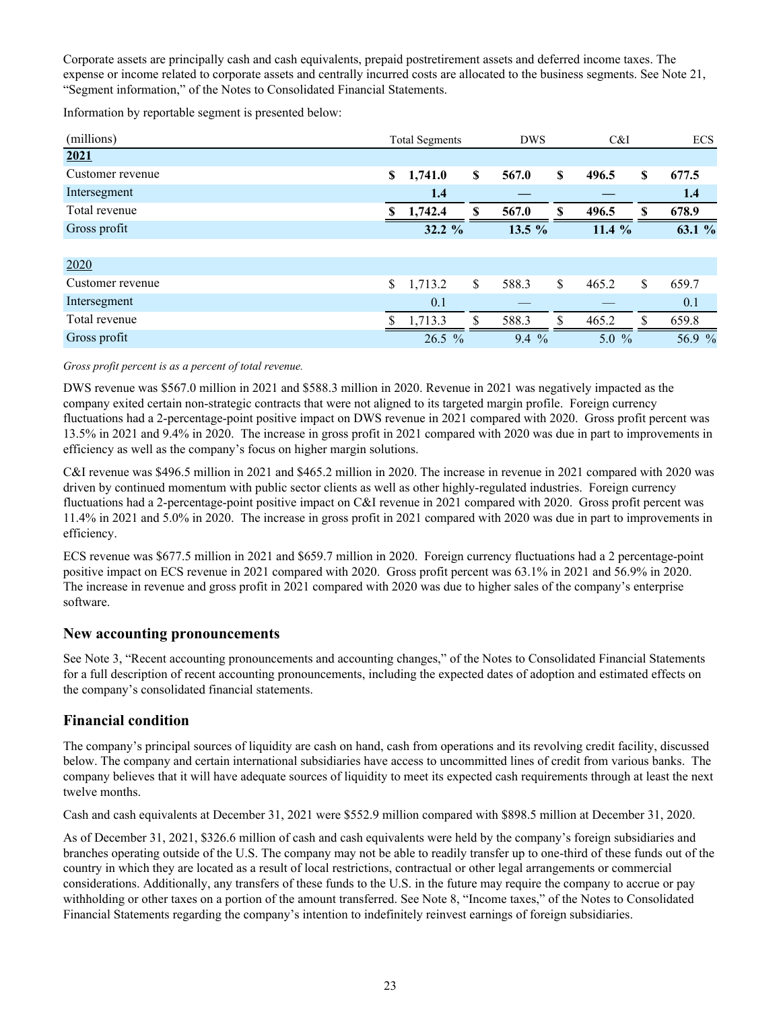Corporate assets are principally cash and cash equivalents, prepaid postretirement assets and deferred income taxes. The expense or income related to corporate assets and centrally incurred costs are allocated to the business segments. See Note 21, "Segment information," of the Notes to Consolidated Financial Statements.

Information by reportable segment is presented below:

| (millions)       | <b>Total Segments</b> |               | <b>DWS</b> |    | C&I     |    | <b>ECS</b> |
|------------------|-----------------------|---------------|------------|----|---------|----|------------|
| 2021             |                       |               |            |    |         |    |            |
| Customer revenue | \$<br>1,741.0         | <sup>\$</sup> | 567.0      | \$ | 496.5   | \$ | 677.5      |
| Intersegment     | 1.4                   |               |            |    |         |    | 1.4        |
| Total revenue    | 1,742.4               | S             | 567.0      | S  | 496.5   | S  | 678.9      |
| Gross profit     | 32.2%                 |               | 13.5 %     |    | 11.4 %  |    | 63.1 %     |
|                  |                       |               |            |    |         |    |            |
| 2020             |                       |               |            |    |         |    |            |
| Customer revenue | \$<br>1,713.2         | S             | 588.3      | \$ | 465.2   | \$ | 659.7      |
| Intersegment     | 0.1                   |               |            |    |         |    | 0.1        |
| Total revenue    | 1,713.3               | S             | 588.3      | S  | 465.2   | \$ | 659.8      |
| Gross profit     | $26.5 \%$             |               | $9.4\%$    |    | $5.0\%$ |    | 56.9 %     |

*Gross profit percent is as a percent of total revenue.*

DWS revenue was \$567.0 million in 2021 and \$588.3 million in 2020. Revenue in 2021 was negatively impacted as the company exited certain non-strategic contracts that were not aligned to its targeted margin profile. Foreign currency fluctuations had a 2-percentage-point positive impact on DWS revenue in 2021 compared with 2020. Gross profit percent was 13.5% in 2021 and 9.4% in 2020. The increase in gross profit in 2021 compared with 2020 was due in part to improvements in efficiency as well as the company's focus on higher margin solutions.

C&I revenue was \$496.5 million in 2021 and \$465.2 million in 2020. The increase in revenue in 2021 compared with 2020 was driven by continued momentum with public sector clients as well as other highly-regulated industries. Foreign currency fluctuations had a 2-percentage-point positive impact on C&I revenue in 2021 compared with 2020. Gross profit percent was 11.4% in 2021 and 5.0% in 2020. The increase in gross profit in 2021 compared with 2020 was due in part to improvements in efficiency.

ECS revenue was \$677.5 million in 2021 and \$659.7 million in 2020. Foreign currency fluctuations had a 2 percentage-point positive impact on ECS revenue in 2021 compared with 2020. Gross profit percent was 63.1% in 2021 and 56.9% in 2020. The increase in revenue and gross profit in 2021 compared with 2020 was due to higher sales of the company's enterprise software.

### **New accounting pronouncements**

See Note 3, "Recent accounting pronouncements and accounting changes," of the Notes to Consolidated Financial Statements for a full description of recent accounting pronouncements, including the expected dates of adoption and estimated effects on the company's consolidated financial statements.

### **Financial condition**

The company's principal sources of liquidity are cash on hand, cash from operations and its revolving credit facility, discussed below. The company and certain international subsidiaries have access to uncommitted lines of credit from various banks. The company believes that it will have adequate sources of liquidity to meet its expected cash requirements through at least the next twelve months.

Cash and cash equivalents at December 31, 2021 were \$552.9 million compared with \$898.5 million at December 31, 2020.

As of December 31, 2021, \$326.6 million of cash and cash equivalents were held by the company's foreign subsidiaries and branches operating outside of the U.S. The company may not be able to readily transfer up to one-third of these funds out of the country in which they are located as a result of local restrictions, contractual or other legal arrangements or commercial considerations. Additionally, any transfers of these funds to the U.S. in the future may require the company to accrue or pay withholding or other taxes on a portion of the amount transferred. See Note 8, "Income taxes," of the Notes to Consolidated Financial Statements regarding the company's intention to indefinitely reinvest earnings of foreign subsidiaries.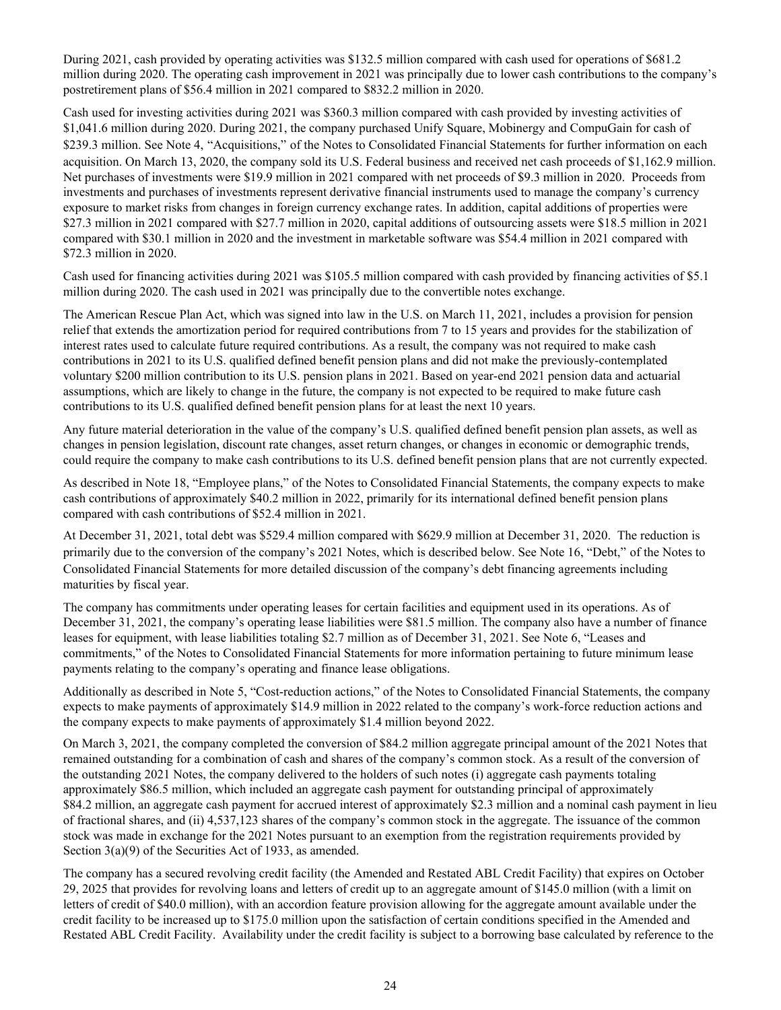During 2021, cash provided by operating activities was \$132.5 million compared with cash used for operations of \$681.2 million during 2020. The operating cash improvement in 2021 was principally due to lower cash contributions to the company's postretirement plans of \$56.4 million in 2021 compared to \$832.2 million in 2020.

Cash used for investing activities during 2021 was \$360.3 million compared with cash provided by investing activities of \$1,041.6 million during 2020. During 2021, the company purchased Unify Square, Mobinergy and CompuGain for cash of \$239.3 million. See Note 4, "Acquisitions," of the Notes to Consolidated Financial Statements for further information on each acquisition. On March 13, 2020, the company sold its U.S. Federal business and received net cash proceeds of \$1,162.9 million. Net purchases of investments were \$19.9 million in 2021 compared with net proceeds of \$9.3 million in 2020. Proceeds from investments and purchases of investments represent derivative financial instruments used to manage the company's currency exposure to market risks from changes in foreign currency exchange rates. In addition, capital additions of properties were \$27.3 million in 2021 compared with \$27.7 million in 2020, capital additions of outsourcing assets were \$18.5 million in 2021 compared with \$30.1 million in 2020 and the investment in marketable software was \$54.4 million in 2021 compared with \$72.3 million in 2020.

Cash used for financing activities during 2021 was \$105.5 million compared with cash provided by financing activities of \$5.1 million during 2020. The cash used in 2021 was principally due to the convertible notes exchange.

The American Rescue Plan Act, which was signed into law in the U.S. on March 11, 2021, includes a provision for pension relief that extends the amortization period for required contributions from 7 to 15 years and provides for the stabilization of interest rates used to calculate future required contributions. As a result, the company was not required to make cash contributions in 2021 to its U.S. qualified defined benefit pension plans and did not make the previously-contemplated voluntary \$200 million contribution to its U.S. pension plans in 2021. Based on year-end 2021 pension data and actuarial assumptions, which are likely to change in the future, the company is not expected to be required to make future cash contributions to its U.S. qualified defined benefit pension plans for at least the next 10 years.

Any future material deterioration in the value of the company's U.S. qualified defined benefit pension plan assets, as well as changes in pension legislation, discount rate changes, asset return changes, or changes in economic or demographic trends, could require the company to make cash contributions to its U.S. defined benefit pension plans that are not currently expected.

As described in Note 18, "Employee plans," of the Notes to Consolidated Financial Statements, the company expects to make cash contributions of approximately \$40.2 million in 2022, primarily for its international defined benefit pension plans compared with cash contributions of \$52.4 million in 2021.

At December 31, 2021, total debt was \$529.4 million compared with \$629.9 million at December 31, 2020. The reduction is primarily due to the conversion of the company's 2021 Notes, which is described below. See Note 16, "Debt," of the Notes to Consolidated Financial Statements for more detailed discussion of the company's debt financing agreements including maturities by fiscal year.

The company has commitments under operating leases for certain facilities and equipment used in its operations. As of December 31, 2021, the company's operating lease liabilities were \$81.5 million. The company also have a number of finance leases for equipment, with lease liabilities totaling \$2.7 million as of December 31, 2021. See Note 6, "Leases and commitments," of the Notes to Consolidated Financial Statements for more information pertaining to future minimum lease payments relating to the company's operating and finance lease obligations.

Additionally as described in Note 5, "Cost-reduction actions," of the Notes to Consolidated Financial Statements, the company expects to make payments of approximately \$14.9 million in 2022 related to the company's work-force reduction actions and the company expects to make payments of approximately \$1.4 million beyond 2022.

On March 3, 2021, the company completed the conversion of \$84.2 million aggregate principal amount of the 2021 Notes that remained outstanding for a combination of cash and shares of the company's common stock. As a result of the conversion of the outstanding 2021 Notes, the company delivered to the holders of such notes (i) aggregate cash payments totaling approximately \$86.5 million, which included an aggregate cash payment for outstanding principal of approximately \$84.2 million, an aggregate cash payment for accrued interest of approximately \$2.3 million and a nominal cash payment in lieu of fractional shares, and (ii) 4,537,123 shares of the company's common stock in the aggregate. The issuance of the common stock was made in exchange for the 2021 Notes pursuant to an exemption from the registration requirements provided by Section 3(a)(9) of the Securities Act of 1933, as amended.

The company has a secured revolving credit facility (the Amended and Restated ABL Credit Facility) that expires on October 29, 2025 that provides for revolving loans and letters of credit up to an aggregate amount of \$145.0 million (with a limit on letters of credit of \$40.0 million), with an accordion feature provision allowing for the aggregate amount available under the credit facility to be increased up to \$175.0 million upon the satisfaction of certain conditions specified in the Amended and Restated ABL Credit Facility. Availability under the credit facility is subject to a borrowing base calculated by reference to the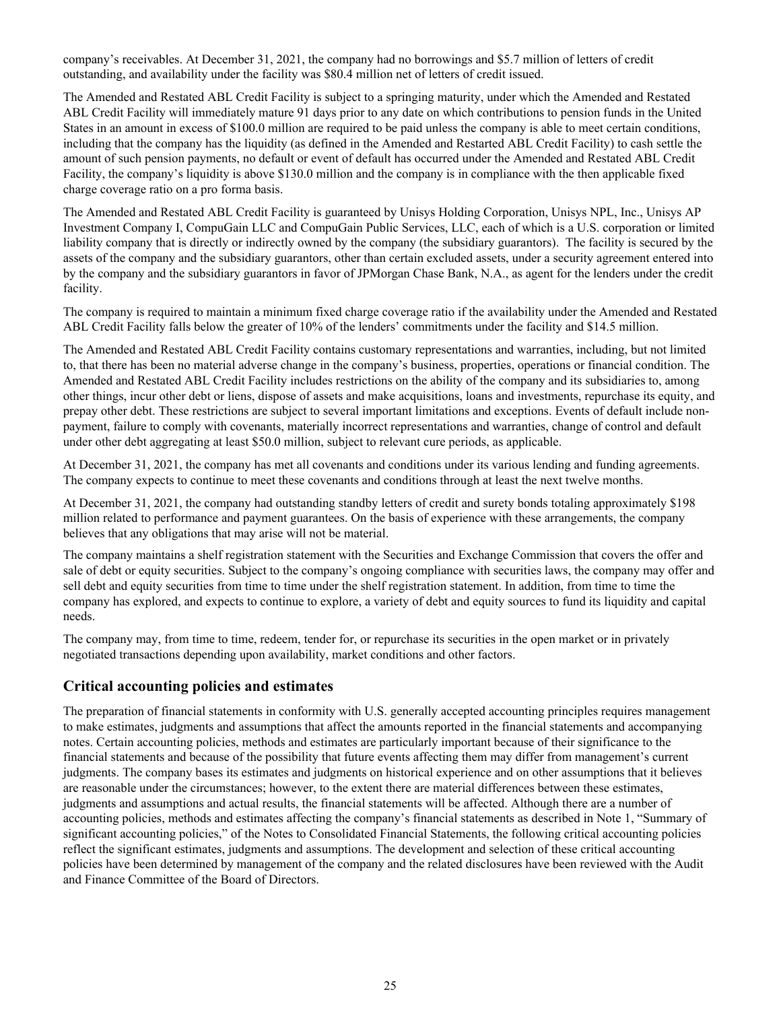company's receivables. At December 31, 2021, the company had no borrowings and \$5.7 million of letters of credit outstanding, and availability under the facility was \$80.4 million net of letters of credit issued.

The Amended and Restated ABL Credit Facility is subject to a springing maturity, under which the Amended and Restated ABL Credit Facility will immediately mature 91 days prior to any date on which contributions to pension funds in the United States in an amount in excess of \$100.0 million are required to be paid unless the company is able to meet certain conditions, including that the company has the liquidity (as defined in the Amended and Restarted ABL Credit Facility) to cash settle the amount of such pension payments, no default or event of default has occurred under the Amended and Restated ABL Credit Facility, the company's liquidity is above \$130.0 million and the company is in compliance with the then applicable fixed charge coverage ratio on a pro forma basis.

The Amended and Restated ABL Credit Facility is guaranteed by Unisys Holding Corporation, Unisys NPL, Inc., Unisys AP Investment Company I, CompuGain LLC and CompuGain Public Services, LLC, each of which is a U.S. corporation or limited liability company that is directly or indirectly owned by the company (the subsidiary guarantors). The facility is secured by the assets of the company and the subsidiary guarantors, other than certain excluded assets, under a security agreement entered into by the company and the subsidiary guarantors in favor of JPMorgan Chase Bank, N.A., as agent for the lenders under the credit facility.

The company is required to maintain a minimum fixed charge coverage ratio if the availability under the Amended and Restated ABL Credit Facility falls below the greater of 10% of the lenders' commitments under the facility and \$14.5 million.

The Amended and Restated ABL Credit Facility contains customary representations and warranties, including, but not limited to, that there has been no material adverse change in the company's business, properties, operations or financial condition. The Amended and Restated ABL Credit Facility includes restrictions on the ability of the company and its subsidiaries to, among other things, incur other debt or liens, dispose of assets and make acquisitions, loans and investments, repurchase its equity, and prepay other debt. These restrictions are subject to several important limitations and exceptions. Events of default include nonpayment, failure to comply with covenants, materially incorrect representations and warranties, change of control and default under other debt aggregating at least \$50.0 million, subject to relevant cure periods, as applicable.

At December 31, 2021, the company has met all covenants and conditions under its various lending and funding agreements. The company expects to continue to meet these covenants and conditions through at least the next twelve months.

At December 31, 2021, the company had outstanding standby letters of credit and surety bonds totaling approximately \$198 million related to performance and payment guarantees. On the basis of experience with these arrangements, the company believes that any obligations that may arise will not be material.

The company maintains a shelf registration statement with the Securities and Exchange Commission that covers the offer and sale of debt or equity securities. Subject to the company's ongoing compliance with securities laws, the company may offer and sell debt and equity securities from time to time under the shelf registration statement. In addition, from time to time the company has explored, and expects to continue to explore, a variety of debt and equity sources to fund its liquidity and capital needs.

The company may, from time to time, redeem, tender for, or repurchase its securities in the open market or in privately negotiated transactions depending upon availability, market conditions and other factors.

### **Critical accounting policies and estimates**

The preparation of financial statements in conformity with U.S. generally accepted accounting principles requires management to make estimates, judgments and assumptions that affect the amounts reported in the financial statements and accompanying notes. Certain accounting policies, methods and estimates are particularly important because of their significance to the financial statements and because of the possibility that future events affecting them may differ from management's current judgments. The company bases its estimates and judgments on historical experience and on other assumptions that it believes are reasonable under the circumstances; however, to the extent there are material differences between these estimates, judgments and assumptions and actual results, the financial statements will be affected. Although there are a number of accounting policies, methods and estimates affecting the company's financial statements as described in Note 1, "Summary of significant accounting policies," of the Notes to Consolidated Financial Statements, the following critical accounting policies reflect the significant estimates, judgments and assumptions. The development and selection of these critical accounting policies have been determined by management of the company and the related disclosures have been reviewed with the Audit and Finance Committee of the Board of Directors.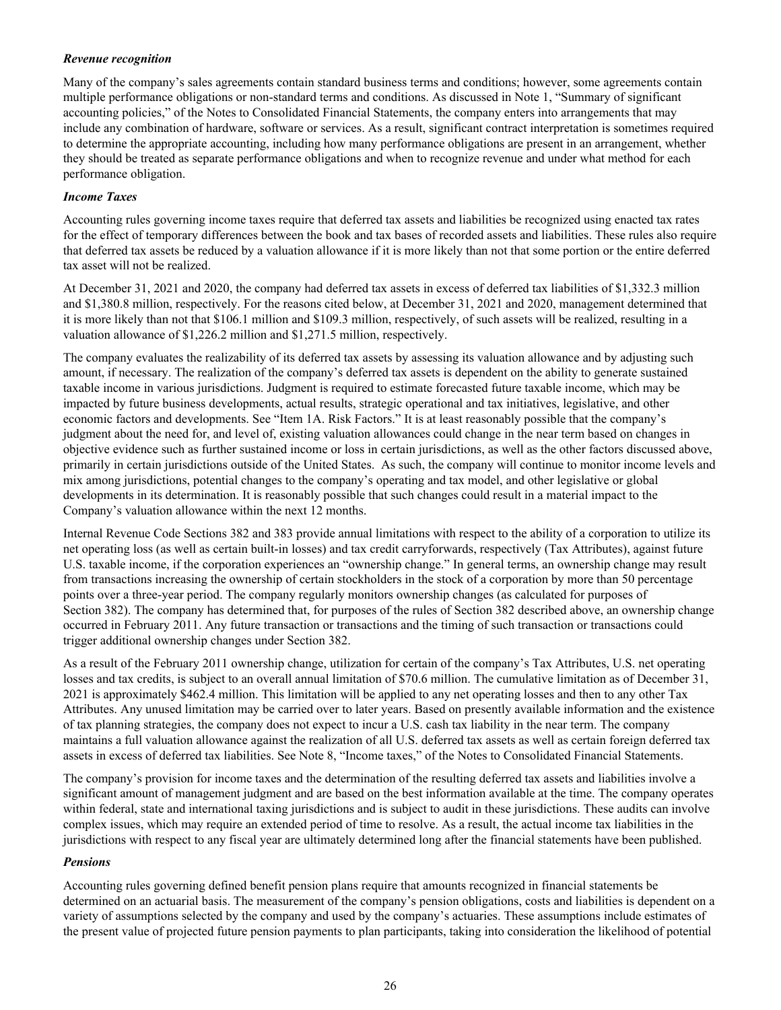### *Revenue recognition*

Many of the company's sales agreements contain standard business terms and conditions; however, some agreements contain multiple performance obligations or non-standard terms and conditions. As discussed in Note 1, "Summary of significant accounting policies," of the Notes to Consolidated Financial Statements, the company enters into arrangements that may include any combination of hardware, software or services. As a result, significant contract interpretation is sometimes required to determine the appropriate accounting, including how many performance obligations are present in an arrangement, whether they should be treated as separate performance obligations and when to recognize revenue and under what method for each performance obligation.

### *Income Taxes*

Accounting rules governing income taxes require that deferred tax assets and liabilities be recognized using enacted tax rates for the effect of temporary differences between the book and tax bases of recorded assets and liabilities. These rules also require that deferred tax assets be reduced by a valuation allowance if it is more likely than not that some portion or the entire deferred tax asset will not be realized.

At December 31, 2021 and 2020, the company had deferred tax assets in excess of deferred tax liabilities of \$1,332.3 million and \$1,380.8 million, respectively. For the reasons cited below, at December 31, 2021 and 2020, management determined that it is more likely than not that \$106.1 million and \$109.3 million, respectively, of such assets will be realized, resulting in a valuation allowance of \$1,226.2 million and \$1,271.5 million, respectively.

The company evaluates the realizability of its deferred tax assets by assessing its valuation allowance and by adjusting such amount, if necessary. The realization of the company's deferred tax assets is dependent on the ability to generate sustained taxable income in various jurisdictions. Judgment is required to estimate forecasted future taxable income, which may be impacted by future business developments, actual results, strategic operational and tax initiatives, legislative, and other economic factors and developments. See "Item 1A. Risk Factors." It is at least reasonably possible that the company's judgment about the need for, and level of, existing valuation allowances could change in the near term based on changes in objective evidence such as further sustained income or loss in certain jurisdictions, as well as the other factors discussed above, primarily in certain jurisdictions outside of the United States. As such, the company will continue to monitor income levels and mix among jurisdictions, potential changes to the company's operating and tax model, and other legislative or global developments in its determination. It is reasonably possible that such changes could result in a material impact to the Company's valuation allowance within the next 12 months.

Internal Revenue Code Sections 382 and 383 provide annual limitations with respect to the ability of a corporation to utilize its net operating loss (as well as certain built-in losses) and tax credit carryforwards, respectively (Tax Attributes), against future U.S. taxable income, if the corporation experiences an "ownership change." In general terms, an ownership change may result from transactions increasing the ownership of certain stockholders in the stock of a corporation by more than 50 percentage points over a three-year period. The company regularly monitors ownership changes (as calculated for purposes of Section 382). The company has determined that, for purposes of the rules of Section 382 described above, an ownership change occurred in February 2011. Any future transaction or transactions and the timing of such transaction or transactions could trigger additional ownership changes under Section 382.

As a result of the February 2011 ownership change, utilization for certain of the company's Tax Attributes, U.S. net operating losses and tax credits, is subject to an overall annual limitation of \$70.6 million. The cumulative limitation as of December 31, 2021 is approximately \$462.4 million. This limitation will be applied to any net operating losses and then to any other Tax Attributes. Any unused limitation may be carried over to later years. Based on presently available information and the existence of tax planning strategies, the company does not expect to incur a U.S. cash tax liability in the near term. The company maintains a full valuation allowance against the realization of all U.S. deferred tax assets as well as certain foreign deferred tax assets in excess of deferred tax liabilities. See Note 8, "Income taxes," of the Notes to Consolidated Financial Statements.

The company's provision for income taxes and the determination of the resulting deferred tax assets and liabilities involve a significant amount of management judgment and are based on the best information available at the time. The company operates within federal, state and international taxing jurisdictions and is subject to audit in these jurisdictions. These audits can involve complex issues, which may require an extended period of time to resolve. As a result, the actual income tax liabilities in the jurisdictions with respect to any fiscal year are ultimately determined long after the financial statements have been published.

### *Pensions*

Accounting rules governing defined benefit pension plans require that amounts recognized in financial statements be determined on an actuarial basis. The measurement of the company's pension obligations, costs and liabilities is dependent on a variety of assumptions selected by the company and used by the company's actuaries. These assumptions include estimates of the present value of projected future pension payments to plan participants, taking into consideration the likelihood of potential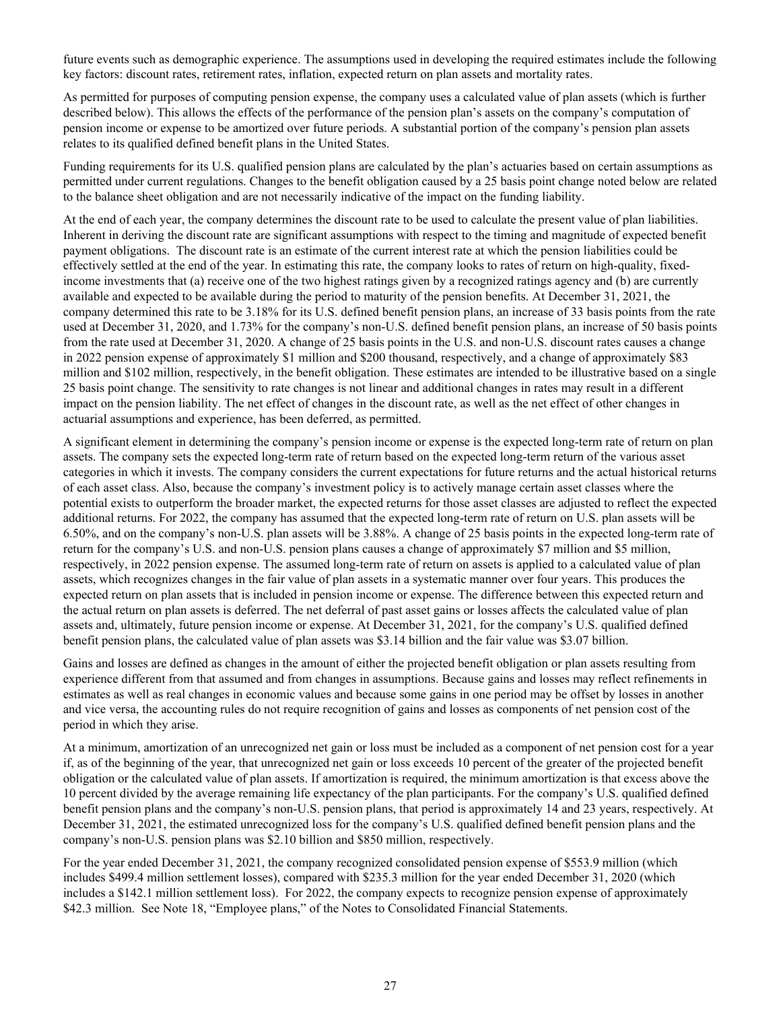future events such as demographic experience. The assumptions used in developing the required estimates include the following key factors: discount rates, retirement rates, inflation, expected return on plan assets and mortality rates.

As permitted for purposes of computing pension expense, the company uses a calculated value of plan assets (which is further described below). This allows the effects of the performance of the pension plan's assets on the company's computation of pension income or expense to be amortized over future periods. A substantial portion of the company's pension plan assets relates to its qualified defined benefit plans in the United States.

Funding requirements for its U.S. qualified pension plans are calculated by the plan's actuaries based on certain assumptions as permitted under current regulations. Changes to the benefit obligation caused by a 25 basis point change noted below are related to the balance sheet obligation and are not necessarily indicative of the impact on the funding liability.

At the end of each year, the company determines the discount rate to be used to calculate the present value of plan liabilities. Inherent in deriving the discount rate are significant assumptions with respect to the timing and magnitude of expected benefit payment obligations. The discount rate is an estimate of the current interest rate at which the pension liabilities could be effectively settled at the end of the year. In estimating this rate, the company looks to rates of return on high-quality, fixedincome investments that (a) receive one of the two highest ratings given by a recognized ratings agency and (b) are currently available and expected to be available during the period to maturity of the pension benefits. At December 31, 2021, the company determined this rate to be 3.18% for its U.S. defined benefit pension plans, an increase of 33 basis points from the rate used at December 31, 2020, and 1.73% for the company's non-U.S. defined benefit pension plans, an increase of 50 basis points from the rate used at December 31, 2020. A change of 25 basis points in the U.S. and non-U.S. discount rates causes a change in 2022 pension expense of approximately \$1 million and \$200 thousand, respectively, and a change of approximately \$83 million and \$102 million, respectively, in the benefit obligation. These estimates are intended to be illustrative based on a single 25 basis point change. The sensitivity to rate changes is not linear and additional changes in rates may result in a different impact on the pension liability. The net effect of changes in the discount rate, as well as the net effect of other changes in actuarial assumptions and experience, has been deferred, as permitted.

A significant element in determining the company's pension income or expense is the expected long-term rate of return on plan assets. The company sets the expected long-term rate of return based on the expected long-term return of the various asset categories in which it invests. The company considers the current expectations for future returns and the actual historical returns of each asset class. Also, because the company's investment policy is to actively manage certain asset classes where the potential exists to outperform the broader market, the expected returns for those asset classes are adjusted to reflect the expected additional returns. For 2022, the company has assumed that the expected long-term rate of return on U.S. plan assets will be 6.50%, and on the company's non-U.S. plan assets will be 3.88%. A change of 25 basis points in the expected long-term rate of return for the company's U.S. and non-U.S. pension plans causes a change of approximately \$7 million and \$5 million, respectively, in 2022 pension expense. The assumed long-term rate of return on assets is applied to a calculated value of plan assets, which recognizes changes in the fair value of plan assets in a systematic manner over four years. This produces the expected return on plan assets that is included in pension income or expense. The difference between this expected return and the actual return on plan assets is deferred. The net deferral of past asset gains or losses affects the calculated value of plan assets and, ultimately, future pension income or expense. At December 31, 2021, for the company's U.S. qualified defined benefit pension plans, the calculated value of plan assets was \$3.14 billion and the fair value was \$3.07 billion.

Gains and losses are defined as changes in the amount of either the projected benefit obligation or plan assets resulting from experience different from that assumed and from changes in assumptions. Because gains and losses may reflect refinements in estimates as well as real changes in economic values and because some gains in one period may be offset by losses in another and vice versa, the accounting rules do not require recognition of gains and losses as components of net pension cost of the period in which they arise.

At a minimum, amortization of an unrecognized net gain or loss must be included as a component of net pension cost for a year if, as of the beginning of the year, that unrecognized net gain or loss exceeds 10 percent of the greater of the projected benefit obligation or the calculated value of plan assets. If amortization is required, the minimum amortization is that excess above the 10 percent divided by the average remaining life expectancy of the plan participants. For the company's U.S. qualified defined benefit pension plans and the company's non-U.S. pension plans, that period is approximately 14 and 23 years, respectively. At December 31, 2021, the estimated unrecognized loss for the company's U.S. qualified defined benefit pension plans and the company's non-U.S. pension plans was \$2.10 billion and \$850 million, respectively.

For the year ended December 31, 2021, the company recognized consolidated pension expense of \$553.9 million (which includes \$499.4 million settlement losses), compared with \$235.3 million for the year ended December 31, 2020 (which includes a \$142.1 million settlement loss). For 2022, the company expects to recognize pension expense of approximately \$42.3 million. See Note 18, "Employee plans," of the Notes to Consolidated Financial Statements.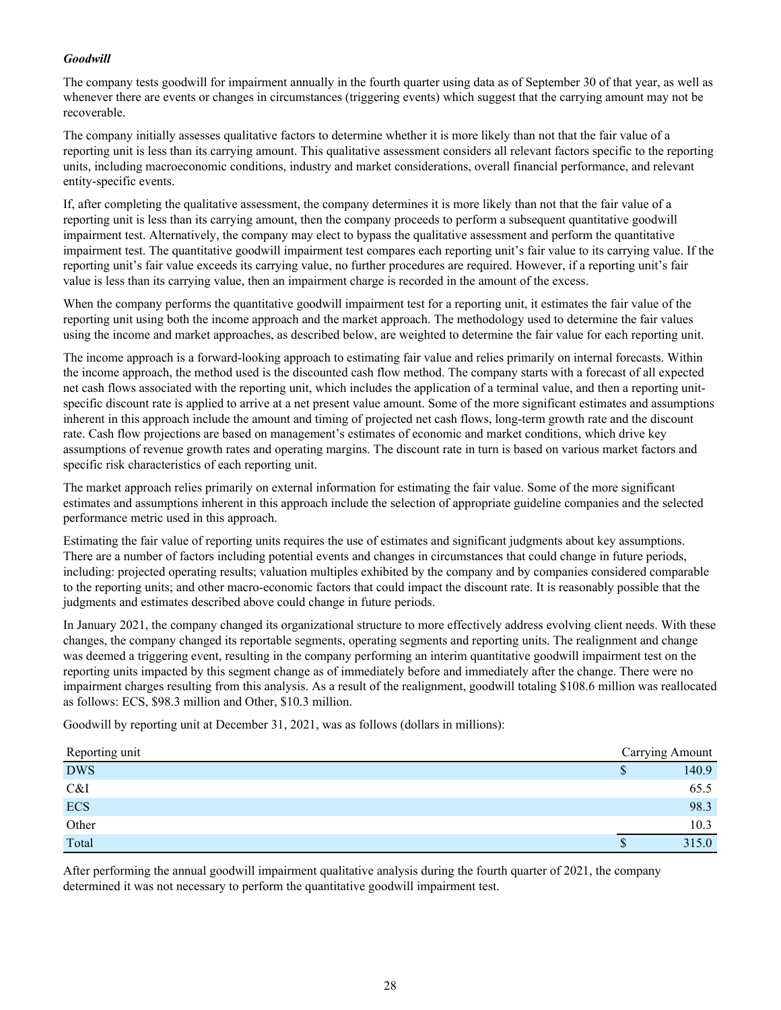### *Goodwill*

The company tests goodwill for impairment annually in the fourth quarter using data as of September 30 of that year, as well as whenever there are events or changes in circumstances (triggering events) which suggest that the carrying amount may not be recoverable.

The company initially assesses qualitative factors to determine whether it is more likely than not that the fair value of a reporting unit is less than its carrying amount. This qualitative assessment considers all relevant factors specific to the reporting units, including macroeconomic conditions, industry and market considerations, overall financial performance, and relevant entity-specific events.

If, after completing the qualitative assessment, the company determines it is more likely than not that the fair value of a reporting unit is less than its carrying amount, then the company proceeds to perform a subsequent quantitative goodwill impairment test. Alternatively, the company may elect to bypass the qualitative assessment and perform the quantitative impairment test. The quantitative goodwill impairment test compares each reporting unit's fair value to its carrying value. If the reporting unit's fair value exceeds its carrying value, no further procedures are required. However, if a reporting unit's fair value is less than its carrying value, then an impairment charge is recorded in the amount of the excess.

When the company performs the quantitative goodwill impairment test for a reporting unit, it estimates the fair value of the reporting unit using both the income approach and the market approach. The methodology used to determine the fair values using the income and market approaches, as described below, are weighted to determine the fair value for each reporting unit.

The income approach is a forward-looking approach to estimating fair value and relies primarily on internal forecasts. Within the income approach, the method used is the discounted cash flow method. The company starts with a forecast of all expected net cash flows associated with the reporting unit, which includes the application of a terminal value, and then a reporting unitspecific discount rate is applied to arrive at a net present value amount. Some of the more significant estimates and assumptions inherent in this approach include the amount and timing of projected net cash flows, long-term growth rate and the discount rate. Cash flow projections are based on management's estimates of economic and market conditions, which drive key assumptions of revenue growth rates and operating margins. The discount rate in turn is based on various market factors and specific risk characteristics of each reporting unit.

The market approach relies primarily on external information for estimating the fair value. Some of the more significant estimates and assumptions inherent in this approach include the selection of appropriate guideline companies and the selected performance metric used in this approach.

Estimating the fair value of reporting units requires the use of estimates and significant judgments about key assumptions. There are a number of factors including potential events and changes in circumstances that could change in future periods, including: projected operating results; valuation multiples exhibited by the company and by companies considered comparable to the reporting units; and other macro-economic factors that could impact the discount rate. It is reasonably possible that the judgments and estimates described above could change in future periods.

In January 2021, the company changed its organizational structure to more effectively address evolving client needs. With these changes, the company changed its reportable segments, operating segments and reporting units. The realignment and change was deemed a triggering event, resulting in the company performing an interim quantitative goodwill impairment test on the reporting units impacted by this segment change as of immediately before and immediately after the change. There were no impairment charges resulting from this analysis. As a result of the realignment, goodwill totaling \$108.6 million was reallocated as follows: ECS, \$98.3 million and Other, \$10.3 million.

Goodwill by reporting unit at December 31, 2021, was as follows (dollars in millions):

| Reporting unit |   | Carrying Amount |
|----------------|---|-----------------|
| <b>DWS</b>     | ۰ | 140.9           |
| C&I            |   | 65.5            |
| ECS            |   | 98.3            |
| Other          |   | 10.3            |
| Total          |   | 315.0           |

After performing the annual goodwill impairment qualitative analysis during the fourth quarter of 2021, the company determined it was not necessary to perform the quantitative goodwill impairment test.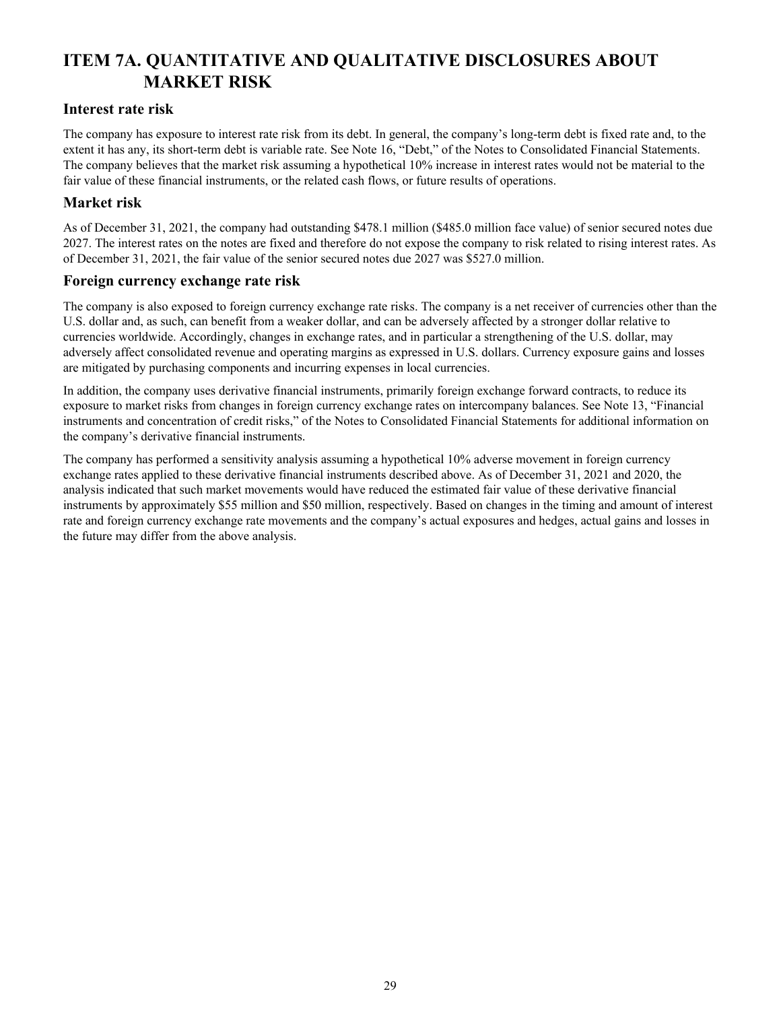# <span id="page-28-0"></span>**ITEM 7A. QUANTITATIVE AND QUALITATIVE DISCLOSURES ABOUT MARKET RISK**

### **Interest rate risk**

The company has exposure to interest rate risk from its debt. In general, the company's long-term debt is fixed rate and, to the extent it has any, its short-term debt is variable rate. See Note 16, "Debt," of the Notes to Consolidated Financial Statements. The company believes that the market risk assuming a hypothetical 10% increase in interest rates would not be material to the fair value of these financial instruments, or the related cash flows, or future results of operations.

### **Market risk**

As of December 31, 2021, the company had outstanding \$478.1 million (\$485.0 million face value) of senior secured notes due 2027. The interest rates on the notes are fixed and therefore do not expose the company to risk related to rising interest rates. As of December 31, 2021, the fair value of the senior secured notes due 2027 was \$527.0 million.

### **Foreign currency exchange rate risk**

The company is also exposed to foreign currency exchange rate risks. The company is a net receiver of currencies other than the U.S. dollar and, as such, can benefit from a weaker dollar, and can be adversely affected by a stronger dollar relative to currencies worldwide. Accordingly, changes in exchange rates, and in particular a strengthening of the U.S. dollar, may adversely affect consolidated revenue and operating margins as expressed in U.S. dollars. Currency exposure gains and losses are mitigated by purchasing components and incurring expenses in local currencies.

In addition, the company uses derivative financial instruments, primarily foreign exchange forward contracts, to reduce its exposure to market risks from changes in foreign currency exchange rates on intercompany balances. See Note 13, "Financial instruments and concentration of credit risks," of the Notes to Consolidated Financial Statements for additional information on the company's derivative financial instruments.

The company has performed a sensitivity analysis assuming a hypothetical 10% adverse movement in foreign currency exchange rates applied to these derivative financial instruments described above. As of December 31, 2021 and 2020, the analysis indicated that such market movements would have reduced the estimated fair value of these derivative financial instruments by approximately \$55 million and \$50 million, respectively. Based on changes in the timing and amount of interest rate and foreign currency exchange rate movements and the company's actual exposures and hedges, actual gains and losses in the future may differ from the above analysis.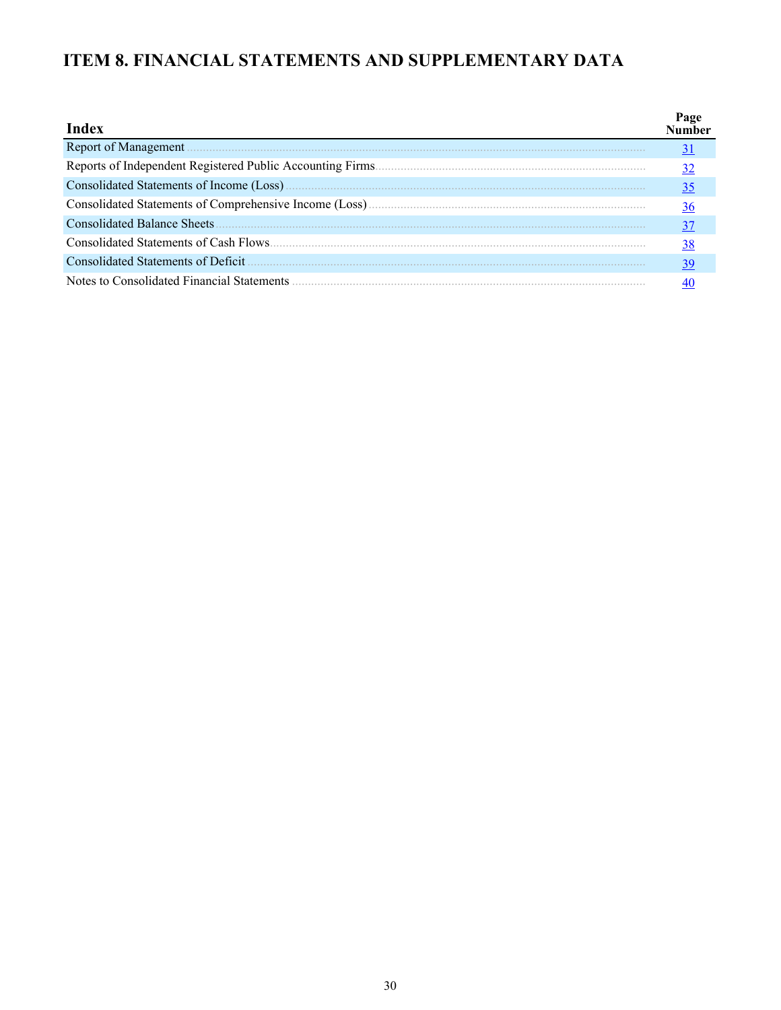# <span id="page-29-0"></span>ITEM 8. FINANCIAL STATEMENTS AND SUPPLEMENTARY DATA

| Index                                      | Page<br><b>Number</b> |
|--------------------------------------------|-----------------------|
| Report of Management.                      | 31                    |
|                                            | <u>32</u>             |
|                                            | <u>35</u>             |
|                                            | <u>36</u>             |
|                                            | 37                    |
|                                            | <u>38</u>             |
| Consolidated Statements of Deficit         | <u>39</u>             |
| Notes to Consolidated Financial Statements |                       |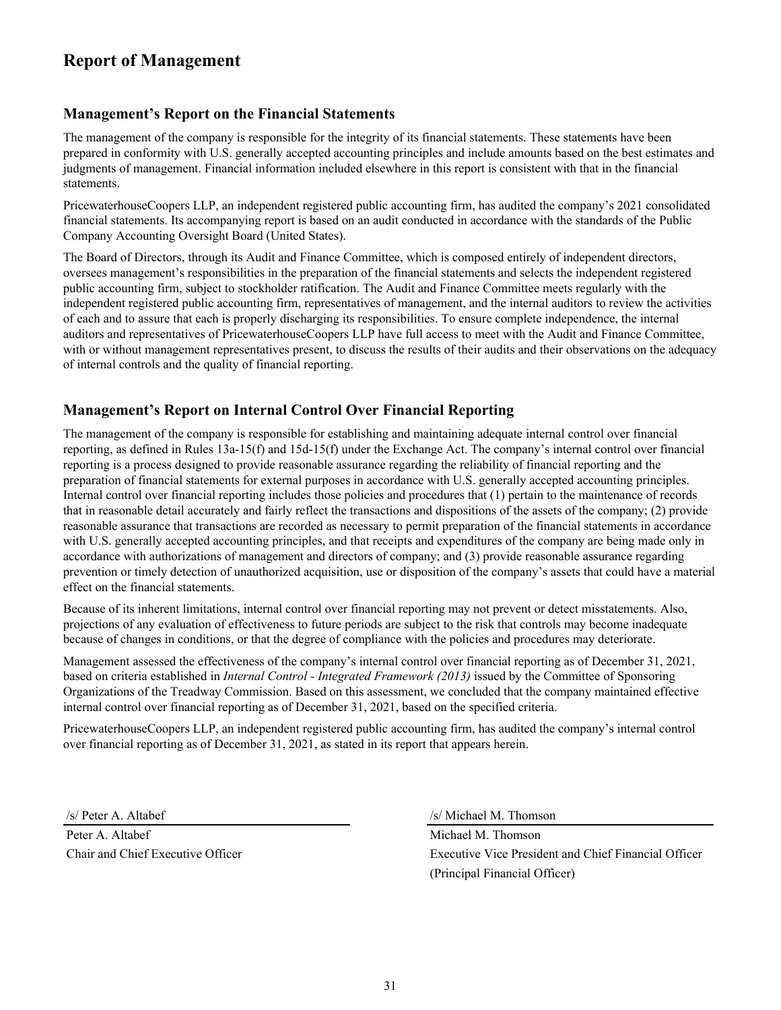# <span id="page-30-0"></span>**Report of Management**

### **Management's Report on the Financial Statements**

The management of the company is responsible for the integrity of its financial statements. These statements have been prepared in conformity with U.S. generally accepted accounting principles and include amounts based on the best estimates and judgments of management. Financial information included elsewhere in this report is consistent with that in the financial statements.

PricewaterhouseCoopers LLP, an independent registered public accounting firm, has audited the company's 2021 consolidated financial statements. Its accompanying report is based on an audit conducted in accordance with the standards of the Public Company Accounting Oversight Board (United States).

The Board of Directors, through its Audit and Finance Committee, which is composed entirely of independent directors, oversees management's responsibilities in the preparation of the financial statements and selects the independent registered public accounting firm, subject to stockholder ratification. The Audit and Finance Committee meets regularly with the independent registered public accounting firm, representatives of management, and the internal auditors to review the activities of each and to assure that each is properly discharging its responsibilities. To ensure complete independence, the internal auditors and representatives of PricewaterhouseCoopers LLP have full access to meet with the Audit and Finance Committee, with or without management representatives present, to discuss the results of their audits and their observations on the adequacy of internal controls and the quality of financial reporting.

### **Management's Report on Internal Control Over Financial Reporting**

The management of the company is responsible for establishing and maintaining adequate internal control over financial reporting, as defined in Rules 13a-15(f) and 15d-15(f) under the Exchange Act. The company's internal control over financial reporting is a process designed to provide reasonable assurance regarding the reliability of financial reporting and the preparation of financial statements for external purposes in accordance with U.S. generally accepted accounting principles. Internal control over financial reporting includes those policies and procedures that (1) pertain to the maintenance of records that in reasonable detail accurately and fairly reflect the transactions and dispositions of the assets of the company; (2) provide reasonable assurance that transactions are recorded as necessary to permit preparation of the financial statements in accordance with U.S. generally accepted accounting principles, and that receipts and expenditures of the company are being made only in accordance with authorizations of management and directors of company; and (3) provide reasonable assurance regarding prevention or timely detection of unauthorized acquisition, use or disposition of the company's assets that could have a material effect on the financial statements.

Because of its inherent limitations, internal control over financial reporting may not prevent or detect misstatements. Also, projections of any evaluation of effectiveness to future periods are subject to the risk that controls may become inadequate because of changes in conditions, or that the degree of compliance with the policies and procedures may deteriorate.

Management assessed the effectiveness of the company's internal control over financial reporting as of December 31, 2021, based on criteria established in *Internal Control - Integrated Framework (2013)* issued by the Committee of Sponsoring Organizations of the Treadway Commission. Based on this assessment, we concluded that the company maintained effective internal control over financial reporting as of December 31, 2021, based on the specified criteria.

PricewaterhouseCoopers LLP, an independent registered public accounting firm, has audited the company's internal control over financial reporting as of December 31, 2021, as stated in its report that appears herein.

Peter A. Altabef Michael M. Thomson

/s/ Peter A. Altabef /s/ Michael M. Thomson

Chair and Chief Executive Officer Executive Vice President and Chief Financial Officer (Principal Financial Officer)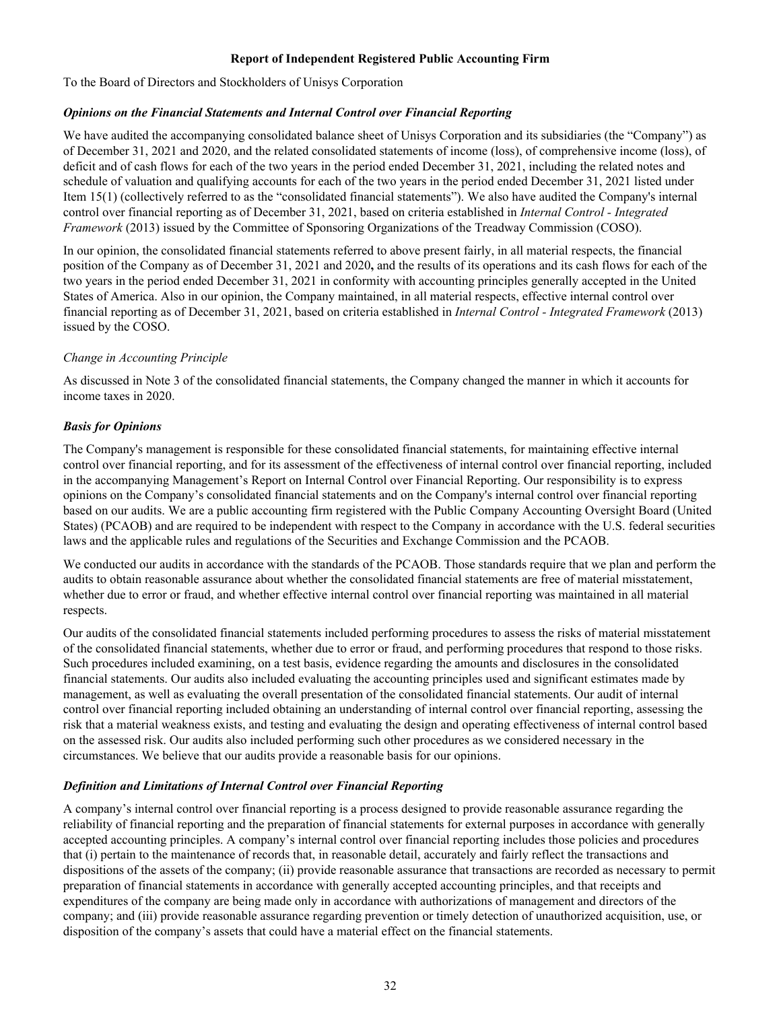### **Report of Independent Registered Public Accounting Firm**

<span id="page-31-0"></span>To the Board of Directors and Stockholders of Unisys Corporation

### *Opinions on the Financial Statements and Internal Control over Financial Reporting*

We have audited the accompanying consolidated balance sheet of Unisys Corporation and its subsidiaries (the "Company") as of December 31, 2021 and 2020, and the related consolidated statements of income (loss), of comprehensive income (loss), of deficit and of cash flows for each of the two years in the period ended December 31, 2021, including the related notes and schedule of valuation and qualifying accounts for each of the two years in the period ended December 31, 2021 listed under Item 15(1) (collectively referred to as the "consolidated financial statements"). We also have audited the Company's internal control over financial reporting as of December 31, 2021, based on criteria established in *Internal Control - Integrated Framework* (2013) issued by the Committee of Sponsoring Organizations of the Treadway Commission (COSO).

In our opinion, the consolidated financial statements referred to above present fairly, in all material respects, the financial position of the Company as of December 31, 2021 and 2020**,** and the results of its operations and its cash flows for each of the two years in the period ended December 31, 2021 in conformity with accounting principles generally accepted in the United States of America. Also in our opinion, the Company maintained, in all material respects, effective internal control over financial reporting as of December 31, 2021, based on criteria established in *Internal Control - Integrated Framework* (2013) issued by the COSO.

### *Change in Accounting Principle*

As discussed in Note 3 of the consolidated financial statements, the Company changed the manner in which it accounts for income taxes in 2020.

### *Basis for Opinions*

The Company's management is responsible for these consolidated financial statements, for maintaining effective internal control over financial reporting, and for its assessment of the effectiveness of internal control over financial reporting, included in the accompanying Management's Report on Internal Control over Financial Reporting. Our responsibility is to express opinions on the Company's consolidated financial statements and on the Company's internal control over financial reporting based on our audits. We are a public accounting firm registered with the Public Company Accounting Oversight Board (United States) (PCAOB) and are required to be independent with respect to the Company in accordance with the U.S. federal securities laws and the applicable rules and regulations of the Securities and Exchange Commission and the PCAOB.

We conducted our audits in accordance with the standards of the PCAOB. Those standards require that we plan and perform the audits to obtain reasonable assurance about whether the consolidated financial statements are free of material misstatement, whether due to error or fraud, and whether effective internal control over financial reporting was maintained in all material respects.

Our audits of the consolidated financial statements included performing procedures to assess the risks of material misstatement of the consolidated financial statements, whether due to error or fraud, and performing procedures that respond to those risks. Such procedures included examining, on a test basis, evidence regarding the amounts and disclosures in the consolidated financial statements. Our audits also included evaluating the accounting principles used and significant estimates made by management, as well as evaluating the overall presentation of the consolidated financial statements. Our audit of internal control over financial reporting included obtaining an understanding of internal control over financial reporting, assessing the risk that a material weakness exists, and testing and evaluating the design and operating effectiveness of internal control based on the assessed risk. Our audits also included performing such other procedures as we considered necessary in the circumstances. We believe that our audits provide a reasonable basis for our opinions.

### *Definition and Limitations of Internal Control over Financial Reporting*

A company's internal control over financial reporting is a process designed to provide reasonable assurance regarding the reliability of financial reporting and the preparation of financial statements for external purposes in accordance with generally accepted accounting principles. A company's internal control over financial reporting includes those policies and procedures that (i) pertain to the maintenance of records that, in reasonable detail, accurately and fairly reflect the transactions and dispositions of the assets of the company; (ii) provide reasonable assurance that transactions are recorded as necessary to permit preparation of financial statements in accordance with generally accepted accounting principles, and that receipts and expenditures of the company are being made only in accordance with authorizations of management and directors of the company; and (iii) provide reasonable assurance regarding prevention or timely detection of unauthorized acquisition, use, or disposition of the company's assets that could have a material effect on the financial statements.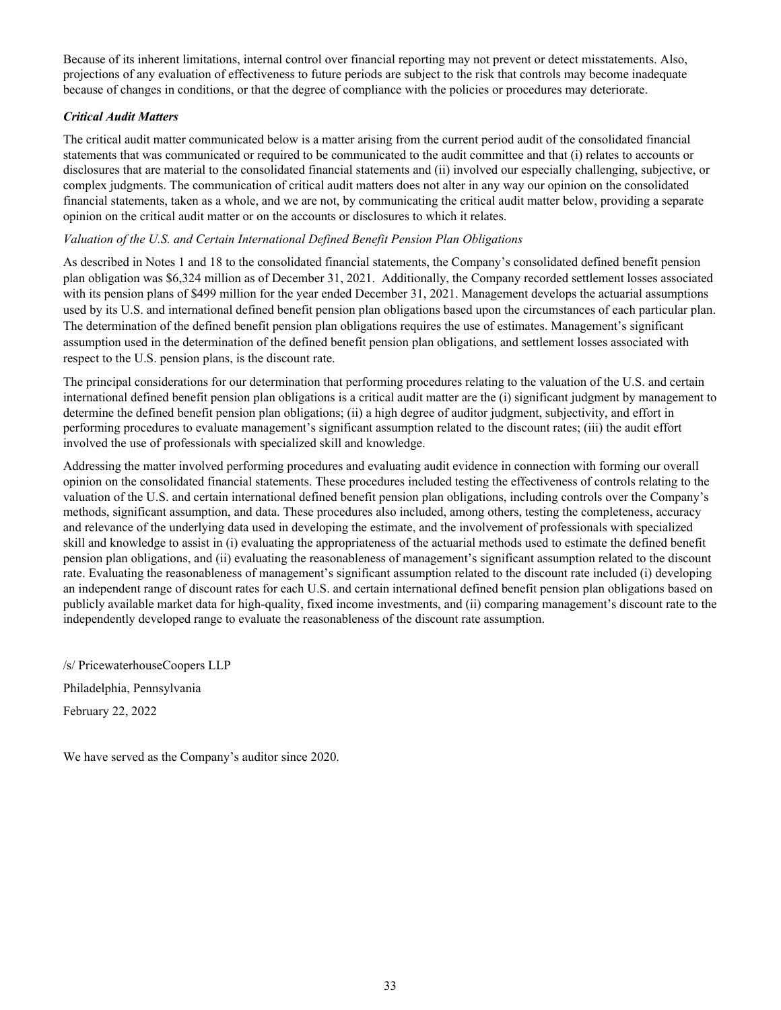Because of its inherent limitations, internal control over financial reporting may not prevent or detect misstatements. Also, projections of any evaluation of effectiveness to future periods are subject to the risk that controls may become inadequate because of changes in conditions, or that the degree of compliance with the policies or procedures may deteriorate.

### *Critical Audit Matters*

The critical audit matter communicated below is a matter arising from the current period audit of the consolidated financial statements that was communicated or required to be communicated to the audit committee and that (i) relates to accounts or disclosures that are material to the consolidated financial statements and (ii) involved our especially challenging, subjective, or complex judgments. The communication of critical audit matters does not alter in any way our opinion on the consolidated financial statements, taken as a whole, and we are not, by communicating the critical audit matter below, providing a separate opinion on the critical audit matter or on the accounts or disclosures to which it relates.

### *Valuation of the U.S. and Certain International Defined Benefit Pension Plan Obligations*

As described in Notes 1 and 18 to the consolidated financial statements, the Company's consolidated defined benefit pension plan obligation was \$6,324 million as of December 31, 2021. Additionally, the Company recorded settlement losses associated with its pension plans of \$499 million for the year ended December 31, 2021. Management develops the actuarial assumptions used by its U.S. and international defined benefit pension plan obligations based upon the circumstances of each particular plan. The determination of the defined benefit pension plan obligations requires the use of estimates. Management's significant assumption used in the determination of the defined benefit pension plan obligations, and settlement losses associated with respect to the U.S. pension plans, is the discount rate.

The principal considerations for our determination that performing procedures relating to the valuation of the U.S. and certain international defined benefit pension plan obligations is a critical audit matter are the (i) significant judgment by management to determine the defined benefit pension plan obligations; (ii) a high degree of auditor judgment, subjectivity, and effort in performing procedures to evaluate management's significant assumption related to the discount rates; (iii) the audit effort involved the use of professionals with specialized skill and knowledge.

Addressing the matter involved performing procedures and evaluating audit evidence in connection with forming our overall opinion on the consolidated financial statements. These procedures included testing the effectiveness of controls relating to the valuation of the U.S. and certain international defined benefit pension plan obligations, including controls over the Company's methods, significant assumption, and data. These procedures also included, among others, testing the completeness, accuracy and relevance of the underlying data used in developing the estimate, and the involvement of professionals with specialized skill and knowledge to assist in (i) evaluating the appropriateness of the actuarial methods used to estimate the defined benefit pension plan obligations, and (ii) evaluating the reasonableness of management's significant assumption related to the discount rate. Evaluating the reasonableness of management's significant assumption related to the discount rate included (i) developing an independent range of discount rates for each U.S. and certain international defined benefit pension plan obligations based on publicly available market data for high-quality, fixed income investments, and (ii) comparing management's discount rate to the independently developed range to evaluate the reasonableness of the discount rate assumption.

/s/ PricewaterhouseCoopers LLP Philadelphia, Pennsylvania February 22, 2022

We have served as the Company's auditor since 2020.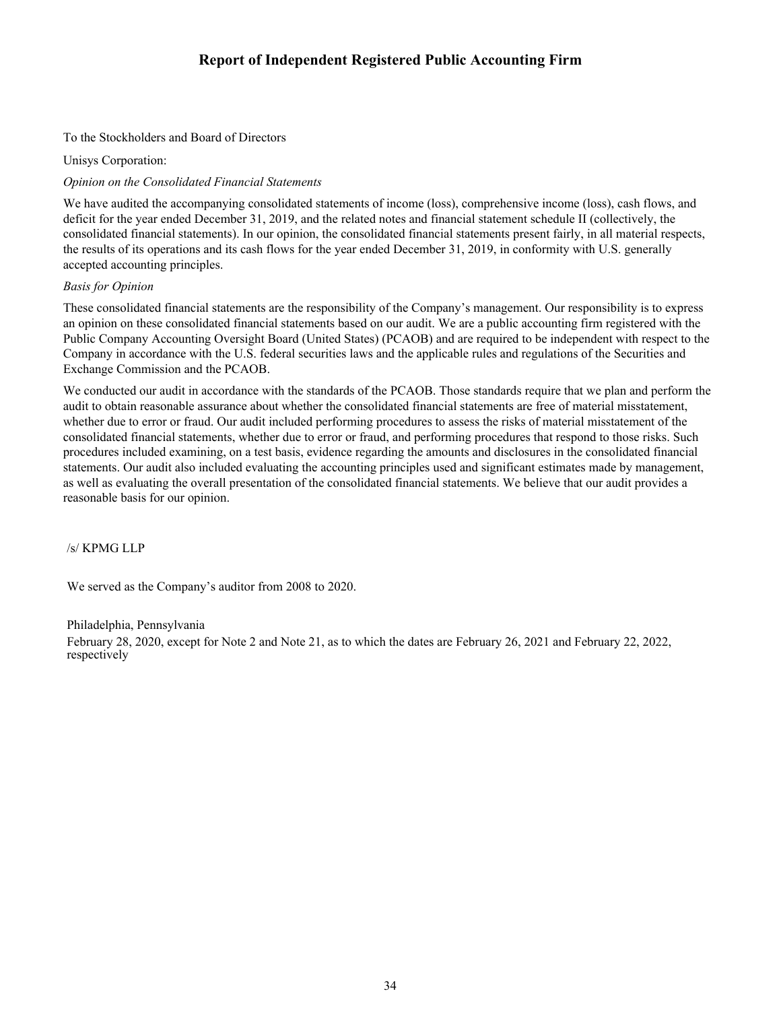# **Report of Independent Registered Public Accounting Firm**

### To the Stockholders and Board of Directors

Unisys Corporation:

### *Opinion on the Consolidated Financial Statements*

We have audited the accompanying consolidated statements of income (loss), comprehensive income (loss), cash flows, and deficit for the year ended December 31, 2019, and the related notes and financial statement schedule II (collectively, the consolidated financial statements). In our opinion, the consolidated financial statements present fairly, in all material respects, the results of its operations and its cash flows for the year ended December 31, 2019, in conformity with U.S. generally accepted accounting principles.

### *Basis for Opinion*

These consolidated financial statements are the responsibility of the Company's management. Our responsibility is to express an opinion on these consolidated financial statements based on our audit. We are a public accounting firm registered with the Public Company Accounting Oversight Board (United States) (PCAOB) and are required to be independent with respect to the Company in accordance with the U.S. federal securities laws and the applicable rules and regulations of the Securities and Exchange Commission and the PCAOB.

We conducted our audit in accordance with the standards of the PCAOB. Those standards require that we plan and perform the audit to obtain reasonable assurance about whether the consolidated financial statements are free of material misstatement, whether due to error or fraud. Our audit included performing procedures to assess the risks of material misstatement of the consolidated financial statements, whether due to error or fraud, and performing procedures that respond to those risks. Such procedures included examining, on a test basis, evidence regarding the amounts and disclosures in the consolidated financial statements. Our audit also included evaluating the accounting principles used and significant estimates made by management, as well as evaluating the overall presentation of the consolidated financial statements. We believe that our audit provides a reasonable basis for our opinion.

/s/ KPMG LLP

We served as the Company's auditor from 2008 to 2020.

### Philadelphia, Pennsylvania

February 28, 2020, except for Note 2 and Note 21, as to which the dates are February 26, 2021 and February 22, 2022, respectively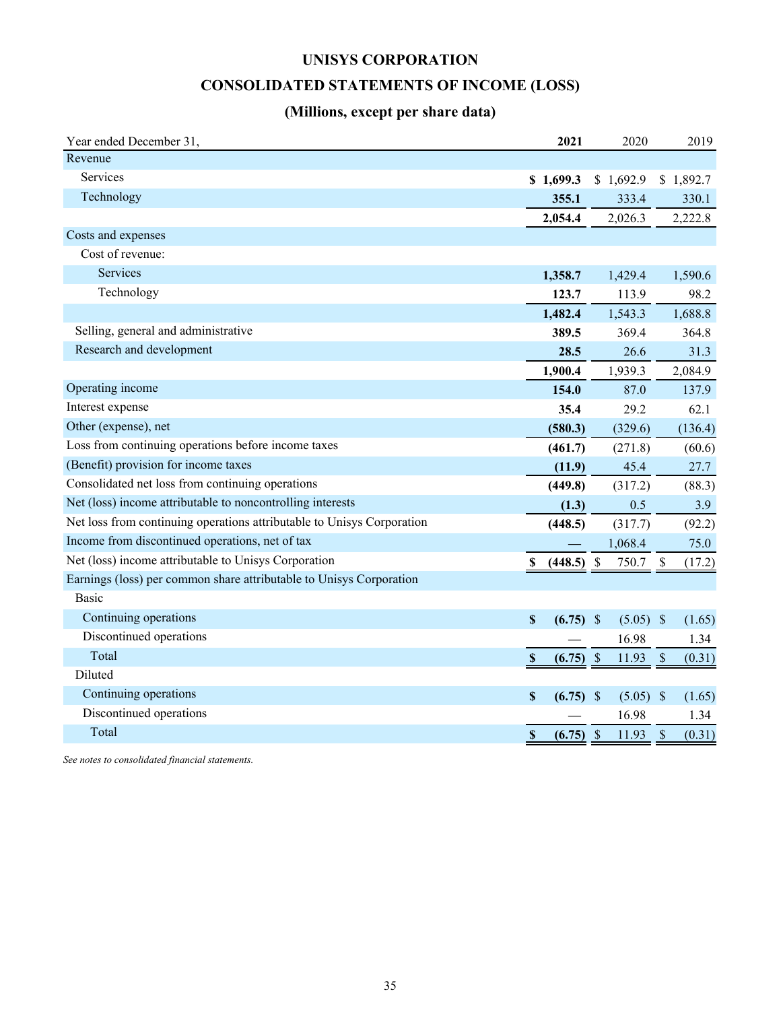# **UNISYS CORPORATION**

# **CONSOLIDATED STATEMENTS OF INCOME (LOSS)**

# **(Millions, except per share data)**

<span id="page-34-0"></span>

| Year ended December 31,                                                | 2021                                | 2020                               | 2019                                |
|------------------------------------------------------------------------|-------------------------------------|------------------------------------|-------------------------------------|
| Revenue                                                                |                                     |                                    |                                     |
| Services                                                               | \$1,699.3                           | \$1,692.9                          | \$1,892.7                           |
| Technology                                                             | 355.1                               | 333.4                              | 330.1                               |
|                                                                        | 2,054.4                             | 2,026.3                            | 2,222.8                             |
| Costs and expenses                                                     |                                     |                                    |                                     |
| Cost of revenue:                                                       |                                     |                                    |                                     |
| <b>Services</b>                                                        | 1,358.7                             | 1,429.4                            | 1,590.6                             |
| Technology                                                             | 123.7                               | 113.9                              | 98.2                                |
|                                                                        | 1,482.4                             | 1,543.3                            | 1,688.8                             |
| Selling, general and administrative                                    | 389.5                               | 369.4                              | 364.8                               |
| Research and development                                               | 28.5                                | 26.6                               | 31.3                                |
|                                                                        | 1,900.4                             | 1,939.3                            | 2,084.9                             |
| Operating income                                                       | 154.0                               | 87.0                               | 137.9                               |
| Interest expense                                                       | 35.4                                | 29.2                               | 62.1                                |
| Other (expense), net                                                   | (580.3)                             | (329.6)                            | (136.4)                             |
| Loss from continuing operations before income taxes                    | (461.7)                             | (271.8)                            | (60.6)                              |
| (Benefit) provision for income taxes                                   | (11.9)                              | 45.4                               | 27.7                                |
| Consolidated net loss from continuing operations                       | (449.8)                             | (317.2)                            | (88.3)                              |
| Net (loss) income attributable to noncontrolling interests             | (1.3)                               | 0.5                                | 3.9                                 |
| Net loss from continuing operations attributable to Unisys Corporation | (448.5)                             | (317.7)                            | (92.2)                              |
| Income from discontinued operations, net of tax                        |                                     | 1,068.4                            | 75.0                                |
| Net (loss) income attributable to Unisys Corporation                   | (448.5)<br>S,                       | $\boldsymbol{\mathsf{S}}$<br>750.7 | $\boldsymbol{\mathsf{S}}$<br>(17.2) |
| Earnings (loss) per common share attributable to Unisys Corporation    |                                     |                                    |                                     |
| <b>Basic</b>                                                           |                                     |                                    |                                     |
| Continuing operations                                                  | $\mathbb S$<br>$(6.75)$ \$          | $(5.05)$ \$                        | (1.65)                              |
| Discontinued operations                                                |                                     | 16.98                              | 1.34                                |
| Total                                                                  | (6.75)<br>$\boldsymbol{\mathsf{S}}$ | $\mathcal{S}$<br>11.93             | $\mathcal{S}$<br>(0.31)             |
| Diluted                                                                |                                     |                                    |                                     |
| Continuing operations                                                  | S<br>(6.75)                         | - \$<br>$(5.05)$ \$                | (1.65)                              |
| Discontinued operations                                                |                                     | 16.98                              | 1.34                                |
| Total                                                                  | $\boldsymbol{\mathsf{S}}$<br>(6.75) | \$<br>11.93                        | \$<br>(0.31)                        |

*See notes to consolidated financial statements.*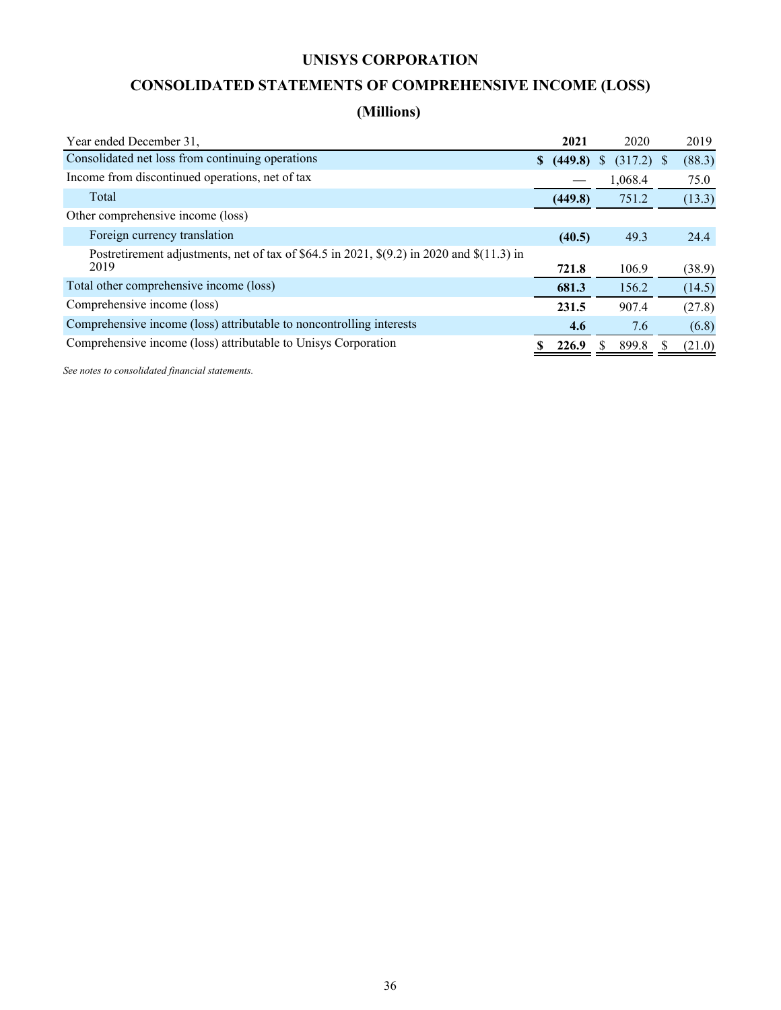# **UNISYS CORPORATION**

# **CONSOLIDATED STATEMENTS OF COMPREHENSIVE INCOME (LOSS)**

# **(Millions)**

<span id="page-35-0"></span>

| Year ended December 31.                                                                               |              | 2021    | 2020               | 2019   |
|-------------------------------------------------------------------------------------------------------|--------------|---------|--------------------|--------|
| Consolidated net loss from continuing operations                                                      | <sup>S</sup> | (449.8) | $(317.2)$ \$<br>S. | (88.3) |
| Income from discontinued operations, net of tax                                                       |              |         | 1,068.4            | 75.0   |
| Total                                                                                                 |              | (449.8) | 751.2              | (13.3) |
| Other comprehensive income (loss)                                                                     |              |         |                    |        |
| Foreign currency translation                                                                          |              | (40.5)  | 49.3               | 24.4   |
| Postretirement adjustments, net of tax of \$64.5 in 2021, $\S(9.2)$ in 2020 and $\S(11.3)$ in<br>2019 |              | 721.8   | 106.9              | (38.9) |
| Total other comprehensive income (loss)                                                               |              | 681.3   | 156.2              | (14.5) |
| Comprehensive income (loss)                                                                           |              | 231.5   | 907.4              | (27.8) |
| Comprehensive income (loss) attributable to noncontrolling interests                                  |              | 4.6     | 7.6                | (6.8)  |
| Comprehensive income (loss) attributable to Unisys Corporation                                        |              | 226.9   | 899.8              | (21.0) |

*See notes to consolidated financial statements.*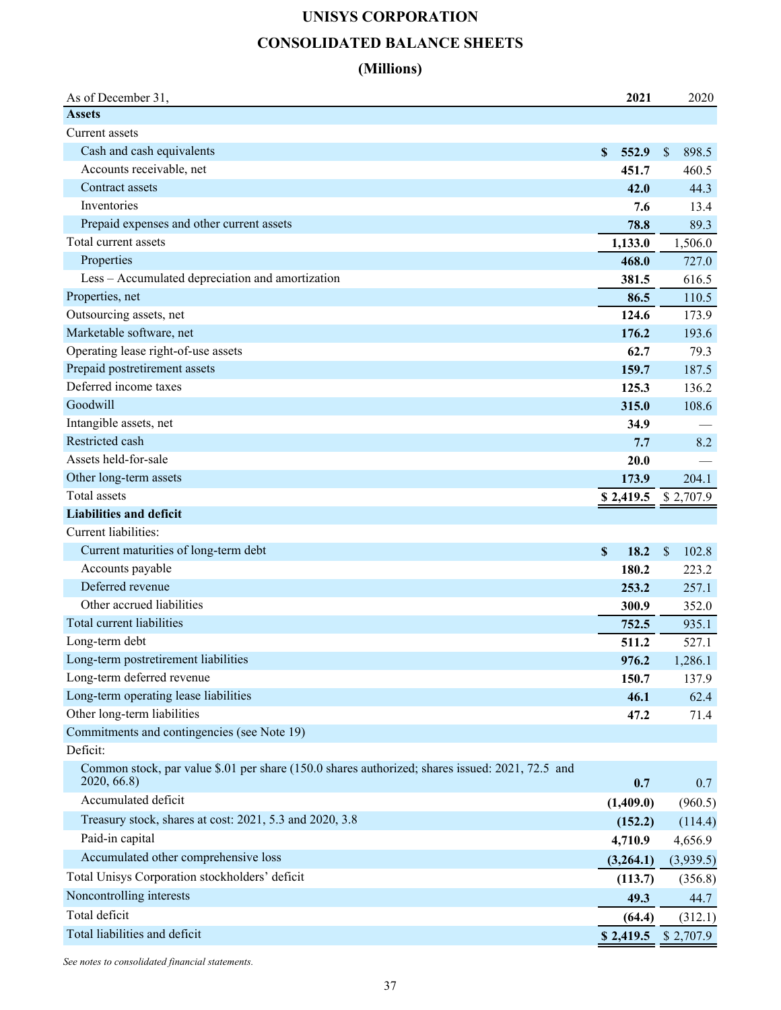# **UNISYS CORPORATION CONSOLIDATED BALANCE SHEETS**

## **(Millions)**

| <b>Assets</b><br>Current assets<br>Cash and cash equivalents<br>\$<br>898.5<br>\$<br>552.9<br>Accounts receivable, net<br>451.7<br>460.5<br>Contract assets<br>42.0<br>44.3<br>Inventories<br>13.4<br>7.6<br>Prepaid expenses and other current assets<br>78.8<br>89.3<br>Total current assets<br>1,506.0<br>1,133.0<br>Properties<br>468.0<br>727.0<br>Less – Accumulated depreciation and amortization<br>381.5<br>616.5<br>Properties, net<br>86.5<br>110.5<br>Outsourcing assets, net<br>124.6<br>173.9<br>Marketable software, net<br>176.2<br>193.6<br>Operating lease right-of-use assets<br>62.7<br>79.3<br>Prepaid postretirement assets<br>187.5<br>159.7<br>Deferred income taxes<br>125.3<br>136.2<br>Goodwill<br>108.6<br>315.0<br>Intangible assets, net<br>34.9<br>Restricted cash<br>8.2<br>7.7<br>Assets held-for-sale<br>20.0<br>Other long-term assets<br>173.9<br>204.1<br>Total assets<br>\$2,707.9<br>\$2,419.5<br><b>Liabilities and deficit</b><br>Current liabilities:<br>Current maturities of long-term debt<br>\$<br>18.2<br>$\mathsf{\$}$<br>102.8<br>Accounts payable<br>180.2<br>223.2<br>Deferred revenue<br>253.2<br>257.1<br>Other accrued liabilities<br>352.0<br>300.9 |
|------------------------------------------------------------------------------------------------------------------------------------------------------------------------------------------------------------------------------------------------------------------------------------------------------------------------------------------------------------------------------------------------------------------------------------------------------------------------------------------------------------------------------------------------------------------------------------------------------------------------------------------------------------------------------------------------------------------------------------------------------------------------------------------------------------------------------------------------------------------------------------------------------------------------------------------------------------------------------------------------------------------------------------------------------------------------------------------------------------------------------------------------------------------------------------------------------------|
|                                                                                                                                                                                                                                                                                                                                                                                                                                                                                                                                                                                                                                                                                                                                                                                                                                                                                                                                                                                                                                                                                                                                                                                                            |
|                                                                                                                                                                                                                                                                                                                                                                                                                                                                                                                                                                                                                                                                                                                                                                                                                                                                                                                                                                                                                                                                                                                                                                                                            |
|                                                                                                                                                                                                                                                                                                                                                                                                                                                                                                                                                                                                                                                                                                                                                                                                                                                                                                                                                                                                                                                                                                                                                                                                            |
|                                                                                                                                                                                                                                                                                                                                                                                                                                                                                                                                                                                                                                                                                                                                                                                                                                                                                                                                                                                                                                                                                                                                                                                                            |
|                                                                                                                                                                                                                                                                                                                                                                                                                                                                                                                                                                                                                                                                                                                                                                                                                                                                                                                                                                                                                                                                                                                                                                                                            |
|                                                                                                                                                                                                                                                                                                                                                                                                                                                                                                                                                                                                                                                                                                                                                                                                                                                                                                                                                                                                                                                                                                                                                                                                            |
|                                                                                                                                                                                                                                                                                                                                                                                                                                                                                                                                                                                                                                                                                                                                                                                                                                                                                                                                                                                                                                                                                                                                                                                                            |
|                                                                                                                                                                                                                                                                                                                                                                                                                                                                                                                                                                                                                                                                                                                                                                                                                                                                                                                                                                                                                                                                                                                                                                                                            |
|                                                                                                                                                                                                                                                                                                                                                                                                                                                                                                                                                                                                                                                                                                                                                                                                                                                                                                                                                                                                                                                                                                                                                                                                            |
|                                                                                                                                                                                                                                                                                                                                                                                                                                                                                                                                                                                                                                                                                                                                                                                                                                                                                                                                                                                                                                                                                                                                                                                                            |
|                                                                                                                                                                                                                                                                                                                                                                                                                                                                                                                                                                                                                                                                                                                                                                                                                                                                                                                                                                                                                                                                                                                                                                                                            |
|                                                                                                                                                                                                                                                                                                                                                                                                                                                                                                                                                                                                                                                                                                                                                                                                                                                                                                                                                                                                                                                                                                                                                                                                            |
|                                                                                                                                                                                                                                                                                                                                                                                                                                                                                                                                                                                                                                                                                                                                                                                                                                                                                                                                                                                                                                                                                                                                                                                                            |
|                                                                                                                                                                                                                                                                                                                                                                                                                                                                                                                                                                                                                                                                                                                                                                                                                                                                                                                                                                                                                                                                                                                                                                                                            |
|                                                                                                                                                                                                                                                                                                                                                                                                                                                                                                                                                                                                                                                                                                                                                                                                                                                                                                                                                                                                                                                                                                                                                                                                            |
|                                                                                                                                                                                                                                                                                                                                                                                                                                                                                                                                                                                                                                                                                                                                                                                                                                                                                                                                                                                                                                                                                                                                                                                                            |
|                                                                                                                                                                                                                                                                                                                                                                                                                                                                                                                                                                                                                                                                                                                                                                                                                                                                                                                                                                                                                                                                                                                                                                                                            |
|                                                                                                                                                                                                                                                                                                                                                                                                                                                                                                                                                                                                                                                                                                                                                                                                                                                                                                                                                                                                                                                                                                                                                                                                            |
|                                                                                                                                                                                                                                                                                                                                                                                                                                                                                                                                                                                                                                                                                                                                                                                                                                                                                                                                                                                                                                                                                                                                                                                                            |
|                                                                                                                                                                                                                                                                                                                                                                                                                                                                                                                                                                                                                                                                                                                                                                                                                                                                                                                                                                                                                                                                                                                                                                                                            |
|                                                                                                                                                                                                                                                                                                                                                                                                                                                                                                                                                                                                                                                                                                                                                                                                                                                                                                                                                                                                                                                                                                                                                                                                            |
|                                                                                                                                                                                                                                                                                                                                                                                                                                                                                                                                                                                                                                                                                                                                                                                                                                                                                                                                                                                                                                                                                                                                                                                                            |
|                                                                                                                                                                                                                                                                                                                                                                                                                                                                                                                                                                                                                                                                                                                                                                                                                                                                                                                                                                                                                                                                                                                                                                                                            |
|                                                                                                                                                                                                                                                                                                                                                                                                                                                                                                                                                                                                                                                                                                                                                                                                                                                                                                                                                                                                                                                                                                                                                                                                            |
|                                                                                                                                                                                                                                                                                                                                                                                                                                                                                                                                                                                                                                                                                                                                                                                                                                                                                                                                                                                                                                                                                                                                                                                                            |
|                                                                                                                                                                                                                                                                                                                                                                                                                                                                                                                                                                                                                                                                                                                                                                                                                                                                                                                                                                                                                                                                                                                                                                                                            |
|                                                                                                                                                                                                                                                                                                                                                                                                                                                                                                                                                                                                                                                                                                                                                                                                                                                                                                                                                                                                                                                                                                                                                                                                            |
|                                                                                                                                                                                                                                                                                                                                                                                                                                                                                                                                                                                                                                                                                                                                                                                                                                                                                                                                                                                                                                                                                                                                                                                                            |
| Total current liabilities<br>752.5<br>935.1                                                                                                                                                                                                                                                                                                                                                                                                                                                                                                                                                                                                                                                                                                                                                                                                                                                                                                                                                                                                                                                                                                                                                                |
| Long-term debt<br>511.2<br>527.1                                                                                                                                                                                                                                                                                                                                                                                                                                                                                                                                                                                                                                                                                                                                                                                                                                                                                                                                                                                                                                                                                                                                                                           |
| Long-term postretirement liabilities<br>976.2<br>1,286.1                                                                                                                                                                                                                                                                                                                                                                                                                                                                                                                                                                                                                                                                                                                                                                                                                                                                                                                                                                                                                                                                                                                                                   |
| Long-term deferred revenue<br>150.7<br>137.9                                                                                                                                                                                                                                                                                                                                                                                                                                                                                                                                                                                                                                                                                                                                                                                                                                                                                                                                                                                                                                                                                                                                                               |
| Long-term operating lease liabilities<br>46.1<br>62.4                                                                                                                                                                                                                                                                                                                                                                                                                                                                                                                                                                                                                                                                                                                                                                                                                                                                                                                                                                                                                                                                                                                                                      |
| Other long-term liabilities<br>47.2<br>71.4                                                                                                                                                                                                                                                                                                                                                                                                                                                                                                                                                                                                                                                                                                                                                                                                                                                                                                                                                                                                                                                                                                                                                                |
| Commitments and contingencies (see Note 19)                                                                                                                                                                                                                                                                                                                                                                                                                                                                                                                                                                                                                                                                                                                                                                                                                                                                                                                                                                                                                                                                                                                                                                |
| Deficit:                                                                                                                                                                                                                                                                                                                                                                                                                                                                                                                                                                                                                                                                                                                                                                                                                                                                                                                                                                                                                                                                                                                                                                                                   |
| Common stock, par value \$.01 per share (150.0 shares authorized; shares issued: 2021, 72.5 and<br>2020, 66.8)<br>0.7<br>0.7                                                                                                                                                                                                                                                                                                                                                                                                                                                                                                                                                                                                                                                                                                                                                                                                                                                                                                                                                                                                                                                                               |
| Accumulated deficit<br>(960.5)<br>(1,409.0)                                                                                                                                                                                                                                                                                                                                                                                                                                                                                                                                                                                                                                                                                                                                                                                                                                                                                                                                                                                                                                                                                                                                                                |
| Treasury stock, shares at cost: 2021, 5.3 and 2020, 3.8<br>(152.2)<br>(114.4)                                                                                                                                                                                                                                                                                                                                                                                                                                                                                                                                                                                                                                                                                                                                                                                                                                                                                                                                                                                                                                                                                                                              |
| Paid-in capital<br>4,656.9<br>4,710.9                                                                                                                                                                                                                                                                                                                                                                                                                                                                                                                                                                                                                                                                                                                                                                                                                                                                                                                                                                                                                                                                                                                                                                      |
| Accumulated other comprehensive loss<br>(3,264.1)<br>(3,939.5)                                                                                                                                                                                                                                                                                                                                                                                                                                                                                                                                                                                                                                                                                                                                                                                                                                                                                                                                                                                                                                                                                                                                             |
| Total Unisys Corporation stockholders' deficit<br>(113.7)<br>(356.8)                                                                                                                                                                                                                                                                                                                                                                                                                                                                                                                                                                                                                                                                                                                                                                                                                                                                                                                                                                                                                                                                                                                                       |
| Noncontrolling interests<br>49.3<br>44.7                                                                                                                                                                                                                                                                                                                                                                                                                                                                                                                                                                                                                                                                                                                                                                                                                                                                                                                                                                                                                                                                                                                                                                   |
| Total deficit<br>(312.1)<br>(64.4)                                                                                                                                                                                                                                                                                                                                                                                                                                                                                                                                                                                                                                                                                                                                                                                                                                                                                                                                                                                                                                                                                                                                                                         |
| Total liabilities and deficit<br>\$2,419.5<br>\$2,707.9                                                                                                                                                                                                                                                                                                                                                                                                                                                                                                                                                                                                                                                                                                                                                                                                                                                                                                                                                                                                                                                                                                                                                    |

*See notes to consolidated financial statements.*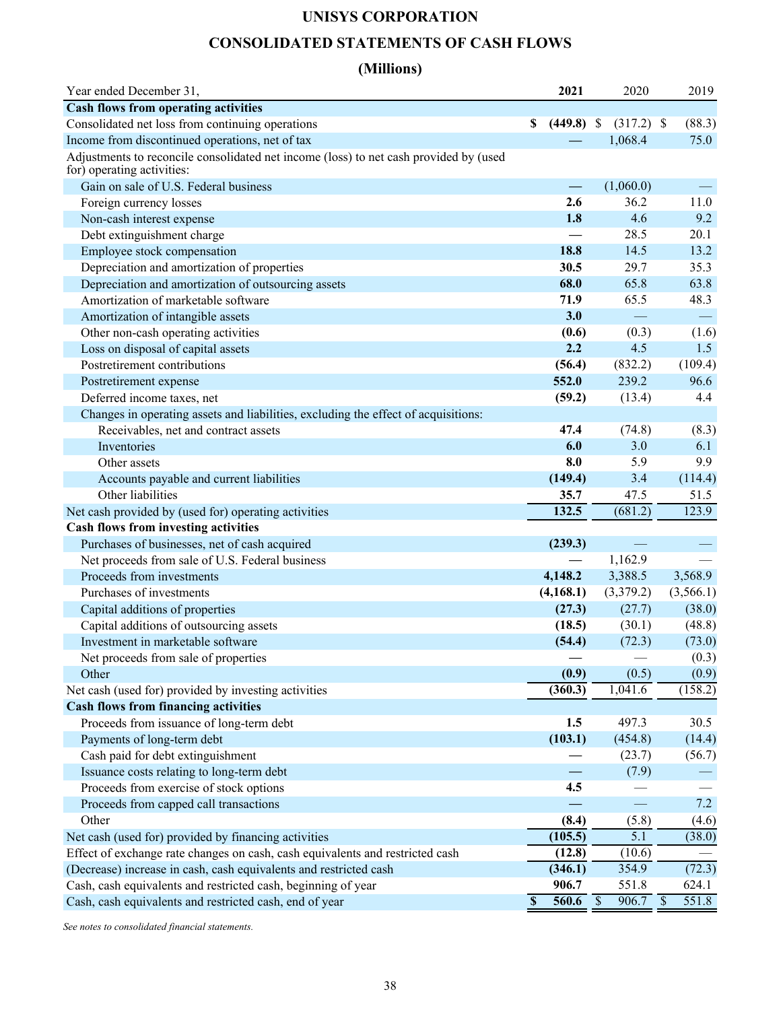## **UNISYS CORPORATION**

## **CONSOLIDATED STATEMENTS OF CASH FLOWS**

## **(Millions)**

| Year ended December 31,                                                                                             | 2021                               | 2020                     | 2019                   |
|---------------------------------------------------------------------------------------------------------------------|------------------------------------|--------------------------|------------------------|
| <b>Cash flows from operating activities</b>                                                                         |                                    |                          |                        |
| Consolidated net loss from continuing operations                                                                    | \$<br>$(449.8)$ \$                 | $(317.2)$ \$             | (88.3)                 |
| Income from discontinued operations, net of tax                                                                     |                                    | 1,068.4                  | 75.0                   |
| Adjustments to reconcile consolidated net income (loss) to net cash provided by (used<br>for) operating activities: |                                    |                          |                        |
| Gain on sale of U.S. Federal business                                                                               | $\overline{\phantom{m}}$           | (1,060.0)                |                        |
| Foreign currency losses                                                                                             | 2.6                                | 36.2                     | 11.0                   |
| Non-cash interest expense                                                                                           | 1.8                                | 4.6                      | 9.2                    |
| Debt extinguishment charge                                                                                          |                                    | 28.5                     | 20.1                   |
| Employee stock compensation                                                                                         | 18.8                               | 14.5                     | 13.2                   |
| Depreciation and amortization of properties                                                                         | 30.5                               | 29.7                     | 35.3                   |
| Depreciation and amortization of outsourcing assets                                                                 | 68.0                               | 65.8                     | 63.8                   |
| Amortization of marketable software                                                                                 | 71.9                               | 65.5                     | 48.3                   |
| Amortization of intangible assets                                                                                   | 3.0                                | $\equiv$                 |                        |
| Other non-cash operating activities                                                                                 | (0.6)                              | (0.3)                    | (1.6)                  |
| Loss on disposal of capital assets                                                                                  | 2.2                                | 4.5                      | 1.5                    |
| Postretirement contributions                                                                                        | (56.4)                             | (832.2)                  | (109.4)                |
| Postretirement expense                                                                                              | 552.0                              | 239.2                    | 96.6                   |
| Deferred income taxes, net                                                                                          | (59.2)                             | (13.4)                   | 4.4                    |
| Changes in operating assets and liabilities, excluding the effect of acquisitions:                                  |                                    |                          |                        |
| Receivables, net and contract assets                                                                                | 47.4                               | (74.8)                   | (8.3)                  |
| Inventories                                                                                                         | 6.0                                | 3.0                      | 6.1                    |
| Other assets                                                                                                        | 8.0                                | 5.9                      | 9.9                    |
| Accounts payable and current liabilities                                                                            | (149.4)                            | 3.4                      | (114.4)                |
| Other liabilities                                                                                                   | 35.7                               | 47.5                     | 51.5                   |
| Net cash provided by (used for) operating activities                                                                | 132.5                              | (681.2)                  | 123.9                  |
| <b>Cash flows from investing activities</b>                                                                         |                                    |                          |                        |
| Purchases of businesses, net of cash acquired                                                                       | (239.3)                            |                          |                        |
| Net proceeds from sale of U.S. Federal business                                                                     |                                    | 1,162.9                  |                        |
| Proceeds from investments                                                                                           | 4,148.2                            | 3,388.5                  | 3,568.9                |
| Purchases of investments                                                                                            | (4,168.1)                          | (3,379.2)                | (3,566.1)              |
| Capital additions of properties                                                                                     | (27.3)                             | (27.7)                   | (38.0)                 |
| Capital additions of outsourcing assets                                                                             | (18.5)                             | (30.1)                   | (48.8)                 |
| Investment in marketable software                                                                                   | (54.4)                             | (72.3)                   | (73.0)                 |
| Net proceeds from sale of properties                                                                                |                                    | $\overline{\phantom{0}}$ | (0.3)                  |
| Other                                                                                                               | (0.9)                              | (0.5)                    | (0.9)                  |
| Net cash (used for) provided by investing activities                                                                | (360.3)                            | 1,041.6                  | (158.2)                |
| <b>Cash flows from financing activities</b>                                                                         |                                    |                          |                        |
| Proceeds from issuance of long-term debt                                                                            | 1.5                                | 497.3                    | 30.5                   |
| Payments of long-term debt                                                                                          | (103.1)                            | (454.8)                  | (14.4)                 |
| Cash paid for debt extinguishment                                                                                   |                                    | (23.7)                   | (56.7)                 |
| Issuance costs relating to long-term debt                                                                           |                                    | (7.9)                    |                        |
| Proceeds from exercise of stock options                                                                             | 4.5                                |                          |                        |
| Proceeds from capped call transactions                                                                              |                                    |                          | 7.2                    |
| Other                                                                                                               | (8.4)                              | (5.8)                    | (4.6)                  |
| Net cash (used for) provided by financing activities                                                                | (105.5)                            | $\overline{5.1}$         | (38.0)                 |
| Effect of exchange rate changes on cash, cash equivalents and restricted cash                                       | (12.8)                             | (10.6)                   |                        |
| (Decrease) increase in cash, cash equivalents and restricted cash                                                   | (346.1)                            | 354.9                    | (72.3)                 |
| Cash, cash equivalents and restricted cash, beginning of year                                                       | 906.7                              | 551.8                    | 624.1                  |
| Cash, cash equivalents and restricted cash, end of year                                                             | $\boldsymbol{\mathsf{S}}$<br>560.6 | \$<br>906.7              | 551.8<br>$\mathcal{S}$ |
|                                                                                                                     |                                    |                          |                        |

*See notes to consolidated financial statements.*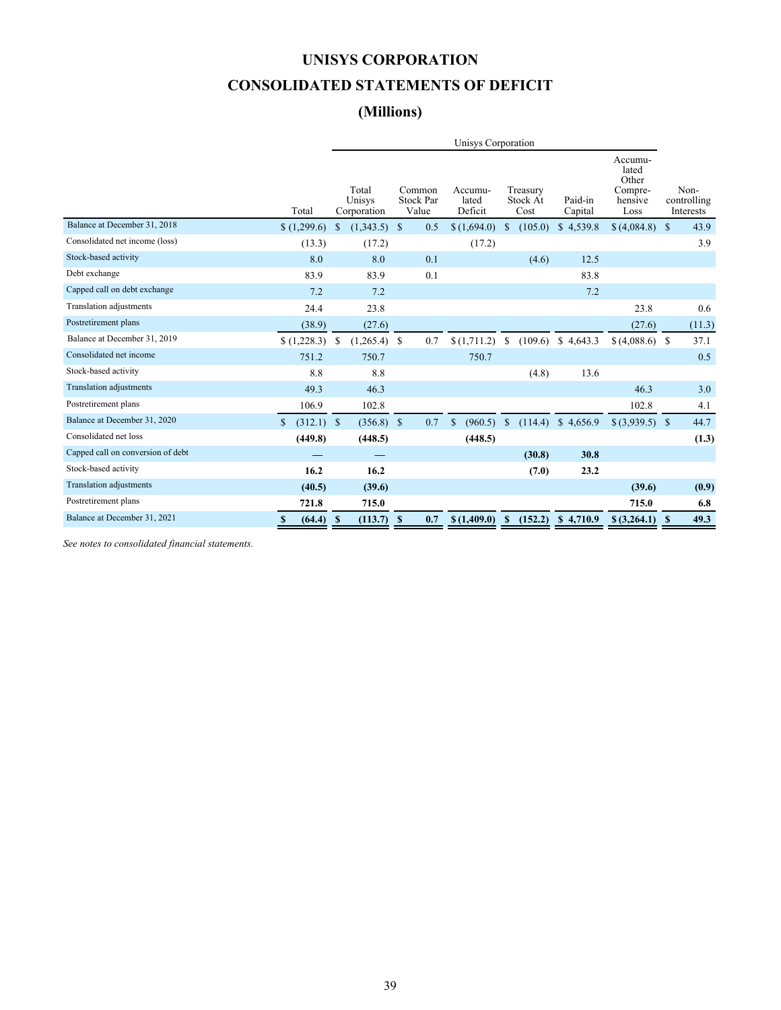## **UNISYS CORPORATION**

## **CONSOLIDATED STATEMENTS OF DEFICIT**

## **(Millions)**

|                                   |               |              |                                |                                     |     | Unisys Corporation          |               |                              |                    |      |                                                         |              |                                  |
|-----------------------------------|---------------|--------------|--------------------------------|-------------------------------------|-----|-----------------------------|---------------|------------------------------|--------------------|------|---------------------------------------------------------|--------------|----------------------------------|
|                                   | Total         |              | Total<br>Unisys<br>Corporation | Common<br><b>Stock Par</b><br>Value |     | Accumu-<br>lated<br>Deficit |               | Treasury<br>Stock At<br>Cost | Paid-in<br>Capital |      | Accumu-<br>lated<br>Other<br>Compre-<br>hensive<br>Loss |              | Non-<br>controlling<br>Interests |
| Balance at December 31, 2018      | (1,299.6)     | $\mathbf S$  | (1,343.5)                      | $\mathbb{S}$                        | 0.5 | \$(1,694.0)                 | \$.           | (105.0)                      | \$4,539.8          |      | \$(4,084.8)                                             | $\mathbb{S}$ | 43.9                             |
| Consolidated net income (loss)    | (13.3)        |              | (17.2)                         |                                     |     | (17.2)                      |               |                              |                    |      |                                                         |              | 3.9                              |
| Stock-based activity              | 8.0           |              | 8.0                            |                                     | 0.1 |                             |               | (4.6)                        |                    | 12.5 |                                                         |              |                                  |
| Debt exchange                     | 83.9          |              | 83.9                           |                                     | 0.1 |                             |               |                              |                    | 83.8 |                                                         |              |                                  |
| Capped call on debt exchange      | 7.2           |              | 7.2                            |                                     |     |                             |               |                              |                    | 7.2  |                                                         |              |                                  |
| Translation adjustments           | 24.4          |              | 23.8                           |                                     |     |                             |               |                              |                    |      | 23.8                                                    |              | 0.6                              |
| Postretirement plans              | (38.9)        |              | (27.6)                         |                                     |     |                             |               |                              |                    |      | (27.6)                                                  |              | (11.3)                           |
| Balance at December 31, 2019      | (1,228.3)     | S            | (1,265.4)                      | <sup>\$</sup>                       | 0.7 | \$(1,711.2)                 | <sup>S</sup>  | (109.6)                      | \$4,643.3          |      | \$ (4,088.6) \$                                         |              | 37.1                             |
| Consolidated net income           | 751.2         |              | 750.7                          |                                     |     | 750.7                       |               |                              |                    |      |                                                         |              | 0.5                              |
| Stock-based activity              | 8.8           |              | 8.8                            |                                     |     |                             |               | (4.8)                        |                    | 13.6 |                                                         |              |                                  |
| <b>Translation adjustments</b>    | 49.3          |              | 46.3                           |                                     |     |                             |               |                              |                    |      | 46.3                                                    |              | 3.0                              |
| Postretirement plans              | 106.9         |              | 102.8                          |                                     |     |                             |               |                              |                    |      | 102.8                                                   |              | 4.1                              |
| Balance at December 31, 2020      | \$<br>(312.1) | $\mathbf{s}$ | $(356.8)$ \$                   |                                     | 0.7 | $\mathbf S$<br>(960.5)      | <sup>\$</sup> | (114.4)                      | \$4,656.9          |      | $$(3,939.5)$ \;                                         |              | 44.7                             |
| Consolidated net loss             | (449.8)       |              | (448.5)                        |                                     |     | (448.5)                     |               |                              |                    |      |                                                         |              | (1.3)                            |
| Capped call on conversion of debt |               |              |                                |                                     |     |                             |               | (30.8)                       |                    | 30.8 |                                                         |              |                                  |
| Stock-based activity              | 16.2          |              | 16.2                           |                                     |     |                             |               | (7.0)                        |                    | 23.2 |                                                         |              |                                  |
| <b>Translation adjustments</b>    | (40.5)        |              | (39.6)                         |                                     |     |                             |               |                              |                    |      | (39.6)                                                  |              | (0.9)                            |
| Postretirement plans              | 721.8         |              | 715.0                          |                                     |     |                             |               |                              |                    |      | 715.0                                                   |              | 6.8                              |
| Balance at December 31, 2021      | (64.4)<br>\$  | -S           | (113.7)                        | -S                                  | 0.7 | \$(1,409.0)                 | Y.            | (152.2)                      | \$4,710.9          |      | $$$ $(3,264.1)$                                         | <b>S</b>     | 49.3                             |

*See notes to consolidated financial statements.*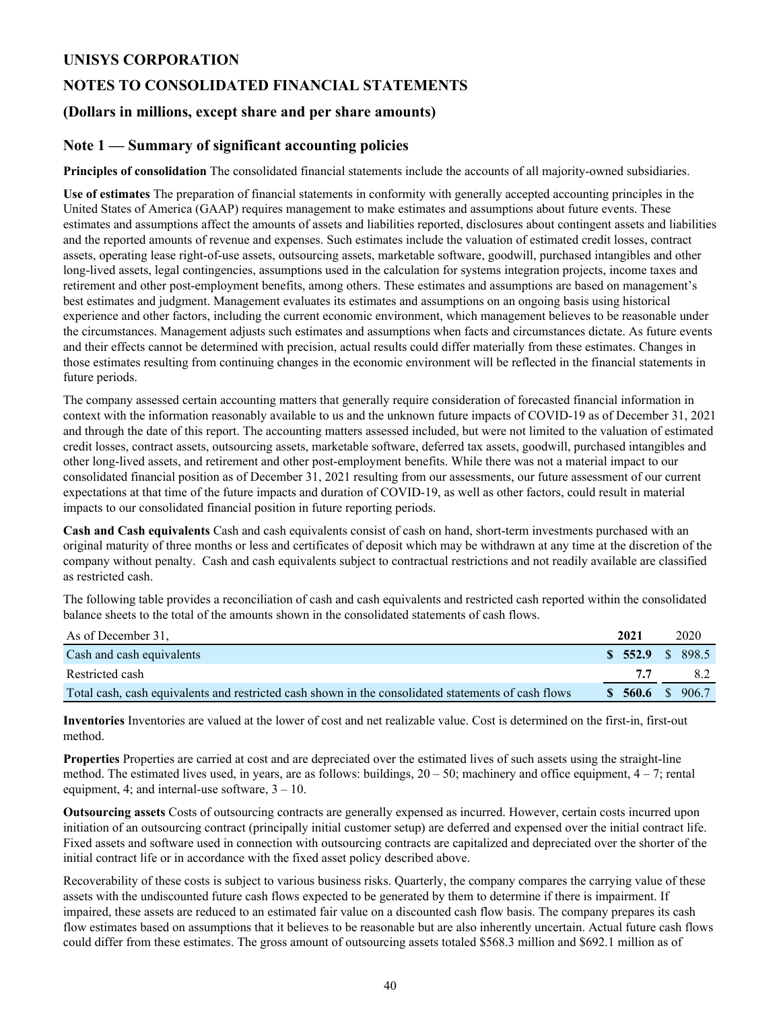## **UNISYS CORPORATION**

## **NOTES TO CONSOLIDATED FINANCIAL STATEMENTS**

## **(Dollars in millions, except share and per share amounts)**

### **Note 1 — Summary of significant accounting policies**

**Principles of consolidation** The consolidated financial statements include the accounts of all majority-owned subsidiaries.

**Use of estimates** The preparation of financial statements in conformity with generally accepted accounting principles in the United States of America (GAAP) requires management to make estimates and assumptions about future events. These estimates and assumptions affect the amounts of assets and liabilities reported, disclosures about contingent assets and liabilities and the reported amounts of revenue and expenses. Such estimates include the valuation of estimated credit losses, contract assets, operating lease right-of-use assets, outsourcing assets, marketable software, goodwill, purchased intangibles and other long-lived assets, legal contingencies, assumptions used in the calculation for systems integration projects, income taxes and retirement and other post-employment benefits, among others. These estimates and assumptions are based on management's best estimates and judgment. Management evaluates its estimates and assumptions on an ongoing basis using historical experience and other factors, including the current economic environment, which management believes to be reasonable under the circumstances. Management adjusts such estimates and assumptions when facts and circumstances dictate. As future events and their effects cannot be determined with precision, actual results could differ materially from these estimates. Changes in those estimates resulting from continuing changes in the economic environment will be reflected in the financial statements in future periods.

The company assessed certain accounting matters that generally require consideration of forecasted financial information in context with the information reasonably available to us and the unknown future impacts of COVID-19 as of December 31, 2021 and through the date of this report. The accounting matters assessed included, but were not limited to the valuation of estimated credit losses, contract assets, outsourcing assets, marketable software, deferred tax assets, goodwill, purchased intangibles and other long-lived assets, and retirement and other post-employment benefits. While there was not a material impact to our consolidated financial position as of December 31, 2021 resulting from our assessments, our future assessment of our current expectations at that time of the future impacts and duration of COVID-19, as well as other factors, could result in material impacts to our consolidated financial position in future reporting periods.

**Cash and Cash equivalents** Cash and cash equivalents consist of cash on hand, short-term investments purchased with an original maturity of three months or less and certificates of deposit which may be withdrawn at any time at the discretion of the company without penalty. Cash and cash equivalents subject to contractual restrictions and not readily available are classified as restricted cash.

The following table provides a reconciliation of cash and cash equivalents and restricted cash reported within the consolidated balance sheets to the total of the amounts shown in the consolidated statements of cash flows.

| As of December 31.                                                                                  | 2021            | 2020 |
|-----------------------------------------------------------------------------------------------------|-----------------|------|
| Cash and cash equivalents                                                                           | \$552.9 \$898.5 |      |
| Restricted cash                                                                                     | 77              | 82   |
| Total cash, cash equivalents and restricted cash shown in the consolidated statements of cash flows | \$560.6\$5906.7 |      |

**Inventories** Inventories are valued at the lower of cost and net realizable value. Cost is determined on the first-in, first-out method.

**Properties** Properties are carried at cost and are depreciated over the estimated lives of such assets using the straight-line method. The estimated lives used, in years, are as follows: buildings,  $20 - 50$ ; machinery and office equipment,  $4 - 7$ ; rental equipment, 4; and internal-use software,  $3 - 10$ .

**Outsourcing assets** Costs of outsourcing contracts are generally expensed as incurred. However, certain costs incurred upon initiation of an outsourcing contract (principally initial customer setup) are deferred and expensed over the initial contract life. Fixed assets and software used in connection with outsourcing contracts are capitalized and depreciated over the shorter of the initial contract life or in accordance with the fixed asset policy described above.

Recoverability of these costs is subject to various business risks. Quarterly, the company compares the carrying value of these assets with the undiscounted future cash flows expected to be generated by them to determine if there is impairment. If impaired, these assets are reduced to an estimated fair value on a discounted cash flow basis. The company prepares its cash flow estimates based on assumptions that it believes to be reasonable but are also inherently uncertain. Actual future cash flows could differ from these estimates. The gross amount of outsourcing assets totaled \$568.3 million and \$692.1 million as of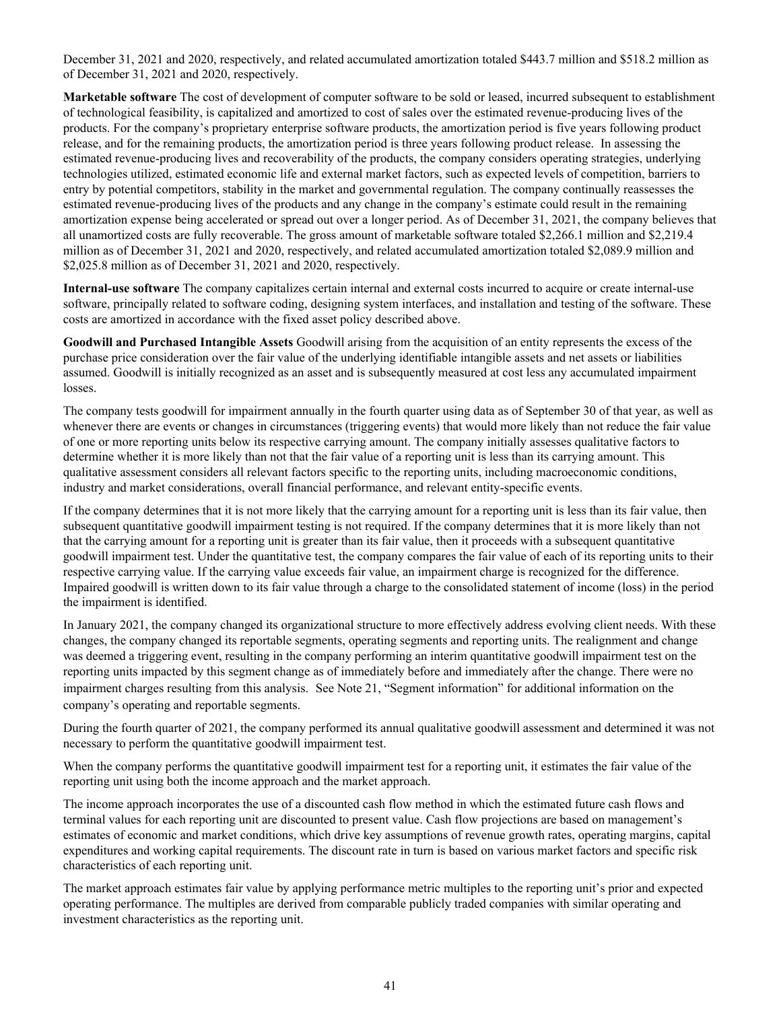December 31, 2021 and 2020, respectively, and related accumulated amortization totaled \$443.7 million and \$518.2 million as of December 31, 2021 and 2020, respectively.

**Marketable software** The cost of development of computer software to be sold or leased, incurred subsequent to establishment of technological feasibility, is capitalized and amortized to cost of sales over the estimated revenue-producing lives of the products. For the company's proprietary enterprise software products, the amortization period is five years following product release, and for the remaining products, the amortization period is three years following product release. In assessing the estimated revenue-producing lives and recoverability of the products, the company considers operating strategies, underlying technologies utilized, estimated economic life and external market factors, such as expected levels of competition, barriers to entry by potential competitors, stability in the market and governmental regulation. The company continually reassesses the estimated revenue-producing lives of the products and any change in the company's estimate could result in the remaining amortization expense being accelerated or spread out over a longer period. As of December 31, 2021, the company believes that all unamortized costs are fully recoverable. The gross amount of marketable software totaled \$2,266.1 million and \$2,219.4 million as of December 31, 2021 and 2020, respectively, and related accumulated amortization totaled \$2,089.9 million and \$2,025.8 million as of December 31, 2021 and 2020, respectively.

**Internal-use software** The company capitalizes certain internal and external costs incurred to acquire or create internal-use software, principally related to software coding, designing system interfaces, and installation and testing of the software. These costs are amortized in accordance with the fixed asset policy described above.

**Goodwill and Purchased Intangible Assets** Goodwill arising from the acquisition of an entity represents the excess of the purchase price consideration over the fair value of the underlying identifiable intangible assets and net assets or liabilities assumed. Goodwill is initially recognized as an asset and is subsequently measured at cost less any accumulated impairment losses.

The company tests goodwill for impairment annually in the fourth quarter using data as of September 30 of that year, as well as whenever there are events or changes in circumstances (triggering events) that would more likely than not reduce the fair value of one or more reporting units below its respective carrying amount. The company initially assesses qualitative factors to determine whether it is more likely than not that the fair value of a reporting unit is less than its carrying amount. This qualitative assessment considers all relevant factors specific to the reporting units, including macroeconomic conditions, industry and market considerations, overall financial performance, and relevant entity-specific events.

If the company determines that it is not more likely that the carrying amount for a reporting unit is less than its fair value, then subsequent quantitative goodwill impairment testing is not required. If the company determines that it is more likely than not that the carrying amount for a reporting unit is greater than its fair value, then it proceeds with a subsequent quantitative goodwill impairment test. Under the quantitative test, the company compares the fair value of each of its reporting units to their respective carrying value. If the carrying value exceeds fair value, an impairment charge is recognized for the difference. Impaired goodwill is written down to its fair value through a charge to the consolidated statement of income (loss) in the period the impairment is identified.

In January 2021, the company changed its organizational structure to more effectively address evolving client needs. With these changes, the company changed its reportable segments, operating segments and reporting units. The realignment and change was deemed a triggering event, resulting in the company performing an interim quantitative goodwill impairment test on the reporting units impacted by this segment change as of immediately before and immediately after the change. There were no impairment charges resulting from this analysis. See Note 21, "Segment information" for additional information on the company's operating and reportable segments.

During the fourth quarter of 2021, the company performed its annual qualitative goodwill assessment and determined it was not necessary to perform the quantitative goodwill impairment test.

When the company performs the quantitative goodwill impairment test for a reporting unit, it estimates the fair value of the reporting unit using both the income approach and the market approach.

The income approach incorporates the use of a discounted cash flow method in which the estimated future cash flows and terminal values for each reporting unit are discounted to present value. Cash flow projections are based on management's estimates of economic and market conditions, which drive key assumptions of revenue growth rates, operating margins, capital expenditures and working capital requirements. The discount rate in turn is based on various market factors and specific risk characteristics of each reporting unit.

The market approach estimates fair value by applying performance metric multiples to the reporting unit's prior and expected operating performance. The multiples are derived from comparable publicly traded companies with similar operating and investment characteristics as the reporting unit.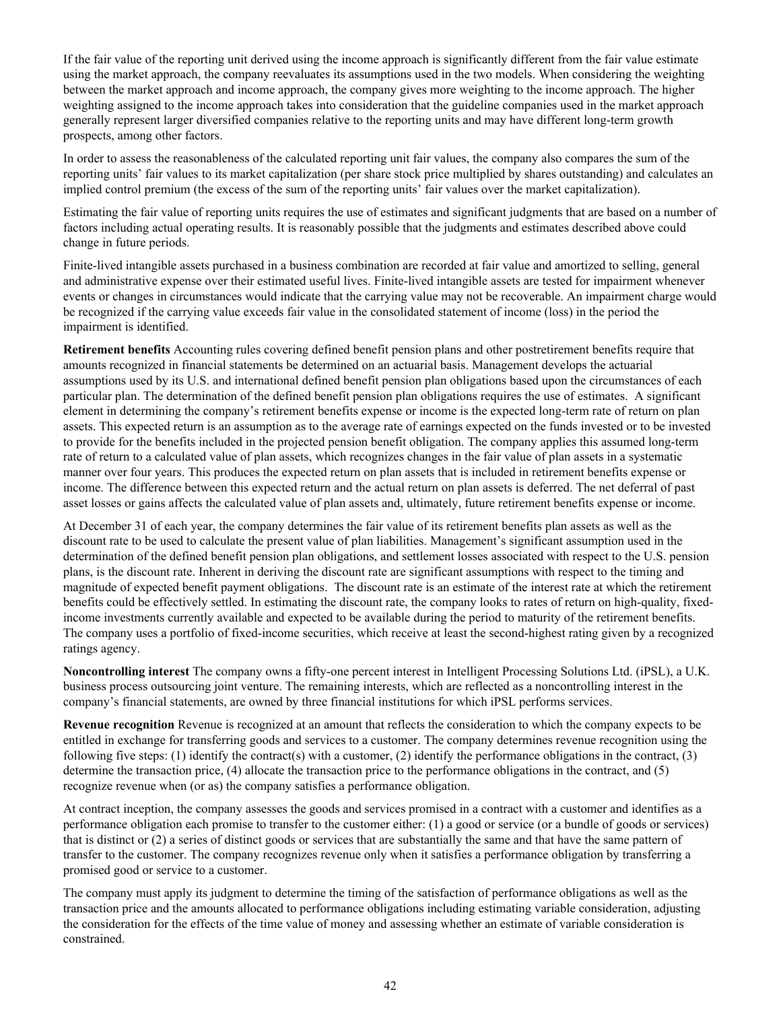If the fair value of the reporting unit derived using the income approach is significantly different from the fair value estimate using the market approach, the company reevaluates its assumptions used in the two models. When considering the weighting between the market approach and income approach, the company gives more weighting to the income approach. The higher weighting assigned to the income approach takes into consideration that the guideline companies used in the market approach generally represent larger diversified companies relative to the reporting units and may have different long-term growth prospects, among other factors.

In order to assess the reasonableness of the calculated reporting unit fair values, the company also compares the sum of the reporting units' fair values to its market capitalization (per share stock price multiplied by shares outstanding) and calculates an implied control premium (the excess of the sum of the reporting units' fair values over the market capitalization).

Estimating the fair value of reporting units requires the use of estimates and significant judgments that are based on a number of factors including actual operating results. It is reasonably possible that the judgments and estimates described above could change in future periods.

Finite-lived intangible assets purchased in a business combination are recorded at fair value and amortized to selling, general and administrative expense over their estimated useful lives. Finite-lived intangible assets are tested for impairment whenever events or changes in circumstances would indicate that the carrying value may not be recoverable. An impairment charge would be recognized if the carrying value exceeds fair value in the consolidated statement of income (loss) in the period the impairment is identified.

**Retirement benefits** Accounting rules covering defined benefit pension plans and other postretirement benefits require that amounts recognized in financial statements be determined on an actuarial basis. Management develops the actuarial assumptions used by its U.S. and international defined benefit pension plan obligations based upon the circumstances of each particular plan. The determination of the defined benefit pension plan obligations requires the use of estimates. A significant element in determining the company's retirement benefits expense or income is the expected long-term rate of return on plan assets. This expected return is an assumption as to the average rate of earnings expected on the funds invested or to be invested to provide for the benefits included in the projected pension benefit obligation. The company applies this assumed long-term rate of return to a calculated value of plan assets, which recognizes changes in the fair value of plan assets in a systematic manner over four years. This produces the expected return on plan assets that is included in retirement benefits expense or income. The difference between this expected return and the actual return on plan assets is deferred. The net deferral of past asset losses or gains affects the calculated value of plan assets and, ultimately, future retirement benefits expense or income.

At December 31 of each year, the company determines the fair value of its retirement benefits plan assets as well as the discount rate to be used to calculate the present value of plan liabilities. Management's significant assumption used in the determination of the defined benefit pension plan obligations, and settlement losses associated with respect to the U.S. pension plans, is the discount rate. Inherent in deriving the discount rate are significant assumptions with respect to the timing and magnitude of expected benefit payment obligations. The discount rate is an estimate of the interest rate at which the retirement benefits could be effectively settled. In estimating the discount rate, the company looks to rates of return on high-quality, fixedincome investments currently available and expected to be available during the period to maturity of the retirement benefits. The company uses a portfolio of fixed-income securities, which receive at least the second-highest rating given by a recognized ratings agency.

**Noncontrolling interest** The company owns a fifty-one percent interest in Intelligent Processing Solutions Ltd. (iPSL), a U.K. business process outsourcing joint venture. The remaining interests, which are reflected as a noncontrolling interest in the company's financial statements, are owned by three financial institutions for which iPSL performs services.

**Revenue recognition** Revenue is recognized at an amount that reflects the consideration to which the company expects to be entitled in exchange for transferring goods and services to a customer. The company determines revenue recognition using the following five steps: (1) identify the contract(s) with a customer, (2) identify the performance obligations in the contract, (3) determine the transaction price, (4) allocate the transaction price to the performance obligations in the contract, and (5) recognize revenue when (or as) the company satisfies a performance obligation.

At contract inception, the company assesses the goods and services promised in a contract with a customer and identifies as a performance obligation each promise to transfer to the customer either: (1) a good or service (or a bundle of goods or services) that is distinct or (2) a series of distinct goods or services that are substantially the same and that have the same pattern of transfer to the customer. The company recognizes revenue only when it satisfies a performance obligation by transferring a promised good or service to a customer.

The company must apply its judgment to determine the timing of the satisfaction of performance obligations as well as the transaction price and the amounts allocated to performance obligations including estimating variable consideration, adjusting the consideration for the effects of the time value of money and assessing whether an estimate of variable consideration is constrained.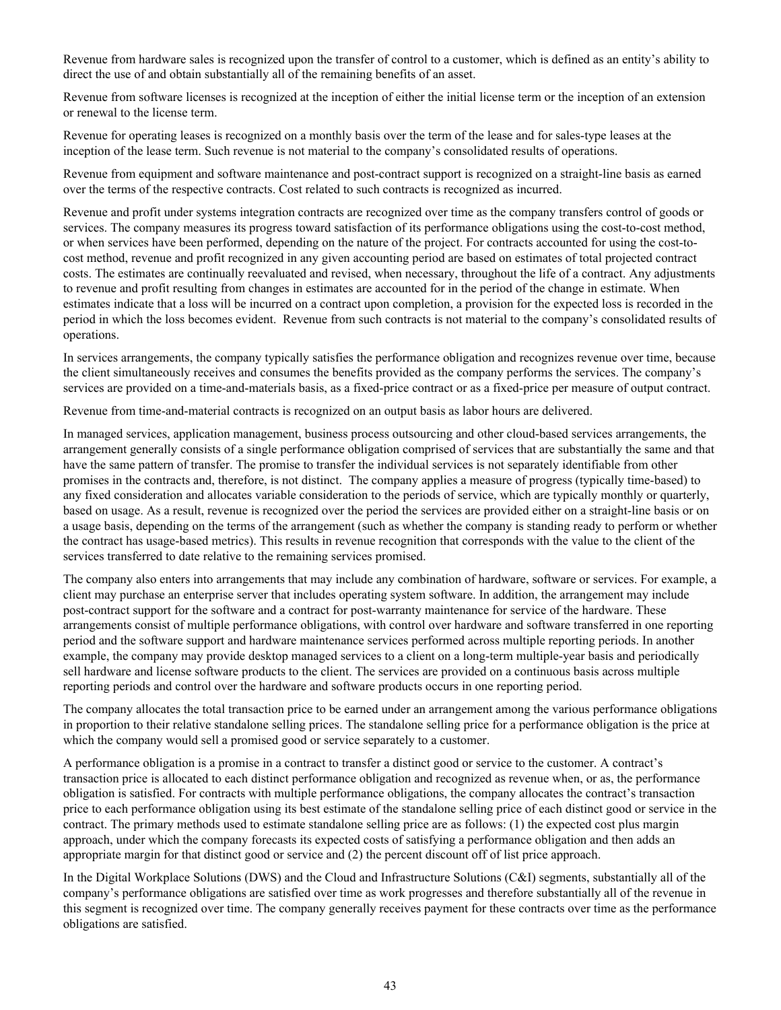Revenue from hardware sales is recognized upon the transfer of control to a customer, which is defined as an entity's ability to direct the use of and obtain substantially all of the remaining benefits of an asset.

Revenue from software licenses is recognized at the inception of either the initial license term or the inception of an extension or renewal to the license term.

Revenue for operating leases is recognized on a monthly basis over the term of the lease and for sales-type leases at the inception of the lease term. Such revenue is not material to the company's consolidated results of operations.

Revenue from equipment and software maintenance and post-contract support is recognized on a straight-line basis as earned over the terms of the respective contracts. Cost related to such contracts is recognized as incurred.

Revenue and profit under systems integration contracts are recognized over time as the company transfers control of goods or services. The company measures its progress toward satisfaction of its performance obligations using the cost-to-cost method, or when services have been performed, depending on the nature of the project. For contracts accounted for using the cost-tocost method, revenue and profit recognized in any given accounting period are based on estimates of total projected contract costs. The estimates are continually reevaluated and revised, when necessary, throughout the life of a contract. Any adjustments to revenue and profit resulting from changes in estimates are accounted for in the period of the change in estimate. When estimates indicate that a loss will be incurred on a contract upon completion, a provision for the expected loss is recorded in the period in which the loss becomes evident. Revenue from such contracts is not material to the company's consolidated results of operations.

In services arrangements, the company typically satisfies the performance obligation and recognizes revenue over time, because the client simultaneously receives and consumes the benefits provided as the company performs the services. The company's services are provided on a time-and-materials basis, as a fixed-price contract or as a fixed-price per measure of output contract.

Revenue from time-and-material contracts is recognized on an output basis as labor hours are delivered.

In managed services, application management, business process outsourcing and other cloud-based services arrangements, the arrangement generally consists of a single performance obligation comprised of services that are substantially the same and that have the same pattern of transfer. The promise to transfer the individual services is not separately identifiable from other promises in the contracts and, therefore, is not distinct. The company applies a measure of progress (typically time-based) to any fixed consideration and allocates variable consideration to the periods of service, which are typically monthly or quarterly, based on usage. As a result, revenue is recognized over the period the services are provided either on a straight-line basis or on a usage basis, depending on the terms of the arrangement (such as whether the company is standing ready to perform or whether the contract has usage-based metrics). This results in revenue recognition that corresponds with the value to the client of the services transferred to date relative to the remaining services promised.

The company also enters into arrangements that may include any combination of hardware, software or services. For example, a client may purchase an enterprise server that includes operating system software. In addition, the arrangement may include post-contract support for the software and a contract for post-warranty maintenance for service of the hardware. These arrangements consist of multiple performance obligations, with control over hardware and software transferred in one reporting period and the software support and hardware maintenance services performed across multiple reporting periods. In another example, the company may provide desktop managed services to a client on a long-term multiple-year basis and periodically sell hardware and license software products to the client. The services are provided on a continuous basis across multiple reporting periods and control over the hardware and software products occurs in one reporting period.

The company allocates the total transaction price to be earned under an arrangement among the various performance obligations in proportion to their relative standalone selling prices. The standalone selling price for a performance obligation is the price at which the company would sell a promised good or service separately to a customer.

A performance obligation is a promise in a contract to transfer a distinct good or service to the customer. A contract's transaction price is allocated to each distinct performance obligation and recognized as revenue when, or as, the performance obligation is satisfied. For contracts with multiple performance obligations, the company allocates the contract's transaction price to each performance obligation using its best estimate of the standalone selling price of each distinct good or service in the contract. The primary methods used to estimate standalone selling price are as follows: (1) the expected cost plus margin approach, under which the company forecasts its expected costs of satisfying a performance obligation and then adds an appropriate margin for that distinct good or service and (2) the percent discount off of list price approach.

In the Digital Workplace Solutions (DWS) and the Cloud and Infrastructure Solutions (C&I) segments, substantially all of the company's performance obligations are satisfied over time as work progresses and therefore substantially all of the revenue in this segment is recognized over time. The company generally receives payment for these contracts over time as the performance obligations are satisfied.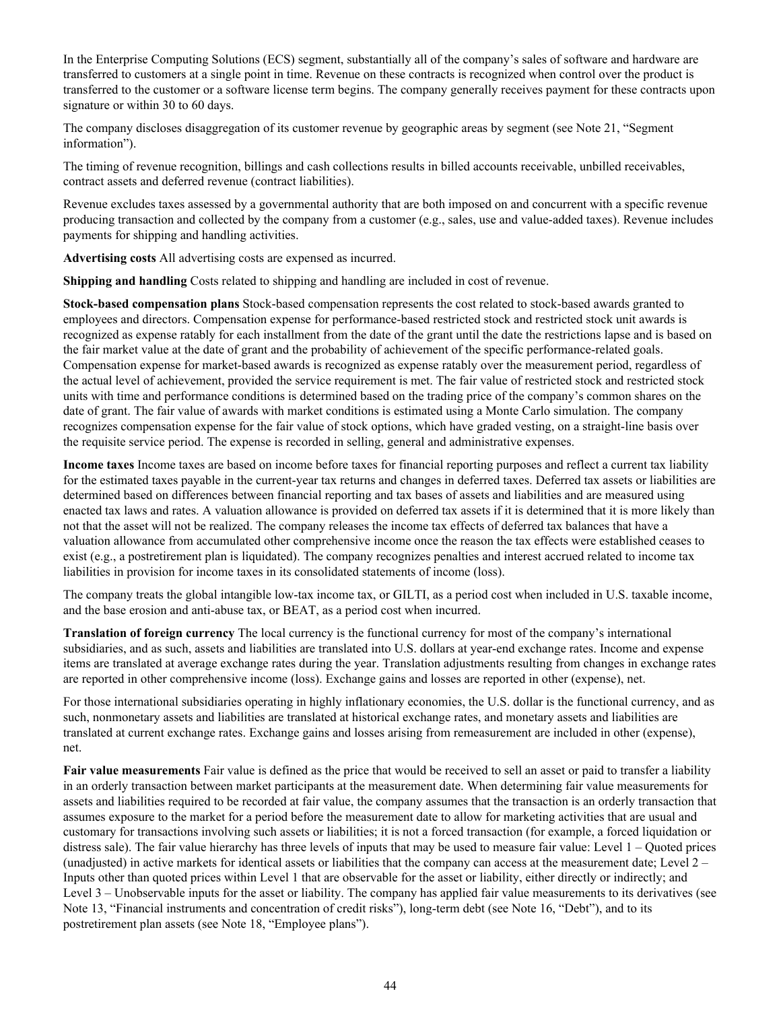In the Enterprise Computing Solutions (ECS) segment, substantially all of the company's sales of software and hardware are transferred to customers at a single point in time. Revenue on these contracts is recognized when control over the product is transferred to the customer or a software license term begins. The company generally receives payment for these contracts upon signature or within 30 to 60 days.

The company discloses disaggregation of its customer revenue by geographic areas by segment (see Note 21, "Segment information").

The timing of revenue recognition, billings and cash collections results in billed accounts receivable, unbilled receivables, contract assets and deferred revenue (contract liabilities).

Revenue excludes taxes assessed by a governmental authority that are both imposed on and concurrent with a specific revenue producing transaction and collected by the company from a customer (e.g., sales, use and value-added taxes). Revenue includes payments for shipping and handling activities.

**Advertising costs** All advertising costs are expensed as incurred.

**Shipping and handling** Costs related to shipping and handling are included in cost of revenue.

**Stock-based compensation plans** Stock-based compensation represents the cost related to stock-based awards granted to employees and directors. Compensation expense for performance-based restricted stock and restricted stock unit awards is recognized as expense ratably for each installment from the date of the grant until the date the restrictions lapse and is based on the fair market value at the date of grant and the probability of achievement of the specific performance-related goals. Compensation expense for market-based awards is recognized as expense ratably over the measurement period, regardless of the actual level of achievement, provided the service requirement is met. The fair value of restricted stock and restricted stock units with time and performance conditions is determined based on the trading price of the company's common shares on the date of grant. The fair value of awards with market conditions is estimated using a Monte Carlo simulation. The company recognizes compensation expense for the fair value of stock options, which have graded vesting, on a straight-line basis over the requisite service period. The expense is recorded in selling, general and administrative expenses.

**Income taxes** Income taxes are based on income before taxes for financial reporting purposes and reflect a current tax liability for the estimated taxes payable in the current-year tax returns and changes in deferred taxes. Deferred tax assets or liabilities are determined based on differences between financial reporting and tax bases of assets and liabilities and are measured using enacted tax laws and rates. A valuation allowance is provided on deferred tax assets if it is determined that it is more likely than not that the asset will not be realized. The company releases the income tax effects of deferred tax balances that have a valuation allowance from accumulated other comprehensive income once the reason the tax effects were established ceases to exist (e.g., a postretirement plan is liquidated). The company recognizes penalties and interest accrued related to income tax liabilities in provision for income taxes in its consolidated statements of income (loss).

The company treats the global intangible low-tax income tax, or GILTI, as a period cost when included in U.S. taxable income, and the base erosion and anti-abuse tax, or BEAT, as a period cost when incurred.

**Translation of foreign currency** The local currency is the functional currency for most of the company's international subsidiaries, and as such, assets and liabilities are translated into U.S. dollars at year-end exchange rates. Income and expense items are translated at average exchange rates during the year. Translation adjustments resulting from changes in exchange rates are reported in other comprehensive income (loss). Exchange gains and losses are reported in other (expense), net.

For those international subsidiaries operating in highly inflationary economies, the U.S. dollar is the functional currency, and as such, nonmonetary assets and liabilities are translated at historical exchange rates, and monetary assets and liabilities are translated at current exchange rates. Exchange gains and losses arising from remeasurement are included in other (expense), net.

**Fair value measurements** Fair value is defined as the price that would be received to sell an asset or paid to transfer a liability in an orderly transaction between market participants at the measurement date. When determining fair value measurements for assets and liabilities required to be recorded at fair value, the company assumes that the transaction is an orderly transaction that assumes exposure to the market for a period before the measurement date to allow for marketing activities that are usual and customary for transactions involving such assets or liabilities; it is not a forced transaction (for example, a forced liquidation or distress sale). The fair value hierarchy has three levels of inputs that may be used to measure fair value: Level 1 – Quoted prices (unadjusted) in active markets for identical assets or liabilities that the company can access at the measurement date; Level 2 – Inputs other than quoted prices within Level 1 that are observable for the asset or liability, either directly or indirectly; and Level 3 – Unobservable inputs for the asset or liability. The company has applied fair value measurements to its derivatives (see Note 13, "Financial instruments and concentration of credit risks"), long-term debt (see Note 16, "Debt"), and to its postretirement plan assets (see Note 18, "Employee plans").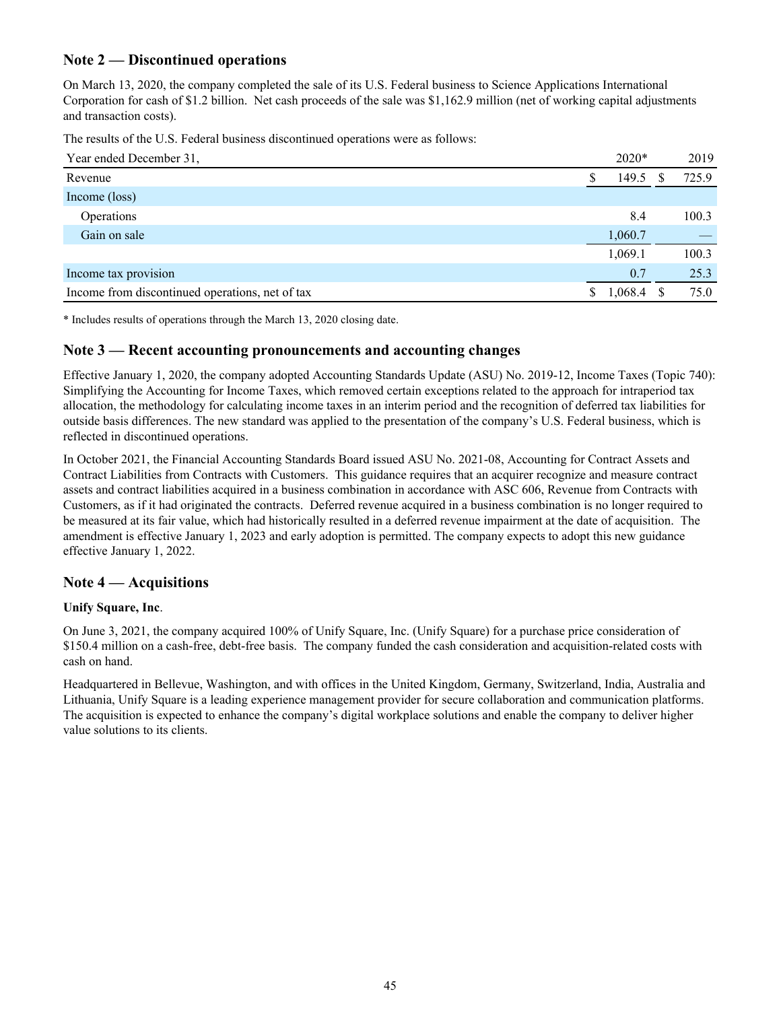## **Note 2 — Discontinued operations**

On March 13, 2020, the company completed the sale of its U.S. Federal business to Science Applications International Corporation for cash of \$1.2 billion. Net cash proceeds of the sale was \$1,162.9 million (net of working capital adjustments and transaction costs).

The results of the U.S. Federal business discontinued operations were as follows:

| Year ended December 31,                         |   | $2020*$ |     | 2019  |
|-------------------------------------------------|---|---------|-----|-------|
| Revenue                                         |   | 149.5   | \$. | 725.9 |
| Income (loss)                                   |   |         |     |       |
| Operations                                      |   | 8.4     |     | 100.3 |
| Gain on sale                                    |   | 1,060.7 |     |       |
|                                                 |   | 1,069.1 |     | 100.3 |
| Income tax provision                            |   | 0.7     |     | 25.3  |
| Income from discontinued operations, net of tax | S | 1,068.4 |     | 75.0  |

\* Includes results of operations through the March 13, 2020 closing date.

#### **Note 3 — Recent accounting pronouncements and accounting changes**

Effective January 1, 2020, the company adopted Accounting Standards Update (ASU) No. 2019-12, Income Taxes (Topic 740): Simplifying the Accounting for Income Taxes, which removed certain exceptions related to the approach for intraperiod tax allocation, the methodology for calculating income taxes in an interim period and the recognition of deferred tax liabilities for outside basis differences. The new standard was applied to the presentation of the company's U.S. Federal business, which is reflected in discontinued operations.

In October 2021, the Financial Accounting Standards Board issued ASU No. 2021-08, Accounting for Contract Assets and Contract Liabilities from Contracts with Customers. This guidance requires that an acquirer recognize and measure contract assets and contract liabilities acquired in a business combination in accordance with ASC 606, Revenue from Contracts with Customers, as if it had originated the contracts. Deferred revenue acquired in a business combination is no longer required to be measured at its fair value, which had historically resulted in a deferred revenue impairment at the date of acquisition. The amendment is effective January 1, 2023 and early adoption is permitted. The company expects to adopt this new guidance effective January 1, 2022.

## **Note 4 — Acquisitions**

#### **Unify Square, Inc**.

On June 3, 2021, the company acquired 100% of Unify Square, Inc. (Unify Square) for a purchase price consideration of \$150.4 million on a cash-free, debt-free basis. The company funded the cash consideration and acquisition-related costs with cash on hand.

Headquartered in Bellevue, Washington, and with offices in the United Kingdom, Germany, Switzerland, India, Australia and Lithuania, Unify Square is a leading experience management provider for secure collaboration and communication platforms. The acquisition is expected to enhance the company's digital workplace solutions and enable the company to deliver higher value solutions to its clients.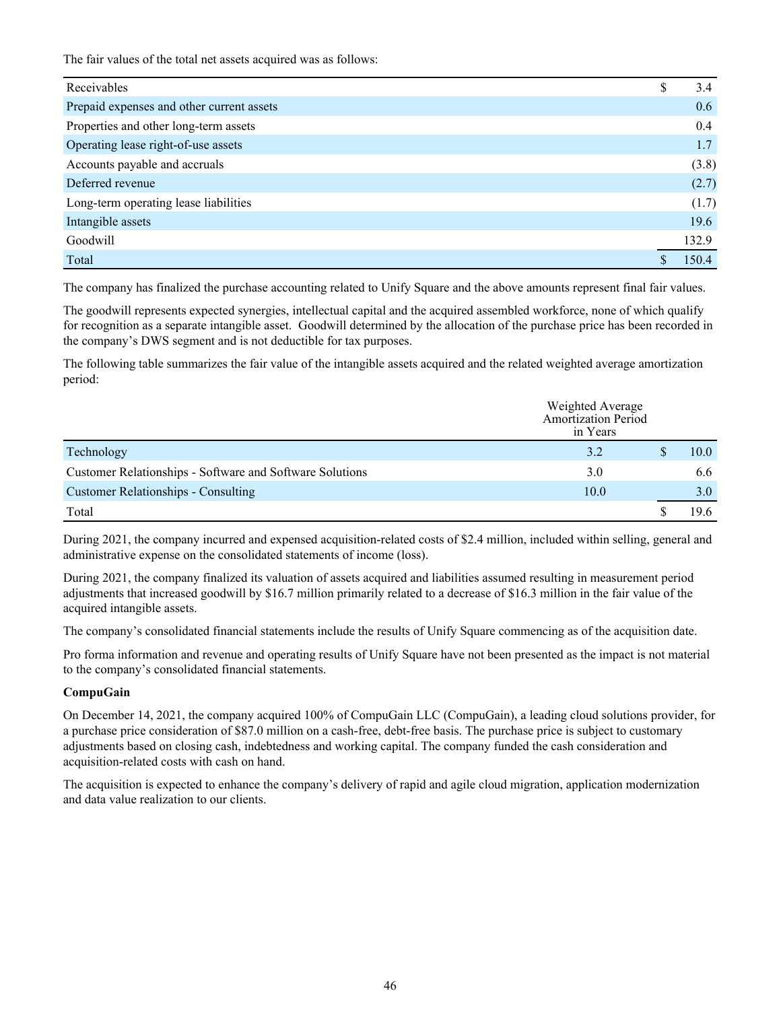The fair values of the total net assets acquired was as follows:

| Receivables                               | \$<br>3.4 |
|-------------------------------------------|-----------|
| Prepaid expenses and other current assets | 0.6       |
| Properties and other long-term assets     | 0.4       |
| Operating lease right-of-use assets       | 1.7       |
| Accounts payable and accruals             | (3.8)     |
| Deferred revenue                          | (2.7)     |
| Long-term operating lease liabilities     | (1.7)     |
| Intangible assets                         | 19.6      |
| Goodwill                                  | 132.9     |
| Total                                     | 1504      |

The company has finalized the purchase accounting related to Unify Square and the above amounts represent final fair values.

The goodwill represents expected synergies, intellectual capital and the acquired assembled workforce, none of which qualify for recognition as a separate intangible asset. Goodwill determined by the allocation of the purchase price has been recorded in the company's DWS segment and is not deductible for tax purposes.

The following table summarizes the fair value of the intangible assets acquired and the related weighted average amortization period:

|                                                          | Weighted Average<br>Amortization Period<br>in Years |      |
|----------------------------------------------------------|-----------------------------------------------------|------|
| Technology                                               | 3.2                                                 | 10.0 |
| Customer Relationships - Software and Software Solutions | 3.0                                                 | 6.6  |
| <b>Customer Relationships - Consulting</b>               | 10.0                                                | 3.0  |
| Total                                                    |                                                     | 196  |

During 2021, the company incurred and expensed acquisition-related costs of \$2.4 million, included within selling, general and administrative expense on the consolidated statements of income (loss).

During 2021, the company finalized its valuation of assets acquired and liabilities assumed resulting in measurement period adjustments that increased goodwill by \$16.7 million primarily related to a decrease of \$16.3 million in the fair value of the acquired intangible assets.

The company's consolidated financial statements include the results of Unify Square commencing as of the acquisition date.

Pro forma information and revenue and operating results of Unify Square have not been presented as the impact is not material to the company's consolidated financial statements.

#### **CompuGain**

On December 14, 2021, the company acquired 100% of CompuGain LLC (CompuGain), a leading cloud solutions provider, for a purchase price consideration of \$87.0 million on a cash-free, debt-free basis. The purchase price is subject to customary adjustments based on closing cash, indebtedness and working capital. The company funded the cash consideration and acquisition-related costs with cash on hand.

The acquisition is expected to enhance the company's delivery of rapid and agile cloud migration, application modernization and data value realization to our clients.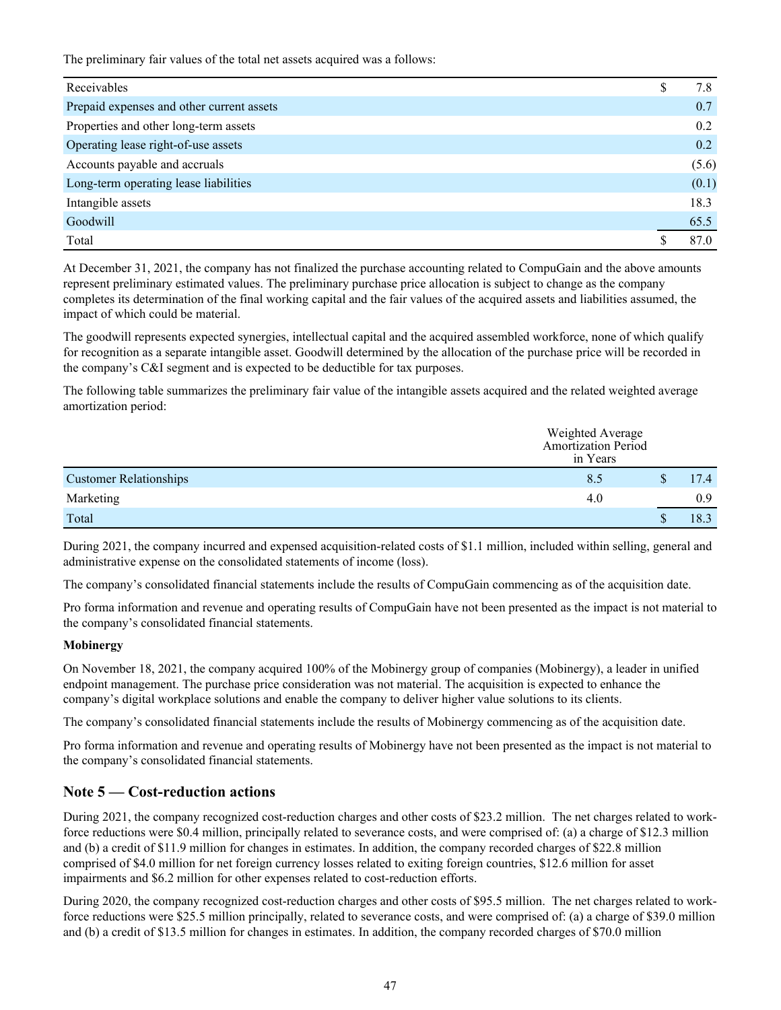The preliminary fair values of the total net assets acquired was a follows:

| Receivables                               | S | 7.8   |
|-------------------------------------------|---|-------|
| Prepaid expenses and other current assets |   | 0.7   |
| Properties and other long-term assets     |   | 0.2   |
| Operating lease right-of-use assets       |   | 0.2   |
| Accounts payable and accruals             |   | (5.6) |
| Long-term operating lease liabilities     |   | (0.1) |
| Intangible assets                         |   | 18.3  |
| Goodwill                                  |   | 65.5  |
| Total                                     |   | 870   |

At December 31, 2021, the company has not finalized the purchase accounting related to CompuGain and the above amounts represent preliminary estimated values. The preliminary purchase price allocation is subject to change as the company completes its determination of the final working capital and the fair values of the acquired assets and liabilities assumed, the impact of which could be material.

The goodwill represents expected synergies, intellectual capital and the acquired assembled workforce, none of which qualify for recognition as a separate intangible asset. Goodwill determined by the allocation of the purchase price will be recorded in the company's C&I segment and is expected to be deductible for tax purposes.

The following table summarizes the preliminary fair value of the intangible assets acquired and the related weighted average amortization period:

|                               | Weighted Average<br>Amortization Period<br>in Years |    |      |
|-------------------------------|-----------------------------------------------------|----|------|
| <b>Customer Relationships</b> | 8.5                                                 |    | 17.4 |
| Marketing                     | 4.0                                                 |    | 0.9  |
| Total                         |                                                     | ۵D | 18.3 |

During 2021, the company incurred and expensed acquisition-related costs of \$1.1 million, included within selling, general and administrative expense on the consolidated statements of income (loss).

The company's consolidated financial statements include the results of CompuGain commencing as of the acquisition date.

Pro forma information and revenue and operating results of CompuGain have not been presented as the impact is not material to the company's consolidated financial statements.

#### **Mobinergy**

On November 18, 2021, the company acquired 100% of the Mobinergy group of companies (Mobinergy), a leader in unified endpoint management. The purchase price consideration was not material. The acquisition is expected to enhance the company's digital workplace solutions and enable the company to deliver higher value solutions to its clients.

The company's consolidated financial statements include the results of Mobinergy commencing as of the acquisition date.

Pro forma information and revenue and operating results of Mobinergy have not been presented as the impact is not material to the company's consolidated financial statements.

## **Note 5 — Cost-reduction actions**

During 2021, the company recognized cost-reduction charges and other costs of \$23.2 million. The net charges related to workforce reductions were \$0.4 million, principally related to severance costs, and were comprised of: (a) a charge of \$12.3 million and (b) a credit of \$11.9 million for changes in estimates. In addition, the company recorded charges of \$22.8 million comprised of \$4.0 million for net foreign currency losses related to exiting foreign countries, \$12.6 million for asset impairments and \$6.2 million for other expenses related to cost-reduction efforts.

During 2020, the company recognized cost-reduction charges and other costs of \$95.5 million. The net charges related to workforce reductions were \$25.5 million principally, related to severance costs, and were comprised of: (a) a charge of \$39.0 million and (b) a credit of \$13.5 million for changes in estimates. In addition, the company recorded charges of \$70.0 million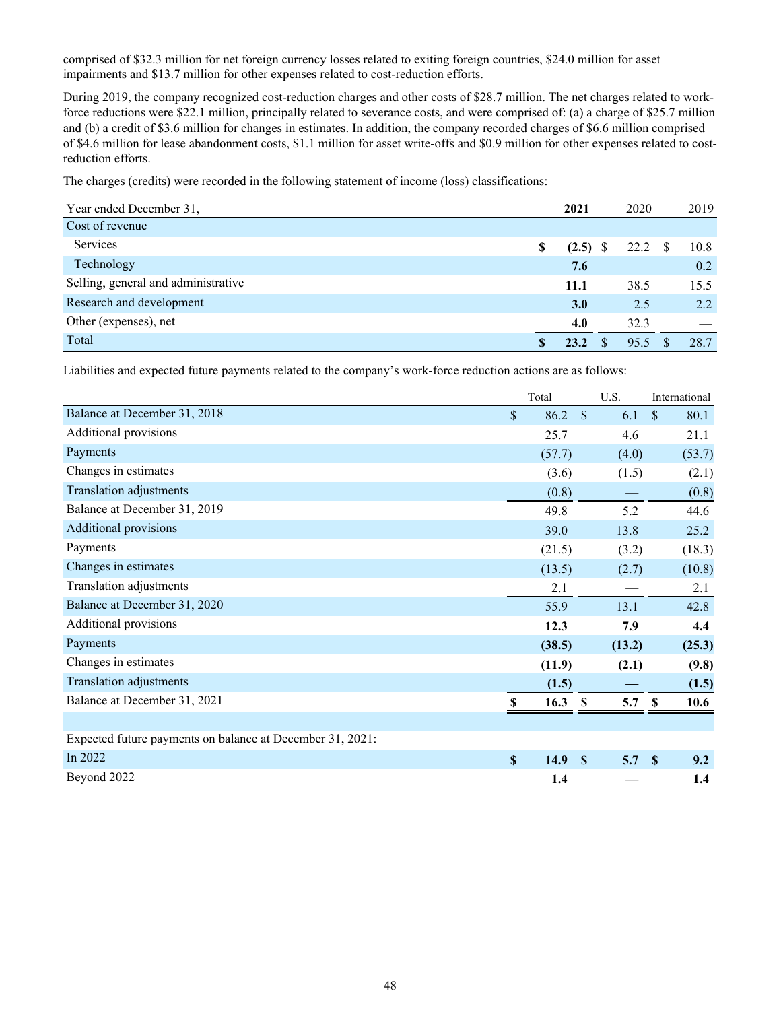comprised of \$32.3 million for net foreign currency losses related to exiting foreign countries, \$24.0 million for asset impairments and \$13.7 million for other expenses related to cost-reduction efforts.

During 2019, the company recognized cost-reduction charges and other costs of \$28.7 million. The net charges related to workforce reductions were \$22.1 million, principally related to severance costs, and were comprised of: (a) a charge of \$25.7 million and (b) a credit of \$3.6 million for changes in estimates. In addition, the company recorded charges of \$6.6 million comprised of \$4.6 million for lease abandonment costs, \$1.1 million for asset write-offs and \$0.9 million for other expenses related to costreduction efforts.

The charges (credits) were recorded in the following statement of income (loss) classifications:

| Year ended December 31,             | 2021             | 2020              | 2019 |
|-------------------------------------|------------------|-------------------|------|
| Cost of revenue                     |                  |                   |      |
| Services                            | \$<br>$(2.5)$ \$ | 22.2 <sup>5</sup> | 10.8 |
| Technology                          | 7.6              |                   | 0.2  |
| Selling, general and administrative | <b>11.1</b>      | 38.5              | 15.5 |
| Research and development            | <b>3.0</b>       | 2.5               | 2.2  |
| Other (expenses), net               | 4.0              | 32.3              |      |
| Total                               | 23.2             | 95.5              | 28.7 |

Liabilities and expected future payments related to the company's work-force reduction actions are as follows:

|                                                           |              | Total  |               | U.S.   | International         |
|-----------------------------------------------------------|--------------|--------|---------------|--------|-----------------------|
| Balance at December 31, 2018                              | $\mathbb{S}$ | 86.2   | $\mathcal{S}$ | 6.1    | $\mathcal{S}$<br>80.1 |
| Additional provisions                                     |              | 25.7   |               | 4.6    | 21.1                  |
| Payments                                                  |              | (57.7) |               | (4.0)  | (53.7)                |
| Changes in estimates                                      |              | (3.6)  |               | (1.5)  | (2.1)                 |
| Translation adjustments                                   |              | (0.8)  |               |        | (0.8)                 |
| Balance at December 31, 2019                              |              | 49.8   |               | 5.2    | 44.6                  |
| <b>Additional provisions</b>                              |              | 39.0   |               | 13.8   | 25.2                  |
| Payments                                                  |              | (21.5) |               | (3.2)  | (18.3)                |
| Changes in estimates                                      |              | (13.5) |               | (2.7)  | (10.8)                |
| Translation adjustments                                   |              | 2.1    |               |        | 2.1                   |
| Balance at December 31, 2020                              |              | 55.9   |               | 13.1   | 42.8                  |
| <b>Additional provisions</b>                              |              | 12.3   |               | 7.9    | 4.4                   |
| Payments                                                  |              | (38.5) |               | (13.2) | (25.3)                |
| Changes in estimates                                      |              | (11.9) |               | (2.1)  | (9.8)                 |
| Translation adjustments                                   |              | (1.5)  |               |        | (1.5)                 |
| Balance at December 31, 2021                              |              | 16.3   | -S            | 5.7    | 10.6                  |
|                                                           |              |        |               |        |                       |
| Expected future payments on balance at December 31, 2021: |              |        |               |        |                       |
| In 2022                                                   | $\mathbf S$  | 14.9   | $\mathbf{s}$  | 5.7    | 9.2<br><sup>S</sup>   |
| Beyond 2022                                               |              | 1.4    |               |        | 1.4                   |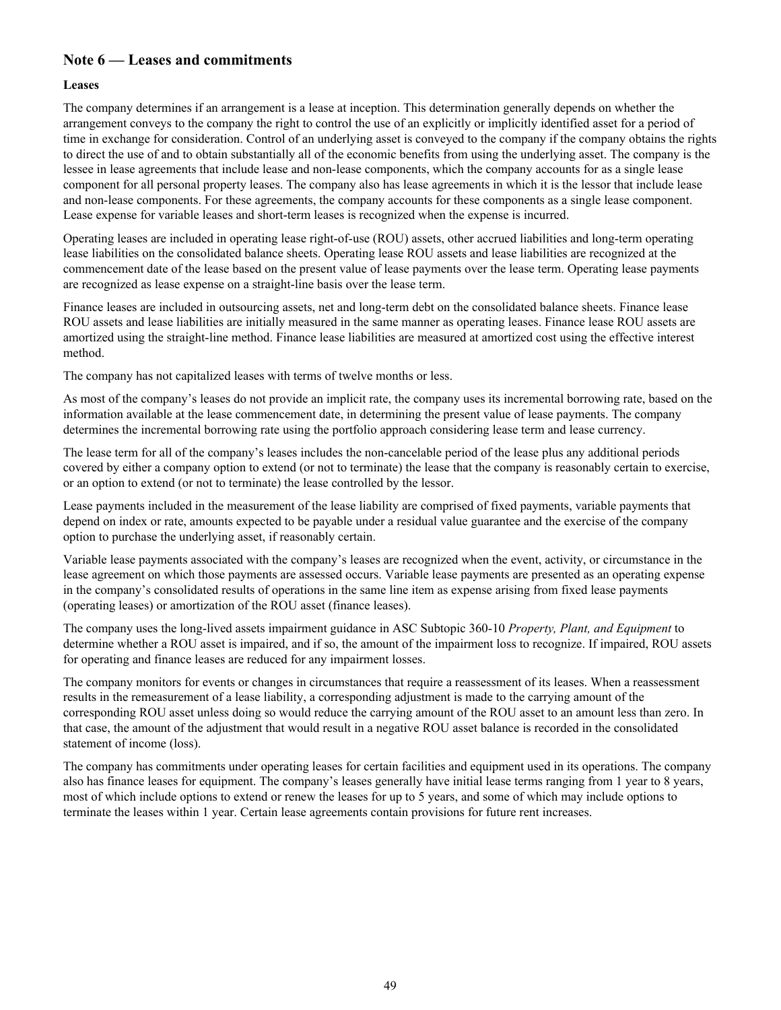## **Note 6 — Leases and commitments**

#### **Leases**

The company determines if an arrangement is a lease at inception. This determination generally depends on whether the arrangement conveys to the company the right to control the use of an explicitly or implicitly identified asset for a period of time in exchange for consideration. Control of an underlying asset is conveyed to the company if the company obtains the rights to direct the use of and to obtain substantially all of the economic benefits from using the underlying asset. The company is the lessee in lease agreements that include lease and non-lease components, which the company accounts for as a single lease component for all personal property leases. The company also has lease agreements in which it is the lessor that include lease and non-lease components. For these agreements, the company accounts for these components as a single lease component. Lease expense for variable leases and short-term leases is recognized when the expense is incurred.

Operating leases are included in operating lease right-of-use (ROU) assets, other accrued liabilities and long-term operating lease liabilities on the consolidated balance sheets. Operating lease ROU assets and lease liabilities are recognized at the commencement date of the lease based on the present value of lease payments over the lease term. Operating lease payments are recognized as lease expense on a straight-line basis over the lease term.

Finance leases are included in outsourcing assets, net and long-term debt on the consolidated balance sheets. Finance lease ROU assets and lease liabilities are initially measured in the same manner as operating leases. Finance lease ROU assets are amortized using the straight-line method. Finance lease liabilities are measured at amortized cost using the effective interest method.

The company has not capitalized leases with terms of twelve months or less.

As most of the company's leases do not provide an implicit rate, the company uses its incremental borrowing rate, based on the information available at the lease commencement date, in determining the present value of lease payments. The company determines the incremental borrowing rate using the portfolio approach considering lease term and lease currency.

The lease term for all of the company's leases includes the non-cancelable period of the lease plus any additional periods covered by either a company option to extend (or not to terminate) the lease that the company is reasonably certain to exercise, or an option to extend (or not to terminate) the lease controlled by the lessor.

Lease payments included in the measurement of the lease liability are comprised of fixed payments, variable payments that depend on index or rate, amounts expected to be payable under a residual value guarantee and the exercise of the company option to purchase the underlying asset, if reasonably certain.

Variable lease payments associated with the company's leases are recognized when the event, activity, or circumstance in the lease agreement on which those payments are assessed occurs. Variable lease payments are presented as an operating expense in the company's consolidated results of operations in the same line item as expense arising from fixed lease payments (operating leases) or amortization of the ROU asset (finance leases).

The company uses the long-lived assets impairment guidance in ASC Subtopic 360-10 *Property, Plant, and Equipment* to determine whether a ROU asset is impaired, and if so, the amount of the impairment loss to recognize. If impaired, ROU assets for operating and finance leases are reduced for any impairment losses.

The company monitors for events or changes in circumstances that require a reassessment of its leases. When a reassessment results in the remeasurement of a lease liability, a corresponding adjustment is made to the carrying amount of the corresponding ROU asset unless doing so would reduce the carrying amount of the ROU asset to an amount less than zero. In that case, the amount of the adjustment that would result in a negative ROU asset balance is recorded in the consolidated statement of income (loss).

The company has commitments under operating leases for certain facilities and equipment used in its operations. The company also has finance leases for equipment. The company's leases generally have initial lease terms ranging from 1 year to 8 years, most of which include options to extend or renew the leases for up to 5 years, and some of which may include options to terminate the leases within 1 year. Certain lease agreements contain provisions for future rent increases.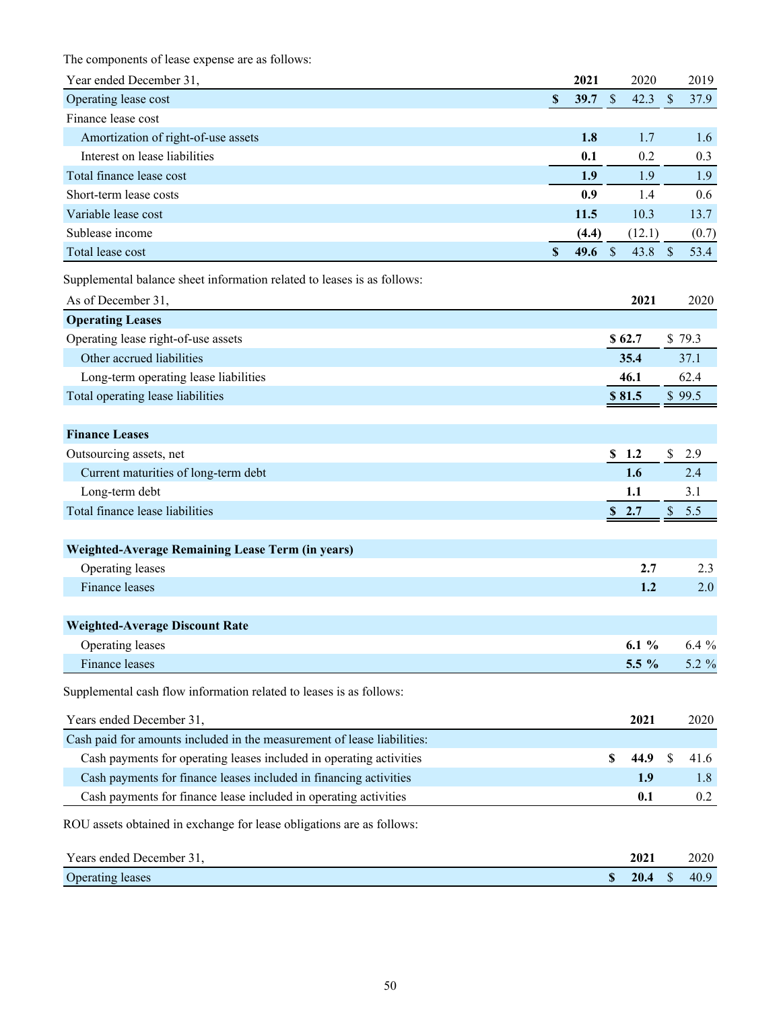The components of lease expense are as follows:

| Year ended December 31,                                                 |                           | 2021     |                           | 2020   |               | 2019    |
|-------------------------------------------------------------------------|---------------------------|----------|---------------------------|--------|---------------|---------|
| Operating lease cost                                                    | $\mathbb S$               | 39.7     | $\mathcal{S}$             | 42.3   | $\mathcal{S}$ | 37.9    |
| Finance lease cost                                                      |                           |          |                           |        |               |         |
| Amortization of right-of-use assets                                     |                           | 1.8      |                           | 1.7    |               | 1.6     |
| Interest on lease liabilities                                           |                           | 0.1      |                           | 0.2    |               | 0.3     |
| Total finance lease cost                                                |                           | 1.9      |                           | 1.9    |               | 1.9     |
| Short-term lease costs                                                  |                           | 0.9      |                           | 1.4    |               | 0.6     |
| Variable lease cost                                                     |                           | 11.5     |                           | 10.3   |               | 13.7    |
| Sublease income                                                         |                           | (4.4)    |                           | (12.1) |               | (0.7)   |
| Total lease cost                                                        | $\boldsymbol{\mathsf{S}}$ | 49.6 $$$ |                           | 43.8   | $\mathcal{S}$ | 53.4    |
| Supplemental balance sheet information related to leases is as follows: |                           |          |                           |        |               |         |
| As of December 31,                                                      |                           |          |                           | 2021   |               | 2020    |
| <b>Operating Leases</b>                                                 |                           |          |                           |        |               |         |
| Operating lease right-of-use assets                                     |                           |          |                           | \$62.7 |               | \$79.3  |
| Other accrued liabilities                                               |                           |          |                           | 35.4   |               | 37.1    |
| Long-term operating lease liabilities                                   |                           |          |                           | 46.1   |               | 62.4    |
| Total operating lease liabilities                                       |                           |          |                           | \$81.5 |               | \$99.5  |
|                                                                         |                           |          |                           |        |               |         |
| <b>Finance Leases</b>                                                   |                           |          |                           |        |               |         |
| Outsourcing assets, net                                                 |                           |          |                           | \$1.2  | \$            | 2.9     |
| Current maturities of long-term debt                                    |                           |          |                           | 1.6    |               | 2.4     |
| Long-term debt                                                          |                           |          |                           | 1.1    |               | 3.1     |
| Total finance lease liabilities                                         |                           |          | S                         | 2.7    | \$            | 5.5     |
|                                                                         |                           |          |                           |        |               |         |
| Weighted-Average Remaining Lease Term (in years)                        |                           |          |                           |        |               |         |
| Operating leases                                                        |                           |          |                           | 2.7    |               | 2.3     |
| Finance leases                                                          |                           |          |                           | 1.2    |               | 2.0     |
|                                                                         |                           |          |                           |        |               |         |
| <b>Weighted-Average Discount Rate</b>                                   |                           |          |                           |        |               |         |
| Operating leases                                                        |                           |          |                           | 6.1%   |               | $6.4\%$ |
| Finance leases                                                          |                           |          |                           | 5.5 %  |               | 5.2 %   |
| Supplemental cash flow information related to leases is as follows:     |                           |          |                           |        |               |         |
| Years ended December 31,                                                |                           |          |                           | 2021   |               | 2020    |
| Cash paid for amounts included in the measurement of lease liabilities: |                           |          |                           |        |               |         |
| Cash payments for operating leases included in operating activities     |                           |          | $\boldsymbol{\mathsf{s}}$ | 44.9   | \$            | 41.6    |
| Cash payments for finance leases included in financing activities       |                           |          |                           | 1.9    |               | 1.8     |
| Cash payments for finance lease included in operating activities        |                           |          |                           | 0.1    |               | 0.2     |
| ROU assets obtained in exchange for lease obligations are as follows:   |                           |          |                           |        |               |         |
| Years ended December 31,                                                |                           |          |                           | 2021   |               | 2020    |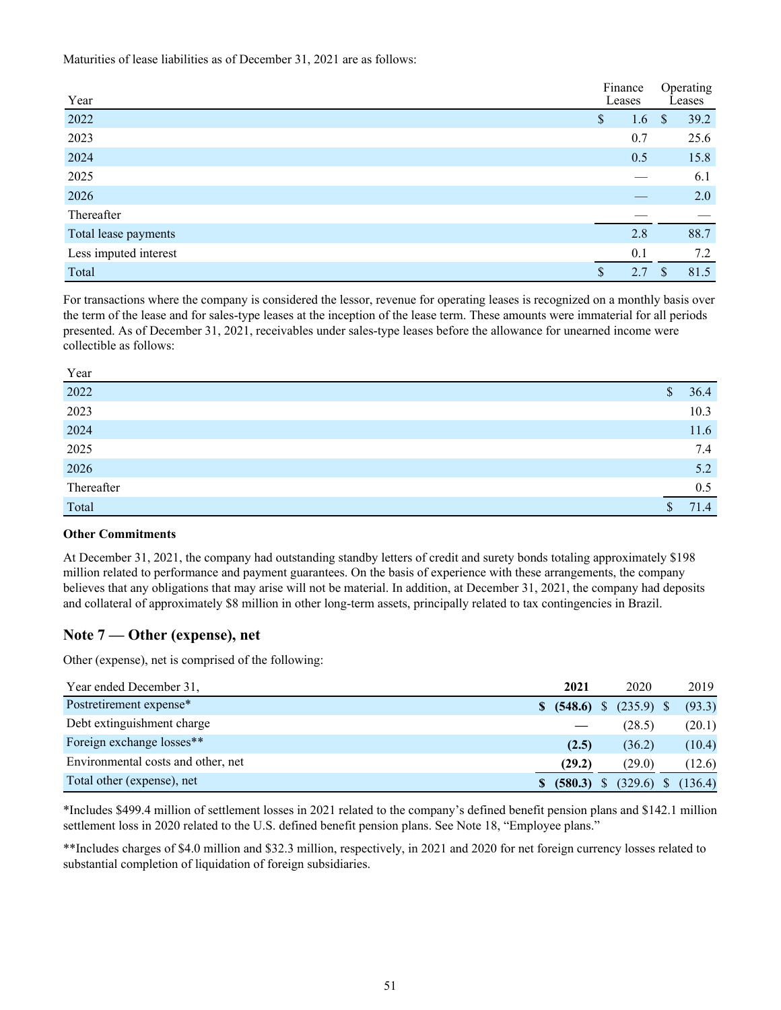Maturities of lease liabilities as of December 31, 2021 are as follows:

| Year                  | Finance<br>Leases |    | Operating<br>Leases |  |
|-----------------------|-------------------|----|---------------------|--|
| 2022                  | \$<br>1.6         | \$ | 39.2                |  |
| 2023                  | 0.7               |    | 25.6                |  |
| 2024                  | 0.5               |    | 15.8                |  |
| 2025                  |                   |    | 6.1                 |  |
| 2026                  |                   |    | 2.0                 |  |
| Thereafter            |                   |    |                     |  |
| Total lease payments  | 2.8               |    | 88.7                |  |
| Less imputed interest | 0.1               |    | 7.2                 |  |
| Total                 | \$<br>2.7         | -S | 81.5                |  |

For transactions where the company is considered the lessor, revenue for operating leases is recognized on a monthly basis over the term of the lease and for sales-type leases at the inception of the lease term. These amounts were immaterial for all periods presented. As of December 31, 2021, receivables under sales-type leases before the allowance for unearned income were collectible as follows:

| r ear      |    |      |
|------------|----|------|
| 2022       | \$ | 36.4 |
| 2023       |    | 10.3 |
| 2024       |    | 11.6 |
| 2025       |    | 7.4  |
| 2026       |    | 5.2  |
| Thereafter |    | 0.5  |
| Total      | S  | 71.4 |

#### **Other Commitments**

 $\overline{Y}$ 

At December 31, 2021, the company had outstanding standby letters of credit and surety bonds totaling approximately \$198 million related to performance and payment guarantees. On the basis of experience with these arrangements, the company believes that any obligations that may arise will not be material. In addition, at December 31, 2021, the company had deposits and collateral of approximately \$8 million in other long-term assets, principally related to tax contingencies in Brazil.

## **Note 7 — Other (expense), net**

Other (expense), net is comprised of the following:

| Year ended December 31.            | 2021    | 2020                      | 2019    |
|------------------------------------|---------|---------------------------|---------|
| Postretirement expense*            |         | $$$ (548.6) \$ (235.9) \$ | (93.3)  |
| Debt extinguishment charge         |         | (28.5)                    | (20.1)  |
| Foreign exchange losses**          | (2.5)   | (36.2)                    | (10.4)  |
| Environmental costs and other, net | (29.2)  | (29.0)                    | (12.6)  |
| Total other (expense), net         | (580.3) | $(329.6)$ \$              | (136.4) |

\*Includes \$499.4 million of settlement losses in 2021 related to the company's defined benefit pension plans and \$142.1 million settlement loss in 2020 related to the U.S. defined benefit pension plans. See Note 18, "Employee plans."

\*\*Includes charges of \$4.0 million and \$32.3 million, respectively, in 2021 and 2020 for net foreign currency losses related to substantial completion of liquidation of foreign subsidiaries.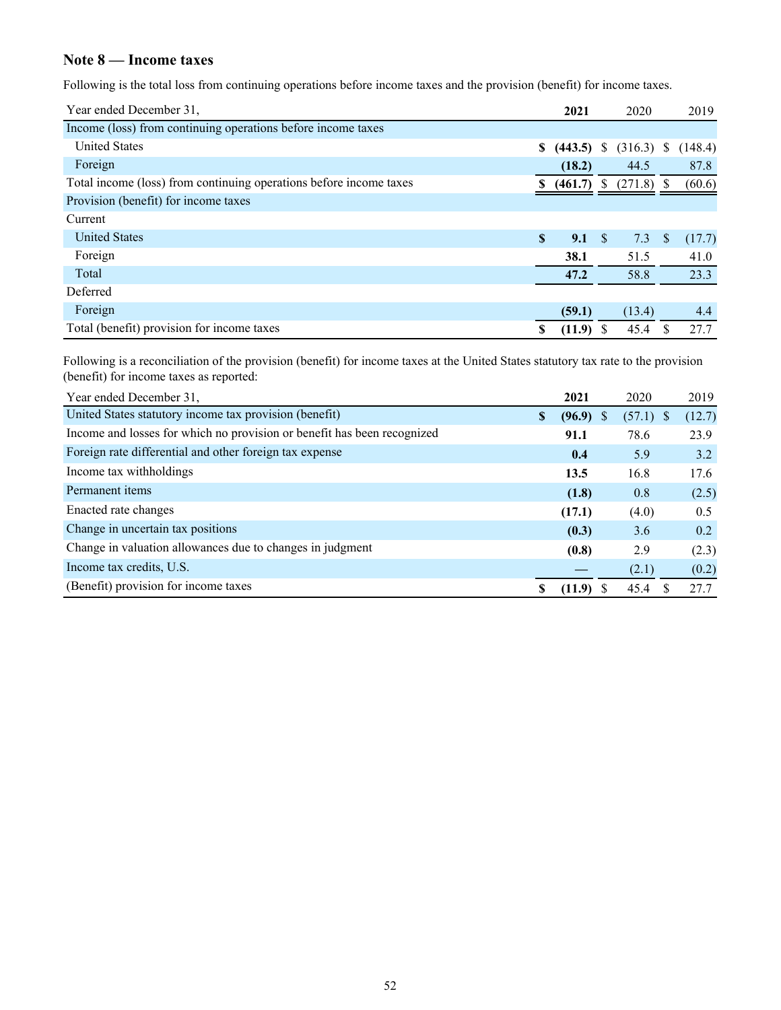## **Note 8 — Income taxes**

Following is the total loss from continuing operations before income taxes and the provision (benefit) for income taxes.

| Year ended December 31,                                            |              | 2021         |              | 2020         |              | 2019    |
|--------------------------------------------------------------------|--------------|--------------|--------------|--------------|--------------|---------|
| Income (loss) from continuing operations before income taxes       |              |              |              |              |              |         |
| <b>United States</b>                                               | S.           | $(443.5)$ \$ |              | $(316.3)$ \$ |              | (148.4) |
| Foreign                                                            |              | (18.2)       |              | 44.5         |              | 87.8    |
| Total income (loss) from continuing operations before income taxes |              | (461.7)      | <sup>S</sup> | (271.8)      |              | (60.6)  |
| Provision (benefit) for income taxes                               |              |              |              |              |              |         |
| Current                                                            |              |              |              |              |              |         |
| <b>United States</b>                                               | $\mathbf{s}$ | 9.1          | - S          | 7.3          | <sup>S</sup> | (17.7)  |
| Foreign                                                            |              | 38.1         |              | 51.5         |              | 41.0    |
| Total                                                              |              | 47.2         |              | 58.8         |              | 23.3    |
| Deferred                                                           |              |              |              |              |              |         |
| Foreign                                                            |              | (59.1)       |              | (13.4)       |              | 4.4     |
| Total (benefit) provision for income taxes                         | S            | $(11.9)$ \$  |              | 45.4         |              | 27.7    |

Following is a reconciliation of the provision (benefit) for income taxes at the United States statutory tax rate to the provision (benefit) for income taxes as reported:

| Year ended December 31,                                                 |               | 2021   | 2020                        | 2019   |
|-------------------------------------------------------------------------|---------------|--------|-----------------------------|--------|
| United States statutory income tax provision (benefit)                  | <sup>\$</sup> | (96.9) | $(57.1)$ \$<br><sup>8</sup> | (12.7) |
| Income and losses for which no provision or benefit has been recognized |               | 91.1   | 78.6                        | 23.9   |
| Foreign rate differential and other foreign tax expense                 |               | 0.4    | 5.9                         | 3.2    |
| Income tax withholdings                                                 |               | 13.5   | 16.8                        | 17.6   |
| Permanent items                                                         |               | (1.8)  | 0.8                         | (2.5)  |
| Enacted rate changes                                                    |               | (17.1) | (4.0)                       | 0.5    |
| Change in uncertain tax positions                                       |               | (0.3)  | 3.6                         | 0.2    |
| Change in valuation allowances due to changes in judgment               |               | (0.8)  | 2.9                         | (2.3)  |
| Income tax credits, U.S.                                                |               |        | (2.1)                       | (0.2)  |
| (Benefit) provision for income taxes                                    | S             | (11.9) | 45.4                        | 27.7   |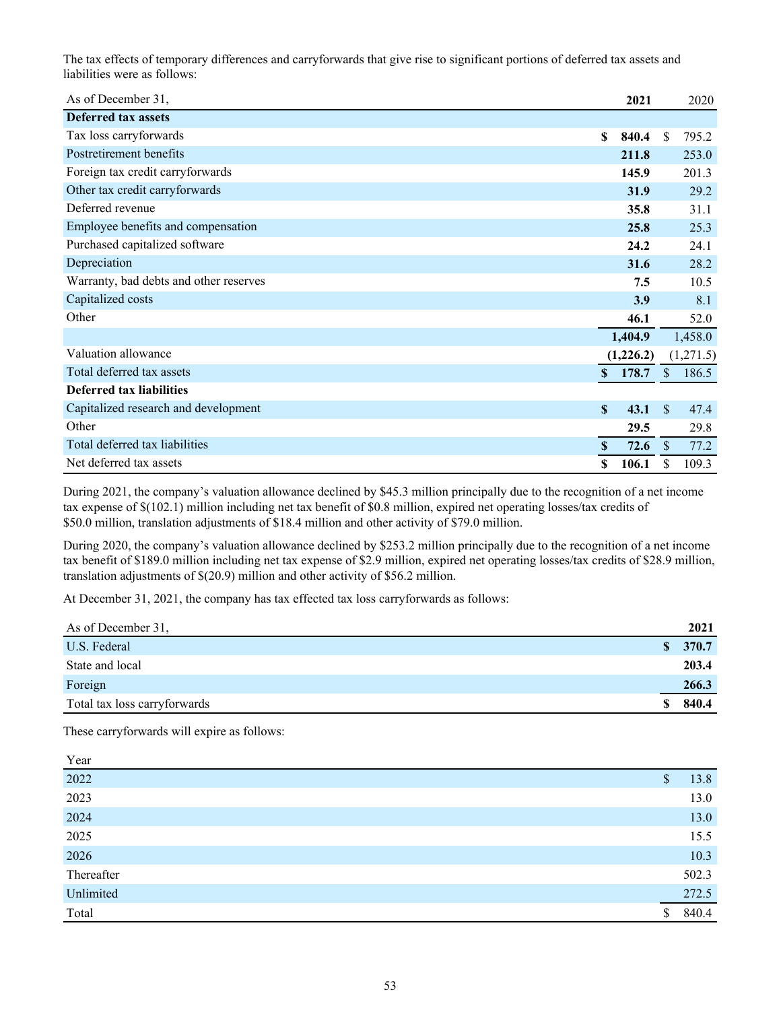The tax effects of temporary differences and carryforwards that give rise to significant portions of deferred tax assets and liabilities were as follows:

| As of December 31,                     |              | 2021      |               | 2020      |
|----------------------------------------|--------------|-----------|---------------|-----------|
| <b>Deferred tax assets</b>             |              |           |               |           |
| Tax loss carryforwards                 | \$           | 840.4     | \$.           | 795.2     |
| Postretirement benefits                |              | 211.8     |               | 253.0     |
| Foreign tax credit carryforwards       |              | 145.9     |               | 201.3     |
| Other tax credit carryforwards         |              | 31.9      |               | 29.2      |
| Deferred revenue                       |              | 35.8      |               | 31.1      |
| Employee benefits and compensation     |              | 25.8      |               | 25.3      |
| Purchased capitalized software         |              | 24.2      |               | 24.1      |
| Depreciation                           |              | 31.6      |               | 28.2      |
| Warranty, bad debts and other reserves |              | 7.5       |               | 10.5      |
| Capitalized costs                      |              | 3.9       |               | 8.1       |
| Other                                  |              | 46.1      |               | 52.0      |
|                                        |              | 1,404.9   |               | 1,458.0   |
| Valuation allowance                    |              | (1,226.2) |               | (1,271.5) |
| Total deferred tax assets              | $\mathbf{s}$ | 178.7     | $\mathbb{S}$  | 186.5     |
| <b>Deferred tax liabilities</b>        |              |           |               |           |
| Capitalized research and development   | \$           | 43.1      | $\mathcal{S}$ | 47.4      |
| Other                                  |              | 29.5      |               | 29.8      |
| Total deferred tax liabilities         | \$           | 72.6      | <sup>S</sup>  | 77.2      |
| Net deferred tax assets                | \$           | 106.1     | \$            | 109.3     |

During 2021, the company's valuation allowance declined by \$45.3 million principally due to the recognition of a net income tax expense of \$(102.1) million including net tax benefit of \$0.8 million, expired net operating losses/tax credits of \$50.0 million, translation adjustments of \$18.4 million and other activity of \$79.0 million.

During 2020, the company's valuation allowance declined by \$253.2 million principally due to the recognition of a net income tax benefit of \$189.0 million including net tax expense of \$2.9 million, expired net operating losses/tax credits of \$28.9 million, translation adjustments of \$(20.9) million and other activity of \$56.2 million.

At December 31, 2021, the company has tax effected tax loss carryforwards as follows:

| As of December 31,           | 2021    |
|------------------------------|---------|
| U.S. Federal                 | \$370.7 |
| State and local              | 203.4   |
| Foreign                      | 266.3   |
| Total tax loss carryforwards | 840.4   |

These carryforwards will expire as follows:

| Year              |    |       |
|-------------------|----|-------|
| $\overline{2022}$ | S  | 13.8  |
| 2023              |    | 13.0  |
| 2024              |    | 13.0  |
| 2025              |    | 15.5  |
| 2026              |    | 10.3  |
| Thereafter        |    | 502.3 |
| Unlimited         |    | 272.5 |
| Total             | \$ | 840.4 |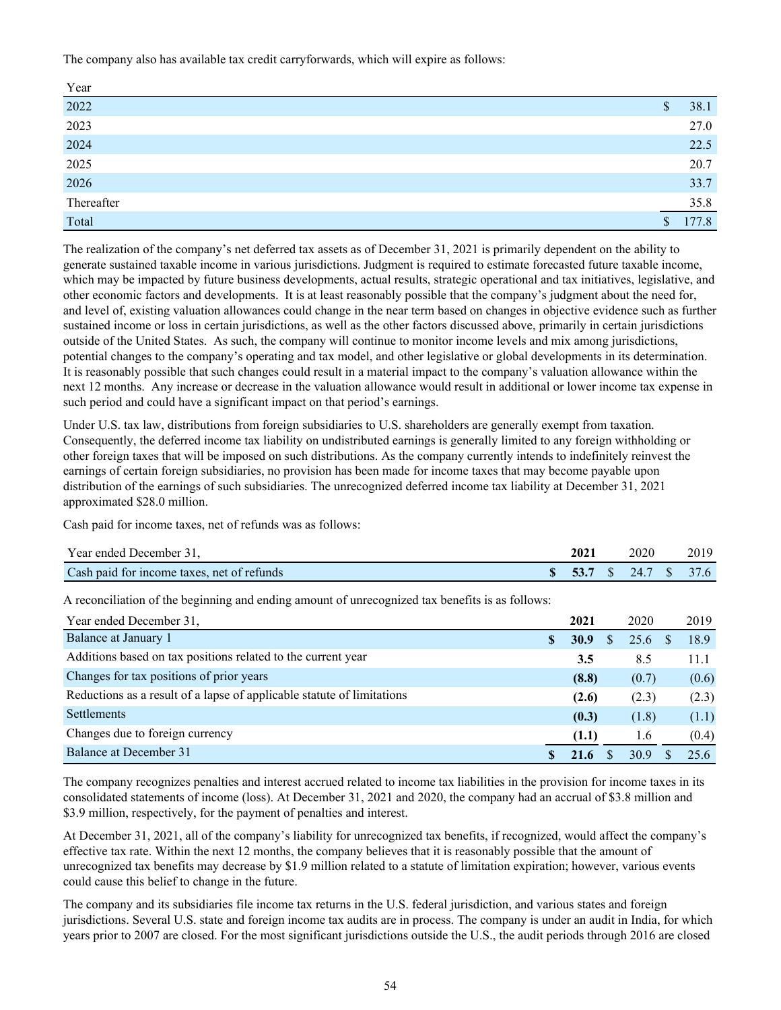The company also has available tax credit carryforwards, which will expire as follows:

| $\frac{Year}{2022}$ | \$           | 38.1  |
|---------------------|--------------|-------|
| 2023                |              | 27.0  |
| 2024                |              | 22.5  |
| 2025                |              | 20.7  |
| 2026                |              | 33.7  |
| Thereafter          |              | 35.8  |
| Total               | $\mathbb{S}$ | 177.8 |

The realization of the company's net deferred tax assets as of December 31, 2021 is primarily dependent on the ability to generate sustained taxable income in various jurisdictions. Judgment is required to estimate forecasted future taxable income, which may be impacted by future business developments, actual results, strategic operational and tax initiatives, legislative, and other economic factors and developments. It is at least reasonably possible that the company's judgment about the need for, and level of, existing valuation allowances could change in the near term based on changes in objective evidence such as further sustained income or loss in certain jurisdictions, as well as the other factors discussed above, primarily in certain jurisdictions outside of the United States. As such, the company will continue to monitor income levels and mix among jurisdictions, potential changes to the company's operating and tax model, and other legislative or global developments in its determination. It is reasonably possible that such changes could result in a material impact to the company's valuation allowance within the next 12 months. Any increase or decrease in the valuation allowance would result in additional or lower income tax expense in such period and could have a significant impact on that period's earnings.

Under U.S. tax law, distributions from foreign subsidiaries to U.S. shareholders are generally exempt from taxation. Consequently, the deferred income tax liability on undistributed earnings is generally limited to any foreign withholding or other foreign taxes that will be imposed on such distributions. As the company currently intends to indefinitely reinvest the earnings of certain foreign subsidiaries, no provision has been made for income taxes that may become payable upon distribution of the earnings of such subsidiaries. The unrecognized deferred income tax liability at December 31, 2021 approximated \$28.0 million.

Cash paid for income taxes, net of refunds was as follows:

| Year ended December 31,                    | 2021 | 2020                    | 2019 |
|--------------------------------------------|------|-------------------------|------|
| Cash paid for income taxes, net of refunds |      | \$ 53.7 \$ 24.7 \$ 37.6 |      |

A reconciliation of the beginning and ending amount of unrecognized tax benefits is as follows:

| Year ended December 31,                                                | 2021         |    | 2020  | 2019  |
|------------------------------------------------------------------------|--------------|----|-------|-------|
| Balance at January 1                                                   | 30.9         | S. | 25.6  | 18.9  |
| Additions based on tax positions related to the current year           | 3.5          |    | 8.5   | 11.1  |
| Changes for tax positions of prior years                               | (8.8)        |    | (0.7) | (0.6) |
| Reductions as a result of a lapse of applicable statute of limitations | (2.6)        |    | (2.3) | (2.3) |
| <b>Settlements</b>                                                     | (0.3)        |    | (1.8) | (1.1) |
| Changes due to foreign currency                                        | (1.1)        |    | 1.6   | (0.4) |
| Balance at December 31                                                 | $\mathbf{A}$ |    | 30.9  |       |

The company recognizes penalties and interest accrued related to income tax liabilities in the provision for income taxes in its consolidated statements of income (loss). At December 31, 2021 and 2020, the company had an accrual of \$3.8 million and \$3.9 million, respectively, for the payment of penalties and interest.

At December 31, 2021, all of the company's liability for unrecognized tax benefits, if recognized, would affect the company's effective tax rate. Within the next 12 months, the company believes that it is reasonably possible that the amount of unrecognized tax benefits may decrease by \$1.9 million related to a statute of limitation expiration; however, various events could cause this belief to change in the future.

The company and its subsidiaries file income tax returns in the U.S. federal jurisdiction, and various states and foreign jurisdictions. Several U.S. state and foreign income tax audits are in process. The company is under an audit in India, for which years prior to 2007 are closed. For the most significant jurisdictions outside the U.S., the audit periods through 2016 are closed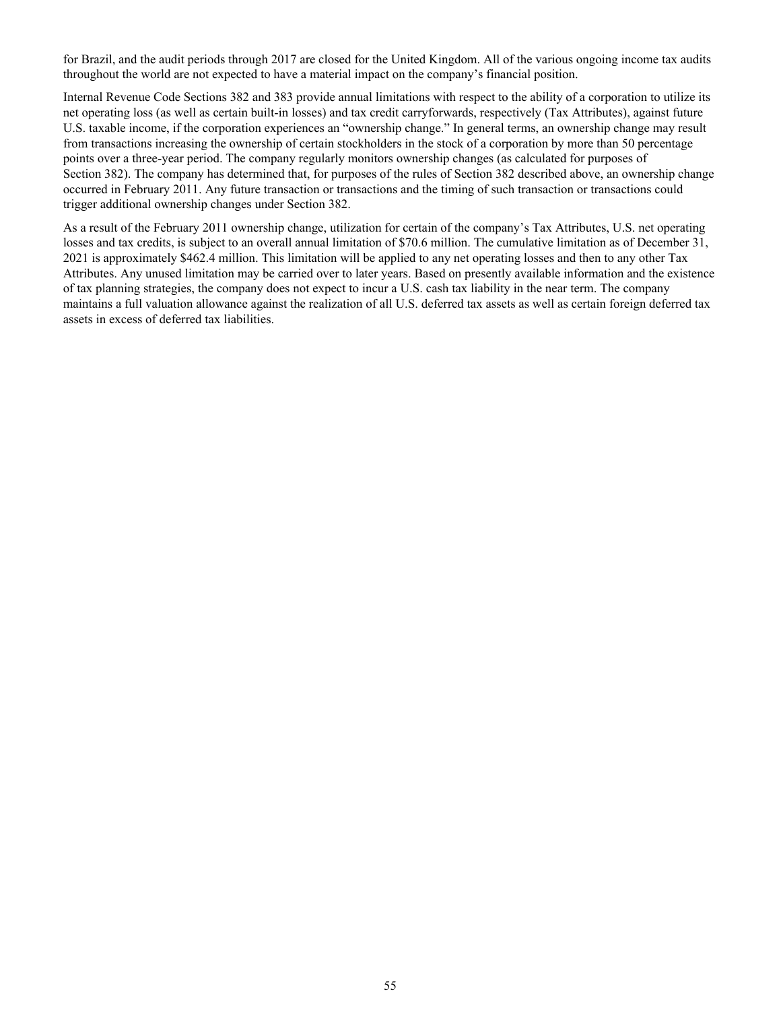for Brazil, and the audit periods through 2017 are closed for the United Kingdom. All of the various ongoing income tax audits throughout the world are not expected to have a material impact on the company's financial position.

Internal Revenue Code Sections 382 and 383 provide annual limitations with respect to the ability of a corporation to utilize its net operating loss (as well as certain built-in losses) and tax credit carryforwards, respectively (Tax Attributes), against future U.S. taxable income, if the corporation experiences an "ownership change." In general terms, an ownership change may result from transactions increasing the ownership of certain stockholders in the stock of a corporation by more than 50 percentage points over a three-year period. The company regularly monitors ownership changes (as calculated for purposes of Section 382). The company has determined that, for purposes of the rules of Section 382 described above, an ownership change occurred in February 2011. Any future transaction or transactions and the timing of such transaction or transactions could trigger additional ownership changes under Section 382.

As a result of the February 2011 ownership change, utilization for certain of the company's Tax Attributes, U.S. net operating losses and tax credits, is subject to an overall annual limitation of \$70.6 million. The cumulative limitation as of December 31, 2021 is approximately \$462.4 million. This limitation will be applied to any net operating losses and then to any other Tax Attributes. Any unused limitation may be carried over to later years. Based on presently available information and the existence of tax planning strategies, the company does not expect to incur a U.S. cash tax liability in the near term. The company maintains a full valuation allowance against the realization of all U.S. deferred tax assets as well as certain foreign deferred tax assets in excess of deferred tax liabilities.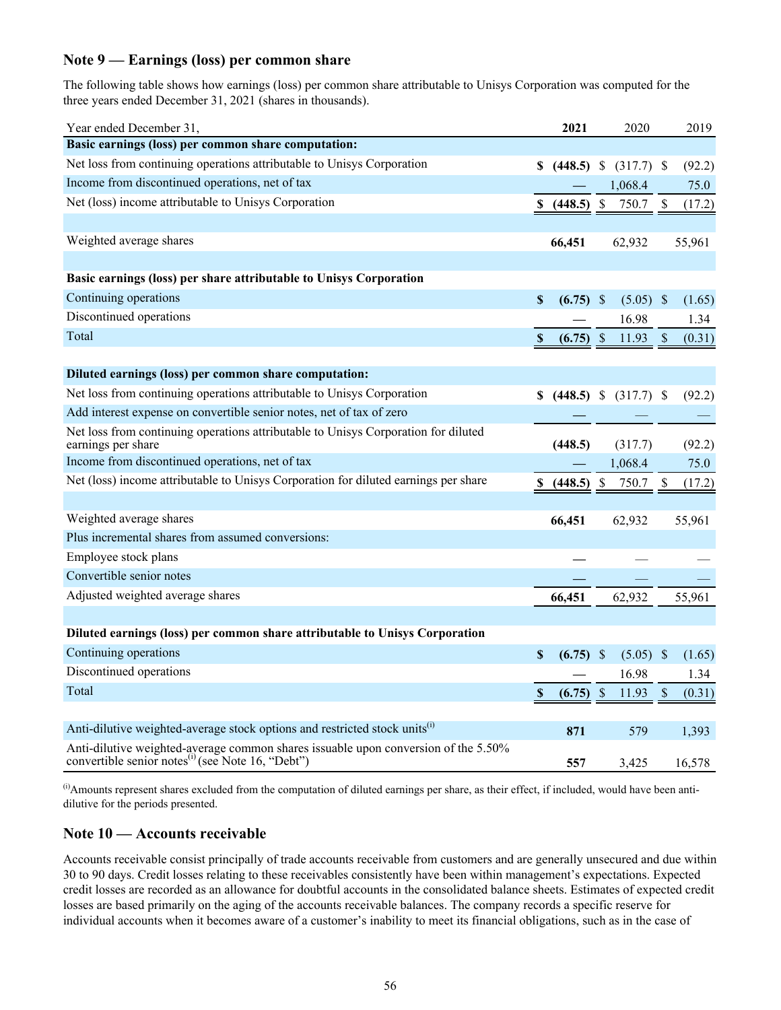## **Note 9 — Earnings (loss) per common share**

The following table shows how earnings (loss) per common share attributable to Unisys Corporation was computed for the three years ended December 31, 2021 (shares in thousands).

| Year ended December 31,                                                                                                                             |                           | 2021        | 2020          |                                    |                           | 2019   |
|-----------------------------------------------------------------------------------------------------------------------------------------------------|---------------------------|-------------|---------------|------------------------------------|---------------------------|--------|
| Basic earnings (loss) per common share computation:                                                                                                 |                           |             |               |                                    |                           |        |
| Net loss from continuing operations attributable to Unisys Corporation                                                                              |                           |             |               | $$$ (448.5) \, \, (317.7) \, \, \, |                           | (92.2) |
| Income from discontinued operations, net of tax                                                                                                     |                           |             |               | 1,068.4                            |                           | 75.0   |
| Net (loss) income attributable to Unisys Corporation                                                                                                |                           | (448.5)     | $\mathbb{S}$  | 750.7                              | \$                        | (17.2) |
|                                                                                                                                                     |                           |             |               |                                    |                           |        |
| Weighted average shares                                                                                                                             |                           | 66,451      |               | 62,932                             |                           | 55,961 |
|                                                                                                                                                     |                           |             |               |                                    |                           |        |
| Basic earnings (loss) per share attributable to Unisys Corporation                                                                                  |                           |             |               |                                    |                           |        |
| Continuing operations                                                                                                                               | $\boldsymbol{\mathsf{S}}$ | $(6.75)$ \$ |               | $(5.05)$ \$                        |                           | (1.65) |
| Discontinued operations                                                                                                                             |                           |             |               | 16.98                              |                           | 1.34   |
| Total                                                                                                                                               | $\mathbb S$               | (6.75)      | $\mathcal{S}$ | 11.93                              | $\boldsymbol{\mathsf{S}}$ | (0.31) |
|                                                                                                                                                     |                           |             |               |                                    |                           |        |
| Diluted earnings (loss) per common share computation:                                                                                               |                           |             |               |                                    |                           |        |
| Net loss from continuing operations attributable to Unisys Corporation                                                                              | \$                        |             |               | $(448.5)$ \$ $(317.7)$ \$          |                           | (92.2) |
| Add interest expense on convertible senior notes, net of tax of zero                                                                                |                           |             |               |                                    |                           |        |
| Net loss from continuing operations attributable to Unisys Corporation for diluted                                                                  |                           |             |               |                                    |                           |        |
| earnings per share                                                                                                                                  |                           | (448.5)     |               | (317.7)                            |                           | (92.2) |
| Income from discontinued operations, net of tax                                                                                                     |                           |             |               | 1,068.4                            |                           | 75.0   |
| Net (loss) income attributable to Unisys Corporation for diluted earnings per share                                                                 | S                         | (448.5)     | $\mathcal{S}$ | 750.7                              | \$                        | (17.2) |
|                                                                                                                                                     |                           |             |               |                                    |                           |        |
| Weighted average shares                                                                                                                             |                           | 66,451      |               | 62,932                             |                           | 55,961 |
| Plus incremental shares from assumed conversions:                                                                                                   |                           |             |               |                                    |                           |        |
| Employee stock plans                                                                                                                                |                           |             |               |                                    |                           |        |
| Convertible senior notes                                                                                                                            |                           |             |               |                                    |                           |        |
| Adjusted weighted average shares                                                                                                                    |                           | 66,451      |               | 62,932                             |                           | 55,961 |
|                                                                                                                                                     |                           |             |               |                                    |                           |        |
| Diluted earnings (loss) per common share attributable to Unisys Corporation                                                                         |                           |             |               |                                    |                           |        |
| Continuing operations                                                                                                                               | \$                        | (6.75)      | <sup>\$</sup> | $(5.05)$ \$                        |                           | (1.65) |
| Discontinued operations                                                                                                                             |                           |             |               | 16.98                              |                           | 1.34   |
| Total                                                                                                                                               | $\mathbf S$               | (6.75)      | $\sqrt{S}$    | 11.93                              | $\boldsymbol{\mathsf{S}}$ | (0.31) |
|                                                                                                                                                     |                           |             |               |                                    |                           |        |
| Anti-dilutive weighted-average stock options and restricted stock units <sup>(i)</sup>                                                              |                           | 871         |               | 579                                |                           | 1,393  |
| Anti-dilutive weighted-average common shares issuable upon conversion of the 5.50%<br>convertible senior notes <sup>(i)</sup> (see Note 16, "Debt") |                           | 557         |               | 3,425                              |                           | 16,578 |

 $^{(i)}$ Amounts represent shares excluded from the computation of diluted earnings per share, as their effect, if included, would have been antidilutive for the periods presented.

## **Note 10 — Accounts receivable**

Accounts receivable consist principally of trade accounts receivable from customers and are generally unsecured and due within 30 to 90 days. Credit losses relating to these receivables consistently have been within management's expectations. Expected credit losses are recorded as an allowance for doubtful accounts in the consolidated balance sheets. Estimates of expected credit losses are based primarily on the aging of the accounts receivable balances. The company records a specific reserve for individual accounts when it becomes aware of a customer's inability to meet its financial obligations, such as in the case of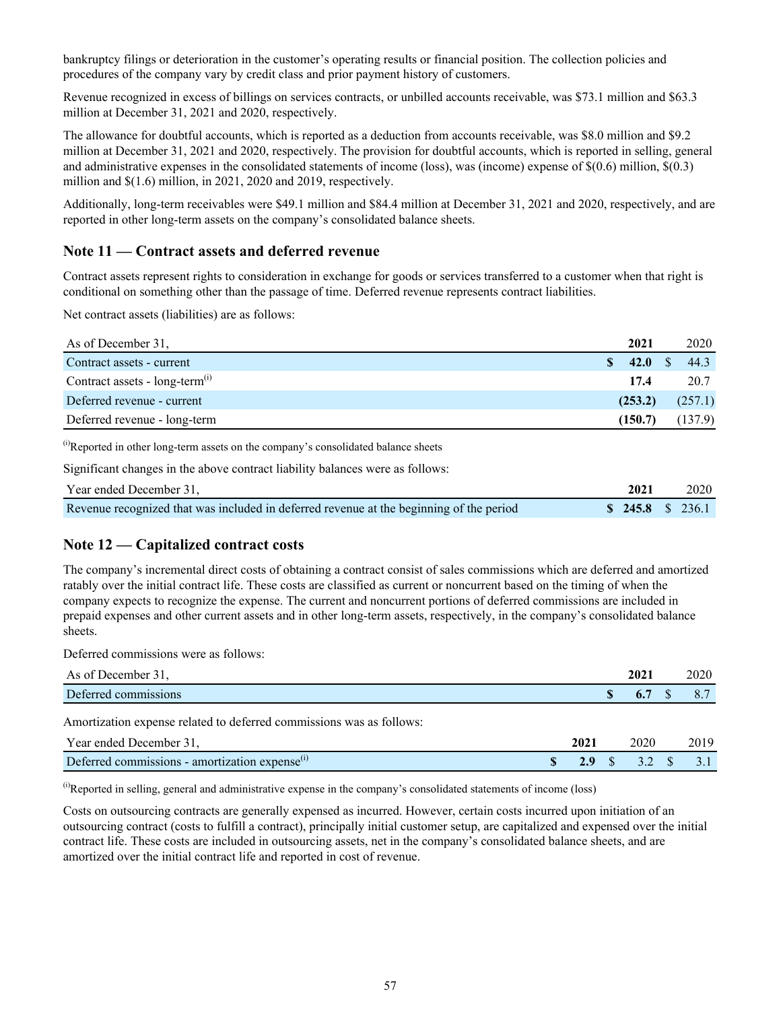bankruptcy filings or deterioration in the customer's operating results or financial position. The collection policies and procedures of the company vary by credit class and prior payment history of customers.

Revenue recognized in excess of billings on services contracts, or unbilled accounts receivable, was \$73.1 million and \$63.3 million at December 31, 2021 and 2020, respectively.

The allowance for doubtful accounts, which is reported as a deduction from accounts receivable, was \$8.0 million and \$9.2 million at December 31, 2021 and 2020, respectively. The provision for doubtful accounts, which is reported in selling, general and administrative expenses in the consolidated statements of income (loss), was (income) expense of \$(0.6) million, \$(0.3) million and \$(1.6) million, in 2021, 2020 and 2019, respectively.

Additionally, long-term receivables were \$49.1 million and \$84.4 million at December 31, 2021 and 2020, respectively, and are reported in other long-term assets on the company's consolidated balance sheets.

### **Note 11 — Contract assets and deferred revenue**

Contract assets represent rights to consideration in exchange for goods or services transferred to a customer when that right is conditional on something other than the passage of time. Deferred revenue represents contract liabilities.

Net contract assets (liabilities) are as follows:

| As of December 31,                           | 2021        | 2020                 |
|----------------------------------------------|-------------|----------------------|
| Contract assets - current                    | 42.0<br>SS. | 44.3<br>$\mathbf{S}$ |
| Contract assets - $long-term$ <sup>(i)</sup> | 17.4        | 20.7                 |
| Deferred revenue - current                   | (253.2)     | (257.1)              |
| Deferred revenue - long-term                 | (150.7)     | (137.9)              |

(i)Reported in other long-term assets on the company's consolidated balance sheets

Significant changes in the above contract liability balances were as follows:

| Year ended December 31,                                                                 |                               | 2021 | 2020 |
|-----------------------------------------------------------------------------------------|-------------------------------|------|------|
| Revenue recognized that was included in deferred revenue at the beginning of the period | $\textbf{S}$ 245.8 \ \$ 236.1 |      |      |

#### **Note 12 — Capitalized contract costs**

The company's incremental direct costs of obtaining a contract consist of sales commissions which are deferred and amortized ratably over the initial contract life. These costs are classified as current or noncurrent based on the timing of when the company expects to recognize the expense. The current and noncurrent portions of deferred commissions are included in prepaid expenses and other current assets and in other long-term assets, respectively, in the company's consolidated balance sheets.

Deferred commissions were as follows:

| As of December 31,                                                              |                                                           |  |      |  |  | 2021 | 2020 |
|---------------------------------------------------------------------------------|-----------------------------------------------------------|--|------|--|--|------|------|
| Deferred commissions                                                            |                                                           |  |      |  |  | 6.7  | 8.1  |
| the contract of the contract of the contract of the contract of the contract of | $\mathbf{1}$ , $\mathbf{1}$ , $\mathbf{1}$ , $\mathbf{0}$ |  | 0.11 |  |  |      |      |

Amortization expense related to deferred commissions was as follows:

| Year ended December 31,                                    | 2021 | 2020 | 2019 |
|------------------------------------------------------------|------|------|------|
| Deferred commissions - amortization expense <sup>(1)</sup> |      |      | .    |

 $^{(i)}$ Reported in selling, general and administrative expense in the company's consolidated statements of income (loss)

Costs on outsourcing contracts are generally expensed as incurred. However, certain costs incurred upon initiation of an outsourcing contract (costs to fulfill a contract), principally initial customer setup, are capitalized and expensed over the initial contract life. These costs are included in outsourcing assets, net in the company's consolidated balance sheets, and are amortized over the initial contract life and reported in cost of revenue.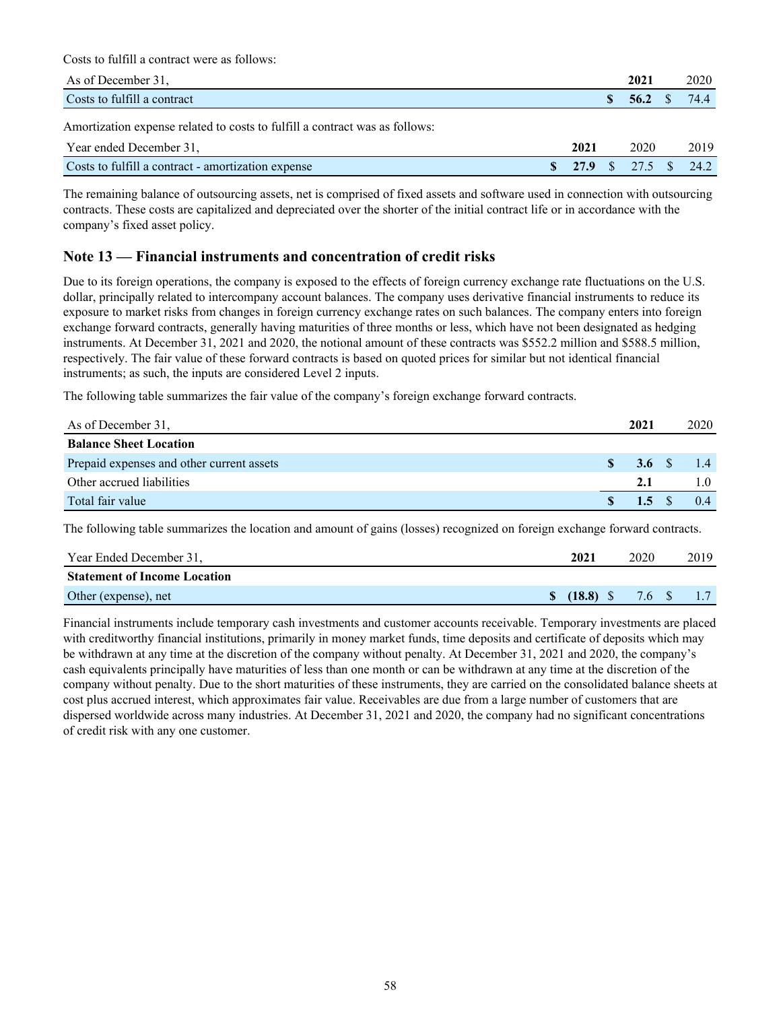Costs to fulfill a contract were as follows:

| As of December 31.                                                          |      | 2021                 | 2020 |
|-----------------------------------------------------------------------------|------|----------------------|------|
| Costs to fulfill a contract                                                 |      | 56.2 S               | 74.4 |
| Amortization expense related to costs to fulfill a contract was as follows: |      |                      |      |
| Year ended December 31,                                                     | 2021 | 2020                 | 2019 |
| Costs to fulfill a contract - amortization expense                          |      | 27.9 \$ 27.5 \$ 24.2 |      |

The remaining balance of outsourcing assets, net is comprised of fixed assets and software used in connection with outsourcing contracts. These costs are capitalized and depreciated over the shorter of the initial contract life or in accordance with the company's fixed asset policy.

### **Note 13 — Financial instruments and concentration of credit risks**

Due to its foreign operations, the company is exposed to the effects of foreign currency exchange rate fluctuations on the U.S. dollar, principally related to intercompany account balances. The company uses derivative financial instruments to reduce its exposure to market risks from changes in foreign currency exchange rates on such balances. The company enters into foreign exchange forward contracts, generally having maturities of three months or less, which have not been designated as hedging instruments. At December 31, 2021 and 2020, the notional amount of these contracts was \$552.2 million and \$588.5 million, respectively. The fair value of these forward contracts is based on quoted prices for similar but not identical financial instruments; as such, the inputs are considered Level 2 inputs.

The following table summarizes the fair value of the company's foreign exchange forward contracts.

| As of December 31,                        |    | 2021                    | 2020 |
|-------------------------------------------|----|-------------------------|------|
| <b>Balance Sheet Location</b>             |    |                         |      |
| Prepaid expenses and other current assets | S. | $3.6 \quad S \quad 1.4$ |      |
| Other accrued liabilities                 |    | 2.1                     |      |
| Total fair value                          |    | $1.5 \tS$               | 0.4  |

The following table summarizes the location and amount of gains (losses) recognized on foreign exchange forward contracts.

| Year Ended December 31,             | 2021                                                  | 2020 | 2019 |
|-------------------------------------|-------------------------------------------------------|------|------|
| <b>Statement of Income Location</b> |                                                       |      |      |
| Other (expense), net                | $\textbf{S}$ (18.8) $\textbf{S}$ 7.6 $\textbf{S}$ 1.7 |      |      |

Financial instruments include temporary cash investments and customer accounts receivable. Temporary investments are placed with creditworthy financial institutions, primarily in money market funds, time deposits and certificate of deposits which may be withdrawn at any time at the discretion of the company without penalty. At December 31, 2021 and 2020, the company's cash equivalents principally have maturities of less than one month or can be withdrawn at any time at the discretion of the company without penalty. Due to the short maturities of these instruments, they are carried on the consolidated balance sheets at cost plus accrued interest, which approximates fair value. Receivables are due from a large number of customers that are dispersed worldwide across many industries. At December 31, 2021 and 2020, the company had no significant concentrations of credit risk with any one customer.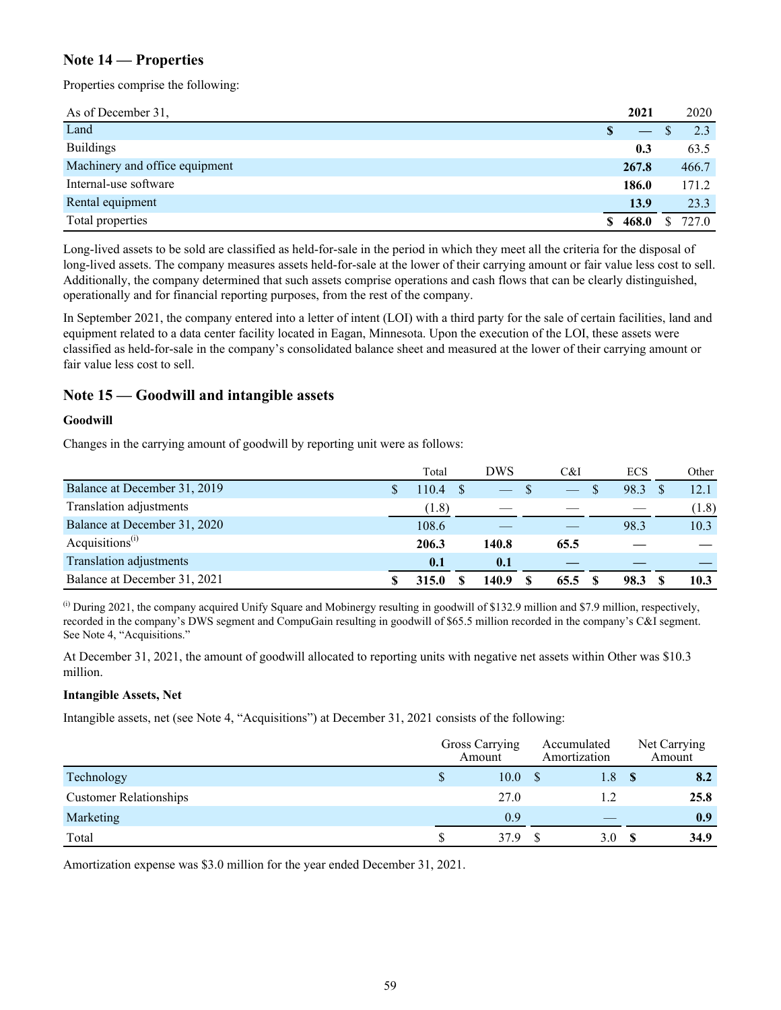### **Note 14 — Properties**

Properties comprise the following:

| As of December 31,             | 2021    |   | 2020  |
|--------------------------------|---------|---|-------|
| Land                           |         |   | 2.3   |
| <b>Buildings</b>               | 0.3     |   | 63.5  |
| Machinery and office equipment | 267.8   |   | 466.7 |
| Internal-use software          | 186.0   |   | 171.2 |
| Rental equipment               | 13.9    |   | 23.3  |
| Total properties               | \$468.0 | S | 727.0 |

Long-lived assets to be sold are classified as held-for-sale in the period in which they meet all the criteria for the disposal of long-lived assets. The company measures assets held-for-sale at the lower of their carrying amount or fair value less cost to sell. Additionally, the company determined that such assets comprise operations and cash flows that can be clearly distinguished, operationally and for financial reporting purposes, from the rest of the company.

In September 2021, the company entered into a letter of intent (LOI) with a third party for the sale of certain facilities, land and equipment related to a data center facility located in Eagan, Minnesota. Upon the execution of the LOI, these assets were classified as held-for-sale in the company's consolidated balance sheet and measured at the lower of their carrying amount or fair value less cost to sell.

### **Note 15 — Goodwill and intangible assets**

#### **Goodwill**

Changes in the carrying amount of goodwill by reporting unit were as follows:

|                              | Total | DWS   | C&I  | <b>ECS</b> | Other |
|------------------------------|-------|-------|------|------------|-------|
| Balance at December 31, 2019 | 10.4  |       |      | 98.3       | 12.1  |
| Translation adjustments      | (1.8) |       |      |            | (1.8) |
| Balance at December 31, 2020 | 108.6 |       |      | 98.3       | 10.3  |
| Acquisitions <sup>(i)</sup>  | 206.3 | 140.8 | 65.5 |            |       |
| Translation adjustments      | 0.1   | 0.1   |      |            |       |
| Balance at December 31, 2021 | 315.0 | 140.9 | 65.5 | 98.3       | 10.3  |

<sup>(i)</sup> During 2021, the company acquired Unify Square and Mobinergy resulting in goodwill of \$132.9 million and \$7.9 million, respectively, recorded in the company's DWS segment and CompuGain resulting in goodwill of \$65.5 million recorded in the company's C&I segment. See Note 4, "Acquisitions."

At December 31, 2021, the amount of goodwill allocated to reporting units with negative net assets within Other was \$10.3 million.

#### **Intangible Assets, Net**

Intangible assets, net (see Note 4, "Acquisitions") at December 31, 2021 consists of the following:

|                               | Gross Carrying<br>Amount |      | Accumulated<br>Amortization | Net Carrying<br>Amount |
|-------------------------------|--------------------------|------|-----------------------------|------------------------|
| Technology                    | S                        | 10.0 | 1.8                         | 8.2                    |
| <b>Customer Relationships</b> |                          | 27.0 |                             | 25.8                   |
| Marketing                     |                          | 0.9  |                             | 0.9                    |
| Total                         |                          | 379  | 3.0                         | 34.9                   |

Amortization expense was \$3.0 million for the year ended December 31, 2021.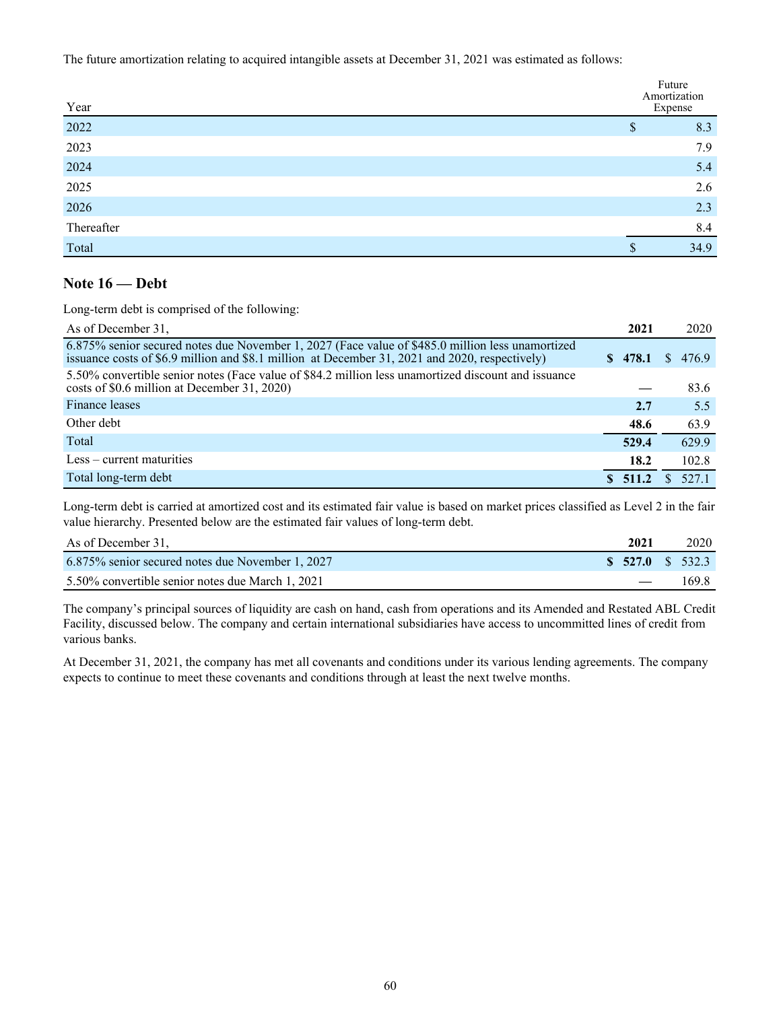The future amortization relating to acquired intangible assets at December 31, 2021 was estimated as follows:

|                     |    | Future<br>Amortization<br>Expense |
|---------------------|----|-----------------------------------|
| $\frac{Year}{2022}$ | \$ | 8.3                               |
| 2023                |    | 7.9                               |
| 2024                |    | 5.4                               |
| 2025                |    | 2.6                               |
| 2026                |    | 2.3                               |
| Thereafter          |    | 8.4                               |
| Total               | S  | 34.9                              |

### **Note 16 — Debt**

Long-term debt is comprised of the following:

| As of December 31.                                                                                                                                                                                 | 2021     | 2020        |
|----------------------------------------------------------------------------------------------------------------------------------------------------------------------------------------------------|----------|-------------|
| 6.875% senior secured notes due November 1, 2027 (Face value of \$485.0 million less unamortized<br>issuance costs of \$6.9 million and \$8.1 million at December 31, 2021 and 2020, respectively) | \$478.1  | 476.9<br>S. |
| 5.50% convertible senior notes (Face value of \$84.2 million less unamortized discount and issuance<br>costs of \$0.6 million at December 31, 2020)                                                |          | 83.6        |
| Finance leases                                                                                                                                                                                     | 2.7      | 5.5         |
| Other debt                                                                                                                                                                                         | 48.6     | 63.9        |
| Total                                                                                                                                                                                              | 529.4    | 629.9       |
| $Less - current maturities$                                                                                                                                                                        | 18.2     | 102.8       |
| Total long-term debt                                                                                                                                                                               | \$ 511.2 | 527.1       |

Long-term debt is carried at amortized cost and its estimated fair value is based on market prices classified as Level 2 in the fair value hierarchy. Presented below are the estimated fair values of long-term debt.

| As of December 31.                               | 2021 | 2020                                        |
|--------------------------------------------------|------|---------------------------------------------|
| 6.875% senior secured notes due November 1, 2027 |      | $\frac{\text{S}}{\text{S}}$ 527.0 \ \ 532.3 |
| 5.50% convertible senior notes due March 1, 2021 |      | 169.8                                       |

The company's principal sources of liquidity are cash on hand, cash from operations and its Amended and Restated ABL Credit Facility, discussed below. The company and certain international subsidiaries have access to uncommitted lines of credit from various banks.

At December 31, 2021, the company has met all covenants and conditions under its various lending agreements. The company expects to continue to meet these covenants and conditions through at least the next twelve months.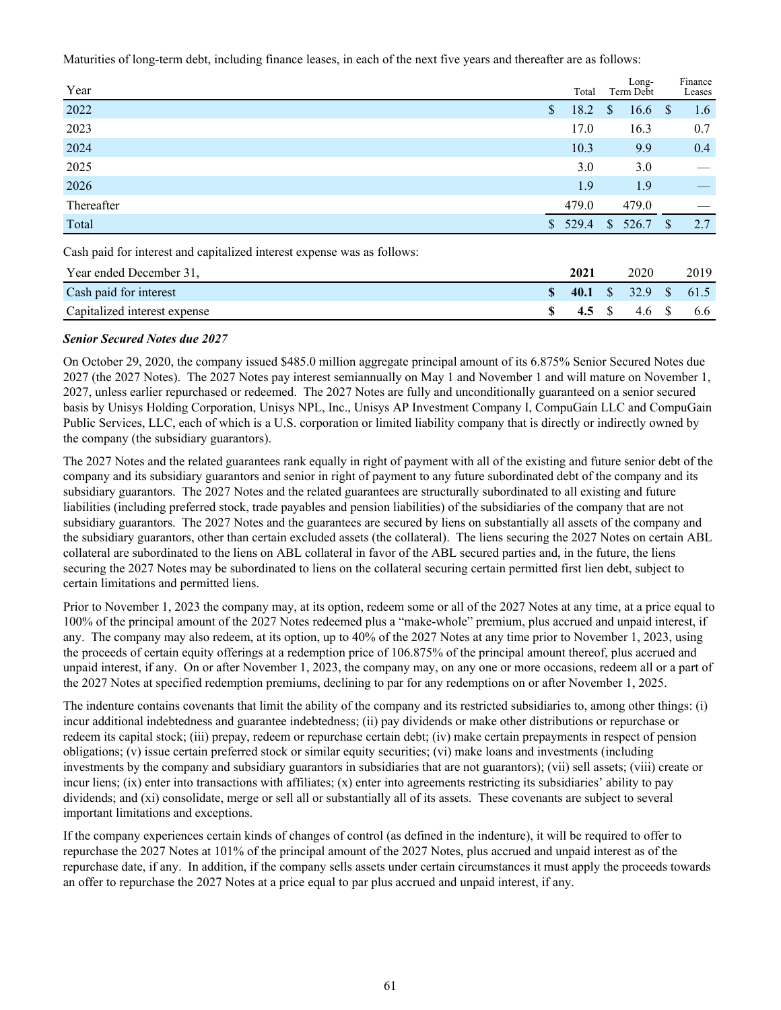Maturities of long-term debt, including finance leases, in each of the next five years and thereafter are as follows:

| Year                                                                    |                | Total |                | Long-<br>Term Debt |      | Finance<br>Leases |
|-------------------------------------------------------------------------|----------------|-------|----------------|--------------------|------|-------------------|
| 2022                                                                    | S              | 18.2  | <sup>S</sup>   | 16.6               | - \$ | 1.6               |
| 2023                                                                    |                | 17.0  |                | 16.3               |      | 0.7               |
| 2024                                                                    |                | 10.3  |                | 9.9                |      | 0.4               |
| 2025                                                                    |                | 3.0   |                | 3.0                |      |                   |
| 2026                                                                    |                | 1.9   |                | 1.9                |      |                   |
| Thereafter                                                              |                | 479.0 |                | 479.0              |      |                   |
| Total                                                                   | $\mathbb{S}^-$ | 529.4 | $\mathbb{S}^-$ | 526.7              | S    | 2.7               |
| Cash paid for interest and capitalized interest expense was as follows: |                |       |                |                    |      |                   |

| Year ended December 31,      |    | 2021 | 2020                 | 2019 |
|------------------------------|----|------|----------------------|------|
| Cash paid for interest       | S. |      | 40.1 \$ 32.9 \$ 61.5 |      |
| Capitalized interest expense |    |      | 4.5 \$ 4.6 \$        | 6.6  |

#### *Senior Secured Notes due 2027*

On October 29, 2020, the company issued \$485.0 million aggregate principal amount of its 6.875% Senior Secured Notes due 2027 (the 2027 Notes). The 2027 Notes pay interest semiannually on May 1 and November 1 and will mature on November 1, 2027, unless earlier repurchased or redeemed. The 2027 Notes are fully and unconditionally guaranteed on a senior secured basis by Unisys Holding Corporation, Unisys NPL, Inc., Unisys AP Investment Company I, CompuGain LLC and CompuGain Public Services, LLC, each of which is a U.S. corporation or limited liability company that is directly or indirectly owned by the company (the subsidiary guarantors).

The 2027 Notes and the related guarantees rank equally in right of payment with all of the existing and future senior debt of the company and its subsidiary guarantors and senior in right of payment to any future subordinated debt of the company and its subsidiary guarantors. The 2027 Notes and the related guarantees are structurally subordinated to all existing and future liabilities (including preferred stock, trade payables and pension liabilities) of the subsidiaries of the company that are not subsidiary guarantors. The 2027 Notes and the guarantees are secured by liens on substantially all assets of the company and the subsidiary guarantors, other than certain excluded assets (the collateral). The liens securing the 2027 Notes on certain ABL collateral are subordinated to the liens on ABL collateral in favor of the ABL secured parties and, in the future, the liens securing the 2027 Notes may be subordinated to liens on the collateral securing certain permitted first lien debt, subject to certain limitations and permitted liens.

Prior to November 1, 2023 the company may, at its option, redeem some or all of the 2027 Notes at any time, at a price equal to 100% of the principal amount of the 2027 Notes redeemed plus a "make-whole" premium, plus accrued and unpaid interest, if any. The company may also redeem, at its option, up to 40% of the 2027 Notes at any time prior to November 1, 2023, using the proceeds of certain equity offerings at a redemption price of 106.875% of the principal amount thereof, plus accrued and unpaid interest, if any. On or after November 1, 2023, the company may, on any one or more occasions, redeem all or a part of the 2027 Notes at specified redemption premiums, declining to par for any redemptions on or after November 1, 2025.

The indenture contains covenants that limit the ability of the company and its restricted subsidiaries to, among other things: (i) incur additional indebtedness and guarantee indebtedness; (ii) pay dividends or make other distributions or repurchase or redeem its capital stock; (iii) prepay, redeem or repurchase certain debt; (iv) make certain prepayments in respect of pension obligations; (v) issue certain preferred stock or similar equity securities; (vi) make loans and investments (including investments by the company and subsidiary guarantors in subsidiaries that are not guarantors); (vii) sell assets; (viii) create or incur liens; (ix) enter into transactions with affiliates; (x) enter into agreements restricting its subsidiaries' ability to pay dividends; and (xi) consolidate, merge or sell all or substantially all of its assets. These covenants are subject to several important limitations and exceptions.

If the company experiences certain kinds of changes of control (as defined in the indenture), it will be required to offer to repurchase the 2027 Notes at 101% of the principal amount of the 2027 Notes, plus accrued and unpaid interest as of the repurchase date, if any. In addition, if the company sells assets under certain circumstances it must apply the proceeds towards an offer to repurchase the 2027 Notes at a price equal to par plus accrued and unpaid interest, if any.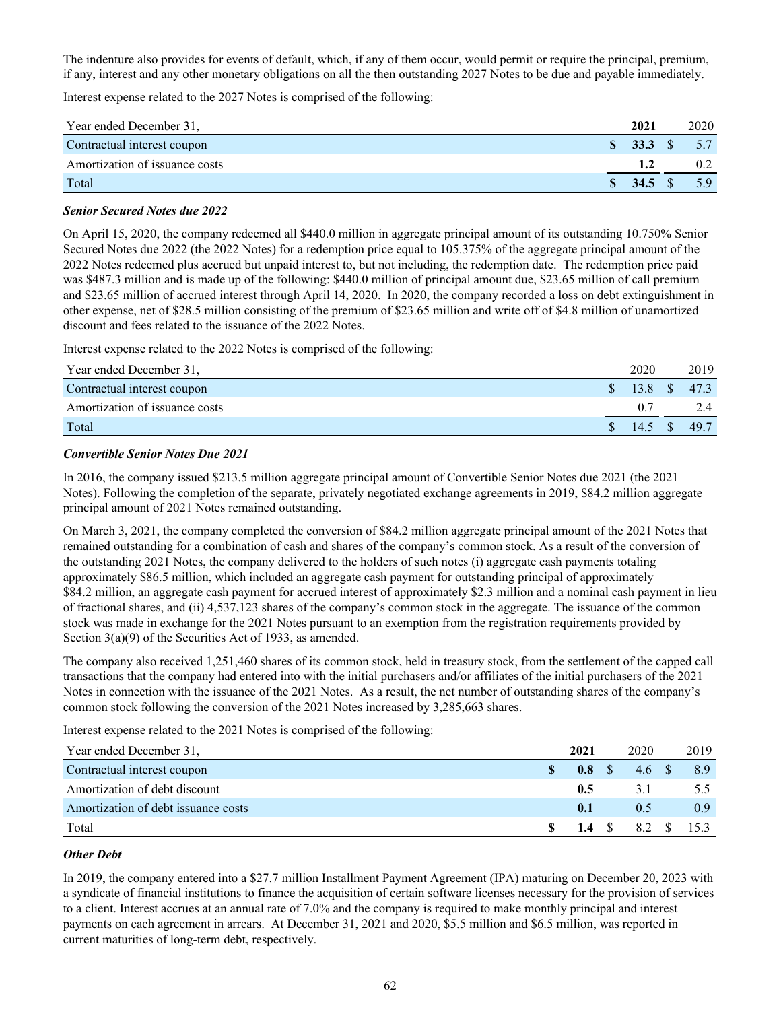The indenture also provides for events of default, which, if any of them occur, would permit or require the principal, premium, if any, interest and any other monetary obligations on all the then outstanding 2027 Notes to be due and payable immediately.

Interest expense related to the 2027 Notes is comprised of the following:

| Year ended December 31,        | 2021                                 | 2020 |
|--------------------------------|--------------------------------------|------|
| Contractual interest coupon    | $\textbf{S}$ 33.3 \ $\textbf{S}$ 5.7 |      |
| Amortization of issuance costs |                                      |      |
| Total                          |                                      | 5.9  |

#### *Senior Secured Notes due 2022*

On April 15, 2020, the company redeemed all \$440.0 million in aggregate principal amount of its outstanding 10.750% Senior Secured Notes due 2022 (the 2022 Notes) for a redemption price equal to 105.375% of the aggregate principal amount of the 2022 Notes redeemed plus accrued but unpaid interest to, but not including, the redemption date. The redemption price paid was \$487.3 million and is made up of the following: \$440.0 million of principal amount due, \$23.65 million of call premium and \$23.65 million of accrued interest through April 14, 2020. In 2020, the company recorded a loss on debt extinguishment in other expense, net of \$28.5 million consisting of the premium of \$23.65 million and write off of \$4.8 million of unamortized discount and fees related to the issuance of the 2022 Notes.

Interest expense related to the 2022 Notes is comprised of the following:

| Year ended December 31,        |   | 2020         | 2019 |
|--------------------------------|---|--------------|------|
| Contractual interest coupon    | S | 13.8 \$ 47.3 |      |
| Amortization of issuance costs |   | 0.7          |      |
| Total                          |   | $14.5 \t S$  | 49.7 |

#### *Convertible Senior Notes Due 2021*

In 2016, the company issued \$213.5 million aggregate principal amount of Convertible Senior Notes due 2021 (the 2021 Notes). Following the completion of the separate, privately negotiated exchange agreements in 2019, \$84.2 million aggregate principal amount of 2021 Notes remained outstanding.

On March 3, 2021, the company completed the conversion of \$84.2 million aggregate principal amount of the 2021 Notes that remained outstanding for a combination of cash and shares of the company's common stock. As a result of the conversion of the outstanding 2021 Notes, the company delivered to the holders of such notes (i) aggregate cash payments totaling approximately \$86.5 million, which included an aggregate cash payment for outstanding principal of approximately \$84.2 million, an aggregate cash payment for accrued interest of approximately \$2.3 million and a nominal cash payment in lieu of fractional shares, and (ii) 4,537,123 shares of the company's common stock in the aggregate. The issuance of the common stock was made in exchange for the 2021 Notes pursuant to an exemption from the registration requirements provided by Section 3(a)(9) of the Securities Act of 1933, as amended.

The company also received 1,251,460 shares of its common stock, held in treasury stock, from the settlement of the capped call transactions that the company had entered into with the initial purchasers and/or affiliates of the initial purchasers of the 2021 Notes in connection with the issuance of the 2021 Notes. As a result, the net number of outstanding shares of the company's common stock following the conversion of the 2021 Notes increased by 3,285,663 shares.

Interest expense related to the 2021 Notes is comprised of the following:

| Year ended December 31.             | 2021        | 2020          | 2019             |
|-------------------------------------|-------------|---------------|------------------|
| Contractual interest coupon         |             | 0.8 \$ 4.6 \$ | 8.9              |
| Amortization of debt discount       | 0.5         | 31            | 5.5              |
| Amortization of debt issuance costs | 0.1         | 0.5           | 0.9 <sup>°</sup> |
| Total                               | 1.4 $\sqrt$ | 8.2 \$        | 153              |

#### *Other Debt*

In 2019, the company entered into a \$27.7 million Installment Payment Agreement (IPA) maturing on December 20, 2023 with a syndicate of financial institutions to finance the acquisition of certain software licenses necessary for the provision of services to a client. Interest accrues at an annual rate of 7.0% and the company is required to make monthly principal and interest payments on each agreement in arrears. At December 31, 2021 and 2020, \$5.5 million and \$6.5 million, was reported in current maturities of long-term debt, respectively.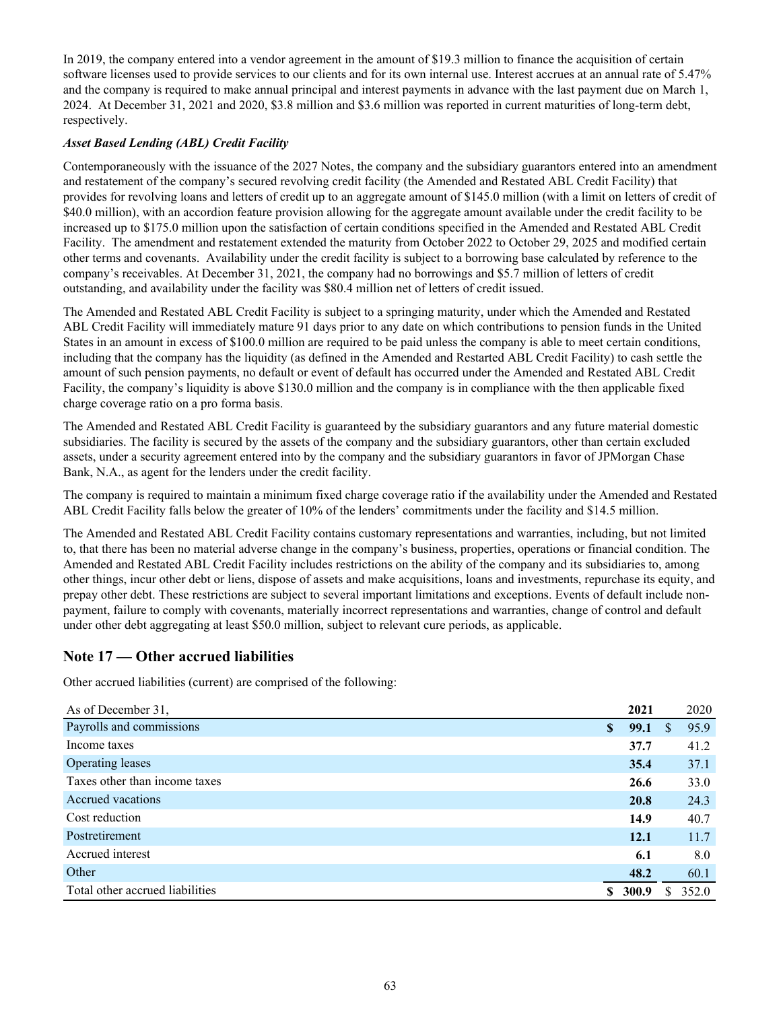In 2019, the company entered into a vendor agreement in the amount of \$19.3 million to finance the acquisition of certain software licenses used to provide services to our clients and for its own internal use. Interest accrues at an annual rate of 5.47% and the company is required to make annual principal and interest payments in advance with the last payment due on March 1, 2024. At December 31, 2021 and 2020, \$3.8 million and \$3.6 million was reported in current maturities of long-term debt, respectively.

#### *Asset Based Lending (ABL) Credit Facility*

Contemporaneously with the issuance of the 2027 Notes, the company and the subsidiary guarantors entered into an amendment and restatement of the company's secured revolving credit facility (the Amended and Restated ABL Credit Facility) that provides for revolving loans and letters of credit up to an aggregate amount of \$145.0 million (with a limit on letters of credit of \$40.0 million), with an accordion feature provision allowing for the aggregate amount available under the credit facility to be increased up to \$175.0 million upon the satisfaction of certain conditions specified in the Amended and Restated ABL Credit Facility. The amendment and restatement extended the maturity from October 2022 to October 29, 2025 and modified certain other terms and covenants. Availability under the credit facility is subject to a borrowing base calculated by reference to the company's receivables. At December 31, 2021, the company had no borrowings and \$5.7 million of letters of credit outstanding, and availability under the facility was \$80.4 million net of letters of credit issued.

The Amended and Restated ABL Credit Facility is subject to a springing maturity, under which the Amended and Restated ABL Credit Facility will immediately mature 91 days prior to any date on which contributions to pension funds in the United States in an amount in excess of \$100.0 million are required to be paid unless the company is able to meet certain conditions, including that the company has the liquidity (as defined in the Amended and Restarted ABL Credit Facility) to cash settle the amount of such pension payments, no default or event of default has occurred under the Amended and Restated ABL Credit Facility, the company's liquidity is above \$130.0 million and the company is in compliance with the then applicable fixed charge coverage ratio on a pro forma basis.

The Amended and Restated ABL Credit Facility is guaranteed by the subsidiary guarantors and any future material domestic subsidiaries. The facility is secured by the assets of the company and the subsidiary guarantors, other than certain excluded assets, under a security agreement entered into by the company and the subsidiary guarantors in favor of JPMorgan Chase Bank, N.A., as agent for the lenders under the credit facility.

The company is required to maintain a minimum fixed charge coverage ratio if the availability under the Amended and Restated ABL Credit Facility falls below the greater of 10% of the lenders' commitments under the facility and \$14.5 million.

The Amended and Restated ABL Credit Facility contains customary representations and warranties, including, but not limited to, that there has been no material adverse change in the company's business, properties, operations or financial condition. The Amended and Restated ABL Credit Facility includes restrictions on the ability of the company and its subsidiaries to, among other things, incur other debt or liens, dispose of assets and make acquisitions, loans and investments, repurchase its equity, and prepay other debt. These restrictions are subject to several important limitations and exceptions. Events of default include nonpayment, failure to comply with covenants, materially incorrect representations and warranties, change of control and default under other debt aggregating at least \$50.0 million, subject to relevant cure periods, as applicable.

## **Note 17 — Other accrued liabilities**

Other accrued liabilities (current) are comprised of the following:

| As of December 31,              |   | 2021  |   | 2020  |
|---------------------------------|---|-------|---|-------|
| Payrolls and commissions        | S | 99.1  | S | 95.9  |
| Income taxes                    |   | 37.7  |   | 41.2  |
| <b>Operating leases</b>         |   | 35.4  |   | 37.1  |
| Taxes other than income taxes   |   | 26.6  |   | 33.0  |
| Accrued vacations               |   | 20.8  |   | 24.3  |
| Cost reduction                  |   | 14.9  |   | 40.7  |
| Postretirement                  |   | 12.1  |   | 11.7  |
| Accrued interest                |   | 6.1   |   | 8.0   |
| Other                           |   | 48.2  |   | 60.1  |
| Total other accrued liabilities |   | 300.9 | ς | 352.0 |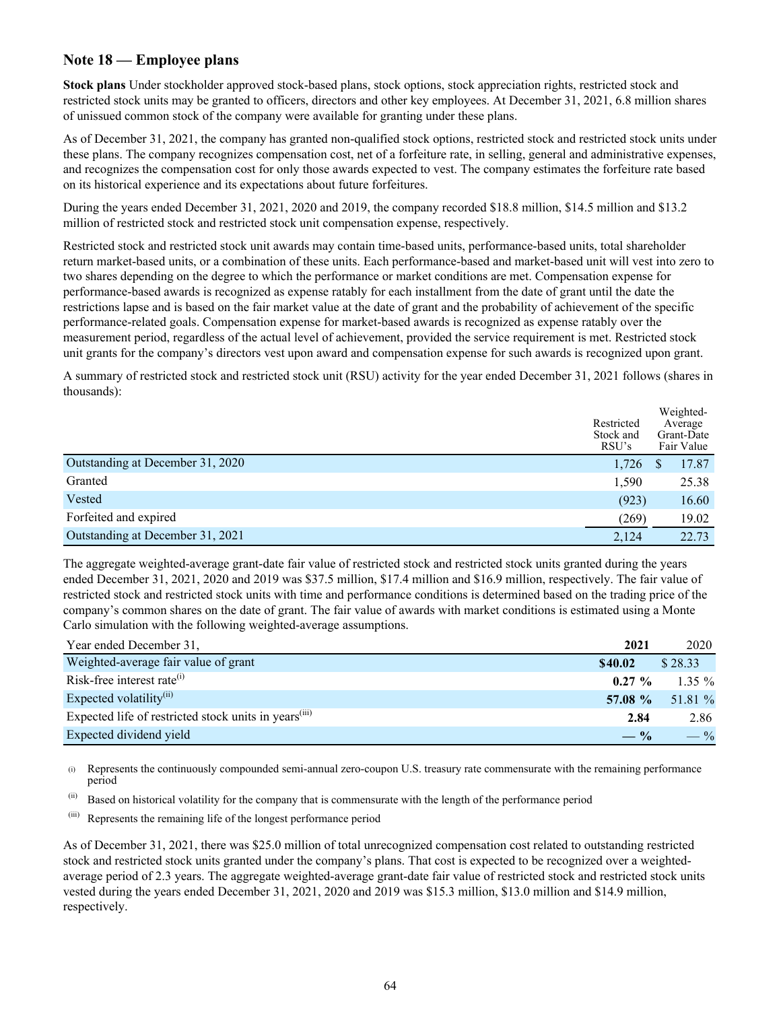### **Note 18 — Employee plans**

**Stock plans** Under stockholder approved stock-based plans, stock options, stock appreciation rights, restricted stock and restricted stock units may be granted to officers, directors and other key employees. At December 31, 2021, 6.8 million shares of unissued common stock of the company were available for granting under these plans.

As of December 31, 2021, the company has granted non-qualified stock options, restricted stock and restricted stock units under these plans. The company recognizes compensation cost, net of a forfeiture rate, in selling, general and administrative expenses, and recognizes the compensation cost for only those awards expected to vest. The company estimates the forfeiture rate based on its historical experience and its expectations about future forfeitures.

During the years ended December 31, 2021, 2020 and 2019, the company recorded \$18.8 million, \$14.5 million and \$13.2 million of restricted stock and restricted stock unit compensation expense, respectively.

Restricted stock and restricted stock unit awards may contain time-based units, performance-based units, total shareholder return market-based units, or a combination of these units. Each performance-based and market-based unit will vest into zero to two shares depending on the degree to which the performance or market conditions are met. Compensation expense for performance-based awards is recognized as expense ratably for each installment from the date of grant until the date the restrictions lapse and is based on the fair market value at the date of grant and the probability of achievement of the specific performance-related goals. Compensation expense for market-based awards is recognized as expense ratably over the measurement period, regardless of the actual level of achievement, provided the service requirement is met. Restricted stock unit grants for the company's directors vest upon award and compensation expense for such awards is recognized upon grant.

A summary of restricted stock and restricted stock unit (RSU) activity for the year ended December 31, 2021 follows (shares in thousands):

|                                  | Restricted<br>Stock and<br>RSU's | Weighted-<br>Average<br>Grant-Date<br>Fair Value |
|----------------------------------|----------------------------------|--------------------------------------------------|
| Outstanding at December 31, 2020 | 1,726                            | 17.87                                            |
| Granted                          | 1,590                            | 25.38                                            |
| Vested                           | (923)                            | 16.60                                            |
| Forfeited and expired            | (269)                            | 19.02                                            |
| Outstanding at December 31, 2021 | 2,124                            | 22.73                                            |

The aggregate weighted-average grant-date fair value of restricted stock and restricted stock units granted during the years ended December 31, 2021, 2020 and 2019 was \$37.5 million, \$17.4 million and \$16.9 million, respectively. The fair value of restricted stock and restricted stock units with time and performance conditions is determined based on the trading price of the company's common shares on the date of grant. The fair value of awards with market conditions is estimated using a Monte Carlo simulation with the following weighted-average assumptions.

| Year ended December 31,                                           | 2021      | 2020     |
|-------------------------------------------------------------------|-----------|----------|
| Weighted-average fair value of grant                              | \$40.02   | \$28.33  |
| Risk-free interest rate $^{(i)}$                                  | $0.27 \%$ | $1.35\%$ |
| Expected volatility <sup>(ii)</sup>                               | 57.08 %   | 51.81 %  |
| Expected life of restricted stock units in years <sup>(iii)</sup> | 2.84      | 2.86     |
| Expected dividend yield                                           | $-$ %     | $-$ %    |

(i) Represents the continuously compounded semi-annual zero-coupon U.S. treasury rate commensurate with the remaining performance period

- (ii) Based on historical volatility for the company that is commensurate with the length of the performance period
- (iii) Represents the remaining life of the longest performance period

As of December 31, 2021, there was \$25.0 million of total unrecognized compensation cost related to outstanding restricted stock and restricted stock units granted under the company's plans. That cost is expected to be recognized over a weightedaverage period of 2.3 years. The aggregate weighted-average grant-date fair value of restricted stock and restricted stock units vested during the years ended December 31, 2021, 2020 and 2019 was \$15.3 million, \$13.0 million and \$14.9 million, respectively.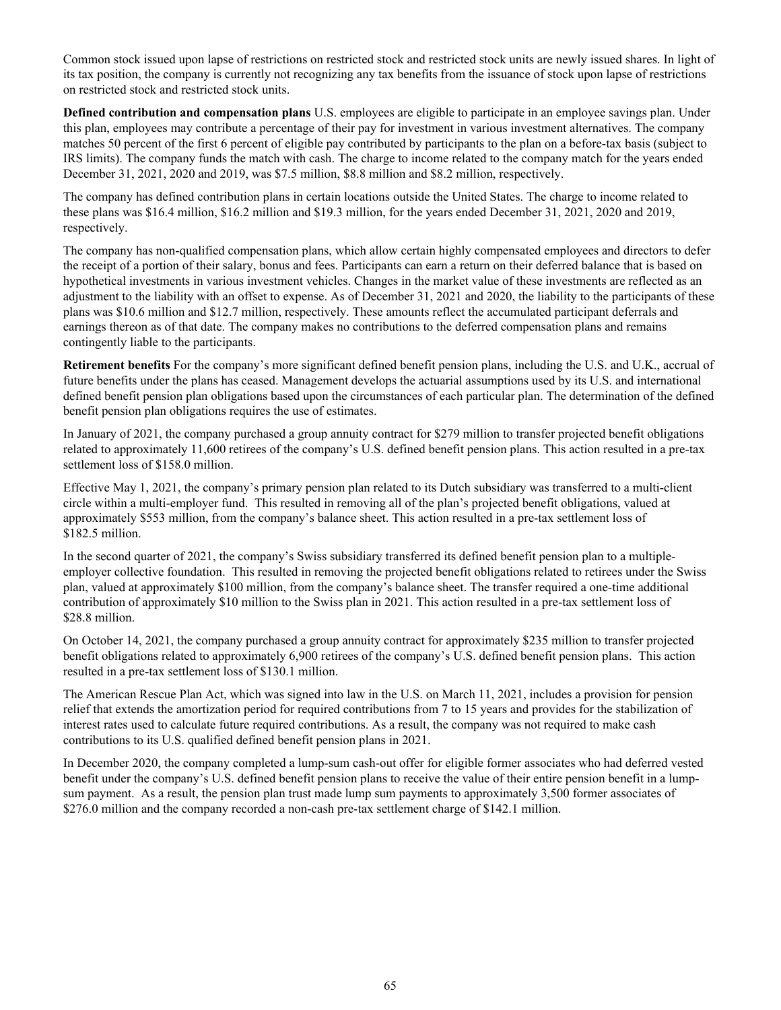Common stock issued upon lapse of restrictions on restricted stock and restricted stock units are newly issued shares. In light of its tax position, the company is currently not recognizing any tax benefits from the issuance of stock upon lapse of restrictions on restricted stock and restricted stock units.

**Defined contribution and compensation plans** U.S. employees are eligible to participate in an employee savings plan. Under this plan, employees may contribute a percentage of their pay for investment in various investment alternatives. The company matches 50 percent of the first 6 percent of eligible pay contributed by participants to the plan on a before-tax basis (subject to IRS limits). The company funds the match with cash. The charge to income related to the company match for the years ended December 31, 2021, 2020 and 2019, was \$7.5 million, \$8.8 million and \$8.2 million, respectively.

The company has defined contribution plans in certain locations outside the United States. The charge to income related to these plans was \$16.4 million, \$16.2 million and \$19.3 million, for the years ended December 31, 2021, 2020 and 2019, respectively.

The company has non-qualified compensation plans, which allow certain highly compensated employees and directors to defer the receipt of a portion of their salary, bonus and fees. Participants can earn a return on their deferred balance that is based on hypothetical investments in various investment vehicles. Changes in the market value of these investments are reflected as an adjustment to the liability with an offset to expense. As of December 31, 2021 and 2020, the liability to the participants of these plans was \$10.6 million and \$12.7 million, respectively. These amounts reflect the accumulated participant deferrals and earnings thereon as of that date. The company makes no contributions to the deferred compensation plans and remains contingently liable to the participants.

**Retirement benefits** For the company's more significant defined benefit pension plans, including the U.S. and U.K., accrual of future benefits under the plans has ceased. Management develops the actuarial assumptions used by its U.S. and international defined benefit pension plan obligations based upon the circumstances of each particular plan. The determination of the defined benefit pension plan obligations requires the use of estimates.

In January of 2021, the company purchased a group annuity contract for \$279 million to transfer projected benefit obligations related to approximately 11,600 retirees of the company's U.S. defined benefit pension plans. This action resulted in a pre-tax settlement loss of \$158.0 million.

Effective May 1, 2021, the company's primary pension plan related to its Dutch subsidiary was transferred to a multi-client circle within a multi-employer fund. This resulted in removing all of the plan's projected benefit obligations, valued at approximately \$553 million, from the company's balance sheet. This action resulted in a pre-tax settlement loss of \$182.5 million.

In the second quarter of 2021, the company's Swiss subsidiary transferred its defined benefit pension plan to a multipleemployer collective foundation. This resulted in removing the projected benefit obligations related to retirees under the Swiss plan, valued at approximately \$100 million, from the company's balance sheet. The transfer required a one-time additional contribution of approximately \$10 million to the Swiss plan in 2021. This action resulted in a pre-tax settlement loss of \$28.8 million.

On October 14, 2021, the company purchased a group annuity contract for approximately \$235 million to transfer projected benefit obligations related to approximately 6,900 retirees of the company's U.S. defined benefit pension plans. This action resulted in a pre-tax settlement loss of \$130.1 million.

The American Rescue Plan Act, which was signed into law in the U.S. on March 11, 2021, includes a provision for pension relief that extends the amortization period for required contributions from 7 to 15 years and provides for the stabilization of interest rates used to calculate future required contributions. As a result, the company was not required to make cash contributions to its U.S. qualified defined benefit pension plans in 2021.

In December 2020, the company completed a lump-sum cash-out offer for eligible former associates who had deferred vested benefit under the company's U.S. defined benefit pension plans to receive the value of their entire pension benefit in a lumpsum payment. As a result, the pension plan trust made lump sum payments to approximately 3,500 former associates of \$276.0 million and the company recorded a non-cash pre-tax settlement charge of \$142.1 million.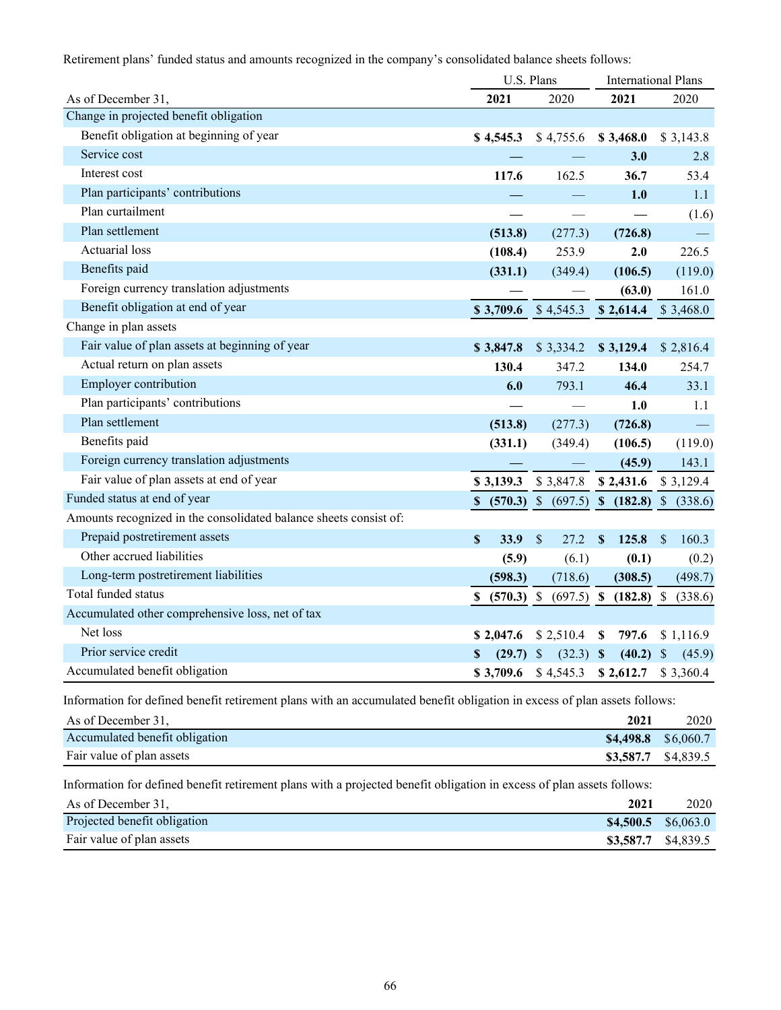Retirement plans' funded status and amounts recognized in the company's consolidated balance sheets follows:

|                                                                   | U.S. Plans            |                                              |                      | <b>International Plans</b> |
|-------------------------------------------------------------------|-----------------------|----------------------------------------------|----------------------|----------------------------|
| As of December 31,                                                | 2021                  | 2020                                         | 2021                 | 2020                       |
| Change in projected benefit obligation                            |                       |                                              |                      |                            |
| Benefit obligation at beginning of year                           | \$4,545.3             | \$4,755.6                                    | \$3,468.0            | \$3,143.8                  |
| Service cost                                                      |                       |                                              | 3.0                  | 2.8                        |
| Interest cost                                                     | 117.6                 | 162.5                                        | 36.7                 | 53.4                       |
| Plan participants' contributions                                  |                       |                                              | 1.0                  | 1.1                        |
| Plan curtailment                                                  |                       |                                              |                      | (1.6)                      |
| Plan settlement                                                   | (513.8)               | (277.3)                                      | (726.8)              |                            |
| <b>Actuarial</b> loss                                             | (108.4)               | 253.9                                        | 2.0                  | 226.5                      |
| Benefits paid                                                     | (331.1)               | (349.4)                                      | (106.5)              | (119.0)                    |
| Foreign currency translation adjustments                          |                       |                                              | (63.0)               | 161.0                      |
| Benefit obligation at end of year                                 | $$3,709.6$ $$4,545.3$ |                                              | \$2,614.4            | \$3,468.0                  |
| Change in plan assets                                             |                       |                                              |                      |                            |
| Fair value of plan assets at beginning of year                    | \$3,847.8             | \$3,334.2                                    | \$3,129.4            | \$2,816.4                  |
| Actual return on plan assets                                      | 130.4                 | 347.2                                        | 134.0                | 254.7                      |
| Employer contribution                                             | 6.0                   | 793.1                                        | 46.4                 | 33.1                       |
| Plan participants' contributions                                  |                       |                                              | 1.0                  | 1.1                        |
| Plan settlement                                                   | (513.8)               | (277.3)                                      | (726.8)              | $\longrightarrow$          |
| Benefits paid                                                     | (331.1)               | (349.4)                                      | (106.5)              | (119.0)                    |
| Foreign currency translation adjustments                          |                       |                                              | (45.9)               | 143.1                      |
| Fair value of plan assets at end of year                          | \$3,139.3             | \$3,847.8                                    | \$2,431.6            | \$3,129.4                  |
| Funded status at end of year                                      |                       | $$$ (570.3) \$ (697.5) \$ (182.8) \$ (338.6) |                      |                            |
| Amounts recognized in the consolidated balance sheets consist of: |                       |                                              |                      |                            |
| Prepaid postretirement assets                                     | \$<br>33.9            | $\mathcal{S}$<br>27.2                        | $\mathbf S$<br>125.8 | \$<br>160.3                |
| Other accrued liabilities                                         | (5.9)                 | (6.1)                                        | (0.1)                | (0.2)                      |
| Long-term postretirement liabilities                              | (598.3)               | (718.6)                                      | (308.5)              | (498.7)                    |
| Total funded status                                               |                       | $$$ (570.3) \$ (697.5) \$ (182.8) \$         |                      | (338.6)                    |
| Accumulated other comprehensive loss, net of tax                  |                       |                                              |                      |                            |
| Net loss                                                          | \$2,047.6             | \$2,510.4                                    | 797.6<br>S           | \$1,116.9                  |
| Prior service credit                                              | $(29.7)$ \$<br>\$     | $(32.3)$ \$                                  | $(40.2)$ \$          | (45.9)                     |
| Accumulated benefit obligation                                    | \$3,709.6             | \$4,545.3                                    | \$2,612.7            | \$3,360.4                  |

Information for defined benefit retirement plans with an accumulated benefit obligation in excess of plan assets follows:

| As of December 31.             | 2021 | 2020                  |
|--------------------------------|------|-----------------------|
| Accumulated benefit obligation |      | $$4,498.8$ $$6,060.7$ |
| Fair value of plan assets      |      | \$3,587.7 \$4,839.5   |

Information for defined benefit retirement plans with a projected benefit obligation in excess of plan assets follows:

| As of December 31.           | 2021 | 2020                  |
|------------------------------|------|-----------------------|
| Projected benefit obligation |      | $$4,500.5$ $$6,063.0$ |
| Fair value of plan assets    |      | \$3,587.7 \$4,839.5   |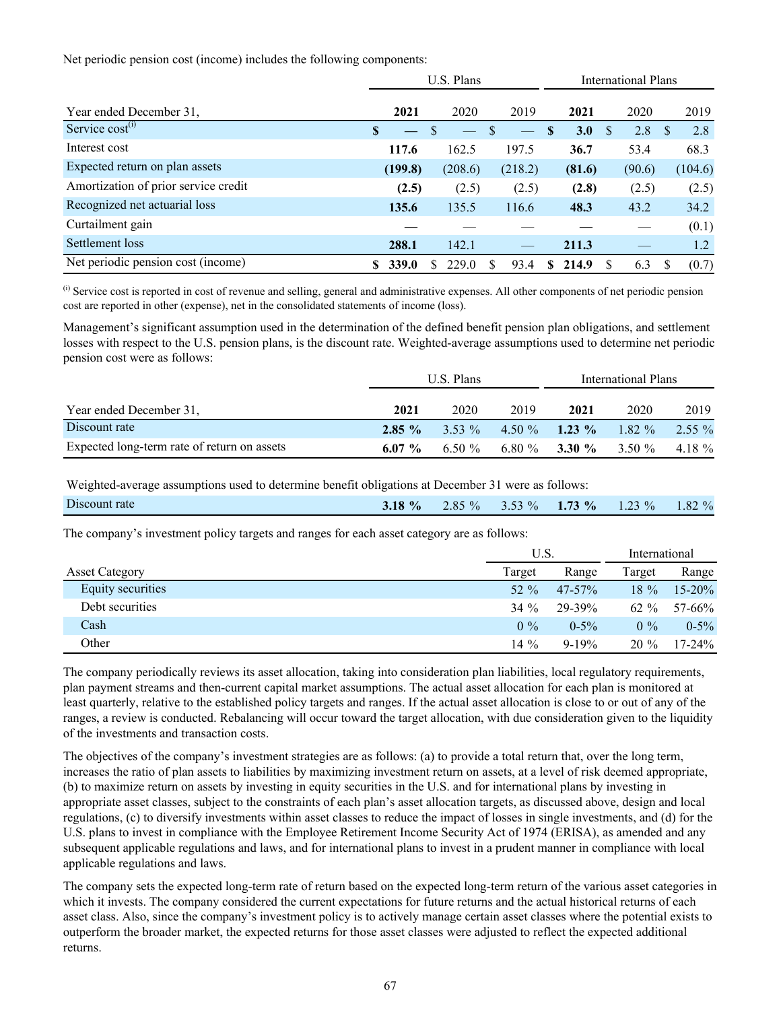Net periodic pension cost (income) includes the following components:

|                                      | U.S. Plans |         |   |         |   |         | <b>International Plans</b> |        |               |        |          |         |
|--------------------------------------|------------|---------|---|---------|---|---------|----------------------------|--------|---------------|--------|----------|---------|
| Year ended December 31,              |            | 2021    |   | 2020    |   | 2019    |                            | 2021   |               | 2020   |          | 2019    |
| Service $cost^{(i)}$                 | S          |         | S |         |   |         | <b>S</b>                   | 3.0    | <sup>\$</sup> | 2.8    | <b>S</b> | 2.8     |
| Interest cost                        |            | 117.6   |   | 162.5   |   | 197.5   |                            | 36.7   |               | 53.4   |          | 68.3    |
| Expected return on plan assets       |            | (199.8) |   | (208.6) |   | (218.2) |                            | (81.6) |               | (90.6) |          | (104.6) |
| Amortization of prior service credit |            | (2.5)   |   | (2.5)   |   | (2.5)   |                            | (2.8)  |               | (2.5)  |          | (2.5)   |
| Recognized net actuarial loss        |            | 135.6   |   | 135.5   |   | 116.6   |                            | 48.3   |               | 43.2   |          | 34.2    |
| Curtailment gain                     |            |         |   |         |   |         |                            |        |               |        |          | (0.1)   |
| Settlement loss                      |            | 288.1   |   | 142.1   |   |         |                            | 211.3  |               |        |          | 1.2     |
| Net periodic pension cost (income)   |            | 339.0   | Я | 229.0   | S | 93.4    | S.                         | 214.9  | -S            | 6.3    | S        | (0.7)   |

<sup>(i)</sup> Service cost is reported in cost of revenue and selling, general and administrative expenses. All other components of net periodic pension cost are reported in other (expense), net in the consolidated statements of income (loss).

Management's significant assumption used in the determination of the defined benefit pension plan obligations, and settlement losses with respect to the U.S. pension plans, is the discount rate. Weighted-average assumptions used to determine net periodic pension cost were as follows:

|                                             |           | U.S. Plans |      | International Plans                 |      |          |  |  |  |
|---------------------------------------------|-----------|------------|------|-------------------------------------|------|----------|--|--|--|
| Year ended December 31,                     | 2021      | 2020       | 2019 | 2021                                | 2020 | 2019     |  |  |  |
| Discount rate                               |           |            |      | 2.85 % 3.53 % 4.50 % 1.23 % 1.82 %  |      | $2.55\%$ |  |  |  |
| Expected long-term rate of return on assets | 6.07 $\%$ |            |      | $6.50\%$ $6.80\%$ $3.30\%$ $3.50\%$ |      | 4.18 $%$ |  |  |  |

Weighted-average assumptions used to determine benefit obligations at December 31 were as follows:

| Discount rate | 3.18 % | $2.85\%$ | $\frac{0}{0}$<br>---- | $73\%$<br>1.13 | $23\%$<br>. <i>.</i> | $82\%$<br>1.04 |
|---------------|--------|----------|-----------------------|----------------|----------------------|----------------|
|               |        |          |                       |                |                      |                |

The company's investment policy targets and ranges for each asset category are as follows:

|                       | U.S.    |             | International |             |  |
|-----------------------|---------|-------------|---------------|-------------|--|
| <b>Asset Category</b> | Target  | Range       | Target        | Range       |  |
| Equity securities     | 52 $\%$ | $47 - 57\%$ | $18\%$        | $15 - 20\%$ |  |
| Debt securities       | $34\%$  | 29-39%      | $62 \%$       | 57-66%      |  |
| Cash                  | $0\%$   | $0.5\%$     | $0\%$         | $0.5\%$     |  |
| Other                 | 14 $\%$ | $9 - 19%$   | $20\%$        | $17 - 24\%$ |  |

The company periodically reviews its asset allocation, taking into consideration plan liabilities, local regulatory requirements, plan payment streams and then-current capital market assumptions. The actual asset allocation for each plan is monitored at least quarterly, relative to the established policy targets and ranges. If the actual asset allocation is close to or out of any of the ranges, a review is conducted. Rebalancing will occur toward the target allocation, with due consideration given to the liquidity of the investments and transaction costs.

The objectives of the company's investment strategies are as follows: (a) to provide a total return that, over the long term, increases the ratio of plan assets to liabilities by maximizing investment return on assets, at a level of risk deemed appropriate, (b) to maximize return on assets by investing in equity securities in the U.S. and for international plans by investing in appropriate asset classes, subject to the constraints of each plan's asset allocation targets, as discussed above, design and local regulations, (c) to diversify investments within asset classes to reduce the impact of losses in single investments, and (d) for the U.S. plans to invest in compliance with the Employee Retirement Income Security Act of 1974 (ERISA), as amended and any subsequent applicable regulations and laws, and for international plans to invest in a prudent manner in compliance with local applicable regulations and laws.

The company sets the expected long-term rate of return based on the expected long-term return of the various asset categories in which it invests. The company considered the current expectations for future returns and the actual historical returns of each asset class. Also, since the company's investment policy is to actively manage certain asset classes where the potential exists to outperform the broader market, the expected returns for those asset classes were adjusted to reflect the expected additional returns.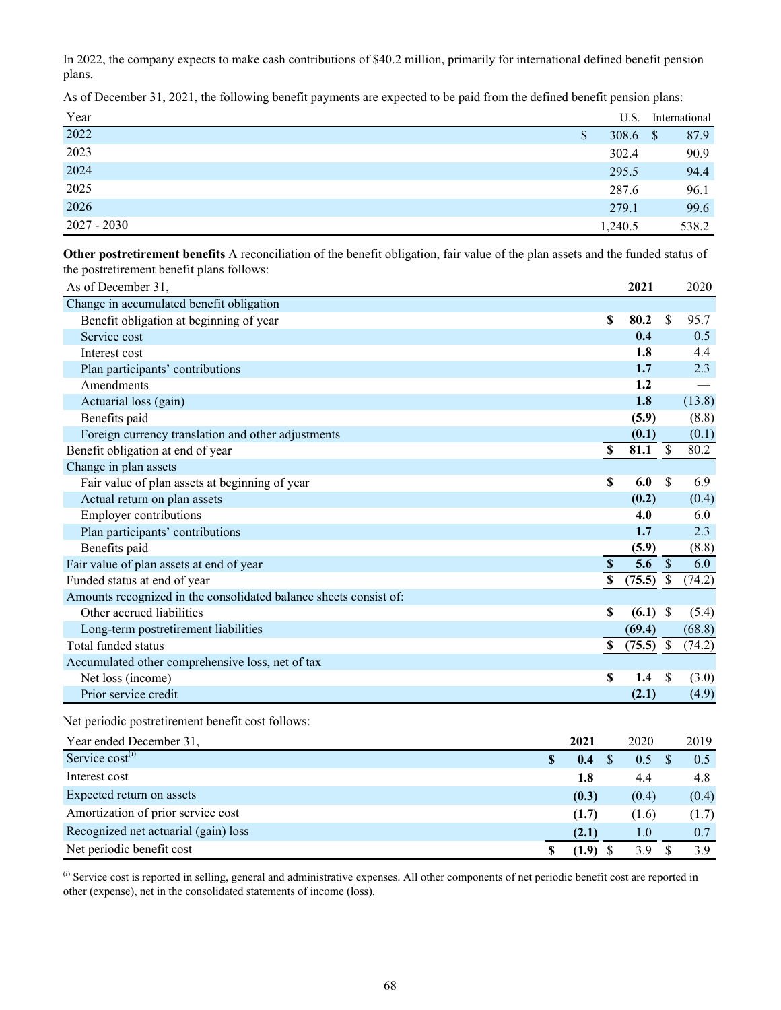In 2022, the company expects to make cash contributions of \$40.2 million, primarily for international defined benefit pension plans.

As of December 31, 2021, the following benefit payments are expected to be paid from the defined benefit pension plans:

| Year          | U.S.                  | International |
|---------------|-----------------------|---------------|
| 2022          | 308.6 $\sqrt{ }$<br>S | 87.9          |
| 2023          | 302.4                 | 90.9          |
| 2024          | 295.5                 | 94.4          |
| 2025          | 287.6                 | 96.1          |
| 2026          | 279.1                 | 99.6          |
| $2027 - 2030$ | 1,240.5               | 538.2         |

**Other postretirement benefits** A reconciliation of the benefit obligation, fair value of the plan assets and the funded status of the postretirement benefit plans follows:

| As of December 31,                                                |                         | 2021                             |                          | 2020   |
|-------------------------------------------------------------------|-------------------------|----------------------------------|--------------------------|--------|
| Change in accumulated benefit obligation                          |                         |                                  |                          |        |
| Benefit obligation at beginning of year                           | S                       | 80.2                             | S                        | 95.7   |
| Service cost                                                      |                         | 0.4                              |                          | 0.5    |
| Interest cost                                                     |                         | 1.8                              |                          | 4.4    |
| Plan participants' contributions                                  |                         | 1.7                              |                          | 2.3    |
| Amendments                                                        |                         | 1.2                              |                          |        |
| Actuarial loss (gain)                                             |                         | 1.8                              |                          | (13.8) |
| Benefits paid                                                     |                         | (5.9)                            |                          | (8.8)  |
| Foreign currency translation and other adjustments                |                         | (0.1)                            |                          | (0.1)  |
| Benefit obligation at end of year                                 | $\overline{\mathbb{S}}$ | 81.1                             | $\overline{\mathcal{S}}$ | 80.2   |
| Change in plan assets                                             |                         |                                  |                          |        |
| Fair value of plan assets at beginning of year                    | S                       | 6.0                              | <sup>\$</sup>            | 6.9    |
| Actual return on plan assets                                      |                         | (0.2)                            |                          | (0.4)  |
| <b>Employer contributions</b>                                     |                         | 4.0                              |                          | 6.0    |
| Plan participants' contributions                                  |                         | 1.7                              |                          | 2.3    |
| Benefits paid                                                     |                         | (5.9)                            |                          | (8.8)  |
| Fair value of plan assets at end of year                          | $\mathbf S$             | $\overline{5.6}$ $\overline{\$}$ |                          | 6.0    |
| Funded status at end of year                                      | $\mathbf S$             | (75.5)                           | $\mathbb{S}$             | (74.2) |
| Amounts recognized in the consolidated balance sheets consist of: |                         |                                  |                          |        |
| Other accrued liabilities                                         | S                       | (6.1)                            | <sup>\$</sup>            | (5.4)  |
| Long-term postretirement liabilities                              |                         | (69.4)                           |                          | (68.8) |
| Total funded status                                               | \$                      | $(75.5)$ \$                      |                          | (74.2) |
| Accumulated other comprehensive loss, net of tax                  |                         |                                  |                          |        |
| Net loss (income)                                                 | \$                      | 1.4                              | \$.                      | (3.0)  |
| Prior service credit                                              |                         | (2.1)                            |                          | (4.9)  |

Net periodic postretirement benefit cost follows:

| Year ended December 31,              | 2021  | 2020  | 2019  |
|--------------------------------------|-------|-------|-------|
| Service cost <sup>(i)</sup>          | 0.4   | 0.5   | 0.5   |
| Interest cost                        | 1.8   | 4.4   | 4.8   |
| Expected return on assets            | (0.3) | (0.4) | (0.4) |
| Amortization of prior service cost   | (1.7) | (1.6) | (1.7) |
| Recognized net actuarial (gain) loss | (2.1) | 1.0   | 0.7   |
| Net periodic benefit cost            | (1.9) | 39    |       |

<sup>(i)</sup> Service cost is reported in selling, general and administrative expenses. All other components of net periodic benefit cost are reported in other (expense), net in the consolidated statements of income (loss).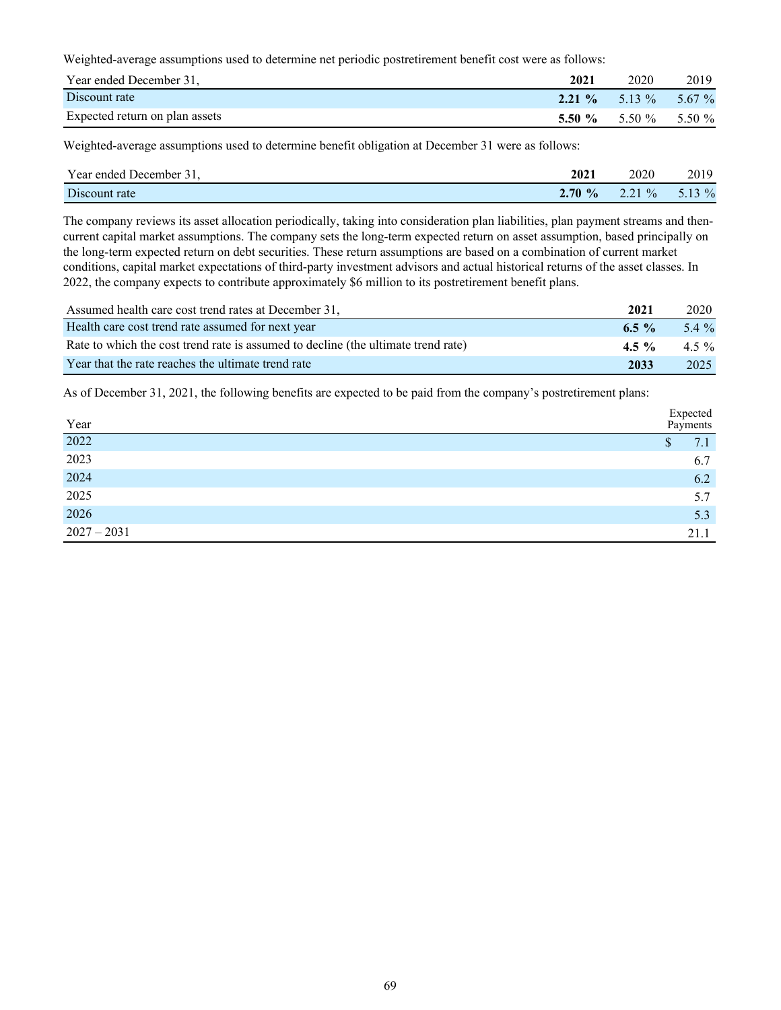Weighted-average assumptions used to determine net periodic postretirement benefit cost were as follows:

| Year ended December 31,        | 2021 | 2020                          | 2019 |
|--------------------------------|------|-------------------------------|------|
| Discount rate                  |      | 2.21 % 5.13 % 5.67 %          |      |
| Expected return on plan assets |      | 5.50 $\%$ 5.50 $\%$ 5.50 $\%$ |      |

Weighted-average assumptions used to determine benefit obligation at December 31 were as follows:

| Year ended December 31, | 2021      | 2020          | 2019     |
|-------------------------|-----------|---------------|----------|
| Discount rate           | $2.70 \%$ | $\frac{0}{0}$ | 5.13 $%$ |

The company reviews its asset allocation periodically, taking into consideration plan liabilities, plan payment streams and thencurrent capital market assumptions. The company sets the long-term expected return on asset assumption, based principally on the long-term expected return on debt securities. These return assumptions are based on a combination of current market conditions, capital market expectations of third-party investment advisors and actual historical returns of the asset classes. In 2022, the company expects to contribute approximately \$6 million to its postretirement benefit plans.

| Assumed health care cost trend rates at December 31.                              | 2021     | 2020     |
|-----------------------------------------------------------------------------------|----------|----------|
| Health care cost trend rate assumed for next year                                 | 6.5 $\%$ | $5.4\%$  |
| Rate to which the cost trend rate is assumed to decline (the ultimate trend rate) | $4.5 \%$ | 4.5 $\%$ |
| Year that the rate reaches the ultimate trend rate                                | 2033     | 2025     |

As of December 31, 2021, the following benefits are expected to be paid from the company's postretirement plans:

| Year                 | Expected<br>Payments |
|----------------------|----------------------|
| 2022                 | 7.1<br>۵D            |
| 2023                 | 6.7                  |
|                      | 6.2                  |
|                      | 5.7                  |
| 2024<br>2025<br>2026 | 5.3                  |
| $2027 - 2031$        | 21.1                 |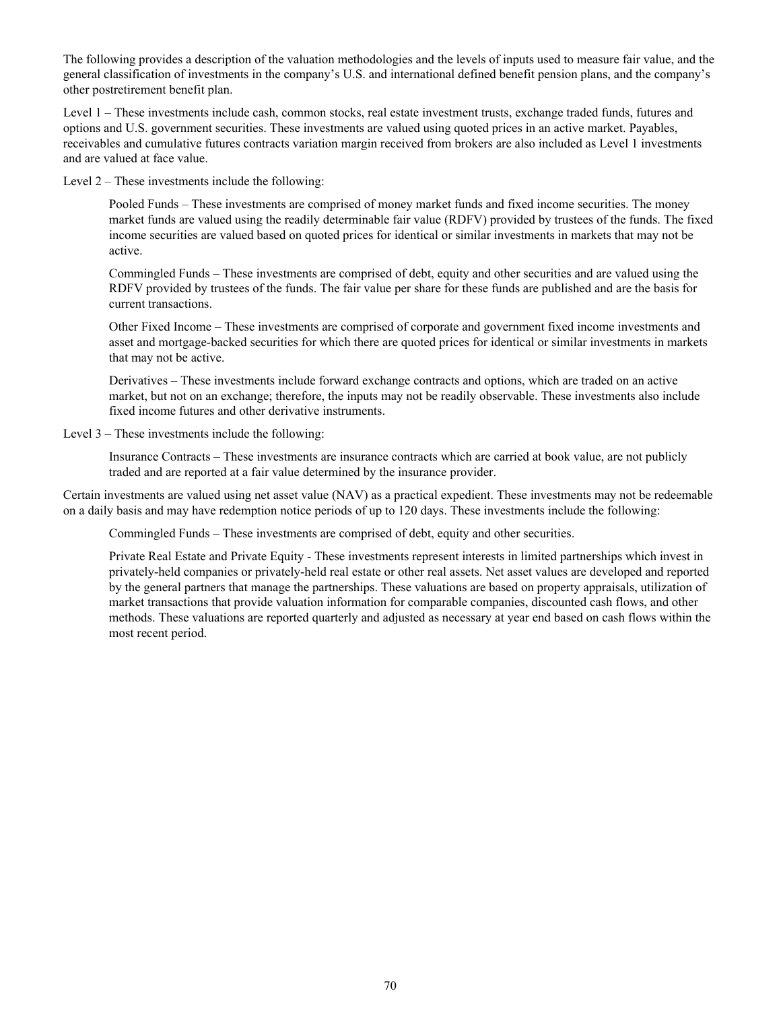The following provides a description of the valuation methodologies and the levels of inputs used to measure fair value, and the general classification of investments in the company's U.S. and international defined benefit pension plans, and the company's other postretirement benefit plan.

Level 1 – These investments include cash, common stocks, real estate investment trusts, exchange traded funds, futures and options and U.S. government securities. These investments are valued using quoted prices in an active market. Payables, receivables and cumulative futures contracts variation margin received from brokers are also included as Level 1 investments and are valued at face value.

Level 2 – These investments include the following:

Pooled Funds – These investments are comprised of money market funds and fixed income securities. The money market funds are valued using the readily determinable fair value (RDFV) provided by trustees of the funds. The fixed income securities are valued based on quoted prices for identical or similar investments in markets that may not be active.

Commingled Funds – These investments are comprised of debt, equity and other securities and are valued using the RDFV provided by trustees of the funds. The fair value per share for these funds are published and are the basis for current transactions.

Other Fixed Income – These investments are comprised of corporate and government fixed income investments and asset and mortgage-backed securities for which there are quoted prices for identical or similar investments in markets that may not be active.

Derivatives – These investments include forward exchange contracts and options, which are traded on an active market, but not on an exchange; therefore, the inputs may not be readily observable. These investments also include fixed income futures and other derivative instruments.

Level 3 – These investments include the following:

Insurance Contracts – These investments are insurance contracts which are carried at book value, are not publicly traded and are reported at a fair value determined by the insurance provider.

Certain investments are valued using net asset value (NAV) as a practical expedient. These investments may not be redeemable on a daily basis and may have redemption notice periods of up to 120 days. These investments include the following:

Commingled Funds – These investments are comprised of debt, equity and other securities.

Private Real Estate and Private Equity - These investments represent interests in limited partnerships which invest in privately-held companies or privately-held real estate or other real assets. Net asset values are developed and reported by the general partners that manage the partnerships. These valuations are based on property appraisals, utilization of market transactions that provide valuation information for comparable companies, discounted cash flows, and other methods. These valuations are reported quarterly and adjusted as necessary at year end based on cash flows within the most recent period.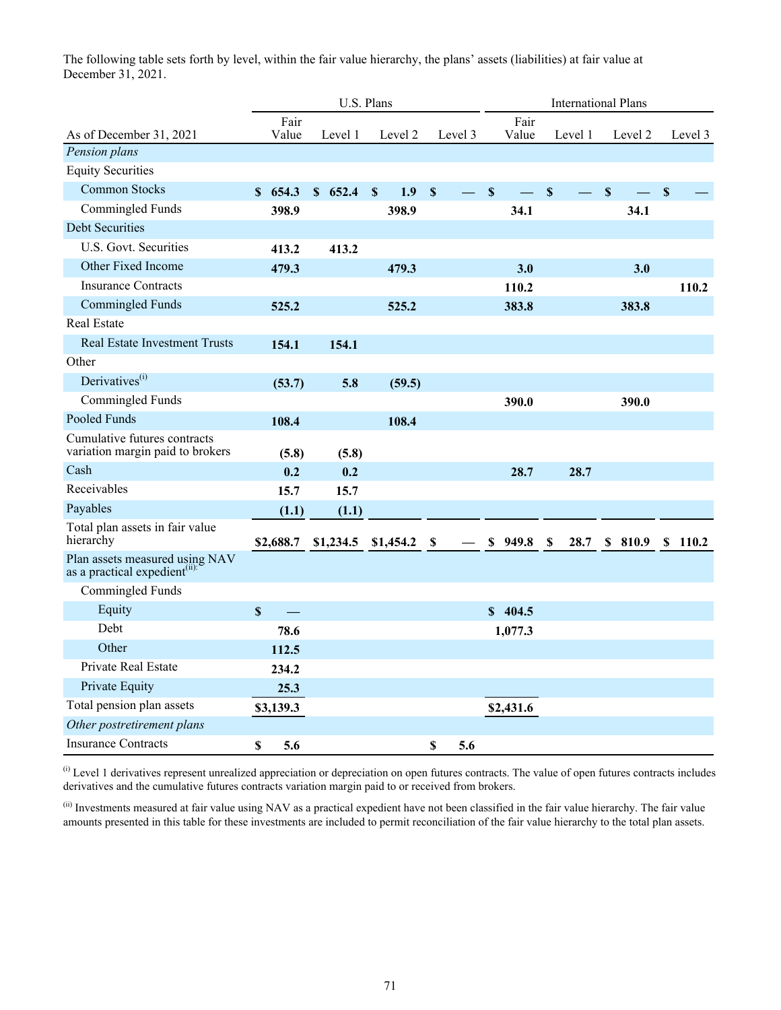The following table sets forth by level, within the fair value hierarchy, the plans' assets (liabilities) at fair value at December 31, 2021.

|                                                                             |                           |               | U.S. Plans |               |           |                           |         | <b>International Plans</b> |               |             |         |             |         |                           |         |
|-----------------------------------------------------------------------------|---------------------------|---------------|------------|---------------|-----------|---------------------------|---------|----------------------------|---------------|-------------|---------|-------------|---------|---------------------------|---------|
| As of December 31, 2021                                                     |                           | Fair<br>Value | Level 1    |               | Level 2   |                           | Level 3 |                            | Fair<br>Value |             | Level 1 |             | Level 2 |                           | Level 3 |
| Pension plans                                                               |                           |               |            |               |           |                           |         |                            |               |             |         |             |         |                           |         |
| <b>Equity Securities</b>                                                    |                           |               |            |               |           |                           |         |                            |               |             |         |             |         |                           |         |
| <b>Common Stocks</b>                                                        |                           | \$654.3       | \$652.4    | $\mathbf{\$}$ | 1.9       | $\mathbf S$               |         | $\mathbf S$                |               | $\mathbf S$ |         | $\mathbf S$ |         | $\boldsymbol{\mathsf{S}}$ |         |
| Commingled Funds                                                            |                           | 398.9         |            |               | 398.9     |                           |         |                            | 34.1          |             |         |             | 34.1    |                           |         |
| <b>Debt Securities</b>                                                      |                           |               |            |               |           |                           |         |                            |               |             |         |             |         |                           |         |
| U.S. Govt. Securities                                                       |                           | 413.2         | 413.2      |               |           |                           |         |                            |               |             |         |             |         |                           |         |
| Other Fixed Income                                                          |                           | 479.3         |            |               | 479.3     |                           |         |                            | 3.0           |             |         |             | 3.0     |                           |         |
| <b>Insurance Contracts</b>                                                  |                           |               |            |               |           |                           |         |                            | 110.2         |             |         |             |         |                           | 110.2   |
| <b>Commingled Funds</b>                                                     |                           | 525.2         |            |               | 525.2     |                           |         |                            | 383.8         |             |         |             | 383.8   |                           |         |
| <b>Real Estate</b>                                                          |                           |               |            |               |           |                           |         |                            |               |             |         |             |         |                           |         |
| <b>Real Estate Investment Trusts</b>                                        |                           | 154.1         | 154.1      |               |           |                           |         |                            |               |             |         |             |         |                           |         |
| Other                                                                       |                           |               |            |               |           |                           |         |                            |               |             |         |             |         |                           |         |
| Derivatives <sup>(i)</sup>                                                  |                           | (53.7)        | 5.8        |               | (59.5)    |                           |         |                            |               |             |         |             |         |                           |         |
| Commingled Funds                                                            |                           |               |            |               |           |                           |         |                            | 390.0         |             |         |             | 390.0   |                           |         |
| Pooled Funds                                                                |                           | 108.4         |            |               | 108.4     |                           |         |                            |               |             |         |             |         |                           |         |
| Cumulative futures contracts<br>variation margin paid to brokers            |                           | (5.8)         | (5.8)      |               |           |                           |         |                            |               |             |         |             |         |                           |         |
| Cash                                                                        |                           | 0.2           | 0.2        |               |           |                           |         |                            | 28.7          |             | 28.7    |             |         |                           |         |
| Receivables                                                                 |                           | 15.7          | 15.7       |               |           |                           |         |                            |               |             |         |             |         |                           |         |
| Payables                                                                    |                           | (1.1)         | (1.1)      |               |           |                           |         |                            |               |             |         |             |         |                           |         |
| Total plan assets in fair value<br>hierarchy                                |                           | \$2,688.7     | \$1,234.5  |               | \$1,454.2 | $\boldsymbol{\mathsf{S}}$ |         | \$                         | 949.8         | $\mathbf S$ | 28.7    |             | \$810.9 | S.                        | 110.2   |
| Plan assets measured using NAV<br>as a practical expedient <sup>(ii):</sup> |                           |               |            |               |           |                           |         |                            |               |             |         |             |         |                           |         |
| Commingled Funds                                                            |                           |               |            |               |           |                           |         |                            |               |             |         |             |         |                           |         |
| Equity                                                                      | $\boldsymbol{\mathsf{S}}$ | $\equiv$      |            |               |           |                           |         |                            | \$404.5       |             |         |             |         |                           |         |
| Debt                                                                        |                           | 78.6          |            |               |           |                           |         |                            | 1,077.3       |             |         |             |         |                           |         |
| Other                                                                       |                           | 112.5         |            |               |           |                           |         |                            |               |             |         |             |         |                           |         |
| Private Real Estate                                                         |                           | 234.2         |            |               |           |                           |         |                            |               |             |         |             |         |                           |         |
| Private Equity                                                              |                           | 25.3          |            |               |           |                           |         |                            |               |             |         |             |         |                           |         |
| Total pension plan assets                                                   |                           | \$3,139.3     |            |               |           |                           |         |                            | \$2,431.6     |             |         |             |         |                           |         |
| Other postretirement plans                                                  |                           |               |            |               |           |                           |         |                            |               |             |         |             |         |                           |         |
| <b>Insurance Contracts</b>                                                  | \$                        | 5.6           |            |               |           | \$                        | 5.6     |                            |               |             |         |             |         |                           |         |

 $<sup>(i)</sup>$  Level 1 derivatives represent unrealized appreciation or depreciation on open futures contracts. The value of open futures contracts includes</sup> derivatives and the cumulative futures contracts variation margin paid to or received from brokers.

(ii) Investments measured at fair value using NAV as a practical expedient have not been classified in the fair value hierarchy. The fair value amounts presented in this table for these investments are included to permit reconciliation of the fair value hierarchy to the total plan assets.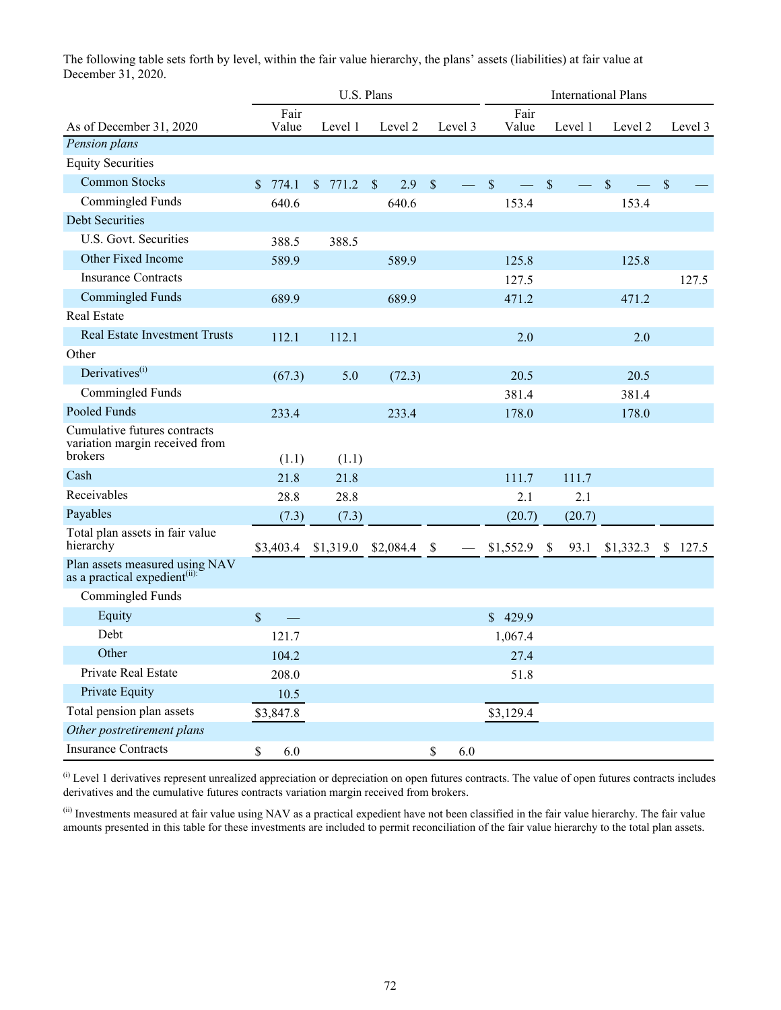The following table sets forth by level, within the fair value hierarchy, the plans' assets (liabilities) at fair value at December 31, 2020.

|                                                                             | U.S. Plans            |           |                     |                                           | <b>International Plans</b> |                      |              |               |
|-----------------------------------------------------------------------------|-----------------------|-----------|---------------------|-------------------------------------------|----------------------------|----------------------|--------------|---------------|
| As of December 31, 2020                                                     | Fair<br>Value         | Level 1   | Level 2             | Level 3                                   | Fair<br>Value              | Level 1              | Level 2      | Level 3       |
| Pension plans                                                               |                       |           |                     |                                           |                            |                      |              |               |
| <b>Equity Securities</b>                                                    |                       |           |                     |                                           |                            |                      |              |               |
| <b>Common Stocks</b>                                                        | $\mathbb{S}$<br>774.1 | \$771.2   | $\mathbb{S}$<br>2.9 | $\mathsf{\$}$<br>$\overline{\phantom{a}}$ | $\mathbb{S}$               | $\mathsf{\$}$        | $\mathbb{S}$ | $\mathcal{S}$ |
| Commingled Funds                                                            | 640.6                 |           | 640.6               |                                           | 153.4                      |                      | 153.4        |               |
| <b>Debt Securities</b>                                                      |                       |           |                     |                                           |                            |                      |              |               |
| U.S. Govt. Securities                                                       | 388.5                 | 388.5     |                     |                                           |                            |                      |              |               |
| Other Fixed Income                                                          | 589.9                 |           | 589.9               |                                           | 125.8                      |                      | 125.8        |               |
| <b>Insurance Contracts</b>                                                  |                       |           |                     |                                           | 127.5                      |                      |              | 127.5         |
| <b>Commingled Funds</b>                                                     | 689.9                 |           | 689.9               |                                           | 471.2                      |                      | 471.2        |               |
| Real Estate                                                                 |                       |           |                     |                                           |                            |                      |              |               |
| <b>Real Estate Investment Trusts</b>                                        | 112.1                 | 112.1     |                     |                                           | 2.0                        |                      | 2.0          |               |
| Other                                                                       |                       |           |                     |                                           |                            |                      |              |               |
| Derivatives <sup>(i)</sup>                                                  | (67.3)                | 5.0       | (72.3)              |                                           | 20.5                       |                      | 20.5         |               |
| Commingled Funds                                                            |                       |           |                     |                                           | 381.4                      |                      | 381.4        |               |
| Pooled Funds                                                                | 233.4                 |           | 233.4               |                                           | 178.0                      |                      | 178.0        |               |
| Cumulative futures contracts<br>variation margin received from<br>brokers   | (1.1)                 | (1.1)     |                     |                                           |                            |                      |              |               |
| Cash                                                                        | 21.8                  | 21.8      |                     |                                           | 111.7                      | 111.7                |              |               |
| Receivables                                                                 | 28.8                  | 28.8      |                     |                                           | 2.1                        | 2.1                  |              |               |
| Payables                                                                    | (7.3)                 | (7.3)     |                     |                                           | (20.7)                     | (20.7)               |              |               |
| Total plan assets in fair value<br>hierarchy                                | \$3,403.4             | \$1,319.0 | \$2,084.4           | \$                                        | \$1,552.9                  | $\mathbb{S}$<br>93.1 | \$1,332.3    | \$<br>127.5   |
| Plan assets measured using NAV<br>as a practical expedient <sup>(ii):</sup> |                       |           |                     |                                           |                            |                      |              |               |
| Commingled Funds                                                            |                       |           |                     |                                           |                            |                      |              |               |
| Equity                                                                      | \$                    |           |                     |                                           | \$429.9                    |                      |              |               |
| Debt                                                                        | 121.7                 |           |                     |                                           | 1,067.4                    |                      |              |               |
| Other                                                                       | 104.2                 |           |                     |                                           | 27.4                       |                      |              |               |
| Private Real Estate                                                         | 208.0                 |           |                     |                                           | 51.8                       |                      |              |               |
| Private Equity                                                              | 10.5                  |           |                     |                                           |                            |                      |              |               |
| Total pension plan assets                                                   | \$3,847.8             |           |                     |                                           | \$3,129.4                  |                      |              |               |
| Other postretirement plans                                                  |                       |           |                     |                                           |                            |                      |              |               |
| <b>Insurance Contracts</b>                                                  | 6.0<br>\$             |           |                     | $\mathbb S$<br>$6.0\,$                    |                            |                      |              |               |

 $\alpha$  Level 1 derivatives represent unrealized appreciation or depreciation on open futures contracts. The value of open futures contracts includes derivatives and the cumulative futures contracts variation margin received from brokers.

(ii) Investments measured at fair value using NAV as a practical expedient have not been classified in the fair value hierarchy. The fair value amounts presented in this table for these investments are included to permit reconciliation of the fair value hierarchy to the total plan assets.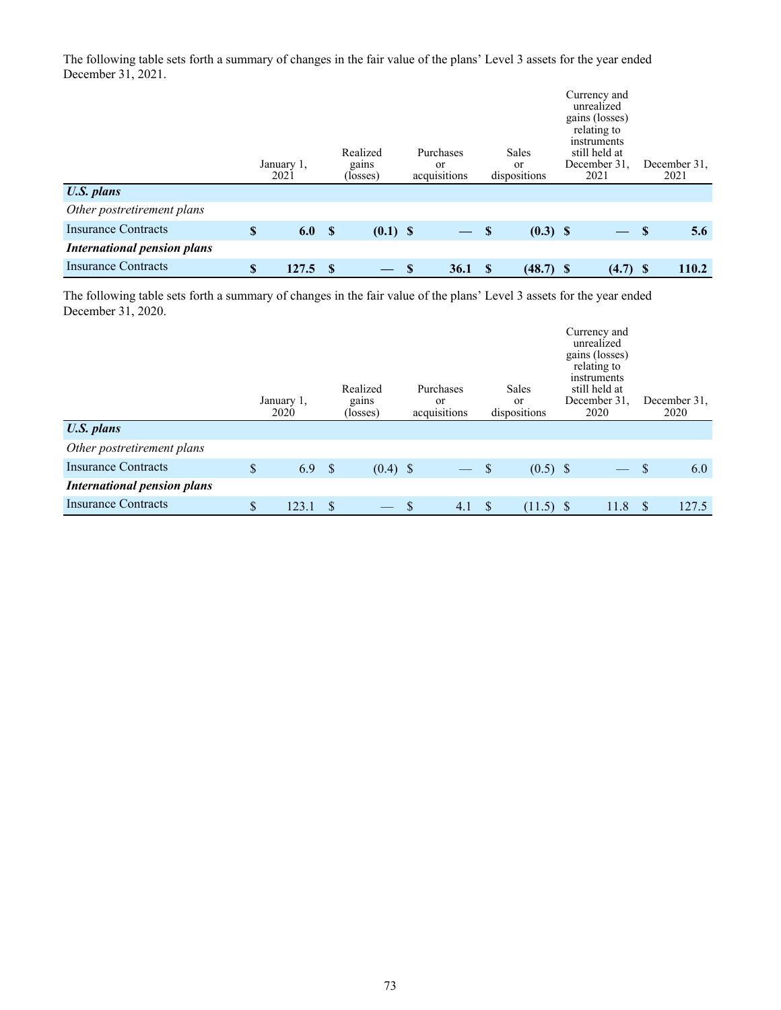The following table sets forth a summary of changes in the fair value of the plans' Level 3 assets for the year ended December 31, 2021.

|                                    | January 1.<br>2021 |             | Realized<br>gains<br>(losses) |      | Purchases<br><sub>or</sub><br>acquisitions |   | Sales<br>or<br>dispositions | Currency and<br>unrealized<br>gains (losses)<br>relating to<br>instruments<br>still held at<br>December 31.<br>2021 | December 31.<br>2021 |
|------------------------------------|--------------------|-------------|-------------------------------|------|--------------------------------------------|---|-----------------------------|---------------------------------------------------------------------------------------------------------------------|----------------------|
| <b>U.S.</b> plans                  |                    |             |                               |      |                                            |   |                             |                                                                                                                     |                      |
| Other postretirement plans         |                    |             |                               |      |                                            |   |                             |                                                                                                                     |                      |
| Insurance Contracts                | \$<br>6.0          | $\mathbf s$ | $(0.1)$ \$                    |      | $-$ \$                                     |   | $(0.3)$ \$                  | $-$ \$                                                                                                              | 5.6                  |
| <b>International pension plans</b> |                    |             |                               |      |                                            |   |                             |                                                                                                                     |                      |
| <b>Insurance Contracts</b>         | \$<br>127.5        | - \$        |                               | - \$ | <b>36.1</b>                                | S | $(48.7)$ \$                 | $(4.7)$ \$                                                                                                          | 110.2                |

The following table sets forth a summary of changes in the fair value of the plans' Level 3 assets for the year ended December 31, 2020.

|                                    | January 1,<br>2020 |               | Realized<br>gains<br>(losses) |               | Purchases<br><sub>or</sub><br>acquisitions |   | Sales<br><sub>or</sub><br>dispositions | Currency and<br>unrealized<br>gains (losses)<br>relating to<br>instruments<br>still held at<br>December 31.<br>2020                                                                                                           |              | December 31.<br>2020 |
|------------------------------------|--------------------|---------------|-------------------------------|---------------|--------------------------------------------|---|----------------------------------------|-------------------------------------------------------------------------------------------------------------------------------------------------------------------------------------------------------------------------------|--------------|----------------------|
| <b>U.S. plans</b>                  |                    |               |                               |               |                                            |   |                                        |                                                                                                                                                                                                                               |              |                      |
| Other postretirement plans         |                    |               |                               |               |                                            |   |                                        |                                                                                                                                                                                                                               |              |                      |
| <b>Insurance Contracts</b>         | \$<br>6.9          | $^{\circ}$ s  | $(0.4)$ \$                    |               | $-$ \$                                     |   | $(0.5)$ \$                             | and the state of the state of the state of the state of the state of the state of the state of the state of the state of the state of the state of the state of the state of the state of the state of the state of the state | <sup>S</sup> | 6.0                  |
| <b>International pension plans</b> |                    |               |                               |               |                                            |   |                                        |                                                                                                                                                                                                                               |              |                      |
| <b>Insurance Contracts</b>         | \$<br>123.1        | <sup>\$</sup> |                               | $\mathcal{S}$ | 4.1                                        | S | $(11.5)$ \$                            | 11.8                                                                                                                                                                                                                          |              | 127.5                |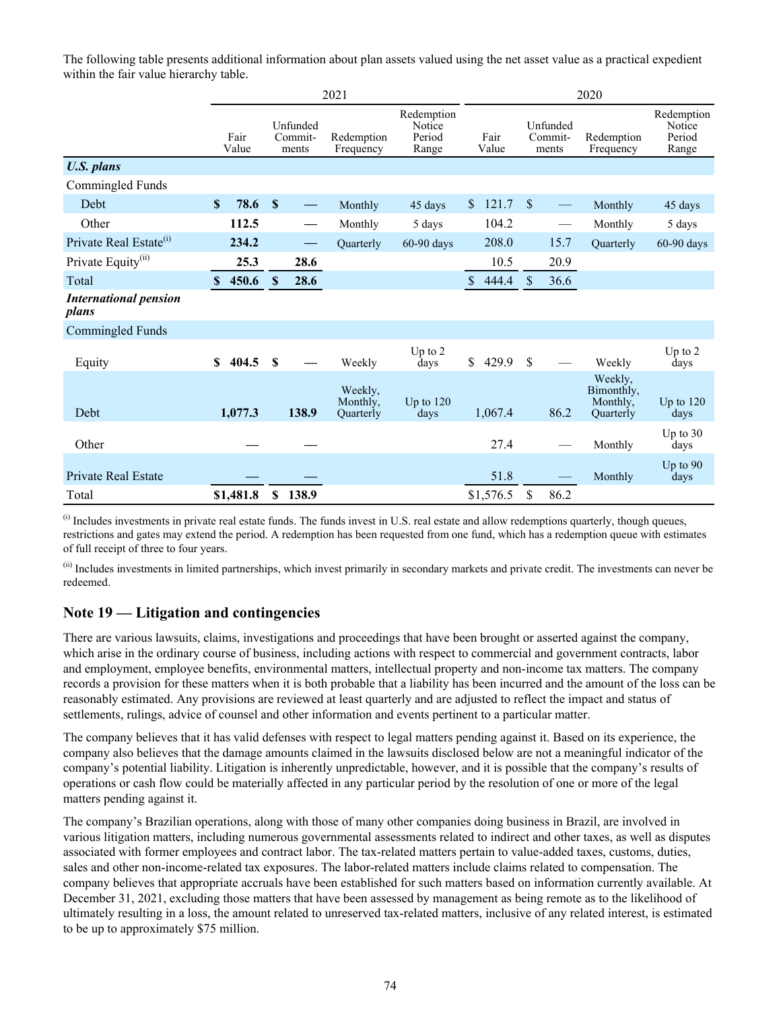The following table presents additional information about plan assets valued using the net asset value as a practical expedient within the fair value hierarchy table.

|                                       | 2021         |               |              |                                           |                                         | 2020                                    |              |               |               |                              |                                                |                                         |
|---------------------------------------|--------------|---------------|--------------|-------------------------------------------|-----------------------------------------|-----------------------------------------|--------------|---------------|---------------|------------------------------|------------------------------------------------|-----------------------------------------|
|                                       |              | Fair<br>Value |              | Unfunded<br>Commit-<br>ments              | Redemption<br>Frequency                 | Redemption<br>Notice<br>Period<br>Range |              | Fair<br>Value |               | Unfunded<br>Commit-<br>ments | Redemption<br>Frequency                        | Redemption<br>Notice<br>Period<br>Range |
| <b>U.S. plans</b>                     |              |               |              |                                           |                                         |                                         |              |               |               |                              |                                                |                                         |
| Commingled Funds                      |              |               |              |                                           |                                         |                                         |              |               |               |                              |                                                |                                         |
| Debt                                  | $\mathbf{s}$ | 78.6          | $\mathbf{s}$ |                                           | Monthly                                 | 45 days                                 | <sup>S</sup> | 121.7         | <sup>\$</sup> |                              | Monthly                                        | 45 days                                 |
| Other                                 |              | 112.5         |              | $\qquad \qquad \overline{\qquad \qquad }$ | Monthly                                 | 5 days                                  |              | 104.2         |               | $\hspace{0.05cm}$            | Monthly                                        | 5 days                                  |
| Private Real Estate <sup>(i)</sup>    |              | 234.2         |              | $\hspace{0.05cm}$                         | Ouarterly                               | 60-90 days                              |              | 208.0         |               | 15.7                         | Ouarterly                                      | 60-90 days                              |
| Private Equity <sup>(ii)</sup>        |              | 25.3          |              | 28.6                                      |                                         |                                         |              | 10.5          |               | 20.9                         |                                                |                                         |
| Total                                 | $\mathbf{s}$ | 450.6         | $\mathbf{s}$ | 28.6                                      |                                         |                                         | \$.          | 444.4         | $\mathbb{S}$  | 36.6                         |                                                |                                         |
| <b>International pension</b><br>plans |              |               |              |                                           |                                         |                                         |              |               |               |                              |                                                |                                         |
| <b>Commingled Funds</b>               |              |               |              |                                           |                                         |                                         |              |               |               |                              |                                                |                                         |
| Equity                                | \$           | 404.5         | S            |                                           | Weekly                                  | Up to $2$<br>days                       | \$           | 429.9         | $\mathbf S$   |                              | Weekly                                         | Up to $2$<br>days                       |
| Debt                                  |              | 1,077.3       |              | 138.9                                     | Weekly.<br>Monthly,<br><b>Ouarterly</b> | Up to $120$<br>days                     |              | 1,067.4       |               | 86.2                         | Weekly.<br>Bimonthly,<br>Monthly,<br>Ouarterly | Up to $120$<br>days                     |
| Other                                 |              |               |              |                                           |                                         |                                         |              | 27.4          |               |                              | Monthly                                        | Up to $30$<br>days                      |
| <b>Private Real Estate</b>            |              |               |              |                                           |                                         |                                         |              | 51.8          |               |                              | Monthly                                        | Up to $90$<br>days                      |
| Total                                 |              | \$1,481.8     | \$           | 138.9                                     |                                         |                                         |              | \$1,576.5     | \$            | 86.2                         |                                                |                                         |

(i) Includes investments in private real estate funds. The funds invest in U.S. real estate and allow redemptions quarterly, though queues, restrictions and gates may extend the period. A redemption has been requested from one fund, which has a redemption queue with estimates of full receipt of three to four years.

(ii) Includes investments in limited partnerships, which invest primarily in secondary markets and private credit. The investments can never be redeemed.

#### **Note 19 — Litigation and contingencies**

There are various lawsuits, claims, investigations and proceedings that have been brought or asserted against the company, which arise in the ordinary course of business, including actions with respect to commercial and government contracts, labor and employment, employee benefits, environmental matters, intellectual property and non-income tax matters. The company records a provision for these matters when it is both probable that a liability has been incurred and the amount of the loss can be reasonably estimated. Any provisions are reviewed at least quarterly and are adjusted to reflect the impact and status of settlements, rulings, advice of counsel and other information and events pertinent to a particular matter.

The company believes that it has valid defenses with respect to legal matters pending against it. Based on its experience, the company also believes that the damage amounts claimed in the lawsuits disclosed below are not a meaningful indicator of the company's potential liability. Litigation is inherently unpredictable, however, and it is possible that the company's results of operations or cash flow could be materially affected in any particular period by the resolution of one or more of the legal matters pending against it.

The company's Brazilian operations, along with those of many other companies doing business in Brazil, are involved in various litigation matters, including numerous governmental assessments related to indirect and other taxes, as well as disputes associated with former employees and contract labor. The tax-related matters pertain to value-added taxes, customs, duties, sales and other non-income-related tax exposures. The labor-related matters include claims related to compensation. The company believes that appropriate accruals have been established for such matters based on information currently available. At December 31, 2021, excluding those matters that have been assessed by management as being remote as to the likelihood of ultimately resulting in a loss, the amount related to unreserved tax-related matters, inclusive of any related interest, is estimated to be up to approximately \$75 million.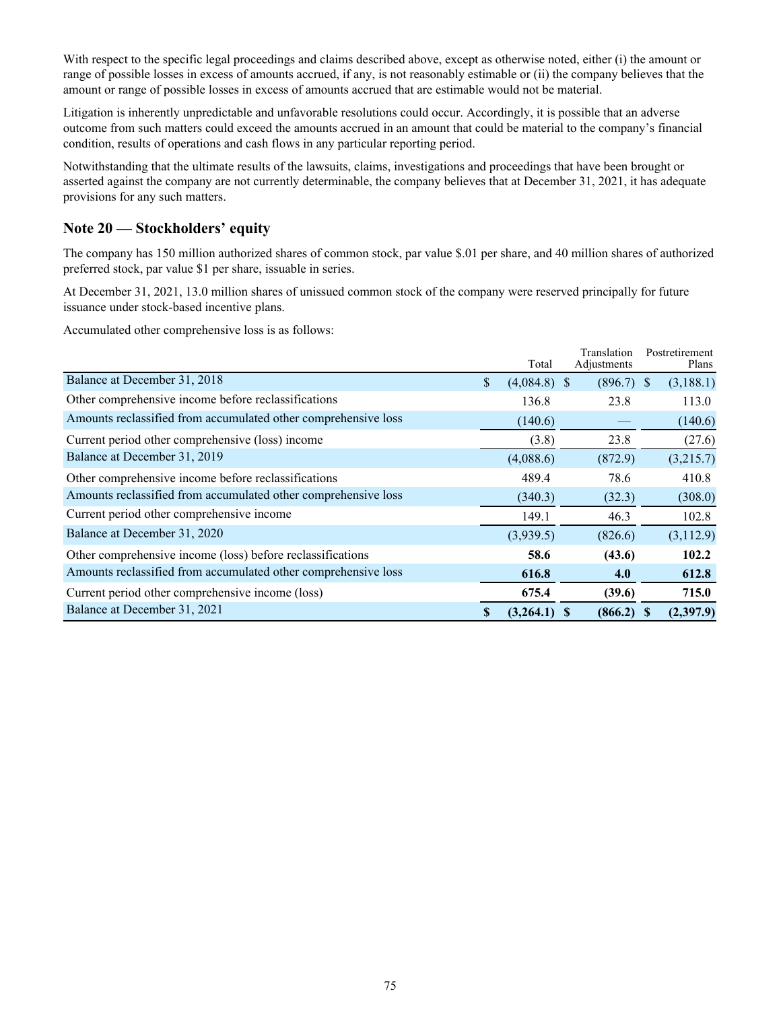With respect to the specific legal proceedings and claims described above, except as otherwise noted, either (i) the amount or range of possible losses in excess of amounts accrued, if any, is not reasonably estimable or (ii) the company believes that the amount or range of possible losses in excess of amounts accrued that are estimable would not be material.

Litigation is inherently unpredictable and unfavorable resolutions could occur. Accordingly, it is possible that an adverse outcome from such matters could exceed the amounts accrued in an amount that could be material to the company's financial condition, results of operations and cash flows in any particular reporting period.

Notwithstanding that the ultimate results of the lawsuits, claims, investigations and proceedings that have been brought or asserted against the company are not currently determinable, the company believes that at December 31, 2021, it has adequate provisions for any such matters.

#### **Note 20 — Stockholders' equity**

The company has 150 million authorized shares of common stock, par value \$.01 per share, and 40 million shares of authorized preferred stock, par value \$1 per share, issuable in series.

At December 31, 2021, 13.0 million shares of unissued common stock of the company were reserved principally for future issuance under stock-based incentive plans.

Accumulated other comprehensive loss is as follows:

|                                                                |    | Total          | Translation<br>Adjustments | Postretirement<br>Plans |
|----------------------------------------------------------------|----|----------------|----------------------------|-------------------------|
| Balance at December 31, 2018                                   | \$ | $(4,084.8)$ \$ | $(896.7)$ \$               | (3,188.1)               |
| Other comprehensive income before reclassifications            |    | 136.8          | 23.8                       | 113.0                   |
| Amounts reclassified from accumulated other comprehensive loss |    | (140.6)        |                            | (140.6)                 |
| Current period other comprehensive (loss) income               |    | (3.8)          | 23.8                       | (27.6)                  |
| Balance at December 31, 2019                                   |    | (4,088.6)      | (872.9)                    | (3,215.7)               |
| Other comprehensive income before reclassifications            |    | 489.4          | 78.6                       | 410.8                   |
| Amounts reclassified from accumulated other comprehensive loss |    | (340.3)        | (32.3)                     | (308.0)                 |
| Current period other comprehensive income                      |    | 149.1          | 46.3                       | 102.8                   |
| Balance at December 31, 2020                                   |    | (3,939.5)      | (826.6)                    | (3,112.9)               |
| Other comprehensive income (loss) before reclassifications     |    | 58.6           | (43.6)                     | 102.2                   |
| Amounts reclassified from accumulated other comprehensive loss |    | 616.8          | 4.0                        | 612.8                   |
| Current period other comprehensive income (loss)               |    | 675.4          | (39.6)                     | 715.0                   |
| Balance at December 31, 2021                                   | S  | (3,264.1)      | $(866.2)$ \$               | (2,397.9)               |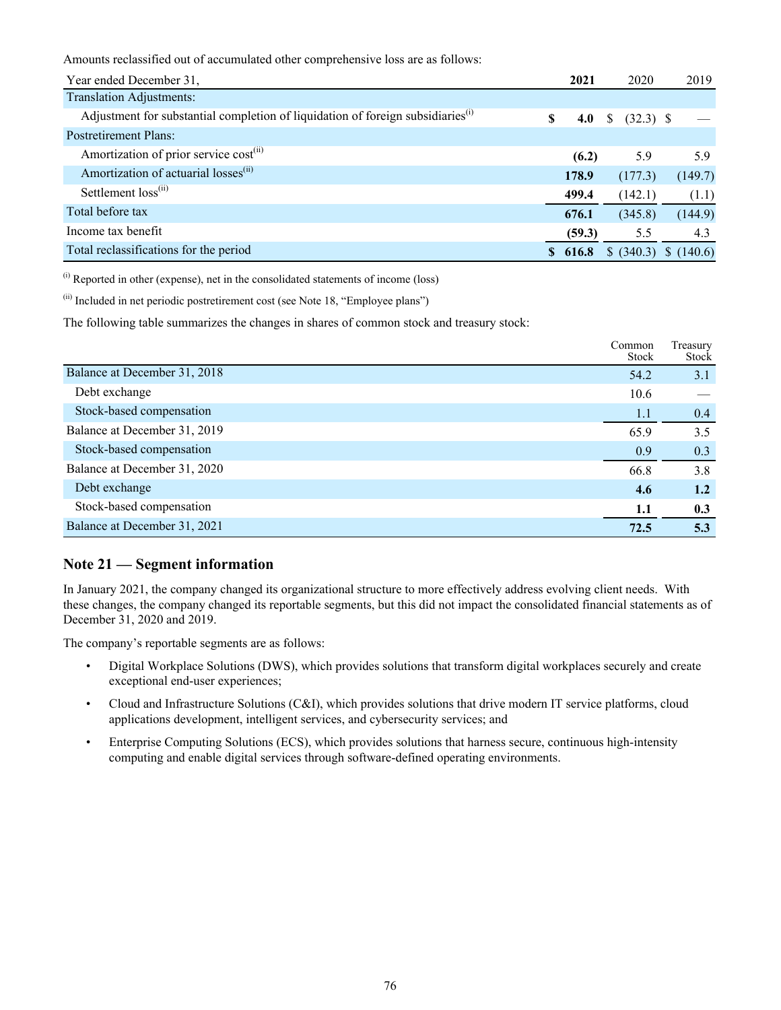Amounts reclassified out of accumulated other comprehensive loss are as follows:

| Year ended December 31,                                                                     | 2021     | 2020             | 2019                  |
|---------------------------------------------------------------------------------------------|----------|------------------|-----------------------|
| <b>Translation Adjustments:</b>                                                             |          |                  |                       |
| Adjustment for substantial completion of liquidation of foreign subsidiaries <sup>(i)</sup> | S<br>4.0 | $(32.3)$ \$<br>S |                       |
| <b>Postretirement Plans:</b>                                                                |          |                  |                       |
| Amortization of prior service cost <sup>(ii)</sup>                                          | (6.2)    | 5.9              | 5.9                   |
| Amortization of actuarial losses <sup>(ii)</sup>                                            | 178.9    | (177.3)          | (149.7)               |
| Settlement loss <sup>(ii)</sup>                                                             | 499.4    | (142.1)          | (1.1)                 |
| Total before tax                                                                            | 676.1    | (345.8)          | (144.9)               |
| Income tax benefit                                                                          | (59.3)   | 5.5              | 4.3                   |
| Total reclassifications for the period                                                      | \$616.8  |                  | \$ (340.3) \$ (140.6) |

 $<sup>(i)</sup>$  Reported in other (expense), net in the consolidated statements of income (loss)</sup>

 $^{(ii)}$  Included in net periodic postretirement cost (see Note 18, "Employee plans")

The following table summarizes the changes in shares of common stock and treasury stock:

|                              | Common<br><b>Stock</b> | Treasury<br><b>Stock</b> |
|------------------------------|------------------------|--------------------------|
| Balance at December 31, 2018 | 54.2                   | 3.1                      |
| Debt exchange                | 10.6                   |                          |
| Stock-based compensation     | 1.1                    | 0.4                      |
| Balance at December 31, 2019 | 65.9                   | 3.5                      |
| Stock-based compensation     | 0.9                    | 0.3                      |
| Balance at December 31, 2020 | 66.8                   | 3.8                      |
| Debt exchange                | 4.6                    | 1.2                      |
| Stock-based compensation     | 1.1                    | 0.3                      |
| Balance at December 31, 2021 | 72.5                   | 5.3                      |

#### **Note 21 — Segment information**

In January 2021, the company changed its organizational structure to more effectively address evolving client needs. With these changes, the company changed its reportable segments, but this did not impact the consolidated financial statements as of December 31, 2020 and 2019.

The company's reportable segments are as follows:

- Digital Workplace Solutions (DWS), which provides solutions that transform digital workplaces securely and create exceptional end-user experiences;
- Cloud and Infrastructure Solutions (C&I), which provides solutions that drive modern IT service platforms, cloud applications development, intelligent services, and cybersecurity services; and
- Enterprise Computing Solutions (ECS), which provides solutions that harness secure, continuous high-intensity computing and enable digital services through software-defined operating environments.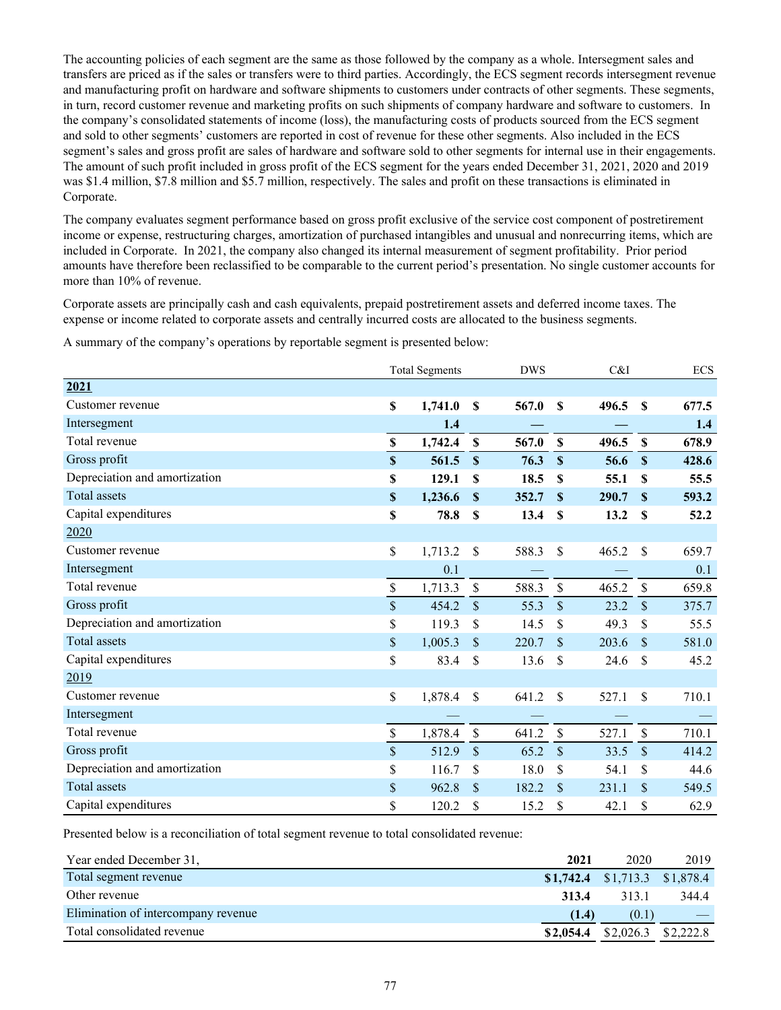The accounting policies of each segment are the same as those followed by the company as a whole. Intersegment sales and transfers are priced as if the sales or transfers were to third parties. Accordingly, the ECS segment records intersegment revenue and manufacturing profit on hardware and software shipments to customers under contracts of other segments. These segments, in turn, record customer revenue and marketing profits on such shipments of company hardware and software to customers. In the company's consolidated statements of income (loss), the manufacturing costs of products sourced from the ECS segment and sold to other segments' customers are reported in cost of revenue for these other segments. Also included in the ECS segment's sales and gross profit are sales of hardware and software sold to other segments for internal use in their engagements. The amount of such profit included in gross profit of the ECS segment for the years ended December 31, 2021, 2020 and 2019 was \$1.4 million, \$7.8 million and \$5.7 million, respectively. The sales and profit on these transactions is eliminated in Corporate.

The company evaluates segment performance based on gross profit exclusive of the service cost component of postretirement income or expense, restructuring charges, amortization of purchased intangibles and unusual and nonrecurring items, which are included in Corporate. In 2021, the company also changed its internal measurement of segment profitability. Prior period amounts have therefore been reclassified to be comparable to the current period's presentation. No single customer accounts for more than 10% of revenue.

Corporate assets are principally cash and cash equivalents, prepaid postretirement assets and deferred income taxes. The expense or income related to corporate assets and centrally incurred costs are allocated to the business segments.

A summary of the company's operations by reportable segment is presented below:

|                               |                           | <b>Total Segments</b> |                           | <b>DWS</b> |                           | C&I   |                           | <b>ECS</b> |
|-------------------------------|---------------------------|-----------------------|---------------------------|------------|---------------------------|-------|---------------------------|------------|
| 2021                          |                           |                       |                           |            |                           |       |                           |            |
| Customer revenue              | $\mathbf S$               | 1,741.0               | $\boldsymbol{\mathsf{S}}$ | 567.0      | <sup>\$</sup>             | 496.5 | $\mathbf{s}$              | 677.5      |
| Intersegment                  |                           | 1.4                   |                           |            |                           |       |                           | 1.4        |
| Total revenue                 | $\mathbf S$               | 1,742.4               | $\mathbf{s}$              | 567.0      | $\mathbf S$               | 496.5 | $\mathbf{s}$              | 678.9      |
| Gross profit                  | $\mathbf S$               | 561.5                 | $\mathbf{\$}$             | 76.3       | $\boldsymbol{\mathsf{S}}$ | 56.6  | $\boldsymbol{\mathsf{S}}$ | 428.6      |
| Depreciation and amortization | \$                        | 129.1                 | $\mathbf S$               | 18.5       | S                         | 55.1  | S                         | 55.5       |
| <b>Total assets</b>           | $\boldsymbol{\mathsf{s}}$ | 1,236.6               | $\mathbf{\$}$             | 352.7      | S                         | 290.7 | $\mathbf{s}$              | 593.2      |
| Capital expenditures          | \$                        | 78.8                  | $\mathbf S$               | 13.4       | <sup>\$</sup>             | 13.2  | $\mathbf S$               | 52.2       |
| 2020                          |                           |                       |                           |            |                           |       |                           |            |
| Customer revenue              | \$                        | 1,713.2               | $\mathcal{S}$             | 588.3      | \$                        | 465.2 | -S                        | 659.7      |
| Intersegment                  |                           | 0.1                   |                           |            |                           |       |                           | 0.1        |
| Total revenue                 | $\mathsf{\$}$             | 1,713.3               | $\mathbb{S}$              | 588.3      | $\mathcal{S}$             | 465.2 | $\mathbf{\hat{S}}$        | 659.8      |
| Gross profit                  | $\mathbb{S}$              | 454.2                 | \$                        | 55.3       | $\mathcal{S}$             | 23.2  | \$                        | 375.7      |
| Depreciation and amortization | \$                        | 119.3                 | \$                        | 14.5       | \$                        | 49.3  | \$                        | 55.5       |
| <b>Total assets</b>           | \$                        | 1,005.3               | \$                        | 220.7      | <sup>\$</sup>             | 203.6 | $\mathbf{\$}$             | 581.0      |
| Capital expenditures          | \$                        | 83.4                  | \$                        | 13.6       | \$                        | 24.6  | \$                        | 45.2       |
| 2019                          |                           |                       |                           |            |                           |       |                           |            |
| Customer revenue              | \$                        | 1,878.4               | \$                        | 641.2      | S                         | 527.1 | \$                        | 710.1      |
| Intersegment                  |                           |                       |                           |            |                           |       |                           |            |
| Total revenue                 | $\mathsf{\$}$             | 1,878.4               | \$                        | 641.2      | $\mathcal{S}$             | 527.1 | $\mathsf{\$}$             | 710.1      |
| Gross profit                  | $\mathsf{\$}$             | 512.9                 | \$                        | 65.2       | $\mathcal{S}$             | 33.5  | \$                        | 414.2      |
| Depreciation and amortization | \$                        | 116.7                 | \$                        | 18.0       | \$                        | 54.1  | \$                        | 44.6       |
| <b>Total assets</b>           | \$                        | 962.8                 | \$                        | 182.2      | $\mathcal{S}$             | 231.1 | \$                        | 549.5      |
| Capital expenditures          | \$                        | 120.2                 | \$                        | 15.2       | \$                        | 42.1  | \$                        | 62.9       |

Presented below is a reconciliation of total segment revenue to total consolidated revenue:

| Year ended December 31,             | 2021      | 2020                             | 2019  |
|-------------------------------------|-----------|----------------------------------|-------|
| Total segment revenue               |           | $$1,742.4$ $$1,713.3$ $$1,878.4$ |       |
| Other revenue                       | 313.4     | 3131                             | 344.4 |
| Elimination of intercompany revenue | (1.4)     | (0.1)                            |       |
| Total consolidated revenue          | \$2,054.4 | $$2,026.3$ $$2,222.8$            |       |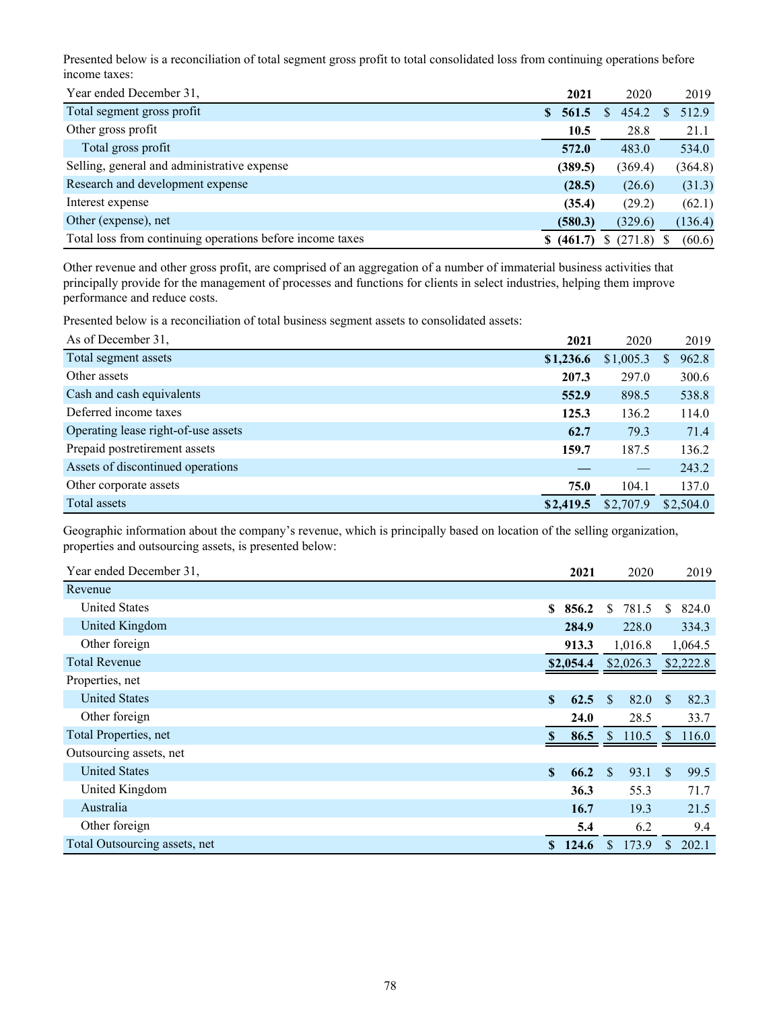Presented below is a reconciliation of total segment gross profit to total consolidated loss from continuing operations before income taxes:

| Year ended December 31.                                   | 2021                   | 2020    | 2019         |
|-----------------------------------------------------------|------------------------|---------|--------------|
| Total segment gross profit                                | 561.5<br><sup>\$</sup> | 454.2   | 512.9        |
| Other gross profit                                        | 10.5                   | 28.8    | 21.1         |
| Total gross profit                                        | 572.0                  | 483.0   | 534.0        |
| Selling, general and administrative expense               | (389.5)                | (369.4) | (364.8)      |
| Research and development expense                          | (28.5)                 | (26.6)  | (31.3)       |
| Interest expense                                          | (35.4)                 | (29.2)  | (62.1)       |
| Other (expense), net                                      | (580.3)                | (329.6) | (136.4)      |
| Total loss from continuing operations before income taxes | \$ (461.7)             | (271.8) | (60.6)<br>-S |

Other revenue and other gross profit, are comprised of an aggregation of a number of immaterial business activities that principally provide for the management of processes and functions for clients in select industries, helping them improve performance and reduce costs.

Presented below is a reconciliation of total business segment assets to consolidated assets:

| As of December 31.                  | 2021      | 2020      | 2019        |
|-------------------------------------|-----------|-----------|-------------|
| Total segment assets                | \$1,236.6 | \$1,005.3 | 962.8<br>S. |
| Other assets                        | 207.3     | 297.0     | 300.6       |
| Cash and cash equivalents           | 552.9     | 898.5     | 538.8       |
| Deferred income taxes               | 125.3     | 136.2     | 114.0       |
| Operating lease right-of-use assets | 62.7      | 79.3      | 71.4        |
| Prepaid postretirement assets       | 159.7     | 187.5     | 136.2       |
| Assets of discontinued operations   |           |           | 243.2       |
| Other corporate assets              | 75.0      | 104.1     | 137.0       |
| Total assets                        | \$2,419.5 | \$2,707.9 | \$2,504.0   |

Geographic information about the company's revenue, which is principally based on location of the selling organization, properties and outsourcing assets, is presented below:

| Year ended December 31,       | 2021                 | 2020                  | 2019                  |
|-------------------------------|----------------------|-----------------------|-----------------------|
| Revenue                       |                      |                       |                       |
| <b>United States</b>          | 856.2<br>SS.         | 781.5<br>\$.          | 824.0<br>S            |
| United Kingdom                | 284.9                | 228.0                 | 334.3                 |
| Other foreign                 | 913.3                | 1,016.8               | 1,064.5               |
| <b>Total Revenue</b>          | \$2,054.4            | \$2,026.3             | \$2,222.8             |
| Properties, net               |                      |                       |                       |
| <b>United States</b>          | $\mathbf{s}$<br>62.5 | 82.0<br><sup>\$</sup> | 82.3<br>\$.           |
| Other foreign                 | 24.0                 | 28.5                  | 33.7                  |
| Total Properties, net         | 86.5<br>S.           | \$110.5               | 116.0<br><sup>S</sup> |
| Outsourcing assets, net       |                      |                       |                       |
| <b>United States</b>          | S<br>66.2            | 93.1<br><sup>\$</sup> | <sup>\$</sup><br>99.5 |
| United Kingdom                | 36.3                 | 55.3                  | 71.7                  |
| Australia                     | 16.7                 | 19.3                  | 21.5                  |
| Other foreign                 | 5.4                  | 6.2                   | 9.4                   |
| Total Outsourcing assets, net | 124.6<br>S.          | 173.9<br>S.           | 202.1<br>\$           |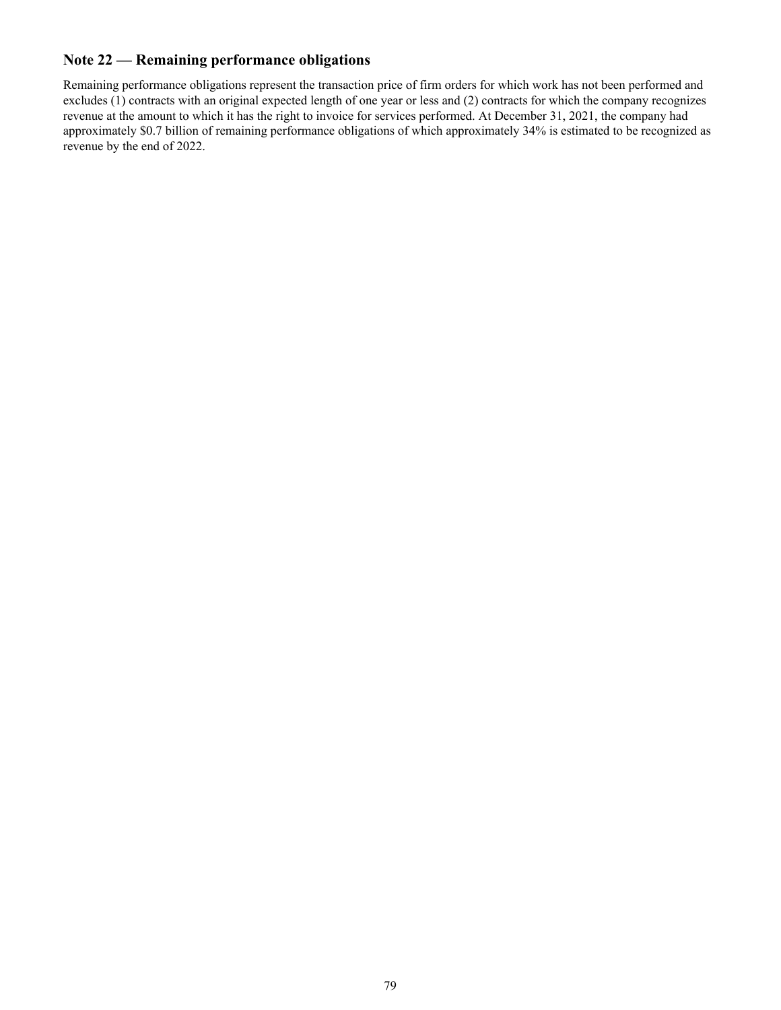### **Note 22 — Remaining performance obligations**

Remaining performance obligations represent the transaction price of firm orders for which work has not been performed and excludes (1) contracts with an original expected length of one year or less and (2) contracts for which the company recognizes revenue at the amount to which it has the right to invoice for services performed. At December 31, 2021, the company had approximately \$0.7 billion of remaining performance obligations of which approximately 34% is estimated to be recognized as revenue by the end of 2022.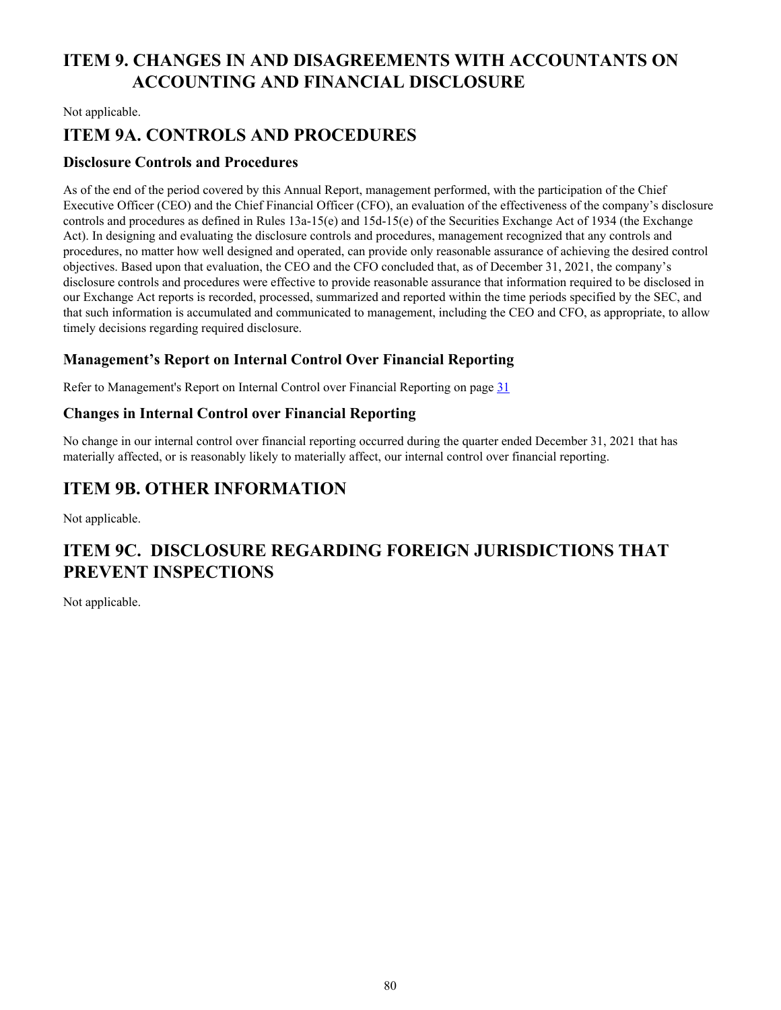# **ITEM 9. CHANGES IN AND DISAGREEMENTS WITH ACCOUNTANTS ON ACCOUNTING AND FINANCIAL DISCLOSURE**

Not applicable.

# **ITEM 9A. CONTROLS AND PROCEDURES**

#### **Disclosure Controls and Procedures**

As of the end of the period covered by this Annual Report, management performed, with the participation of the Chief Executive Officer (CEO) and the Chief Financial Officer (CFO), an evaluation of the effectiveness of the company's disclosure controls and procedures as defined in Rules 13a-15(e) and 15d-15(e) of the Securities Exchange Act of 1934 (the Exchange Act). In designing and evaluating the disclosure controls and procedures, management recognized that any controls and procedures, no matter how well designed and operated, can provide only reasonable assurance of achieving the desired control objectives. Based upon that evaluation, the CEO and the CFO concluded that, as of December 31, 2021, the company's disclosure controls and procedures were effective to provide reasonable assurance that information required to be disclosed in our Exchange Act reports is recorded, processed, summarized and reported within the time periods specified by the SEC, and that such information is accumulated and communicated to management, including the CEO and CFO, as appropriate, to allow timely decisions regarding required disclosure.

#### **Management's Report on Internal Control Over Financial Reporting**

Refer to Management's Report on Internal Control over Financial Reporting on page [31](#page-30-0)

#### **Changes in Internal Control over Financial Reporting**

No change in our internal control over financial reporting occurred during the quarter ended December 31, 2021 that has materially affected, or is reasonably likely to materially affect, our internal control over financial reporting.

### **ITEM 9B. OTHER INFORMATION**

Not applicable.

## **ITEM 9C. DISCLOSURE REGARDING FOREIGN JURISDICTIONS THAT PREVENT INSPECTIONS**

Not applicable.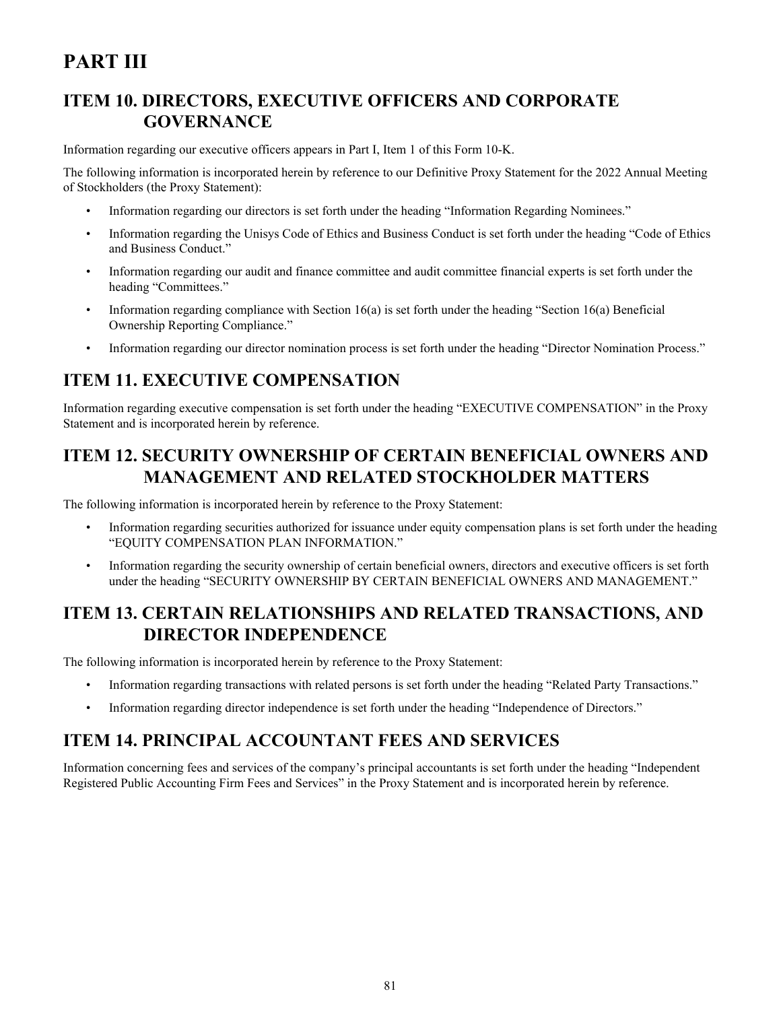# **PART III**

# **ITEM 10. DIRECTORS, EXECUTIVE OFFICERS AND CORPORATE GOVERNANCE**

Information regarding our executive officers appears in Part I, Item 1 of this Form 10-K.

The following information is incorporated herein by reference to our Definitive Proxy Statement for the 2022 Annual Meeting of Stockholders (the Proxy Statement):

- Information regarding our directors is set forth under the heading "Information Regarding Nominees."
- Information regarding the Unisys Code of Ethics and Business Conduct is set forth under the heading "Code of Ethics and Business Conduct."
- Information regarding our audit and finance committee and audit committee financial experts is set forth under the heading "Committees."
- Information regarding compliance with Section 16(a) is set forth under the heading "Section 16(a) Beneficial Ownership Reporting Compliance."
- Information regarding our director nomination process is set forth under the heading "Director Nomination Process."

# **ITEM 11. EXECUTIVE COMPENSATION**

Information regarding executive compensation is set forth under the heading "EXECUTIVE COMPENSATION" in the Proxy Statement and is incorporated herein by reference.

# **ITEM 12. SECURITY OWNERSHIP OF CERTAIN BENEFICIAL OWNERS AND MANAGEMENT AND RELATED STOCKHOLDER MATTERS**

The following information is incorporated herein by reference to the Proxy Statement:

- Information regarding securities authorized for issuance under equity compensation plans is set forth under the heading "EQUITY COMPENSATION PLAN INFORMATION."
- Information regarding the security ownership of certain beneficial owners, directors and executive officers is set forth under the heading "SECURITY OWNERSHIP BY CERTAIN BENEFICIAL OWNERS AND MANAGEMENT."

# **ITEM 13. CERTAIN RELATIONSHIPS AND RELATED TRANSACTIONS, AND DIRECTOR INDEPENDENCE**

The following information is incorporated herein by reference to the Proxy Statement:

- Information regarding transactions with related persons is set forth under the heading "Related Party Transactions."
- Information regarding director independence is set forth under the heading "Independence of Directors."

### **ITEM 14. PRINCIPAL ACCOUNTANT FEES AND SERVICES**

Information concerning fees and services of the company's principal accountants is set forth under the heading "Independent Registered Public Accounting Firm Fees and Services" in the Proxy Statement and is incorporated herein by reference.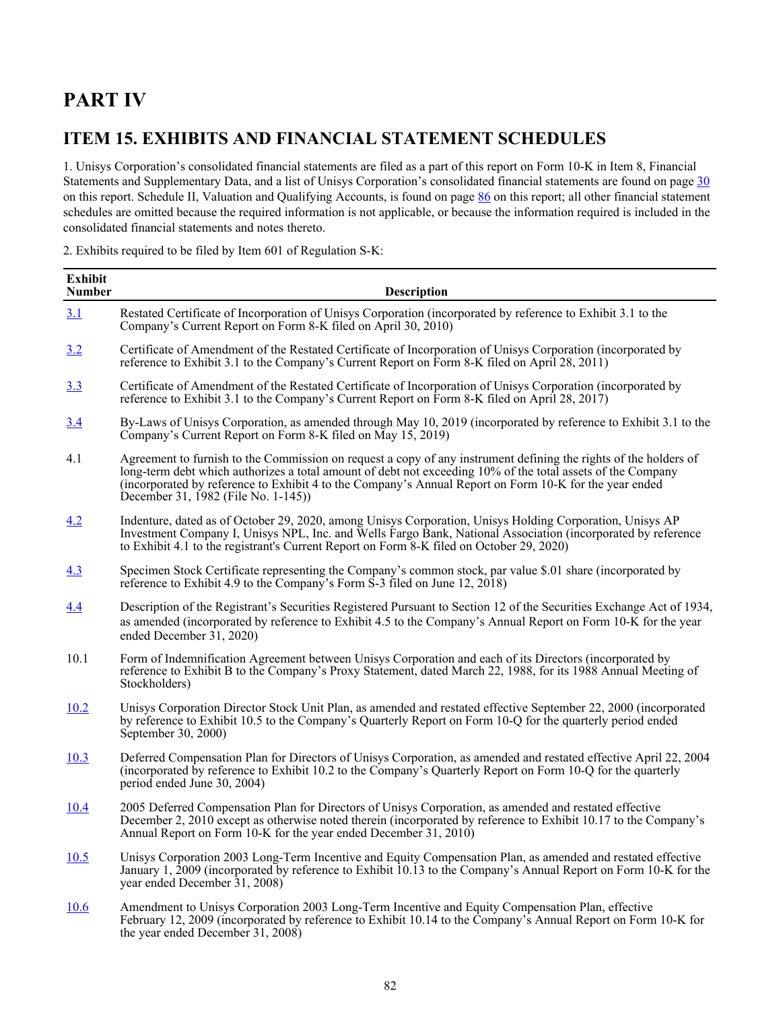# **PART IV**

## **ITEM 15. EXHIBITS AND FINANCIAL STATEMENT SCHEDULES**

1. Unisys Corporation's consolidated financial statements are filed as a part of this report on Form 10-K in Item 8, Financial Statements and Supplementary Data, and a list of Unisys Corporation's consolidated financial statements are found on page [30](#page-29-0) on this report. Schedule II, Valuation and Qualifying Accounts, is found on page [86](#page-85-0) on this report; all other financial statement schedules are omitted because the required information is not applicable, or because the information required is included in the consolidated financial statements and notes thereto.

2. Exhibits required to be filed by Item 601 of Regulation S-K:

| <b>Exhibit</b><br><b>Number</b> | Description                                                                                                                                                                                                                                                                                                                                                                      |
|---------------------------------|----------------------------------------------------------------------------------------------------------------------------------------------------------------------------------------------------------------------------------------------------------------------------------------------------------------------------------------------------------------------------------|
| 3.1                             | Restated Certificate of Incorporation of Unisys Corporation (incorporated by reference to Exhibit 3.1 to the<br>Company's Current Report on Form 8-K filed on April 30, 2010)                                                                                                                                                                                                    |
| 3.2                             | Certificate of Amendment of the Restated Certificate of Incorporation of Unisys Corporation (incorporated by<br>reference to Exhibit 3.1 to the Company's Current Report on Form 8-K filed on April 28, 2011)                                                                                                                                                                    |
| 3.3                             | Certificate of Amendment of the Restated Certificate of Incorporation of Unisys Corporation (incorporated by<br>reference to Exhibit 3.1 to the Company's Current Report on Form 8-K filed on April 28, 2017)                                                                                                                                                                    |
| 3.4                             | By-Laws of Unisys Corporation, as amended through May 10, 2019 (incorporated by reference to Exhibit 3.1 to the<br>Company's Current Report on Form 8-K filed on May 15, 2019)                                                                                                                                                                                                   |
| 4.1                             | Agreement to furnish to the Commission on request a copy of any instrument defining the rights of the holders of<br>long-term debt which authorizes a total amount of debt not exceeding 10% of the total assets of the Company<br>(incorporated by reference to Exhibit 4 to the Company's Annual Report on Form 10-K for the year ended<br>December 31, 1982 (File No. 1-145)) |
| 4.2                             | Indenture, dated as of October 29, 2020, among Unisys Corporation, Unisys Holding Corporation, Unisys AP<br>Investment Company I, Unisys NPL, Inc. and Wells Fargo Bank, National Association (incorporated by reference<br>to Exhibit 4.1 to the registrant's Current Report on Form 8-K filed on October 29, 2020)                                                             |
| 4.3                             | Specimen Stock Certificate representing the Company's common stock, par value \$.01 share (incorporated by<br>reference to Exhibit 4.9 to the Company's Form S-3 filed on June 12, 2018)                                                                                                                                                                                         |
| 4.4                             | Description of the Registrant's Securities Registered Pursuant to Section 12 of the Securities Exchange Act of 1934,<br>as amended (incorporated by reference to Exhibit 4.5 to the Company's Annual Report on Form 10-K for the year<br>ended December 31, 2020)                                                                                                                |
| 10.1                            | Form of Indemnification Agreement between Unisys Corporation and each of its Directors (incorporated by<br>reference to Exhibit B to the Company's Proxy Statement, dated March 22, 1988, for its 1988 Annual Meeting of<br>Stockholders)                                                                                                                                        |
| 10.2                            | Unisys Corporation Director Stock Unit Plan, as amended and restated effective September 22, 2000 (incorporated<br>by reference to Exhibit 10.5 to the Company's Quarterly Report on Form 10-Q for the quarterly period ended<br>September 30, 2000)                                                                                                                             |
| 10.3                            | Deferred Compensation Plan for Directors of Unisys Corporation, as amended and restated effective April 22, 2004<br>(incorporated by reference to Exhibit 10.2 to the Company's Quarterly Report on Form 10-Q for the quarterly<br>period ended June 30, 2004)                                                                                                                   |
| <u>10.4</u>                     | 2005 Deferred Compensation Plan for Directors of Unisys Corporation, as amended and restated effective<br>December 2, 2010 except as otherwise noted therein (incorporated by reference to Exhibit 10.17 to the Company's<br>Annual Report on Form 10-K for the year ended December 31, 2010)                                                                                    |
| 10.5                            | Unisys Corporation 2003 Long-Term Incentive and Equity Compensation Plan, as amended and restated effective<br>January 1, 2009 (incorporated by reference to Exhibit 10.13 to the Company's Annual Report on Form 10-K for the<br>year ended December 31, 2008)                                                                                                                  |
| 10.6                            | Amendment to Unisys Corporation 2003 Long-Term Incentive and Equity Compensation Plan, effective<br>February 12, 2009 (incorporated by reference to Exhibit 10.14 to the Company's Annual Report on Form 10-K for<br>the year ended December 31, 2008)                                                                                                                           |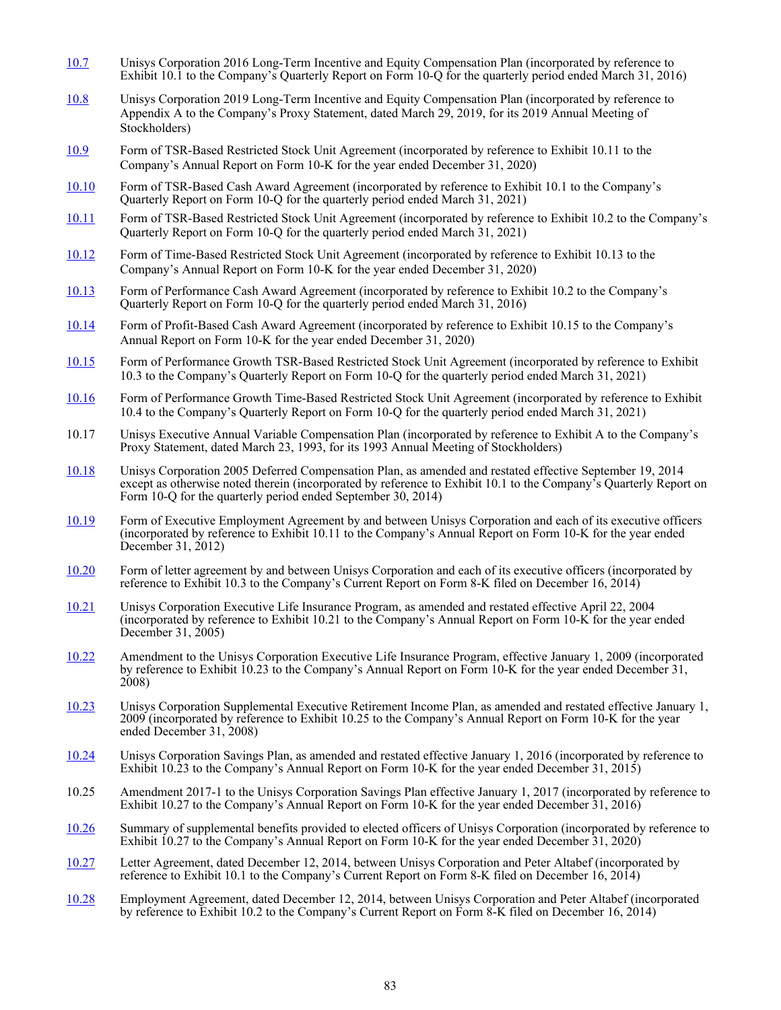- [10.7](http://www.sec.gov/Archives/edgar/data/746838/000119312516567700/d168329dex101.htm) Unisys Corporation 2016 Long-Term Incentive and Equity Compensation Plan (incorporated by reference to Exhibit 10.1 to the Company's Quarterly Report on Form 10-Q for the quarterly period ended March 31, 2016)
- [10.8](http://www.sec.gov/Archives/edgar/data/746838/000119312519092670/d716822ddef14a.htm#toc716822_44) Unisys Corporation 2019 Long-Term Incentive and Equity Compensation Plan (incorporated by reference to Appendix A to the Company's Proxy Statement, dated March 29, 2019, for its 2019 Annual Meeting of Stockholders)
- [10.9](https://www.sec.gov/Archives/edgar/data/746838/000074683821000014/ex101110-k2020.htm) Form of TSR-Based Restricted Stock Unit Agreement (incorporated by reference to Exhibit 10.11 to the Company's Annual Report on Form 10-K for the year ended December 31, 2020)
- [10.10](https://www.sec.gov/Archives/edgar/data/746838/000074683821000053/q12021-ex101.htm) Form of TSR-Based Cash Award Agreement (incorporated by reference to Exhibit 10.1 to the Company's Quarterly Report on Form 10-Q for the quarterly period ended March 31, 2021)
- [10.11](https://www.sec.gov/Archives/edgar/data/746838/000074683821000053/q12021-ex102.htm) Form of TSR-Based Restricted Stock Unit Agreement (incorporated by reference to Exhibit 10.2 to the Company's Quarterly Report on Form 10-Q for the quarterly period ended March 31, 2021)
- [10.12](https://www.sec.gov/Archives/edgar/data/746838/000074683821000014/ex101310-k2020.htm) Form of Time-Based Restricted Stock Unit Agreement (incorporated by reference to Exhibit 10.13 to the Company's Annual Report on Form 10-K for the year ended December 31, 2020)
- [10.13](http://www.sec.gov/Archives/edgar/data/746838/000119312516567700/d168329dex102.htm) Form of Performance Cash Award Agreement (incorporated by reference to Exhibit 10.2 to the Company's Quarterly Report on Form 10-Q for the quarterly period ended March 31, 2016)
- [10.14](https://www.sec.gov/Archives/edgar/data/746838/000074683821000014/ex101510-k2020.htm) Form of Profit-Based Cash Award Agreement (incorporated by reference to Exhibit 10.15 to the Company's Annual Report on Form 10-K for the year ended December 31, 2020)
- [10.15](https://www.sec.gov/Archives/edgar/data/746838/000074683821000053/q12021-ex103.htm) Form of Performance Growth TSR-Based Restricted Stock Unit Agreement (incorporated by reference to Exhibit 10.3 to the Company's Quarterly Report on Form 10-Q for the quarterly period ended March 31, 2021)
- [10.16](https://www.sec.gov/Archives/edgar/data/746838/000074683821000053/q12021-ex104.htm) Form of Performance Growth Time-Based Restricted Stock Unit Agreement (incorporated by reference to Exhibit 10.4 to the Company's Quarterly Report on Form 10-Q for the quarterly period ended March 31, 2021)
- 10.17 Unisys Executive Annual Variable Compensation Plan (incorporated by reference to Exhibit A to the Company's Proxy Statement, dated March 23, 1993, for its 1993 Annual Meeting of Stockholders)
- [10.18](http://www.sec.gov/Archives/edgar/data/746838/000119312514391758/d779319dex101.htm) Unisys Corporation 2005 Deferred Compensation Plan, as amended and restated effective September 19, 2014 except as otherwise noted therein (incorporated by reference to Exhibit 10.1 to the Company's Quarterly Report on Form 10-Q for the quarterly period ended September 30, 2014)
- [10.19](http://www.sec.gov/Archives/edgar/data/746838/000119312513071504/d444691dex1011.htm) Form of Executive Employment Agreement by and between Unisys Corporation and each of its executive officers (incorporated by reference to Exhibit 10.11 to the Company's Annual Report on Form 10-K for the year ended December 31,  $2012$ )
- [10.20](http://www.sec.gov/Archives/edgar/data/746838/000119312514443273/d838336dex103.htm) Form of letter agreement by and between Unisys Corporation and each of its executive officers (incorporated by reference to Exhibit 10.3 to the Company's Current Report on Form 8-K filed on December 16, 2014)
- [10.21](http://www.sec.gov/Archives/edgar/data/746838/000119312506038890/dex1021.htm) Unisys Corporation Executive Life Insurance Program, as amended and restated effective April 22, 2004 (incorporated by reference to Exhibit 10.21 to the Company's Annual Report on Form 10-K for the year ended December 31,  $2005$ )
- [10.22](http://www.sec.gov/Archives/edgar/data/746838/000119312509042668/dex1023.htm) Amendment to the Unisys Corporation Executive Life Insurance Program, effective January 1, 2009 (incorporated by reference to Exhibit 10.23 to the Company's Annual Report on Form 10-K for the year ended December 31, 2008)
- [10.23](http://www.sec.gov/Archives/edgar/data/746838/000119312509042668/dex1025.htm) Unisys Corporation Supplemental Executive Retirement Income Plan, as amended and restated effective January 1, 2009 (incorporated by reference to Exhibit 10.25 to the Company's Annual Report on Form 10-K for the year ended December 31, 2008)
- [10.24](http://www.sec.gov/Archives/edgar/data/746838/000119312516483720/d13712dex1023.htm) Unisys Corporation Savings Plan, as amended and restated effective January 1, 2016 (incorporated by reference to Exhibit 10.23 to the Company's Annual Report on Form 10-K for the year ended December 31, 2015)
- 10.25 Amendment 2017-1 to the Unisys Corporation Savings Plan effective January 1, 2017 (incorporated by reference to Exhibit 10.27 to the Company's Annual Report on Form 10-K for the year ended December 31, 2016)
- [10.26](https://www.sec.gov/Archives/edgar/data/746838/000074683821000014/ex102710-k2020.htm) Summary of supplemental benefits provided to elected officers of Unisys Corporation (incorporated by reference to Exhibit 10.27 to the Company's Annual Report on Form 10-K for the year ended December 31, 2020)
- [10.27](http://www.sec.gov/Archives/edgar/data/746838/000119312514443273/d838336dex101.htm) Letter Agreement, dated December 12, 2014, between Unisys Corporation and Peter Altabef (incorporated by reference to Exhibit 10.1 to the Company's Current Report on Form 8-K filed on December 16, 2014)
- [10.28](http://www.sec.gov/Archives/edgar/data/746838/000119312514443273/d838336dex102.htm) Employment Agreement, dated December 12, 2014, between Unisys Corporation and Peter Altabef (incorporated by reference to Exhibit 10.2 to the Company's Current Report on Form 8-K filed on December 16, 2014)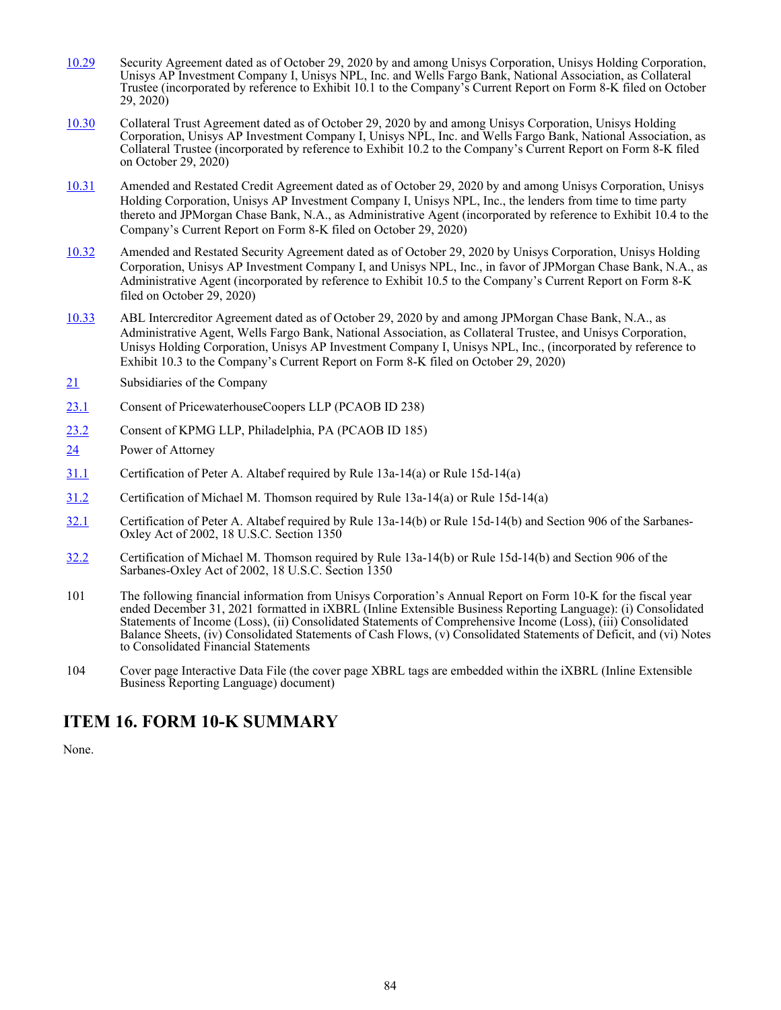- [10.29](http://www.sec.gov/Archives/edgar/data/746838/000119312520281065/d52344dex101.htm) Security Agreement dated as of October 29, 2020 by and among Unisys Corporation, Unisys Holding Corporation, Unisys AP Investment Company I, Unisys NPL, Inc. and Wells Fargo Bank, National Association, as Collateral Trustee (incorporated by reference to Exhibit 10.1 to the Company's Current Report on Form 8-K filed on October 29, 2020)
- [10.30](http://www.sec.gov/Archives/edgar/data/746838/000119312520281065/d52344dex102.htm) Collateral Trust Agreement dated as of October 29, 2020 by and among Unisys Corporation, Unisys Holding Corporation, Unisys AP Investment Company I, Unisys NPL, Inc. and Wells Fargo Bank, National Association, as Collateral Trustee (incorporated by reference to Exhibit 10.2 to the Company's Current Report on Form 8-K filed on October 29, 2020)
- [10.31](http://www.sec.gov/Archives/edgar/data/746838/000119312520281065/d52344dex104.htm) Amended and Restated Credit Agreement dated as of October 29, 2020 by and among Unisys Corporation, Unisys Holding Corporation, Unisys AP Investment Company I, Unisys NPL, Inc., the lenders from time to time party thereto and JPMorgan Chase Bank, N.A., as Administrative Agent (incorporated by reference to Exhibit 10.4 to the Company's Current Report on Form 8-K filed on October 29, 2020)
- [10.32](http://www.sec.gov/Archives/edgar/data/746838/000119312520281065/d52344dex105.htm) Amended and Restated Security Agreement dated as of October 29, 2020 by Unisys Corporation, Unisys Holding Corporation, Unisys AP Investment Company I, and Unisys NPL, Inc., in favor of JPMorgan Chase Bank, N.A., as Administrative Agent (incorporated by reference to Exhibit 10.5 to the Company's Current Report on Form 8-K filed on October 29, 2020)
- [10.33](http://www.sec.gov/Archives/edgar/data/746838/000119312520281065/d52344dex103.htm) ABL Intercreditor Agreement dated as of October 29, 2020 by and among JPMorgan Chase Bank, N.A., as Administrative Agent, Wells Fargo Bank, National Association, as Collateral Trustee, and Unisys Corporation, Unisys Holding Corporation, Unisys AP Investment Company I, Unisys NPL, Inc., (incorporated by reference to Exhibit 10.3 to the Company's Current Report on Form 8-K filed on October 29, 2020)
- $\frac{21}{21}$  Subsidiaries of the Company
- 23.1 Consent of PricewaterhouseCoopers LLP (PCAOB ID 238)
- 23.2 Consent of KPMG LLP, Philadelphia, PA (PCAOB ID 185)
- 24 Power of Attorney
- 31.1 Certification of Peter A. Altabef required by Rule 13a-14(a) or Rule 15d-14(a)
- 31.2 Certification of Michael M. Thomson required by Rule 13a-14(a) or Rule 15d-14(a)
- 32.1 Certification of Peter A. Altabef required by Rule 13a-14(b) or Rule 15d-14(b) and Section 906 of the Sarbanes-Oxley Act of 2002, 18 U.S.C. Section 1350
- 32.2 Certification of Michael M. Thomson required by Rule 13a-14(b) or Rule 15d-14(b) and Section 906 of the Sarbanes-Oxley Act of 2002, 18 U.S.C. Section 1350
- 101 The following financial information from Unisys Corporation's Annual Report on Form 10-K for the fiscal year ended December 31, 2021 formatted in iXBRL (Inline Extensible Business Reporting Language): (i) Consolidated Statements of Income (Loss), (ii) Consolidated Statements of Comprehensive Income (Loss), (iii) Consolidated Balance Sheets, (iv) Consolidated Statements of Cash Flows, (v) Consolidated Statements of Deficit, and (vi) Notes to Consolidated Financial Statements
- 104 Cover page Interactive Data File (the cover page XBRL tags are embedded within the iXBRL (Inline Extensible Business Reporting Language) document)

### **ITEM 16. FORM 10-K SUMMARY**

None.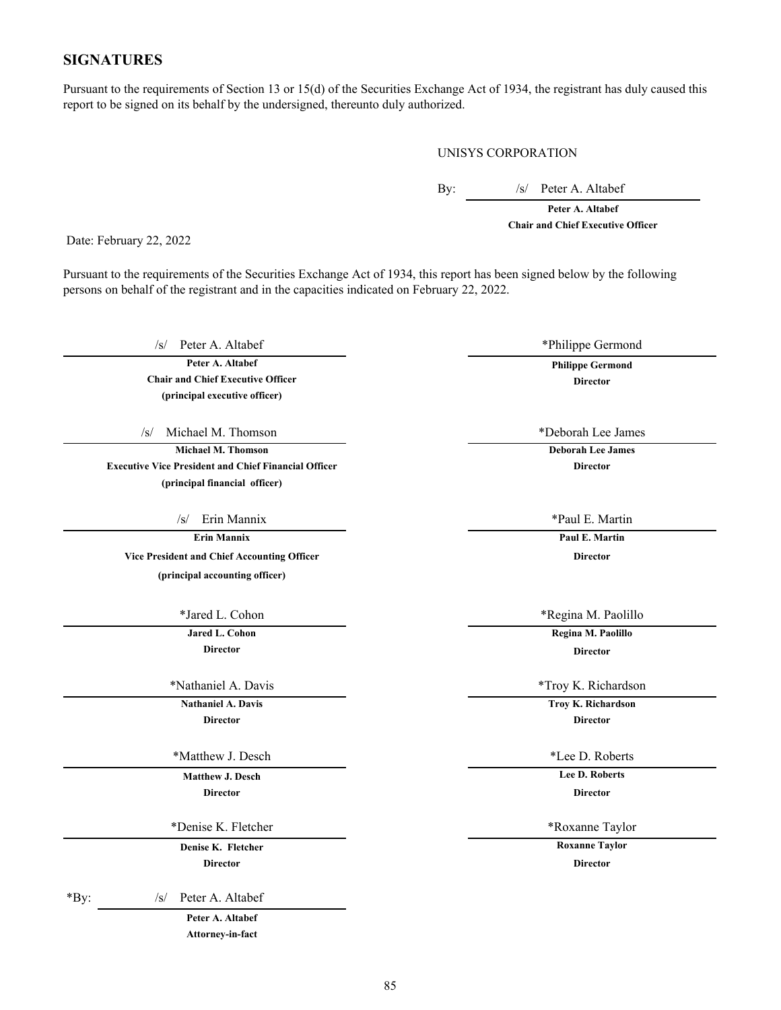#### **SIGNATURES**

Pursuant to the requirements of Section 13 or 15(d) of the Securities Exchange Act of 1934, the registrant has duly caused this report to be signed on its behalf by the undersigned, thereunto duly authorized.

UNISYS CORPORATION

By: /s/ Peter A. Altabef

**Peter A. Altabef Chair and Chief Executive Officer**

Date: February 22, 2022

Pursuant to the requirements of the Securities Exchange Act of 1934, this report has been signed below by the following persons on behalf of the registrant and in the capacities indicated on February 22, 2022.

/s/ Peter A. Altabef \*Philippe Germond

**Peter A. Altabef Philippe Germond Chair and Chief Executive Officer Director (principal executive officer)**

/s/ Michael M. Thomson \*Deborah Lee James

**Michael M. Thomson Deborah Lee James Executive Vice President and Chief Financial Officer Director (principal financial officer)**

/s/ Erin Mannix \*Paul E. Martin

**Example 2018 Paul E. Martin** 

**Vice President and Chief Accounting Officer Director (principal accounting officer)**

**Director Director**

**Director Director**

\*Matthew J. Desch  $*$ Lee D. Roberts

**Matthew J. Desch Lee D. Roberts Director Director**

\*Denise K. Fletcher \*Roxanne Taylor

**Director Director**

\*By: /s/ Peter A. Altabef

**Peter A. Altabef Attorney-in-fact**

\*Jared L. Cohon \*Regina M. Paolillo

**Jared L. Cohon Regina M. Paolillo**

\*Nathaniel A. Davis \*Troy K. Richardson

**Nathaniel A. Davis Troy K. Richardson**

**Denise K. Fletcher <b>Roxanne Taylor Roxanne Taylor**